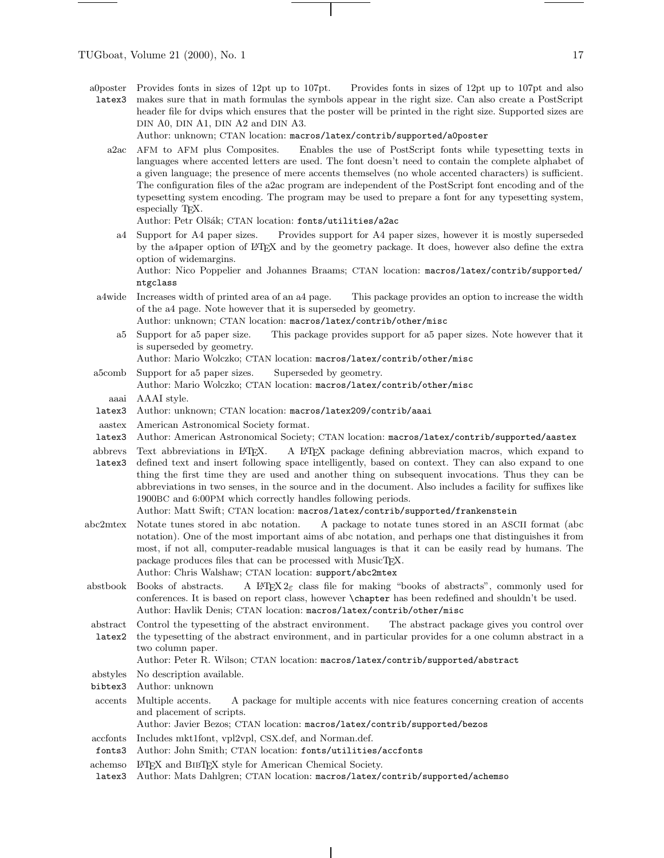a0poster latex3 Provides fonts in sizes of 12pt up to 107pt. Provides fonts in sizes of 12pt up to 107pt and also makes sure that in math formulas the symbols appear in the right size. Can also create a PostScript header file for dvips which ensures that the poster will be printed in the right size. Supported sizes are DIN A0, DIN A1, DIN A2 and DIN A3.

Author: unknown; CTAN location: macros/latex/contrib/supported/a0poster

a2ac AFM to AFM plus Composites. Enables the use of PostScript fonts while typesetting texts in languages where accented letters are used. The font doesn't need to contain the complete alphabet of a given language; the presence of mere accents themselves (no whole accented characters) is sufficient. The configuration files of the a2ac program are independent of the PostScript font encoding and of the typesetting system encoding. The program may be used to prepare a font for any typesetting system, especially T<sub>F</sub>X.

Author: Petr Olšák; CTAN location: fonts/utilities/a2ac

a4 Support for A4 paper sizes. Provides support for A4 paper sizes, however it is mostly superseded by the a4paper option of LATEX and by the geometry package. It does, however also define the extra option of widemargins.

Author: Nico Poppelier and Johannes Braams; CTAN location: macros/latex/contrib/supported/ ntgclass

- a4wide Increases width of printed area of an a4 page. This package provides an option to increase the width of the a4 page. Note however that it is superseded by geometry. Author: unknown; CTAN location: macros/latex/contrib/other/misc
	- a5 Support for a5 paper size. This package provides support for a5 paper sizes. Note however that it is superseded by geometry.
	- Author: Mario Wolczko; CTAN location: macros/latex/contrib/other/misc
- a5comb Support for a5 paper sizes. Superseded by geometry. Author: Mario Wolczko; CTAN location: macros/latex/contrib/other/misc
	- aaai AAAI style.
- latex3 Author: unknown; CTAN location: macros/latex209/contrib/aaai
- aastex American Astronomical Society format.
- latex3 Author: American Astronomical Society; CTAN location: macros/latex/contrib/supported/aastex
- abbrevs Text abbreviations in IATFX. latex3 A LATEX package defining abbreviation macros, which expand to defined text and insert following space intelligently, based on context. They can also expand to one thing the first time they are used and another thing on subsequent invocations. Thus they can be abbreviations in two senses, in the source and in the document. Also includes a facility for suffixes like 1900BC and 6:00PM which correctly handles following periods.

Author: Matt Swift; CTAN location: macros/latex/contrib/supported/frankenstein

- abc2mtex Notate tunes stored in abc notation. A package to notate tunes stored in an ASCII format (abc notation). One of the most important aims of abc notation, and perhaps one that distinguishes it from most, if not all, computer-readable musical languages is that it can be easily read by humans. The package produces files that can be processed with MusicT<sub>EX</sub>. Author: Chris Walshaw; CTAN location: support/abc2mtex
- abstbook Books of abstracts. A LATEX  $2\varepsilon$  class file for making "books of abstracts", commonly used for conferences. It is based on report class, however \chapter has been redefined and shouldn't be used. Author: Havlik Denis; CTAN location: macros/latex/contrib/other/misc
- abstract Control the typesetting of the abstract environment. The abstract package gives you control over
- latex2 the typesetting of the abstract environment, and in particular provides for a one column abstract in a two column paper.

## Author: Peter R. Wilson; CTAN location: macros/latex/contrib/supported/abstract

abstyles No description available.

- bibtex3 Author: unknown
- accents Multiple accents. A package for multiple accents with nice features concerning creation of accents and placement of scripts.

Author: Javier Bezos; CTAN location: macros/latex/contrib/supported/bezos

- accfonts Includes mkt1font, vpl2vpl, CSX.def, and Norman.def.
- fonts3 Author: John Smith; CTAN location: fonts/utilities/accfonts
- achemso LATEX and BibTEX style for American Chemical Society.
- latex3 Author: Mats Dahlgren; CTAN location: macros/latex/contrib/supported/achemso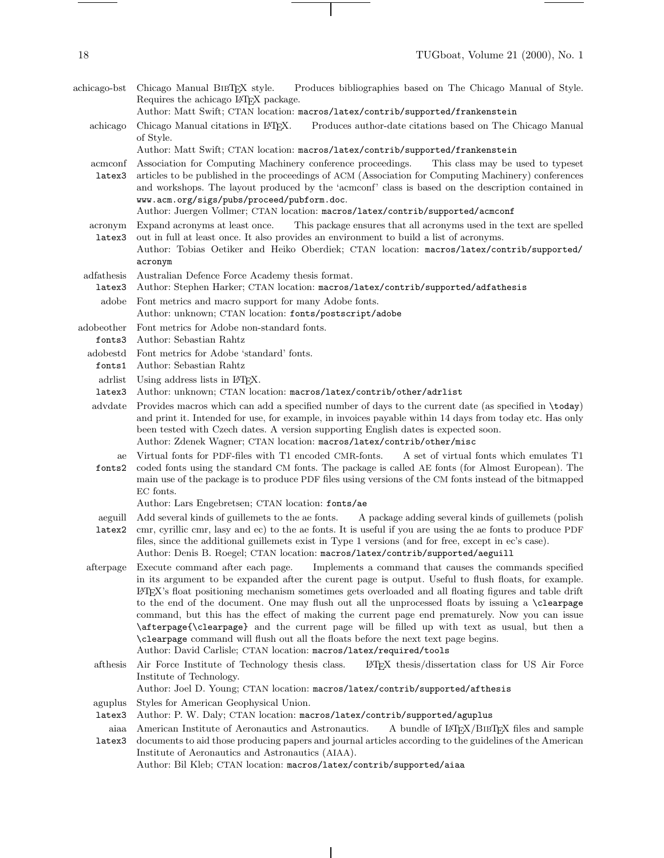achicago-bst Chicago Manual BibTEX style. Produces bibliographies based on The Chicago Manual of Style. Requires the achicago LAT<sub>EX</sub> package. Author: Matt Swift; CTAN location: macros/latex/contrib/supported/frankenstein achicago Chicago Manual citations in LATEX. Produces author-date citations based on The Chicago Manual of Style. Author: Matt Swift; CTAN location: macros/latex/contrib/supported/frankenstein acmconf Association for Computing Machinery conference proceedings. This class may be used to typeset latex3 articles to be published in the proceedings of ACM (Association for Computing Machinery) conferences and workshops. The layout produced by the 'acmconf' class is based on the description contained in www.acm.org/sigs/pubs/proceed/pubform.doc. Author: Juergen Vollmer; CTAN location: macros/latex/contrib/supported/acmconf acronym latex3 Expand acronyms at least once. This package ensures that all acronyms used in the text are spelled out in full at least once. It also provides an environment to build a list of acronyms. Author: Tobias Oetiker and Heiko Oberdiek; CTAN location: macros/latex/contrib/supported/ acronym adfathesis latex3 Australian Defence Force Academy thesis format. Author: Stephen Harker; CTAN location: macros/latex/contrib/supported/adfathesis adobe Font metrics and macro support for many Adobe fonts. Author: unknown; CTAN location: fonts/postscript/adobe adobeother fonts3 Author: Sebastian Rahtz Font metrics for Adobe non-standard fonts. adobestd Font metrics for Adobe 'standard' fonts. fonts1 Author: Sebastian Rahtz adrlist Using address lists in LATEX. latex3 Author: unknown; CTAN location: macros/latex/contrib/other/adrlist advdate Provides macros which can add a specified number of days to the current date (as specified in \today) and print it. Intended for use, for example, in invoices payable within 14 days from today etc. Has only been tested with Czech dates. A version supporting English dates is expected soon. Author: Zdenek Wagner; CTAN location: macros/latex/contrib/other/misc ae fonts2 Virtual fonts for PDF-files with T1 encoded CMR-fonts. A set of virtual fonts which emulates T1 coded fonts using the standard CM fonts. The package is called AE fonts (for Almost European). The main use of the package is to produce PDF files using versions of the CM fonts instead of the bitmapped EC fonts. Author: Lars Engebretsen; CTAN location: fonts/ae aeguill Add several kinds of guillemets to the ae fonts. latex2 cmr, cyrillic cmr, lasy and ec) to the ae fonts. It is useful if you are using the ae fonts to produce PDF A package adding several kinds of guillemets (polish files, since the additional guillemets exist in Type 1 versions (and for free, except in ec's case). Author: Denis B. Roegel; CTAN location: macros/latex/contrib/supported/aeguill afterpage Execute command after each page. Implements a command that causes the commands specified in its argument to be expanded after the curent page is output. Useful to flush floats, for example. LATEX's float positioning mechanism sometimes gets overloaded and all floating figures and table drift to the end of the document. One may flush out all the unprocessed floats by issuing a \clearpage command, but this has the effect of making the current page end prematurely. Nowyou can issue \afterpage{\clearpage} and the current page will be filled up with text as usual, but then a \clearpage command will flush out all the floats before the next text page begins. Author: David Carlisle; CTAN location: macros/latex/required/tools afthesis Air Force Institute of Technology thesis class. LATEX thesis/dissertation class for US Air Force Institute of Technology. Author: Joel D. Young; CTAN location: macros/latex/contrib/supported/afthesis

aguplus Styles for American Geophysical Union.

latex3 Author: P. W. Daly; CTAN location: macros/latex/contrib/supported/aguplus

aiaa American Institute of Aeronautics and Astronautics. A bundle of LAT<sub>E</sub>X/BIBT<sub>E</sub>X files and sample

latex3 documents to aid those producing papers and journal articles according to the guidelines of the American Institute of Aeronautics and Astronautics (AIAA). Author: Bil Kleb; CTAN location: macros/latex/contrib/supported/aiaa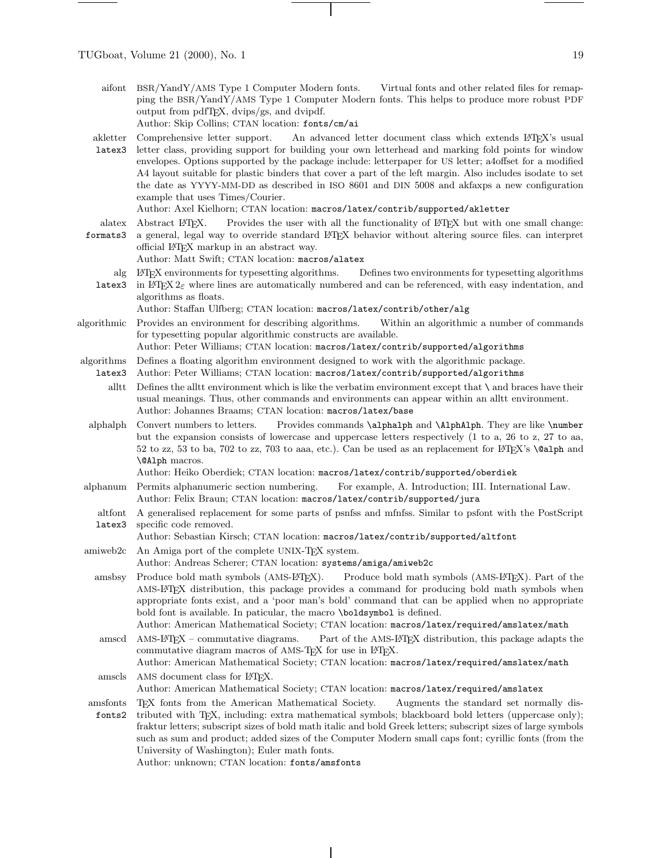aifont BSR/YandY/AMS Type 1 Computer Modern fonts. Virtual fonts and other related files for remapping the BSR/YandY/AMS Type 1 Computer Modern fonts. This helps to produce more robust PDF output from pdfTEX, dvips/gs, and dvipdf. Author: Skip Collins; CTAN location: fonts/cm/ai

akletter Comprehensive letter support. An advanced letter document class which extends L<sup>AT</sup>EX's usual

latex3 letter class, providing support for building your own letterhead and marking fold points for window envelopes. Options supported by the package include: letterpaper for US letter; a4offset for a modified A4 layout suitable for plastic binders that cover a part of the left margin. Also includes isodate to set the date as YYYY-MM-DD as described in ISO 8601 and DIN 5008 and akfaxps a newconfiguration example that uses Times/Courier.

Author: Axel Kielhorn; CTAN location: macros/latex/contrib/supported/akletter

- alatex Abstract LATEX. Provides the user with all the functionality of LATEX but with one small change:
- formats3 a general, legal way to override standard LATEX behavior without altering source files. can interpret official LAT<sub>EX</sub> markup in an abstract way. Author: Matt Swift; CTAN location: macros/alatex
	- alg L<sup>A</sup>T<sub>E</sub>X environments for typesetting algorithms. **latex3** in LAT<sub>E</sub>X  $2\varepsilon$  where lines are automatically numbered and can be referenced, with easy indentation, and Defines two environments for typesetting algorithms. algorithms as floats.

Author: Staffan Ulfberg; CTAN location: macros/latex/contrib/other/alg

algorithmic Provides an environment for describing algorithms. Within an algorithmic a number of commands for typesetting popular algorithmic constructs are available.

Author: Peter Williams; CTAN location: macros/latex/contrib/supported/algorithms

algorithms Defines a floating algorithm environment designed to work with the algorithmic package.

- latex3 Author: Peter Williams; CTAN location: macros/latex/contrib/supported/algorithms
	- alltt Defines the alltt environment which is like the verbatim environment except that \ and braces have their usual meanings. Thus, other commands and environments can appear within an alltt environment. Author: Johannes Braams; CTAN location: macros/latex/base
- alphalph Convert numbers to letters. Provides commands \alphalph and \AlphAlph. They are like \number but the expansion consists of lowercase and uppercase letters respectively (1 to a, 26 to z, 27 to aa, 52 to zz, 53 to ba, 702 to zz, 703 to aaa, etc.). Can be used as an replacement for  $\mathbb{F}T_FX$ 's **\@alph** and \@Alph macros.

Author: Heiko Oberdiek; CTAN location: macros/latex/contrib/supported/oberdiek

- alphanum Permits alphanumeric section numbering. For example, A. Introduction; III. International Law. Author: Felix Braun; CTAN location: macros/latex/contrib/supported/jura
	- altfont A generalised replacement for some parts of psnfss and mfnfss. Similar to psfont with the PostScript latex3 specific code removed.

Author: Sebastian Kirsch; CTAN location: macros/latex/contrib/supported/altfont

- amiweb2c An Amiga port of the complete UNIX-TEX system.
	- Author: Andreas Scherer; CTAN location: systems/amiga/amiweb2c
	- amsbsy Produce bold math symbols (AMS-LATEX). Produce bold math symbols (AMS-LATEX). Part of the AMS-L<sup>A</sup>T<sub>E</sub>X distribution, this package provides a command for producing bold math symbols when appropriate fonts exist, and a 'poor man's bold' command that can be applied when no appropriate bold font is available. In paticular, the macro \boldsymbol is defined.
	- Author: American Mathematical Society; CTAN location: macros/latex/required/amslatex/math amscd AMS-LATEX – commutative diagrams. Part of the AMS-LATEX distribution, this package adapts the commutative diagram macros of AMS-T<sub>EX</sub> for use in L<sup>AT</sup>EX.
	- Author: American Mathematical Society; CTAN location: macros/latex/required/amslatex/math amscls AMS document class for LAT<sub>EX</sub>.

Author: American Mathematical Society; CTAN location: macros/latex/required/amslatex

- amsfonts fonts2 TEX fonts from the American Mathematical Society. Augments the standard set normally distributed with TEX, including: extra mathematical symbols; blackboard bold letters (uppercase only); fraktur letters; subscript sizes of bold math italic and bold Greek letters; subscript sizes of large symbols
	- such as sum and product; added sizes of the Computer Modern small caps font; cyrillic fonts (from the University of Washington); Euler math fonts.

Author: unknown; CTAN location: fonts/amsfonts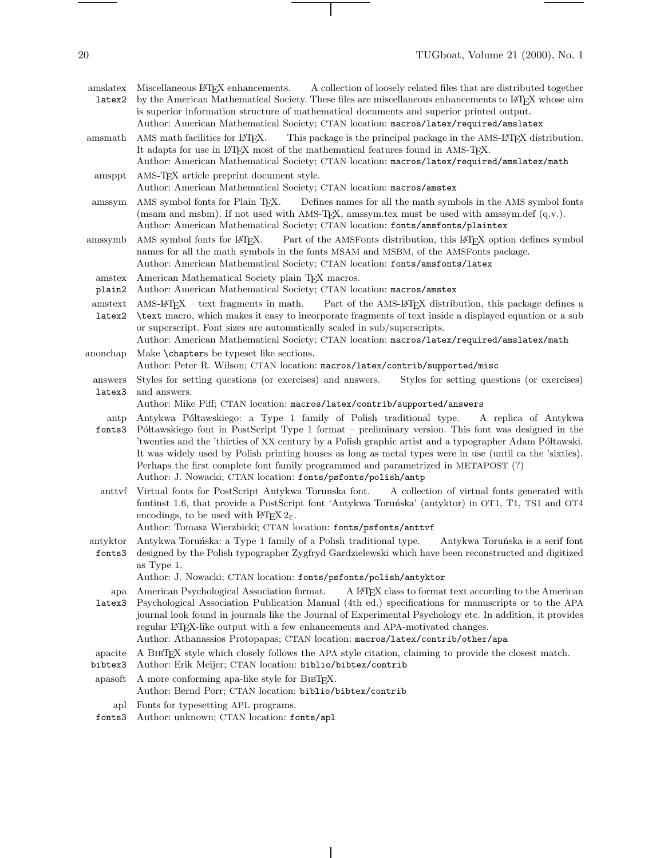amslatex Miscellaneous L<sup>A</sup>T<sub>F</sub>X enhancements. latex2 A collection of loosely related files that are distributed together by the American Mathematical Society. These files are miscellaneous enhancements to LATEX whose aim is superior information structure of mathematical documents and superior printed output. Author: American Mathematical Society; CTAN location: macros/latex/required/amslatex amsmath AMS math facilities for LATEX. This package is the principal package in the AMS-LATEX distribution. It adapts for use in ETEX most of the mathematical features found in AMS-TEX. Author: American Mathematical Society; CTAN location: macros/latex/required/amslatex/math amsppt AMS-TEX article preprint document style. Author: American Mathematical Society; CTAN location: macros/amstex amssym AMS symbol fonts for Plain TEX. Defines names for all the math symbols in the AMS symbol fonts (msam and msbm). If not used with AMS-TEX, amssym.tex must be used with amssym.def (q.v.). Author: American Mathematical Society; CTAN location: fonts/amsfonts/plaintex amssymb AMS symbol fonts for LATEX. Part of the AMSFonts distribution, this LATEX option defines symbol names for all the math symbols in the fonts MSAM and MSBM, of the AMSFonts package. Author: American Mathematical Society; CTAN location: fonts/amsfonts/latex amstex plain2 American Mathematical Society plain TFX macros. Author: American Mathematical Society; CTAN location: macros/amstex amstext AMS-L<sup>A</sup>T<sub>E</sub>X – text fragments in math. latex2 Part of the AMS-L<sup>AT</sup>EX distribution, this package defines a \text macro, which makes it easy to incorporate fragments of text inside a displayed equation or a sub or superscript. Font sizes are automatically scaled in sub/superscripts. Author: American Mathematical Society; CTAN location: macros/latex/required/amslatex/math anonchap Make \chapters be typeset like sections. Author: Peter R. Wilson; CTAN location: macros/latex/contrib/supported/misc answers latex3 Styles for setting questions (or exercises) and answers. Styles for setting questions (or exercises) and answers. Author: Mike Piff; CTAN location: macros/latex/contrib/supported/answers antp fonts3 Antykwa Półtawskiego: a Type 1 family of Polish traditional type. A replica of Antykwa Półtawskiego font in PostScript Type 1 format – preliminary version. This font was designed in the 'twenties and the 'thirties of XX century by a Polish graphic artist and a typographer Adam Półtawski. It was widely used by Polish printing houses as long as metal types were in use (until ca the 'sixties). Perhaps the first complete font family programmed and parametrized in METAPOST (?) Author: J. Nowacki; CTAN location: fonts/psfonts/polish/antp anttvf Virtual fonts for PostScript Antykwa Torunska font. A collection of virtual fonts generated with fontinst 1.6, that provide a PostScript font 'Antykwa Toruńska' (antyktor) in OT1, T1, TS1 and OT4 encodings, to be used with  $\text{LATEX } 2_{\varepsilon}$ . Author: Tomasz Wierzbicki; CTAN location: fonts/psfonts/anttvf antyktor Antykwa Toruńska: a Type 1 family of a Polish traditional type. Antykwa Toruńska is a serif font fonts3 designed by the Polish typographer Zygfryd Gardzielewski which have been reconstructed and digitized as Type 1. Author: J. Nowacki; CTAN location: fonts/psfonts/polish/antyktor apa American Psychological Association format. latex3 Psychological Association Publication Manual (4th ed.) specifications for manuscripts or to the APA A LAT<sub>EX</sub> class to format text according to the American journal look found in journals like the Journal of Experimental Psychology etc. In addition, it provides regular L<sup>A</sup>T<sub>E</sub>X-like output with a few enhancements and APA-motivated changes. Author: Athanassios Protopapas; CTAN location: macros/latex/contrib/other/apa apacite bibtex3 A BibTEX style which closely follows the APA style citation, claiming to provide the closest match. Author: Erik Meijer; CTAN location: biblio/bibtex/contrib apasoft A more conforming apa-like style for BibTEX. Author: Bernd Porr; CTAN location: biblio/bibtex/contrib

- apl Fonts for typesetting APL programs.
- fonts3 Author: unknown; CTAN location: fonts/apl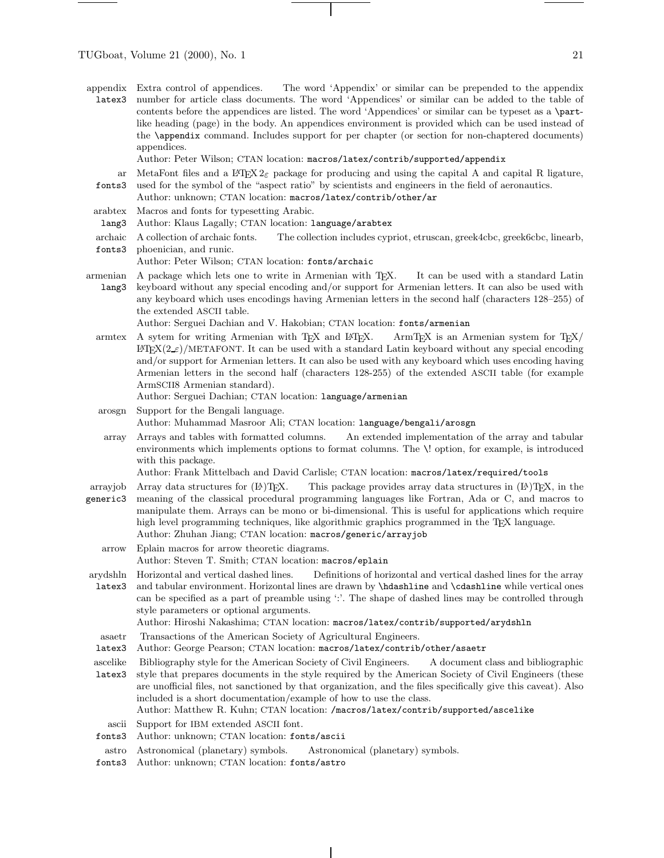- appendix latex3 Extra control of appendices. The word 'Appendix' or similar can be prepended to the appendix number for article class documents. The word 'Appendices' or similar can be added to the table of contents before the appendices are listed. The word 'Appendices' or similar can be typeset as a \partlike heading (page) in the body. An appendices environment is provided which can be used instead of the \appendix command. Includes support for per chapter (or section for non-chaptered documents) appendices.
	- Author: Peter Wilson; CTAN location: macros/latex/contrib/supported/appendix
	- ar MetaFont files and a  $\text{LATEX } 2\varepsilon$  package for producing and using the capital A and capital R ligature, fonts3 used for the symbol of the "aspect ratio" by scientists and engineers in the field of aeronautics.
	- Author: unknown; CTAN location: macros/latex/contrib/other/ar
- arabtex Macros and fonts for typesetting Arabic.
- lang3 Author: Klaus Lagally; CTAN location: language/arabtex
- archaic A collection of archaic fonts. The collection includes cypriot, etruscan, greek4cbc, greek6cbc, linearb,
- fonts3 phoenician, and runic. Author: Peter Wilson; CTAN location: fonts/archaic
- armenian lang3 A package which lets one to write in Armenian with TEX. It can be used with a standard Latin keyboard without any special encoding and/or support for Armenian letters. It can also be used with any keyboard which uses encodings having Armenian letters in the second half (characters 128–255) of the extended ASCII table.

Author: Serguei Dachian and V. Hakobian; CTAN location: fonts/armenian

- armtex A sytem for writing Armenian with TFX and LATEX. ArmTFX is an Armenian system for TFX/  $\text{LATEX}(2 \text{ s})/\text{METAFONT}$ . It can be used with a standard Latin keyboard without any special encoding and/or support for Armenian letters. It can also be used with any keyboard which uses encoding having Armenian letters in the second half (characters 128-255) of the extended ASCII table (for example ArmSCII8 Armenian standard).
	- Author: Serguei Dachian; CTAN location: language/armenian
- arosgn Support for the Bengali language. Author: Muhammad Masroor Ali; CTAN location: language/bengali/arosgn
- array Arrays and tables with formatted columns. An extended implementation of the array and tabular environments which implements options to format columns. The \! option, for example, is introduced with this package.

Author: Frank Mittelbach and David Carlisle; CTAN location: macros/latex/required/tools

- arrayjob Array data structures for  $(E)$ TEX. This package provides array data structures in  $(E)$ TEX, in the
- generic3 meaning of the classical procedural programming languages like Fortran, Ada or C, and macros to manipulate them. Arrays can be mono or bi-dimensional. This is useful for applications which require high level programming techniques, like algorithmic graphics programmed in the TEX language. Author: Zhuhan Jiang; CTAN location: macros/generic/arrayjob
	- arrow Eplain macros for arrow theoretic diagrams.

Author: Steven T. Smith; CTAN location: macros/eplain

arydshln latex3 Horizontal and vertical dashed lines. Definitions of horizontal and vertical dashed lines for the array and tabular environment. Horizontal lines are drawn by \hdashline and \cdashline while vertical ones can be specified as a part of preamble using ':'. The shape of dashed lines may be controlled through style parameters or optional arguments.

Author: Hiroshi Nakashima; CTAN location: macros/latex/contrib/supported/arydshln

- asaetr Transactions of the American Society of Agricultural Engineers.
- latex3 Author: George Pearson; CTAN location: macros/latex/contrib/other/asaetr

ascelike Bibliography style for the American Society of Civil Engineers. A document class and bibliographic

- latex3 style that prepares documents in the style required by the American Society of Civil Engineers (these are unofficial files, not sanctioned by that organization, and the files specifically give this caveat). Also included is a short documentation/example of how to use the class. Author: Matthew R. Kuhn; CTAN location: /macros/latex/contrib/supported/ascelike
- ascii Support for IBM extended ASCII font.
- fonts3 Author: unknown; CTAN location: fonts/ascii
- astro Astronomical (planetary) symbols. Astronomical (planetary) symbols.
- fonts3 Author: unknown; CTAN location: fonts/astro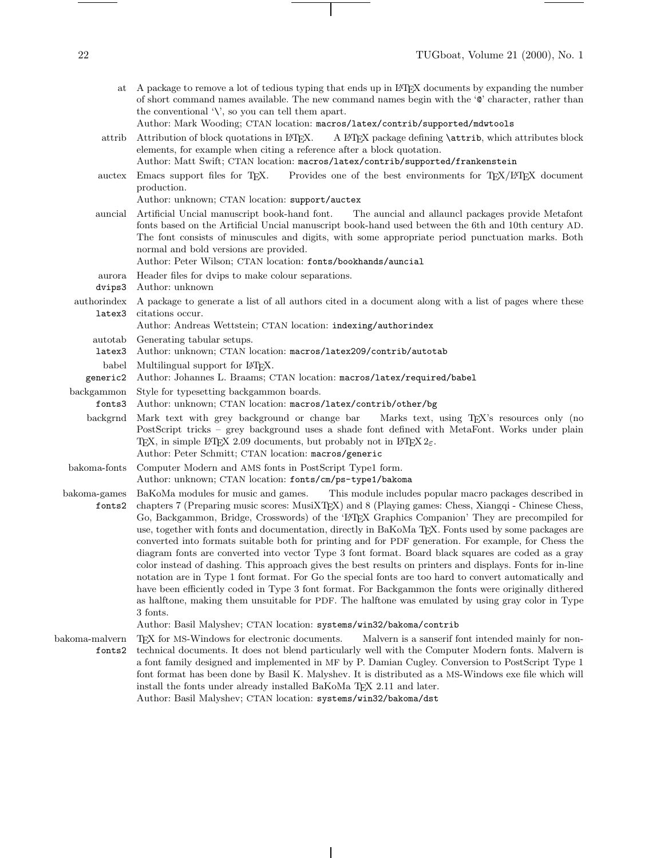| at                              | A package to remove a lot of tedious typing that ends up in L <sup>4</sup> T <sub>F</sub> X documents by expanding the number<br>of short command names available. The new command names begin with the 'O' character, rather than<br>the conventional $\vee$ , so you can tell them apart.<br>Author: Mark Wooding; CTAN location: macros/latex/contrib/supported/mdwtools                                                                                                                                                                                                                                                                                                                                                                                                                                                                                                                                                                                                                                                                                                                                                                                         |
|---------------------------------|---------------------------------------------------------------------------------------------------------------------------------------------------------------------------------------------------------------------------------------------------------------------------------------------------------------------------------------------------------------------------------------------------------------------------------------------------------------------------------------------------------------------------------------------------------------------------------------------------------------------------------------------------------------------------------------------------------------------------------------------------------------------------------------------------------------------------------------------------------------------------------------------------------------------------------------------------------------------------------------------------------------------------------------------------------------------------------------------------------------------------------------------------------------------|
| attrib                          | A L'IFX package defining <i>\attrib</i> , which attributes block<br>Attribution of block quotations in ETFX.<br>elements, for example when citing a reference after a block quotation.<br>Author: Matt Swift; CTAN location: macros/latex/contrib/supported/frankenstein                                                                                                                                                                                                                                                                                                                                                                                                                                                                                                                                                                                                                                                                                                                                                                                                                                                                                            |
| auctex                          | Provides one of the best environments for T <sub>E</sub> X/L <sup>A</sup> T <sub>E</sub> X document<br>Emacs support files for T <sub>F</sub> X.<br>production.<br>Author: unknown; CTAN location: support/auctex                                                                                                                                                                                                                                                                                                                                                                                                                                                                                                                                                                                                                                                                                                                                                                                                                                                                                                                                                   |
| auncial                         | Artificial Uncial manuscript book-hand font.<br>The auncial and allauncl packages provide Metafont<br>fonts based on the Artificial Uncial manuscript book-hand used between the 6th and 10th century AD.<br>The font consists of minuscules and digits, with some appropriate period punctuation marks. Both<br>normal and bold versions are provided.<br>Author: Peter Wilson; CTAN location: fonts/bookhands/auncial                                                                                                                                                                                                                                                                                                                                                                                                                                                                                                                                                                                                                                                                                                                                             |
| aurora                          | Header files for dvips to make colour separations.                                                                                                                                                                                                                                                                                                                                                                                                                                                                                                                                                                                                                                                                                                                                                                                                                                                                                                                                                                                                                                                                                                                  |
| dvips3<br>authorindex<br>latex3 | Author: unknown<br>A package to generate a list of all authors cited in a document along with a list of pages where these<br>citations occur.<br>Author: Andreas Wettstein; CTAN location: indexing/authorindex                                                                                                                                                                                                                                                                                                                                                                                                                                                                                                                                                                                                                                                                                                                                                                                                                                                                                                                                                     |
| autotab                         | Generating tabular setups.                                                                                                                                                                                                                                                                                                                                                                                                                                                                                                                                                                                                                                                                                                                                                                                                                                                                                                                                                                                                                                                                                                                                          |
| latex3                          | Author: unknown; CTAN location: macros/latex209/contrib/autotab                                                                                                                                                                                                                                                                                                                                                                                                                                                                                                                                                                                                                                                                                                                                                                                                                                                                                                                                                                                                                                                                                                     |
| babel<br>generic2               | Multilingual support for L <sup>AT</sup> EX.<br>Author: Johannes L. Braams; CTAN location: macros/latex/required/babel                                                                                                                                                                                                                                                                                                                                                                                                                                                                                                                                                                                                                                                                                                                                                                                                                                                                                                                                                                                                                                              |
| backgammon<br>fonts3            | Style for typesetting backgammon boards.<br>Author: unknown; CTAN location: macros/latex/contrib/other/bg                                                                                                                                                                                                                                                                                                                                                                                                                                                                                                                                                                                                                                                                                                                                                                                                                                                                                                                                                                                                                                                           |
| backgrnd                        | Mark text with grey background or change bar<br>Marks text, using T <sub>F</sub> X's resources only (no<br>PostScript tricks – grey background uses a shade font defined with MetaFont. Works under plain<br>TEX, in simple IATEX 2.09 documents, but probably not in IATEX $2\varepsilon$ .<br>Author: Peter Schmitt; CTAN location: macros/generic                                                                                                                                                                                                                                                                                                                                                                                                                                                                                                                                                                                                                                                                                                                                                                                                                |
| bakoma-fonts                    | Computer Modern and AMS fonts in PostScript Type1 form.<br>Author: unknown; CTAN location: fonts/cm/ps-type1/bakoma                                                                                                                                                                                                                                                                                                                                                                                                                                                                                                                                                                                                                                                                                                                                                                                                                                                                                                                                                                                                                                                 |
| bakoma-games<br>fonts2          | BaKoMa modules for music and games.<br>This module includes popular macro packages described in<br>chapters 7 (Preparing music scores: MusiXTEX) and 8 (Playing games: Chess, Xiangqi - Chinese Chess,<br>Go, Backgammon, Bridge, Crosswords) of the 'L <sup>T</sup> FX Graphics Companion' They are precompiled for<br>use, together with fonts and documentation, directly in BaKoMa TEX. Fonts used by some packages are<br>converted into formats suitable both for printing and for PDF generation. For example, for Chess the<br>diagram fonts are converted into vector Type 3 font format. Board black squares are coded as a gray<br>color instead of dashing. This approach gives the best results on printers and displays. Fonts for in-line<br>notation are in Type 1 font format. For Go the special fonts are too hard to convert automatically and<br>have been efficiently coded in Type 3 font format. For Backgammon the fonts were originally dithered<br>as halftone, making them unsuitable for PDF. The halftone was emulated by using gray color in Type<br>3 fonts.<br>Author: Basil Malyshev; CTAN location: systems/win32/bakoma/contrib |
| bakoma-malvern                  | TFX for MS-Windows for electronic documents.<br>Malvern is a sanserif font intended mainly for non-                                                                                                                                                                                                                                                                                                                                                                                                                                                                                                                                                                                                                                                                                                                                                                                                                                                                                                                                                                                                                                                                 |
| fonts2                          | technical documents. It does not blend particularly well with the Computer Modern fonts. Malvern is<br>a font family designed and implemented in MF by P. Damian Cugley. Conversion to PostScript Type 1                                                                                                                                                                                                                                                                                                                                                                                                                                                                                                                                                                                                                                                                                                                                                                                                                                                                                                                                                            |

 $\mathbf{I}$ 

font format has been done by Basil K. Malyshev. It is distributed as a MS-Windows exe file which will

 $\overline{\phantom{a}}$ 

install the fonts under already installed BaKoMa TEX 2.11 and later. Author: Basil Malyshev; CTAN location: systems/win32/bakoma/dst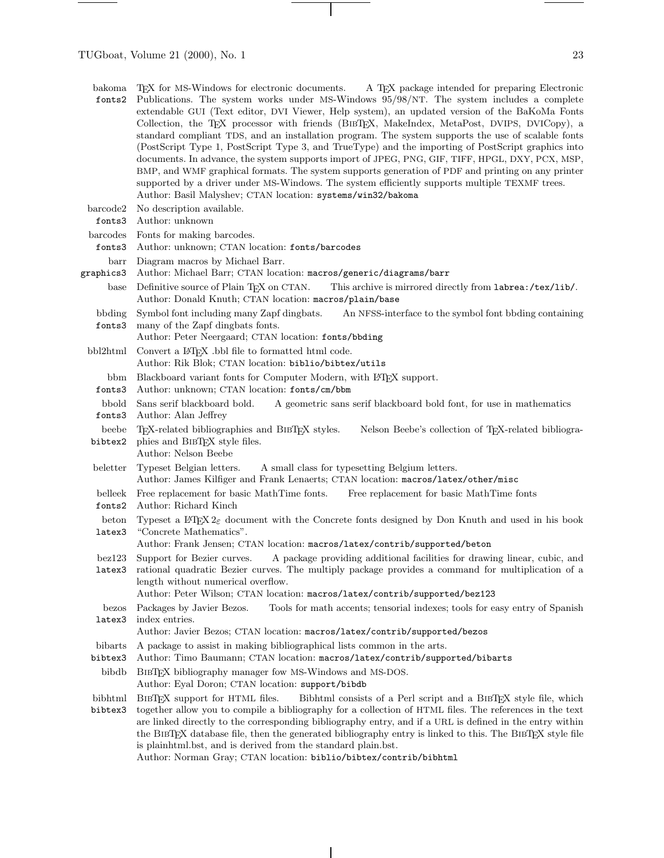- bakoma fonts2 TEX for MS-Windows for electronic documents. A TEX package intended for preparing Electronic Publications. The system works under MS-Windows 95/98/NT. The system includes a complete extendable GUI (Text editor, DVI Viewer, Help system), an updated version of the BaKoMa Fonts Collection, the TEX processor with friends (BibTEX, MakeIndex, MetaPost, DVIPS, DVICopy), a standard compliant TDS, and an installation program. The system supports the use of scalable fonts (PostScript Type 1, PostScript Type 3, and TrueType) and the importing of PostScript graphics into documents. In advance, the system supports import of JPEG, PNG, GIF, TIFF, HPGL, DXY, PCX, MSP, BMP, and WMF graphical formats. The system supports generation of PDF and printing on any printer supported by a driver under MS-Windows. The system efficiently supports multiple TEXMF trees. Author: Basil Malyshev; CTAN location: systems/win32/bakoma
- barcode2 No description available.
- fonts3 Author: unknown
- barcodes Fonts for making barcodes.
- fonts3 Author: unknown; CTAN location: fonts/barcodes
- barr Diagram macros by Michael Barr.
- graphics3 Author: Michael Barr; CTAN location: macros/generic/diagrams/barr
	- base Definitive source of Plain T<sub>F</sub>X on CTAN. This archive is mirrored directly from labrea:/tex/lib/. Author: Donald Knuth; CTAN location: macros/plain/base
- bbding fonts3 Symbol font including many Zapf dingbats. An NFSS-interface to the symbol font bbding containing many of the Zapf dingbats fonts.
- Author: Peter Neergaard; CTAN location: fonts/bbding
- bbl2html Convert a ETEX .bbl file to formatted html code.
	- Author: Rik Blok; CTAN location: biblio/bibtex/utils
	- bbm Blackboard variant fonts for Computer Modern, with L<sup>AT</sup>EX support.
- fonts3 Author: unknown; CTAN location: fonts/cm/bbm
- bbold Sans serif blackboard bold. A geometric sans serif blackboard bold font, for use in mathematics
- fonts3 Author: Alan Jeffrey
- beebe bibtex2 TEX-related bibliographies and BibTEX styles. Nelson Beebe's collection of TEX-related bibliographies and BibTEX style files.
- Author: Nelson Beebe
- beletter Typeset Belgian letters. A small class for typesetting Belgium letters. Author: James Kilfiger and Frank Lenaerts; CTAN location: macros/latex/other/misc
- belleek Free replacement for basic MathTime fonts. Free replacement for basic MathTime fonts
- fonts2 Author: Richard Kinch
- beton latex3 Typeset a L<sup>A</sup>TEX  $2\varepsilon$  document with the Concrete fonts designed by Don Knuth and used in his book "Concrete Mathematics".

Author: Frank Jensen; CTAN location: macros/latex/contrib/supported/beton

- bez123 Support for Bezier curves. A package providing additional facilities for drawing linear, cubic, and
- latex3 rational quadratic Bezier curves. The multiply package provides a command for multiplication of a length without numerical overflow.

Author: Peter Wilson; CTAN location: macros/latex/contrib/supported/bez123

bezos latex3 Packages by Javier Bezos. Tools for math accents; tensorial indexes; tools for easy entry of Spanish index entries.

Author: Javier Bezos; CTAN location: macros/latex/contrib/supported/bezos

- bibarts A package to assist in making bibliographical lists common in the arts.
- bibtex3 Author: Timo Baumann; CTAN location: macros/latex/contrib/supported/bibarts
- bibdb BIBT<sub>F</sub>X bibliography manager fow MS-Windows and MS-DOS. Author: Eyal Doron; CTAN location: support/bibdb
- bibhtml bibtex3 BIBTEX support for HTML files. Bibhtml consists of a Perl script and a BIBTEX style file, which together allowyou to compile a bibliography for a collection of HTML files. The references in the text are linked directly to the corresponding bibliography entry, and if a URL is defined in the entry within the BIBTEX database file, then the generated bibliography entry is linked to this. The BIBTEX style file is plainhtml.bst, and is derived from the standard plain.bst.

Author: Norman Gray; CTAN location: biblio/bibtex/contrib/bibhtml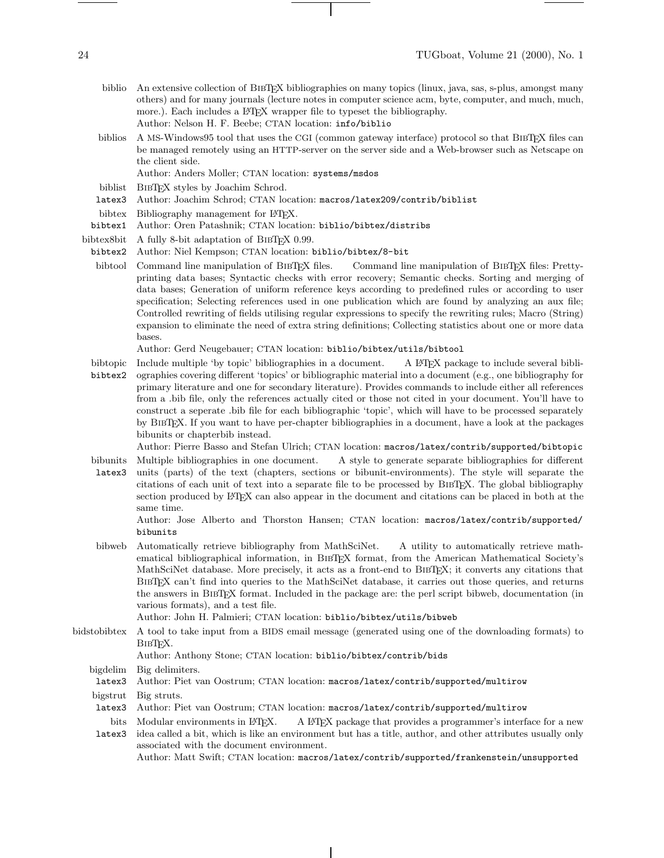- biblio An extensive collection of BIBTEX bibliographies on many topics (linux, java, sas, s-plus, amongst many others) and for many journals (lecture notes in computer science acm, byte, computer, and much, much, more.). Each includes a LAT<sub>EX</sub> wrapper file to typeset the bibliography. Author: Nelson H. F. Beebe; CTAN location: info/biblio
- biblios A MS-Windows95 tool that uses the CGI (common gateway interface) protocol so that BIBTEX files can be managed remotely using an HTTP-server on the server side and a Web-browser such as Netscape on the client side.
	- Author: Anders Moller; CTAN location: systems/msdos
- biblist BibTEX styles by Joachim Schrod.
- latex3 Author: Joachim Schrod; CTAN location: macros/latex209/contrib/biblist
- bibtex Bibliography management for L<sup>AT</sup>EX.
- bibtex1 Author: Oren Patashnik; CTAN location: biblio/bibtex/distribs

bibtex8bit A fully 8-bit adaptation of BIBT<sub>E</sub>X 0.99.

- bibtex2 Author: Niel Kempson; CTAN location: biblio/bibtex/8-bit
- bibtool Command line manipulation of BIBT<sub>EX</sub> files. Command line manipulation of BIBT<sub>EX</sub> files: Prettyprinting data bases; Syntactic checks with error recovery; Semantic checks. Sorting and merging of data bases; Generation of uniform reference keys according to predefined rules or according to user specification; Selecting references used in one publication which are found by analyzing an aux file; Controlled rewriting of fields utilising regular expressions to specify the rewriting rules; Macro (String) expansion to eliminate the need of extra string definitions; Collecting statistics about one or more data bases.

Author: Gerd Neugebauer; CTAN location: biblio/bibtex/utils/bibtool

- bibtopic Include multiple 'by topic' bibliographies in a document. A L<sup>AT</sup>EX package to include several bibli-
- bibtex2 ographies covering different 'topics' or bibliographic material into a document (e.g., one bibliography for primary literature and one for secondary literature). Provides commands to include either all references from a .bib file, only the references actually cited or those not cited in your document. You'll have to construct a seperate .bib file for each bibliographic 'topic', which will have to be processed separately by BibTEX. If you want to have per-chapter bibliographies in a document, have a look at the packages bibunits or chapterbib instead.

Author: Pierre Basso and Stefan Ulrich; CTAN location: macros/latex/contrib/supported/bibtopic

bibunits Multiple bibliographies in one document. A style to generate separate bibliographies for different.

latex3 units (parts) of the text (chapters, sections or bibunit-environments). The style will separate the citations of each unit of text into a separate file to be processed by BibTEX. The global bibliography section produced by LAT<sub>EX</sub> can also appear in the document and citations can be placed in both at the same time.

Author: Jose Alberto and Thorston Hansen; CTAN location: macros/latex/contrib/supported/ bibunits

bibweb Automatically retrieve bibliography from MathSciNet. A utility to automatically retrieve mathematical bibliographical information, in BIBT<sub>EX</sub> format, from the American Mathematical Society's MathSciNet database. More precisely, it acts as a front-end to BibTEX; it converts any citations that BibTEX can't find into queries to the MathSciNet database, it carries out those queries, and returns the answers in BibTEX format. Included in the package are: the perl script bibweb, documentation (in various formats), and a test file.

Author: John H. Palmieri; CTAN location: biblio/bibtex/utils/bibweb

bidstobibtex A tool to take input from a BIDS email message (generated using one of the downloading formats) to BIBT<sub>F</sub>X.

Author: Anthony Stone; CTAN location: biblio/bibtex/contrib/bids

bigdelim Big delimiters.

latex3 Author: Piet van Oostrum; CTAN location: macros/latex/contrib/supported/multirow

- bigstrut Big struts.
- latex3 Author: Piet van Oostrum; CTAN location: macros/latex/contrib/supported/multirow
- bits Modular environments in IATFX. A LATEX package that provides a programmer's interface for a new

latex3 idea called a bit, which is like an environment but has a title, author, and other attributes usually only associated with the document environment. Author: Matt Swift; CTAN location: macros/latex/contrib/supported/frankenstein/unsupported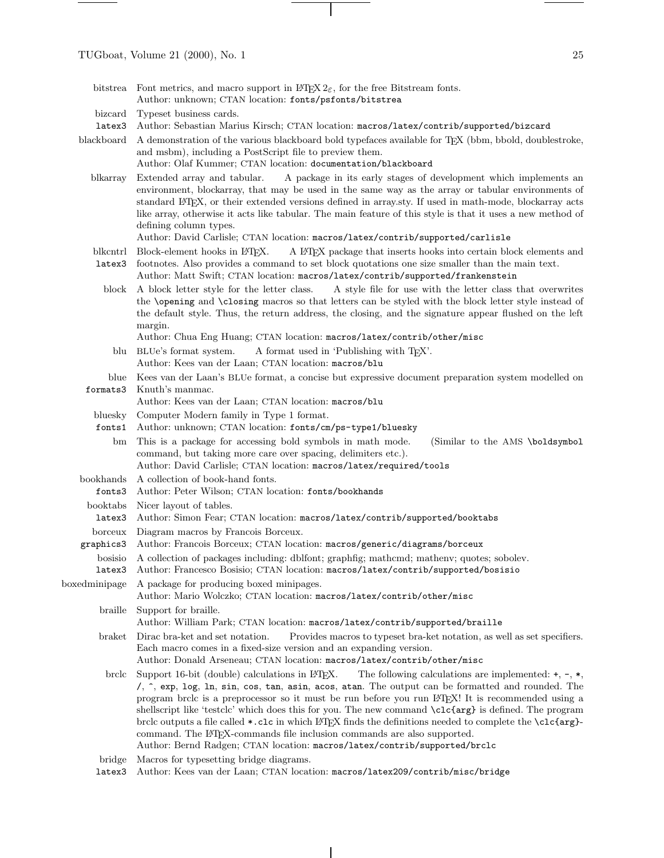- bitstrea Font metrics, and macro support in  $\mathbb{F} \mathbb{F} \mathbb{F} \mathbb{F} \mathbb{F} \mathbb{F} \mathbb{F}$  for the free Bitstream fonts.
	- Author: unknown; CTAN location: fonts/psfonts/bitstrea
- bizcard Typeset business cards.
- latex3 Author: Sebastian Marius Kirsch; CTAN location: macros/latex/contrib/supported/bizcard
- blackboard A demonstration of the various blackboard bold typefaces available for TFX (bbm, bbold, doublestroke, and msbm), including a PostScript file to preview them.
	- Author: Olaf Kummer; CTAN location: documentation/blackboard
	- blkarray Extended array and tabular. A package in its early stages of development which implements an environment, blockarray, that may be used in the same way as the array or tabular environments of standard LATEX, or their extended versions defined in array.sty. If used in math-mode, blockarray acts like array, otherwise it acts like tabular. The main feature of this style is that it uses a new method of defining column types.

Author: David Carlisle; CTAN location: macros/latex/contrib/supported/carlisle

- blkcntrl Block-element hooks in LATEX. A LATEX package that inserts hooks into certain block elements and
- latex3 footnotes. Also provides a command to set block quotations one size smaller than the main text. Author: Matt Swift; CTAN location: macros/latex/contrib/supported/frankenstein
	- block A block letter style for the letter class. A style file for use with the letter class that overwrites the \opening and \closing macros so that letters can be styled with the block letter style instead of the default style. Thus, the return address, the closing, and the signature appear flushed on the left margin.

Author: Chua Eng Huang; CTAN location: macros/latex/contrib/other/misc

- blu BLUe's format system. A format used in 'Publishing with T<sub>E</sub>X'.
	- Author: Kees van der Laan; CTAN location: macros/blu
- blue formats3 Kees van der Laan's BLUe format, a concise but expressive document preparation system modelled on Knuth's manmac.

Author: Kees van der Laan; CTAN location: macros/blu

- bluesky Computer Modern family in Type 1 format.
	- fonts1 Author: unknown; CTAN location: fonts/cm/ps-type1/bluesky
- bm This is a package for accessing bold symbols in math mode. (Similar to the AMS \boldsymbol command, but taking more care over spacing, delimiters etc.).
	- Author: David Carlisle; CTAN location: macros/latex/required/tools
- bookhands A collection of book-hand fonts.
	- fonts3 Author: Peter Wilson; CTAN location: fonts/bookhands
- booktabs Nicer layout of tables.
- latex3 Author: Simon Fear; CTAN location: macros/latex/contrib/supported/booktabs
- borceux Diagram macros by Francois Borceux.
- graphics3 Author: Francois Borceux; CTAN location: macros/generic/diagrams/borceux
	- bosisio A collection of packages including: dblfont; graphfig; mathcmd; mathenv; quotes; sobolev.

latex3 Author: Francesco Bosisio; CTAN location: macros/latex/contrib/supported/bosisio

boxedminipage A package for producing boxed minipages.

Author: Mario Wolczko; CTAN location: macros/latex/contrib/other/misc

braille Support for braille.

Author: William Park; CTAN location: macros/latex/contrib/supported/braille

- braket Dirac bra-ket and set notation. Provides macros to typeset bra-ket notation, as well as set specifiers. Each macro comes in a fixed-size version and an expanding version. Author: Donald Arseneau; CTAN location: macros/latex/contrib/other/misc
	-
- brclc Support 16-bit (double) calculations in L<sup>AT</sup>EX. The following calculations are implemented:  $+$ ,  $-$ ,  $*$ , /, ^, exp, log, ln, sin, cos, tan, asin, acos, atan. The output can be formatted and rounded. The program brclc is a preprocessor so it must be run before you run LATEX! It is recommended using a shellscript like 'testclc' which does this for you. The new command \clc{arg} is defined. The program brclc outputs a file called \*.clc in which LATEX finds the definitions needed to complete the \clc{arg}command. The LATEX-commands file inclusion commands are also supported. Author: Bernd Radgen; CTAN location: macros/latex/contrib/supported/brclc
- bridge Macros for typesetting bridge diagrams.
- latex3 Author: Kees van der Laan; CTAN location: macros/latex209/contrib/misc/bridge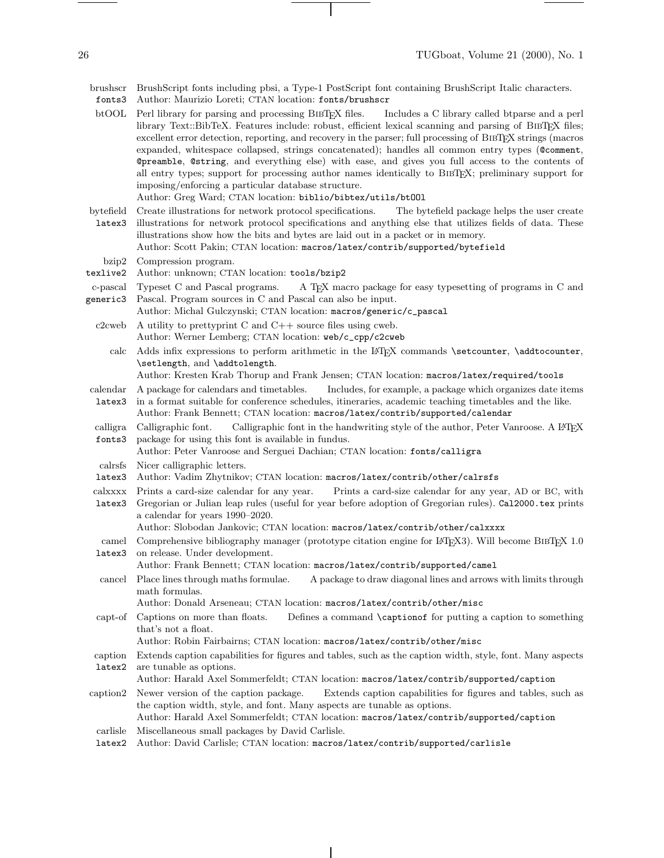brushscr BrushScript fonts including pbsi, a Type-1 PostScript font containing BrushScript Italic characters.

- fonts3 Author: Maurizio Loreti; CTAN location: fonts/brushscr
- btOOL Perl library for parsing and processing BIBTEX files. Includes a C library called btparse and a perl library Text::BibTeX. Features include: robust, efficient lexical scanning and parsing of BibTEX files; excellent error detection, reporting, and recovery in the parser; full processing of BIBTEX strings (macros expanded, whitespace collapsed, strings concatenated); handles all common entry types (@comment, @preamble, @string, and everything else) with ease, and gives you full access to the contents of all entry types; support for processing author names identically to BibTEX; preliminary support for imposing/enforcing a particular database structure.

Author: Greg Ward; CTAN location: biblio/bibtex/utils/btOOl

- bytefield latex3 Create illustrations for network protocol specifications. The bytefield package helps the user create illustrations for network protocol specifications and anything else that utilizes fields of data. These
	- illustrations showhowthe bits and bytes are laid out in a packet or in memory. Author: Scott Pakin; CTAN location: macros/latex/contrib/supported/bytefield
	- bzip2 Compression program.
- texlive2 Author: unknown; CTAN location: tools/bzip2
- c-pascal Typeset C and Pascal programs. generic3 A T<sub>EX</sub> macro package for easy typesetting of programs in C and Pascal. Program sources in C and Pascal can also be input.
	- Author: Michal Gulczynski; CTAN location: macros/generic/c\_pascal
	- c2cweb A utility to prettyprint C and  $C_{++}$  source files using cweb.
		- Author: Werner Lemberg; CTAN location: web/c\_cpp/c2cweb
	- calc Adds infix expressions to perform arithmetic in the LATEX commands \setcounter, \addtocounter, \setlength, and \addtolength.
		- Author: Kresten Krab Thorup and Frank Jensen; CTAN location: macros/latex/required/tools
- calendar latex3 A package for calendars and timetables. Includes, for example, a package which organizes date items in a format suitable for conference schedules, itineraries, academic teaching timetables and the like.

Author: Frank Bennett; CTAN location: macros/latex/contrib/supported/calendar

calligraphic font. fonts3 Calligraphic font in the handwriting style of the author, Peter Vanroose. A L<sup>AT</sup>EX package for using this font is available in fundus.

Author: Peter Vanroose and Serguei Dachian; CTAN location: fonts/calligra

- calrsfs Nicer calligraphic letters.
- latex3 Author: Vadim Zhytnikov; CTAN location: macros/latex/contrib/other/calrsfs
- calxxxx Prints a card-size calendar for any year. Prints a card-size calendar for any year, AD or BC, with
- latex3 Gregorian or Julian leap rules (useful for year before adoption of Gregorian rules). Cal2000.tex prints a calendar for years 1990–2020.

Author: Slobodan Jankovic; CTAN location: macros/latex/contrib/other/calxxxx

- camel Comprehensive bibliography manager (prototype citation engine for LATEX3). Will become BIBTEX 1.0
- latex3 on release. Under development.
	- Author: Frank Bennett; CTAN location: macros/latex/contrib/supported/camel
- cancel Place lines through maths formulae. A package to draw diagonal lines and arrows with limits through math formulas.

Author: Donald Arseneau; CTAN location: macros/latex/contrib/other/misc

- capt-of Captions on more than floats. Defines a command \captionof for putting a caption to something that's not a float.
	- Author: Robin Fairbairns; CTAN location: macros/latex/contrib/other/misc
- caption Extends caption capabilities for figures and tables, such as the caption width, style, font. Many aspects latex2 are tunable as options.
	- Author: Harald Axel Sommerfeldt; CTAN location: macros/latex/contrib/supported/caption
- caption2 Newer version of the caption package. Extends caption capabilities for figures and tables, such as the caption width, style, and font. Many aspects are tunable as options. Author: Harald Axel Sommerfeldt; CTAN location: macros/latex/contrib/supported/caption
- carlisle Miscellaneous small packages by David Carlisle.
- latex2 Author: David Carlisle; CTAN location: macros/latex/contrib/supported/carlisle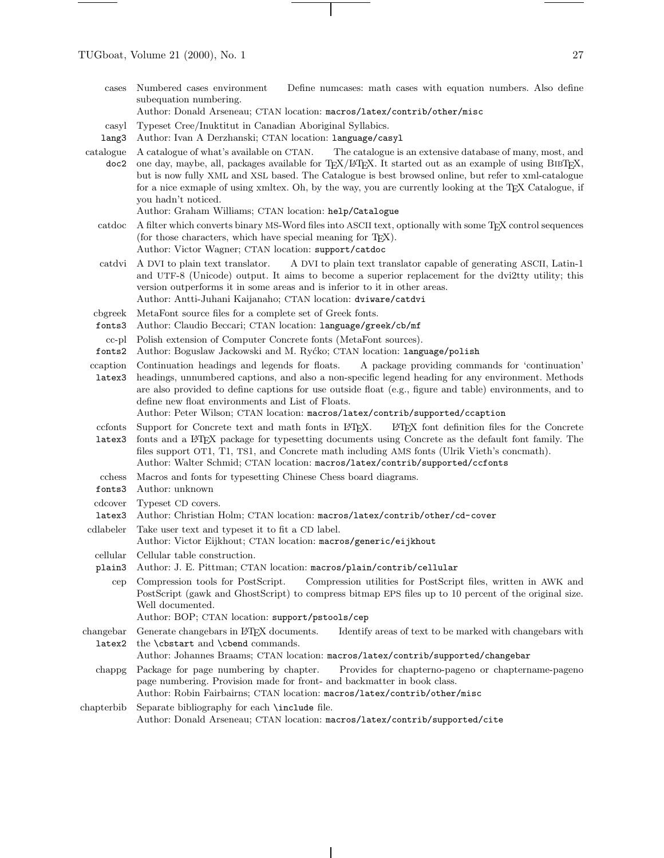cases Numbered cases environment Define numcases: math cases with equation numbers. Also define subequation numbering.

Author: Donald Arseneau; CTAN location: macros/latex/contrib/other/misc

- casyl Typeset Cree/Inuktitut in Canadian Aboriginal Syllabics.
- lang3 Author: Ivan A Derzhanski; CTAN location: language/casyl
- catalogue A catalogue of what's available on CTAN. doc2 The catalogue is an extensive database of many, most, and one day, maybe, all, packages available for TEX/LATEX. It started out as an example of using BibTEX, but is nowfully XML and XSL based. The Catalogue is best browsed online, but refer to xml-catalogue for a nice exmaple of using xmltex. Oh, by the way, you are currently looking at the TEX Catalogue, if you hadn't noticed.

Author: Graham Williams; CTAN location: help/Catalogue

- catdoc A filter which converts binary MS-Word files into ASCII text, optionally with some TFX control sequences (for those characters, which have special meaning for T<sub>E</sub>X). Author: Victor Wagner; CTAN location: support/catdoc
- catdvi A DVI to plain text translator. A DVI to plain text translator capable of generating ASCII, Latin-1 and UTF-8 (Unicode) output. It aims to become a superior replacement for the dvi2tty utility; this version outperforms it in some areas and is inferior to it in other areas.

Author: Antti-Juhani Kaijanaho; CTAN location: dviware/catdvi

- cbgreek MetaFont source files for a complete set of Greek fonts.
- fonts3 Author: Claudio Beccari; CTAN location: language/greek/cb/mf
- cc-pl Polish extension of Computer Concrete fonts (MetaFont sources).
- fonts2 Author: BoguslawJackowski and M. Ry´cko; CTAN location: language/polish
- ccaption Continuation headings and legends for floats. A package providing commands for 'continuation'
- latex3 headings, unnumbered captions, and also a non-specific legend heading for any environment. Methods are also provided to define captions for use outside float (e.g., figure and table) environments, and to define new float environments and List of Floats. Author: Peter Wilson; CTAN location: macros/latex/contrib/supported/ccaption
- ccfonts Support for Concrete text and math fonts in LATEX. LATEX font definition files for the Concrete
- latex3 fonts and a LATEX package for typesetting documents using Concrete as the default font family. The files support OT1, T1, TS1, and Concrete math including AMS fonts (Ulrik Vieth's concmath). Author: Walter Schmid; CTAN location: macros/latex/contrib/supported/ccfonts
- 
- cchess Macros and fonts for typesetting Chinese Chess board diagrams.
- fonts3 Author: unknown
- cdcover Typeset CD covers.
- latex3 Author: Christian Holm; CTAN location: macros/latex/contrib/other/cd-cover
- cdlabeler Take user text and typeset it to fit a CD label. Author: Victor Eijkhout; CTAN location: macros/generic/eijkhout
	- cellular Cellular table construction.
	- plain3 Author: J. E. Pittman; CTAN location: macros/plain/contrib/cellular

cep Compression tools for PostScript. Compression utilities for PostScript files, written in AWK and PostScript (gawk and GhostScript) to compress bitmap EPS files up to 10 percent of the original size. Well documented.

- Author: BOP; CTAN location: support/pstools/cep
- changebar latex2 Generate changebars in LATEX documents. Identify areas of text to be marked with changebars with the \cbstart and \cbend commands.

Author: Johannes Braams; CTAN location: macros/latex/contrib/supported/changebar

- chappg Package for page numbering by chapter. Provides for chapterno-pageno or chaptername-pageno page numbering. Provision made for front- and backmatter in book class. Author: Robin Fairbairns; CTAN location: macros/latex/contrib/other/misc
- chapterbib Separate bibliography for each \include file. Author: Donald Arseneau; CTAN location: macros/latex/contrib/supported/cite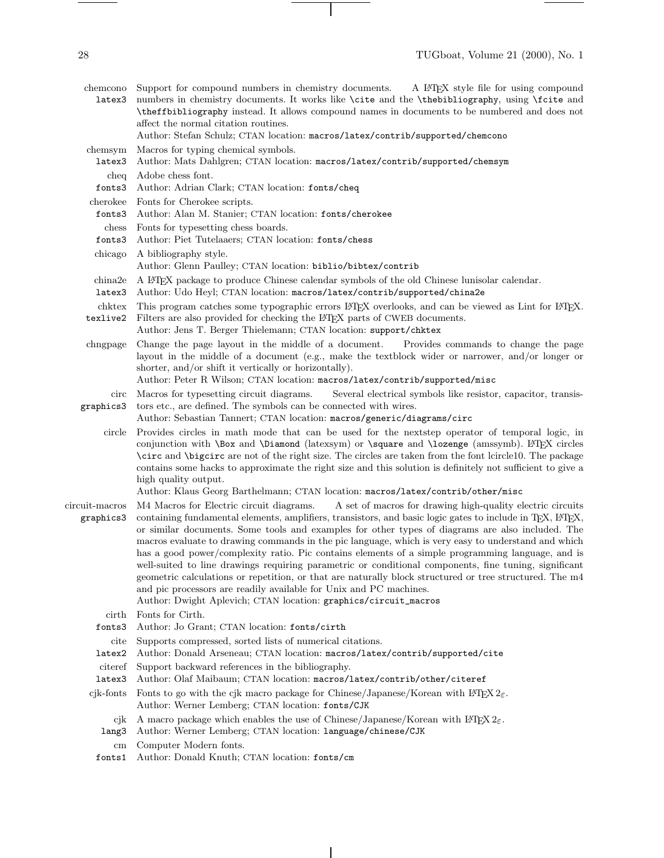$\frac{1}{\sqrt{1-\frac{1}{2}}\left(1-\frac{1}{2}\right)}\left(\frac{1}{2}-\frac{1}{2}\right)\left(\frac{1}{2}-\frac{1}{2}\right)\left(\frac{1}{2}-\frac{1}{2}\right)\left(\frac{1}{2}-\frac{1}{2}\right)\left(\frac{1}{2}-\frac{1}{2}\right)\left(\frac{1}{2}-\frac{1}{2}\right)\left(\frac{1}{2}-\frac{1}{2}\right)\left(\frac{1}{2}-\frac{1}{2}\right)\left(\frac{1}{2}-\frac{1}{2}\right)\left(\frac{1}{2}-\frac{1}{2}\right)\left(\frac{1}{2}-\frac{1}{2}\right)\left(\frac$ 

| latex3                      | chemcono Support for compound numbers in chemistry documents. A L <sup>A</sup> T <sub>F</sub> X style file for using compound<br>numbers in chemistry documents. It works like \cite and the \thebibliography, using \fcite and<br>\theffbibliography instead. It allows compound names in documents to be numbered and does not<br>affect the normal citation routines.<br>Author: Stefan Schulz; CTAN location: macros/latex/contrib/supported/chemcono                                                                                                                                                                                                                                                                                                                                                                                                                                                                               |
|-----------------------------|-----------------------------------------------------------------------------------------------------------------------------------------------------------------------------------------------------------------------------------------------------------------------------------------------------------------------------------------------------------------------------------------------------------------------------------------------------------------------------------------------------------------------------------------------------------------------------------------------------------------------------------------------------------------------------------------------------------------------------------------------------------------------------------------------------------------------------------------------------------------------------------------------------------------------------------------|
| chemsym                     | Macros for typing chemical symbols.                                                                                                                                                                                                                                                                                                                                                                                                                                                                                                                                                                                                                                                                                                                                                                                                                                                                                                     |
| latex3                      | Author: Mats Dahlgren; CTAN location: macros/latex/contrib/supported/chemsym                                                                                                                                                                                                                                                                                                                                                                                                                                                                                                                                                                                                                                                                                                                                                                                                                                                            |
| cheq                        | Adobe chess font.                                                                                                                                                                                                                                                                                                                                                                                                                                                                                                                                                                                                                                                                                                                                                                                                                                                                                                                       |
| fonts3                      | Author: Adrian Clark; CTAN location: fonts/cheq                                                                                                                                                                                                                                                                                                                                                                                                                                                                                                                                                                                                                                                                                                                                                                                                                                                                                         |
| cherokee                    | Fonts for Cherokee scripts.                                                                                                                                                                                                                                                                                                                                                                                                                                                                                                                                                                                                                                                                                                                                                                                                                                                                                                             |
| fonts3                      | Author: Alan M. Stanier; CTAN location: fonts/cherokee                                                                                                                                                                                                                                                                                                                                                                                                                                                                                                                                                                                                                                                                                                                                                                                                                                                                                  |
| chess                       | Fonts for type<br>setting chess boards.                                                                                                                                                                                                                                                                                                                                                                                                                                                                                                                                                                                                                                                                                                                                                                                                                                                                                                 |
| fonts3                      | Author: Piet Tutelaaers; CTAN location: fonts/chess                                                                                                                                                                                                                                                                                                                                                                                                                                                                                                                                                                                                                                                                                                                                                                                                                                                                                     |
| chicago                     | A bibliography style.<br>Author: Glenn Paulley; CTAN location: biblio/bibtex/contrib                                                                                                                                                                                                                                                                                                                                                                                                                                                                                                                                                                                                                                                                                                                                                                                                                                                    |
| china2e                     | A L <sup>e</sup> T <sub>F</sub> X package to produce Chinese calendar symbols of the old Chinese lunisolar calendar.                                                                                                                                                                                                                                                                                                                                                                                                                                                                                                                                                                                                                                                                                                                                                                                                                    |
| latex3                      | Author: Udo Heyl; CTAN location: macros/latex/contrib/supported/china2e                                                                                                                                                                                                                                                                                                                                                                                                                                                                                                                                                                                                                                                                                                                                                                                                                                                                 |
| chktex<br>texlive2          | This program catches some typographic errors L <sup>4</sup> T <sub>E</sub> X overlooks, and can be viewed as Lint for L <sup>4</sup> T <sub>E</sub> X.<br>Filters are also provided for checking the L <sup>A</sup> T <sub>F</sub> X parts of CWEB documents.<br>Author: Jens T. Berger Thielemann; CTAN location: support/chktex                                                                                                                                                                                                                                                                                                                                                                                                                                                                                                                                                                                                       |
| chngpage                    | Change the page layout in the middle of a document.<br>Provides commands to change the page<br>layout in the middle of a document (e.g., make the textblock wider or narrower, and/or longer or<br>shorter, and/or shift it vertically or horizontally).<br>Author: Peter R Wilson; CTAN location: macros/latex/contrib/supported/misc                                                                                                                                                                                                                                                                                                                                                                                                                                                                                                                                                                                                  |
| circ<br>graphics3           | Macros for typesetting circuit diagrams.<br>Several electrical symbols like resistor, capacitor, transis-<br>tors etc., are defined. The symbols can be connected with wires.<br>Author: Sebastian Tannert; CTAN location: macros/generic/diagrams/circ                                                                                                                                                                                                                                                                                                                                                                                                                                                                                                                                                                                                                                                                                 |
| circle                      | Provides circles in math mode that can be used for the nextstep operator of temporal logic, in<br>conjunction with \Box and \Diamond (latexsym) or \square and \lozenge (amssymb). ETEX circles<br>\circ and \bigcirc are not of the right size. The circles are taken from the font lcircle10. The package<br>contains some hacks to approximate the right size and this solution is definitely not sufficient to give a<br>high quality output.                                                                                                                                                                                                                                                                                                                                                                                                                                                                                       |
|                             | Author: Klaus Georg Barthelmann; CTAN location: macros/latex/contrib/other/misc                                                                                                                                                                                                                                                                                                                                                                                                                                                                                                                                                                                                                                                                                                                                                                                                                                                         |
| circuit-macros<br>graphics3 | M4 Macros for Electric circuit diagrams.<br>A set of macros for drawing high-quality electric circuits<br>containing fundamental elements, amplifiers, transistors, and basic logic gates to include in T <sub>F</sub> X, I <sup>2</sup> T <sub>F</sub> X,<br>or similar documents. Some tools and examples for other types of diagrams are also included. The<br>macros evaluate to drawing commands in the pic language, which is very easy to understand and which<br>has a good power/complexity ratio. Pic contains elements of a simple programming language, and is<br>well-suited to line drawings requiring parametric or conditional components, fine tuning, significant<br>geometric calculations or repetition, or that are naturally block structured or tree structured. The m4<br>and pic processors are readily available for Unix and PC machines.<br>Author: Dwight Aplevich; CTAN location: graphics/circuit_macros |
| cirth                       | Fonts for Cirth.                                                                                                                                                                                                                                                                                                                                                                                                                                                                                                                                                                                                                                                                                                                                                                                                                                                                                                                        |
| fonts3                      | Author: Jo Grant; CTAN location: fonts/cirth                                                                                                                                                                                                                                                                                                                                                                                                                                                                                                                                                                                                                                                                                                                                                                                                                                                                                            |
| cite                        | Supports compressed, sorted lists of numerical citations.                                                                                                                                                                                                                                                                                                                                                                                                                                                                                                                                                                                                                                                                                                                                                                                                                                                                               |
| latex2                      | Author: Donald Arseneau; CTAN location: macros/latex/contrib/supported/cite                                                                                                                                                                                                                                                                                                                                                                                                                                                                                                                                                                                                                                                                                                                                                                                                                                                             |
| citeref                     | Support backward references in the bibliography.                                                                                                                                                                                                                                                                                                                                                                                                                                                                                                                                                                                                                                                                                                                                                                                                                                                                                        |
| latex3                      | Author: Olaf Maibaum; CTAN location: macros/latex/contrib/other/citeref                                                                                                                                                                                                                                                                                                                                                                                                                                                                                                                                                                                                                                                                                                                                                                                                                                                                 |
| cjk-fonts                   | Fonts to go with the cjk macro package for Chinese/Japanese/Korean with $\mathbb{P}\mathrm{E} \mathrm{X} \, 2_{\mathcal{E}}$ .<br>Author: Werner Lemberg; CTAN location: fonts/CJK                                                                                                                                                                                                                                                                                                                                                                                                                                                                                                                                                                                                                                                                                                                                                      |
| cjk                         | A macro package which enables the use of Chinese/Japanese/Korean with IATEX $2\varepsilon$ .                                                                                                                                                                                                                                                                                                                                                                                                                                                                                                                                                                                                                                                                                                                                                                                                                                            |
| lang3                       | Author: Werner Lemberg; CTAN location: language/chinese/CJK                                                                                                                                                                                                                                                                                                                                                                                                                                                                                                                                                                                                                                                                                                                                                                                                                                                                             |
| $\,\mathrm{cm}$             | Computer Modern fonts.                                                                                                                                                                                                                                                                                                                                                                                                                                                                                                                                                                                                                                                                                                                                                                                                                                                                                                                  |
| fonts1                      | Author: Donald Knuth; CTAN location: fonts/cm                                                                                                                                                                                                                                                                                                                                                                                                                                                                                                                                                                                                                                                                                                                                                                                                                                                                                           |

 $\overline{\phantom{a}}$ 

 $\overline{\phantom{a}}$ 

 $\begin{tabular}{l} \multicolumn{2}{c} {\textbf{1}} & \multicolumn{2}{c} {\textbf{1}} & \multicolumn{2}{c} {\textbf{1}} \\ \multicolumn{2}{c} {\textbf{1}} & \multicolumn{2}{c} {\textbf{1}} & \multicolumn{2}{c} {\textbf{1}} \\ \multicolumn{2}{c} {\textbf{1}} & \multicolumn{2}{c} {\textbf{1}} & \multicolumn{2}{c} {\textbf{1}} \\ \multicolumn{2}{c} {\textbf{1}} & \multicolumn{2}{c} {\textbf{1}} & \multicolumn{2}{c} {\textbf{1}} \\ \multicolumn{2}{c} {\textbf{1}} & \multicolumn$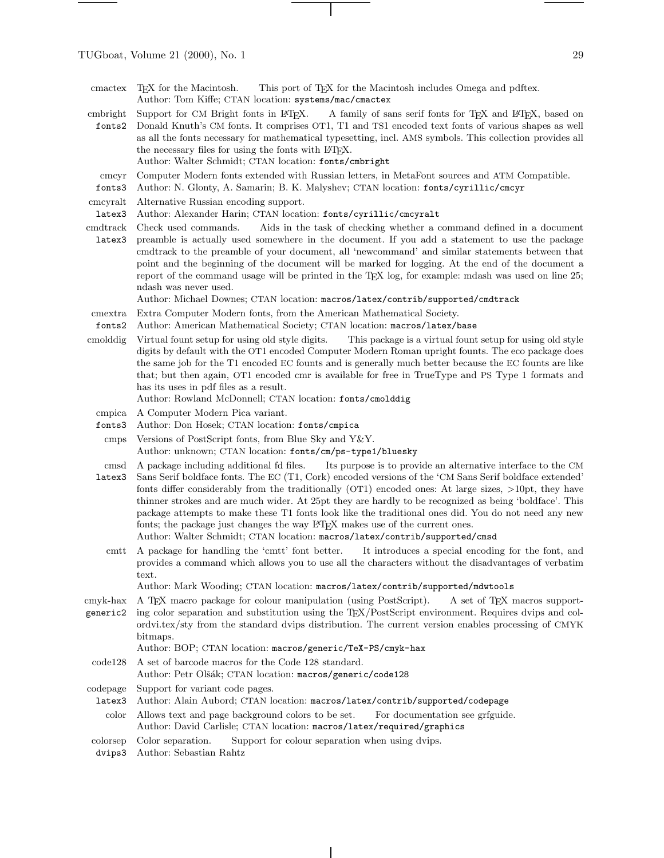- cmbright fonts2 Support for CM Bright fonts in LATEX. A family of sans serif fonts for TEX and LATEX, based on Donald Knuth's CM fonts. It comprises OT1, T1 and TS1 encoded text fonts of various shapes as well as all the fonts necessary for mathematical typesetting, incl. AMS symbols. This collection provides all the necessary files for using the fonts with L<sup>AT</sup>EX. Author: Walter Schmidt; CTAN location: fonts/cmbright
- cmcyr Computer Modern fonts extended with Russian letters, in MetaFont sources and ATM Compatible.
- fonts3 Author: N. Glonty, A. Samarin; B. K. Malyshev; CTAN location: fonts/cyrillic/cmcyr
- cmcyralt Alternative Russian encoding support.
- latex3 Author: Alexander Harin; CTAN location: fonts/cyrillic/cmcyralt
- cmdtrack latex3 Check used commands. Aids in the task of checking whether a command defined in a document preamble is actually used somewhere in the document. If you add a statement to use the package cmdtrack to the preamble of your document, all 'newcommand' and similar statements between that point and the beginning of the document will be marked for logging. At the end of the document a report of the command usage will be printed in the TEX log, for example: mdash was used on line 25; ndash was never used.

Author: Michael Downes; CTAN location: macros/latex/contrib/supported/cmdtrack

- cmextra Extra Computer Modern fonts, from the American Mathematical Society.
- fonts2 Author: American Mathematical Society; CTAN location: macros/latex/base
- cmolddig Virtual fount setup for using old style digits. This package is a virtual fount setup for using old style digits by default with the OT1 encoded Computer Modern Roman upright founts. The eco package does the same job for the T1 encoded EC founts and is generally much better because the EC founts are like that; but then again, OT1 encoded cmr is available for free in TrueType and PS Type 1 formats and has its uses in pdf files as a result.
	- Author: Rowland McDonnell; CTAN location: fonts/cmolddig
- cmpica A Computer Modern Pica variant.
- fonts3 Author: Don Hosek; CTAN location: fonts/cmpica
- cmps Versions of PostScript fonts, from Blue Sky and Y&Y. Author: unknown; CTAN location: fonts/cm/ps-type1/bluesky
- cmsd A package including additional fd files. Its purpose is to provide an alternative interface to the CM
- latex3 Sans Serif boldface fonts. The EC (T1, Cork) encoded versions of the 'CM Sans Serif boldface extended' fonts differ considerably from the traditionally (OT1) encoded ones: At large sizes, >10pt, they have thinner strokes and are much wider. At 25pt they are hardly to be recognized as being 'boldface'. This package attempts to make these T1 fonts look like the traditional ones did. You do not need any new fonts; the package just changes the way IATEX makes use of the current ones. Author: Walter Schmidt; CTAN location: macros/latex/contrib/supported/cmsd
	- cmtt A package for handling the 'cmtt' font better. It introduces a special encoding for the font, and provides a command which allows you to use all the characters without the disadvantages of verbatim text.

Author: Mark Wooding; CTAN location: macros/latex/contrib/supported/mdwtools

- cmyk-hax generic2 A TEX macro package for colour manipulation (using PostScript). A set of TEX macros supporting color separation and substitution using the TEX/PostScript environment. Requires dvips and colordvi.tex/sty from the standard dvips distribution. The current version enables processing of CMYK bitmaps.
	- Author: BOP; CTAN location: macros/generic/TeX-PS/cmyk-hax
	- code128 A set of barcode macros for the Code 128 standard.
		- Author: Petr Olšák; CTAN location: macros/generic/code128
- codepage Support for variant code pages.
- latex3 Author: Alain Aubord; CTAN location: macros/latex/contrib/supported/codepage
- color Allows text and page background colors to be set. For documentation see grfguide. Author: David Carlisle; CTAN location: macros/latex/required/graphics
- colorsep Color separation. Support for colour separation when using dvips.
- dvips3 Author: Sebastian Rahtz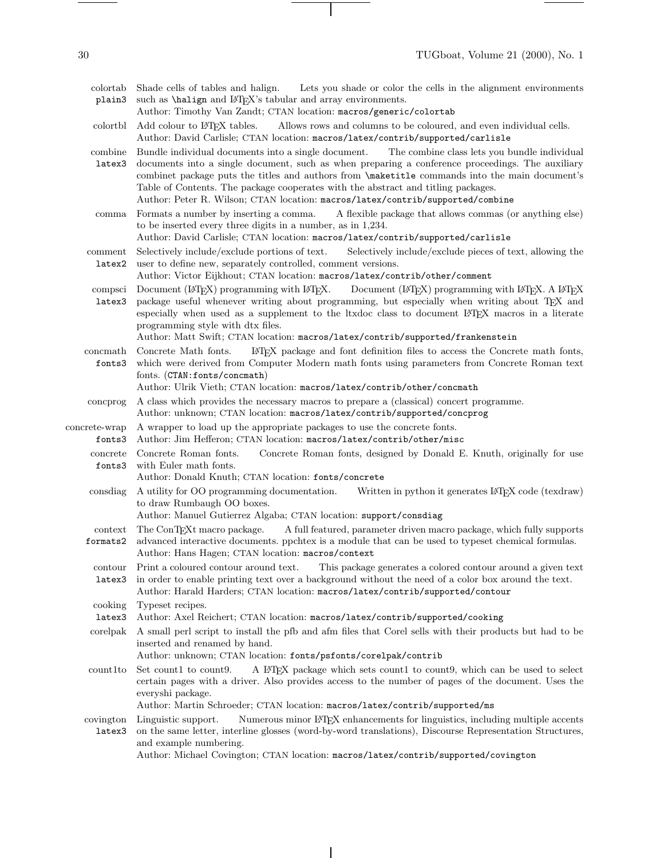| I<br>× | I |  |
|--------|---|--|
|        |   |  |
|        |   |  |

colortab plain3

|                         | Author: Timothy Van Zandt; CTAN location: macros/generic/colortab                                                                                                                                                                                                                                                                                                                                                                                                                |
|-------------------------|----------------------------------------------------------------------------------------------------------------------------------------------------------------------------------------------------------------------------------------------------------------------------------------------------------------------------------------------------------------------------------------------------------------------------------------------------------------------------------|
| colortbl                | Add colour to L <sup>AT</sup> FX tables.<br>Allows rows and columns to be coloured, and even individual cells.<br>Author: David Carlisle; CTAN location: macros/latex/contrib/supported/carlisle                                                                                                                                                                                                                                                                                 |
| combine<br>latex3       | Bundle individual documents into a single document.<br>The combine class lets you bundle individual<br>documents into a single document, such as when preparing a conference proceedings. The auxiliary<br>combinet package puts the titles and authors from \maketitle commands into the main document's<br>Table of Contents. The package cooperates with the abstract and titling packages.<br>Author: Peter R. Wilson; CTAN location: macros/latex/contrib/supported/combine |
| comma                   | Formats a number by inserting a comma.<br>A flexible package that allows commas (or anything else)<br>to be inserted every three digits in a number, as in $1,234$ .<br>Author: David Carlisle; CTAN location: macros/latex/contrib/supported/carlisle                                                                                                                                                                                                                           |
| comment<br>latex2       | Selectively include/exclude portions of text.<br>Selectively include/exclude pieces of text, allowing the<br>user to define new, separately controlled, comment versions.<br>Author: Victor Eijkhout; CTAN location: macros/latex/contrib/other/comment                                                                                                                                                                                                                          |
| compsci<br>latex3       | Document (FIFX) programming with FIFX.<br>Document (LATEX) programming with LATEX. A LATEX<br>package useful whenever writing about programming, but especially when writing about TEX and<br>especially when used as a supplement to the ltxdoc class to document L <sup>ST</sup> FX macros in a literate<br>programming style with dtx files.<br>Author: Matt Swift; CTAN location: macros/latex/contrib/supported/frankenstein                                                |
| concmath<br>fonts3      | Concrete Math fonts.<br>L <sup>AT</sup> EX package and font definition files to access the Concrete math fonts,<br>which were derived from Computer Modern math fonts using parameters from Concrete Roman text<br>fonts. (CTAN: fonts/concmath)<br>Author: Ulrik Vieth; CTAN location: macros/latex/contrib/other/concmath                                                                                                                                                      |
| concprog                | A class which provides the necessary macros to prepare a (classical) concert programme.<br>Author: unknown; CTAN location: macros/latex/contrib/supported/concprog                                                                                                                                                                                                                                                                                                               |
| concrete-wrap<br>fonts3 | A wrapper to load up the appropriate packages to use the concrete fonts.<br>Author: Jim Hefferon; CTAN location: macros/latex/contrib/other/misc                                                                                                                                                                                                                                                                                                                                 |
| concrete<br>fonts3      | Concrete Roman fonts.<br>Concrete Roman fonts, designed by Donald E. Knuth, originally for use<br>with Euler math fonts.<br>Author: Donald Knuth; CTAN location: fonts/concrete                                                                                                                                                                                                                                                                                                  |
| consdiag                | A utility for OO programming documentation.<br>Written in python it generates L <sup>4</sup> T <sub>E</sub> X code (texdraw)<br>to draw Rumbaugh OO boxes.<br>Author: Manuel Gutierrez Algaba; CTAN location: support/consdiag                                                                                                                                                                                                                                                   |
| context<br>formats2     | The ConT <sub>F</sub> Xt macro package.<br>A full featured, parameter driven macro package, which fully supports<br>advanced interactive documents. ppchtex is a module that can be used to typeset chemical formulas.<br>Author: Hans Hagen; CTAN location: macros/context                                                                                                                                                                                                      |
| contour<br>latex3       | Print a coloured contour around text.<br>This package generates a colored contour around a given text<br>in order to enable printing text over a background without the need of a color box around the text.<br>Author: Harald Harders; CTAN location: macros/latex/contrib/supported/contour                                                                                                                                                                                    |
| cooking                 | Typeset recipes.                                                                                                                                                                                                                                                                                                                                                                                                                                                                 |
| latex3                  | Author: Axel Reichert; CTAN location: macros/latex/contrib/supported/cooking                                                                                                                                                                                                                                                                                                                                                                                                     |
| corelpak                | A small perl script to install the pfb and afm files that Corel sells with their products but had to be<br>inserted and renamed by hand.                                                                                                                                                                                                                                                                                                                                         |

Shade cells of tables and halign. Lets you shade or color the cells in the alignment environments

such as **\halign** and  $\LaTeX's$  tabular and array environments.

- Author: unknown; CTAN location: fonts/psfonts/corelpak/contrib
- count1to Set count1 to count9. A LATEX package which sets count1 to count9, which can be used to select certain pages with a driver. Also provides access to the number of pages of the document. Uses the everyshi package.

Author: Martin Schroeder; CTAN location: macros/latex/contrib/supported/ms

covington Linguistic support. latex3 Numerous minor L<sup>A</sup>TEX enhancements for linguistics, including multiple accents on the same letter, interline glosses (word-by-word translations), Discourse Representation Structures, and example numbering.

Author: Michael Covington; CTAN location: macros/latex/contrib/supported/covington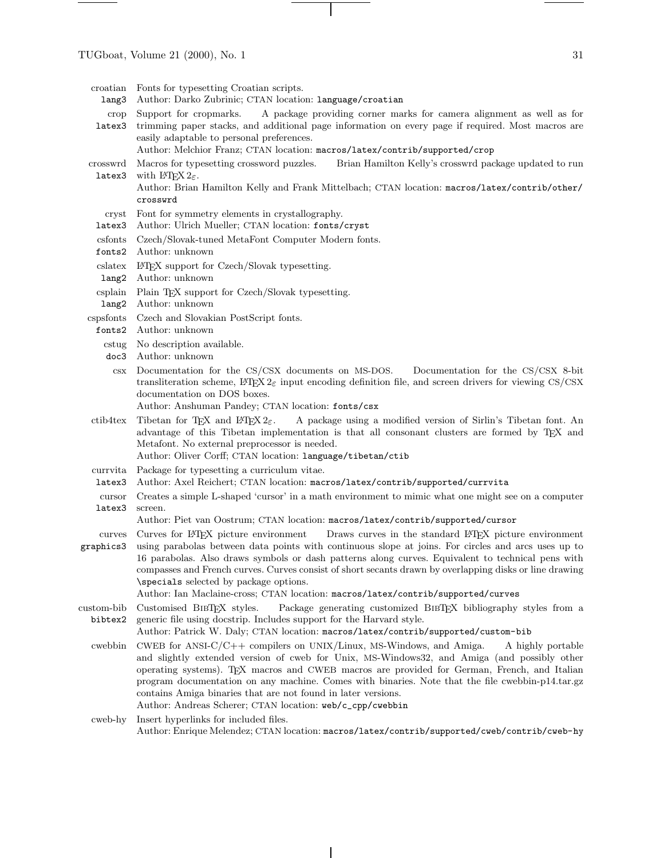- lang3 Author: Darko Zubrinic; CTAN location: language/croatian
- crop latex3 Support for cropmarks. A package providing corner marks for camera alignment as well as for trimming paper stacks, and additional page information on every page if required. Most macros are easily adaptable to personal preferences.
	- Author: Melchior Franz; CTAN location: macros/latex/contrib/supported/crop
- crosswrd latex3 Macros for typesetting crossword puzzles. Brian Hamilton Kelly's crosswrd package updated to run with  $\text{LFT}_{\text{F}} X 2_{\varepsilon}$ .

Author: Brian Hamilton Kelly and Frank Mittelbach; CTAN location: macros/latex/contrib/other/ crosswrd

- cryst Font for symmetry elements in crystallography.
- latex3 Author: Ulrich Mueller; CTAN location: fonts/cryst
- csfonts Czech/Slovak-tuned MetaFont Computer Modern fonts.
- fonts2 Author: unknown
- cslatex LATEX support for Czech/Slovak typesetting.
- lang2 Author: unknown
- csplain Plain T<sub>EX</sub> support for Czech/Slovak typesetting.
- lang2 Author: unknown
- cspsfonts Czech and Slovakian PostScript fonts.
- fonts2 Author: unknown
	- cstug No description available.
	- doc3 Author: unknown
	- csx Documentation for the CS/CSX documents on MS-DOS. Documentation for the CS/CSX 8-bit transliteration scheme,  $\text{LPTEX } 2\varepsilon$  input encoding definition file, and screen drivers for viewing CS/CSX documentation on DOS boxes.
		- Author: Anshuman Pandey; CTAN location: fonts/csx
- ctib4tex Tibetan for TEX and LATEX 2<sub>6</sub>. A package using a modified version of Sirlin's Tibetan font. An advantage of this Tibetan implementation is that all consonant clusters are formed by TEX and Metafont. No external preprocessor is needed.
	- Author: Oliver Corff; CTAN location: language/tibetan/ctib
- currvita Package for typesetting a curriculum vitae.
- latex3 Author: Axel Reichert; CTAN location: macros/latex/contrib/supported/currvita
- cursor latex3 Creates a simple L-shaped 'cursor' in a math environment to mimic what one might see on a computer screen.
	- Author: Piet van Oostrum; CTAN location: macros/latex/contrib/supported/cursor
- curves Curves for LATEX picture environment Draws curves in the standard LATEX picture environment
- graphics3 using parabolas between data points with continuous slope at joins. For circles and arcs uses up to 16 parabolas. Also draws symbols or dash patterns along curves. Equivalent to technical pens with compasses and French curves. Curves consist of short secants drawn by overlapping disks or line drawing \specials selected by package options.

Author: Ian Maclaine-cross; CTAN location: macros/latex/contrib/supported/curves

- custom-bib bibtex2 Customised BibTEX styles. Package generating customized BibTEX bibliography styles from a generic file using docstrip. Includes support for the Harvard style.
	- Author: Patrick W. Daly; CTAN location: macros/latex/contrib/supported/custom-bib
	- cwebbin CWEB for ANSI-C/C++ compilers on UNIX/Linux, MS-Windows, and Amiga. A highly portable and slightly extended version of cweb for Unix, MS-Windows32, and Amiga (and possibly other operating systems). TEX macros and CWEB macros are provided for German, French, and Italian program documentation on any machine. Comes with binaries. Note that the file cwebbin-p14.tar.gz contains Amiga binaries that are not found in later versions. Author: Andreas Scherer; CTAN location: web/c\_cpp/cwebbin
	- cweb-hy Insert hyperlinks for included files. Author: Enrique Melendez; CTAN location: macros/latex/contrib/supported/cweb/contrib/cweb-hy

croatian Fonts for typesetting Croatian scripts.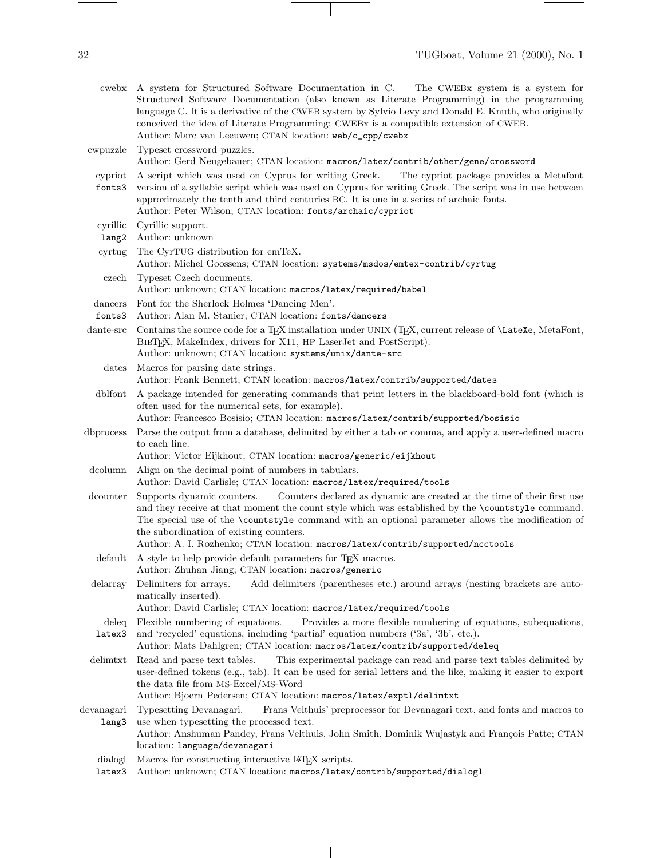cwebx A system for Structured Software Documentation in C. The CWEBx system is a system for Structured Software Documentation (also known as Literate Programming) in the programming language C. It is a derivative of the CWEB system by Sylvio Levy and Donald E. Knuth, who originally conceived the idea of Literate Programming; CWEBx is a compatible extension of CWEB. Author: Marc van Leeuwen; CTAN location: web/c\_cpp/cwebx

cwpuzzle Typeset crossword puzzles. Author: Gerd Neugebauer; CTAN location: macros/latex/contrib/other/gene/crossword

- cypriot A script which was used on Cyprus for writing Greek. The cypriot package provides a Metafont
- fonts3 version of a syllabic script which was used on Cyprus for writing Greek. The script was in use between approximately the tenth and third centuries BC. It is one in a series of archaic fonts. Author: Peter Wilson; CTAN location: fonts/archaic/cypriot
- cyrillic Cyrillic support.
- lang2 Author: unknown
- cyrtug The CyrTUG distribution for emTeX. Author: Michel Goossens; CTAN location: systems/msdos/emtex-contrib/cyrtug czech Typeset Czech documents.
	- Author: unknown; CTAN location: macros/latex/required/babel
- dancers Font for the Sherlock Holmes 'Dancing Men'.
- fonts3 Author: Alan M. Stanier; CTAN location: fonts/dancers
- dante-src Contains the source code for a TEX installation under UNIX (TEX, current release of \LateXe, MetaFont, BIBT<sub>E</sub>X, MakeIndex, drivers for X11, HP LaserJet and PostScript). Author: unknown; CTAN location: systems/unix/dante-src
	- dates Macros for parsing date strings. Author: Frank Bennett; CTAN location: macros/latex/contrib/supported/dates

dblfont A package intended for generating commands that print letters in the blackboard-bold font (which is often used for the numerical sets, for example).

- Author: Francesco Bosisio; CTAN location: macros/latex/contrib/supported/bosisio
- dbprocess Parse the output from a database, delimited by either a tab or comma, and apply a user-defined macro to each line.

Author: Victor Eijkhout; CTAN location: macros/generic/eijkhout

- dcolumn Align on the decimal point of numbers in tabulars.
- Author: David Carlisle; CTAN location: macros/latex/required/tools
- dcounter Supports dynamic counters. Counters declared as dynamic are created at the time of their first use and they receive at that moment the count style which was established by the \countstyle command. The special use of the \countstyle command with an optional parameter allows the modification of the subordination of existing counters.

Author: A. I. Rozhenko; CTAN location: macros/latex/contrib/supported/ncctools

- default A style to help provide default parameters for TEX macros. Author: Zhuhan Jiang; CTAN location: macros/generic
- delarray Delimiters for arrays. Add delimiters (parentheses etc.) around arrays (nesting brackets are automatically inserted).

Author: David Carlisle; CTAN location: macros/latex/required/tools

- deleq Flexible numbering of equations. latex3 Provides a more flexible numbering of equations, subequations, and 'recycled' equations, including 'partial' equation numbers ('3a', '3b', etc.).
- Author: Mats Dahlgren; CTAN location: macros/latex/contrib/supported/deleq
- delimtxt Read and parse text tables. This experimental package can read and parse text tables delimited by user-defined tokens (e.g., tab). It can be used for serial letters and the like, making it easier to export the data file from MS-Excel/MS-Word

Author: Bjoern Pedersen; CTAN location: macros/latex/exptl/delimtxt

devanagari Typesetting Devanagari. lang3 Frans Velthuis' preprocessor for Devanagari text, and fonts and macros to use when typesetting the processed text.

Author: Anshuman Pandey, Frans Velthuis, John Smith, Dominik Wujastyk and François Patte; CTAN location: language/devanagari

- dialogl Macros for constructing interactive LATEX scripts.
- latex3 Author: unknown; CTAN location: macros/latex/contrib/supported/dialogl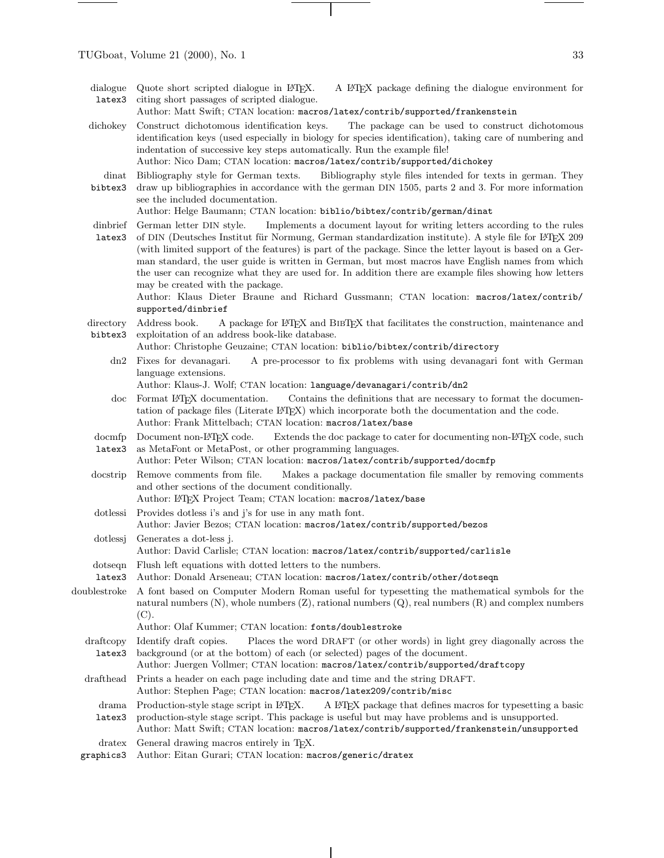dialogue

Quote short scripted dialogue in LATEX. A LATEX package defining the dialogue environment for

latex3 citing short passages of scripted dialogue. Author: Matt Swift; CTAN location: macros/latex/contrib/supported/frankenstein

- dichokey Construct dichotomous identification keys. The package can be used to construct dichotomous identification keys (used especially in biology for species identification), taking care of numbering and indentation of successive key steps automatically. Run the example file!
	- Author: Nico Dam; CTAN location: macros/latex/contrib/supported/dichokey
- dinat Bibliography style for German texts. bibtex3 Bibliography style files intended for texts in german. They drawup bibliographies in accordance with the german DIN 1505, parts 2 and 3. For more information see the included documentation.

Author: Helge Baumann; CTAN location: biblio/bibtex/contrib/german/dinat

dinbrief latex3 German letter DIN style. Implements a document layout for writing letters according to the rules of DIN (Deutsches Institut für Normung, German standardization institute). A style file for LATEX 209 (with limited support of the features) is part of the package. Since the letter layout is based on a German standard, the user guide is written in German, but most macros have English names from which the user can recognize what they are used for. In addition there are example files showing how letters may be created with the package.

Author: Klaus Dieter Braune and Richard Gussmann; CTAN location: macros/latex/contrib/ supported/dinbrief

directory bibtex3 Address book. A package for LATEX and BIBTEX that facilitates the construction, maintenance and exploitation of an address book-like database.

Author: Christophe Geuzaine; CTAN location: biblio/bibtex/contrib/directory

dn2 Fixes for devanagari. A pre-processor to fix problems with using devanagari font with German language extensions.

Author: Klaus-J. Wolf; CTAN location: language/devanagari/contrib/dn2

- doc Format L<sup>AT</sup>EX documentation. Contains the definitions that are necessary to format the documentation of package files (Literate LATEX) which incorporate both the documentation and the code. Author: Frank Mittelbach; CTAN location: macros/latex/base
- docmfp latex3 Document non-LAT<sub>EX</sub> code. Extends the doc package to cater for documenting non-LAT<sub>EX</sub> code, such as MetaFont or MetaPost, or other programming languages.
- Author: Peter Wilson; CTAN location: macros/latex/contrib/supported/docmfp
- docstrip Remove comments from file. Makes a package documentation file smaller by removing comments and other sections of the document conditionally.
- Author: LATEX Project Team; CTAN location: macros/latex/base
- dotlessi Provides dotless i's and j's for use in any math font.
	- Author: Javier Bezos; CTAN location: macros/latex/contrib/supported/bezos
- dotlessj Generates a dot-less j. Author: David Carlisle; CTAN location: macros/latex/contrib/supported/carlisle
- dotseqn Flush left equations with dotted letters to the numbers.
- latex3 Author: Donald Arseneau; CTAN location: macros/latex/contrib/other/dotseqn
- doublestroke A font based on Computer Modern Roman useful for typesetting the mathematical symbols for the natural numbers  $(N)$ , whole numbers  $(Z)$ , rational numbers  $(Q)$ , real numbers  $(R)$  and complex numbers (C).
	- Author: Olaf Kummer; CTAN location: fonts/doublestroke
	- draftcopy latex3 Identify draft copies. Places the word DRAFT (or other words) in light grey diagonally across the background (or at the bottom) of each (or selected) pages of the document.

Author: Juergen Vollmer; CTAN location: macros/latex/contrib/supported/draftcopy

- drafthead Prints a header on each page including date and time and the string DRAFT. Author: Stephen Page; CTAN location: macros/latex209/contrib/misc
- drama Production-style stage script in IATFX. latex3 A L<sup>AT</sup>EX package that defines macros for typesetting a basic production-style stage script. This package is useful but may have problems and is unsupported.
- Author: Matt Swift; CTAN location: macros/latex/contrib/supported/frankenstein/unsupported
- dratex General drawing macros entirely in T<sub>E</sub>X.
- graphics3 Author: Eitan Gurari; CTAN location: macros/generic/dratex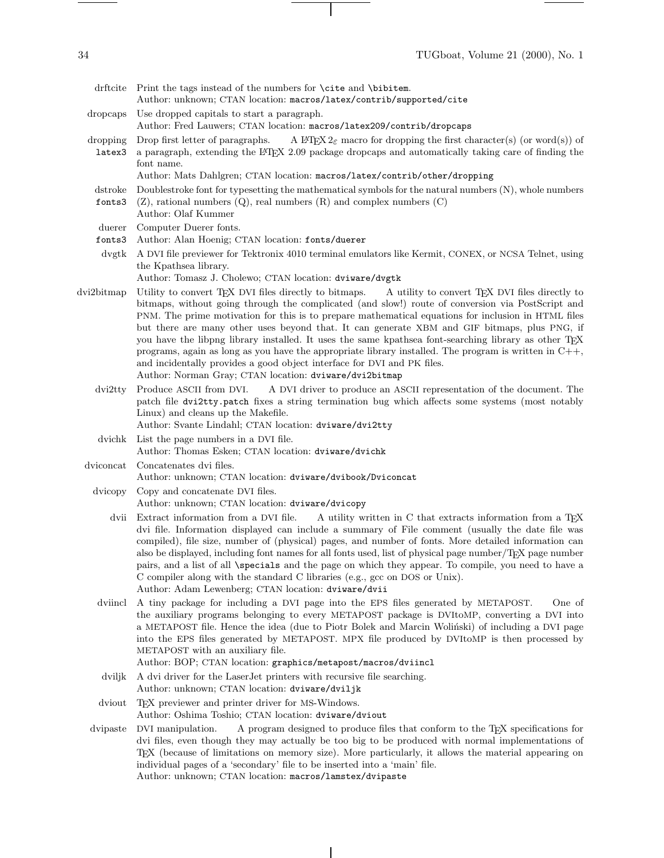- dropcaps Use dropped capitals to start a paragraph.
	- Author: Fred Lauwers; CTAN location: macros/latex209/contrib/dropcaps
- dropping latex3 Drop first letter of paragraphs. A LATEX  $2\varepsilon$  macro for dropping the first character(s) (or word(s)) of a paragraph, extending the LATEX 2.09 package dropcaps and automatically taking care of finding the
	- font name. Author: Mats Dahlgren; CTAN location: macros/latex/contrib/other/dropping
	- dstroke Doublestroke font for typesetting the mathematical symbols for the natural numbers (N), whole numbers
	- fonts3 (Z), rational numbers (Q), real numbers (R) and complex numbers (C)
	- Author: Olaf Kummer
	- duerer Computer Duerer fonts.
	- fonts3 Author: Alan Hoenig; CTAN location: fonts/duerer
	- dvgtk A DVI file previewer for Tektronix 4010 terminal emulators like Kermit, CONEX, or NCSA Telnet, using the Kpathsea library.
		- Author: Tomasz J. Cholewo; CTAN location: dviware/dvgtk
- dvi2bitmap Utility to convert TEX DVI files directly to bitmaps. A utility to convert TEX DVI files directly to bitmaps, without going through the complicated (and slow!) route of conversion via PostScript and PNM. The prime motivation for this is to prepare mathematical equations for inclusion in HTML files but there are many other uses beyond that. It can generate XBM and GIF bitmaps, plus PNG, if you have the libpng library installed. It uses the same kpathsea font-searching library as other TEX programs, again as long as you have the appropriate library installed. The program is written in  $C++$ , and incidentally provides a good object interface for DVI and PK files. Author: Norman Gray; CTAN location: dviware/dvi2bitmap
	- dvi2tty Produce ASCII from DVI. A DVI driver to produce an ASCII representation of the document. The patch file dvi2tty.patch fixes a string termination bug which affects some systems (most notably Linux) and cleans up the Makefile. Author: Svante Lindahl; CTAN location: dviware/dvi2tty
	- dvichk List the page numbers in a DVI file. Author: Thomas Esken; CTAN location: dviware/dvichk
	- dviconcat Concatenates dvi files. Author: unknown; CTAN location: dviware/dvibook/Dviconcat
		- dvicopy Copy and concatenate DVI files. Author: unknown; CTAN location: dviware/dvicopy
			- dvii Extract information from a DVI file. A utility written in C that extracts information from a T<sub>E</sub>X dvi file. Information displayed can include a summary of File comment (usually the date file was compiled), file size, number of (physical) pages, and number of fonts. More detailed information can also be displayed, including font names for all fonts used, list of physical page number/TEX page number pairs, and a list of all \specials and the page on which they appear. To compile, you need to have a C compiler along with the standard C libraries (e.g., gcc on DOS or Unix). Author: Adam Lewenberg; CTAN location: dviware/dvii
		- dviincl A tiny package for including a DVI page into the EPS files generated by METAPOST. One of the auxiliary programs belonging to every METAPOST package is DVItoMP, converting a DVI into a METAPOST file. Hence the idea (due to Piotr Bolek and Marcin Wolinski) of including a DVI page into the EPS files generated by METAPOST. MPX file produced by DVItoMP is then processed by METAPOST with an auxiliary file.
			- Author: BOP; CTAN location: graphics/metapost/macros/dviincl
		- dviljk A dvi driver for the LaserJet printers with recursive file searching. Author: unknown; CTAN location: dviware/dviljk
		- dviout TEX previewer and printer driver for MS-Windows. Author: Oshima Toshio; CTAN location: dviware/dviout
	- dvipaste DVI manipulation. A program designed to produce files that conform to the TEX specifications for dvi files, even though they may actually be too big to be produced with normal implementations of TEX (because of limitations on memory size). More particularly, it allows the material appearing on individual pages of a 'secondary' file to be inserted into a 'main' file. Author: unknown; CTAN location: macros/lamstex/dvipaste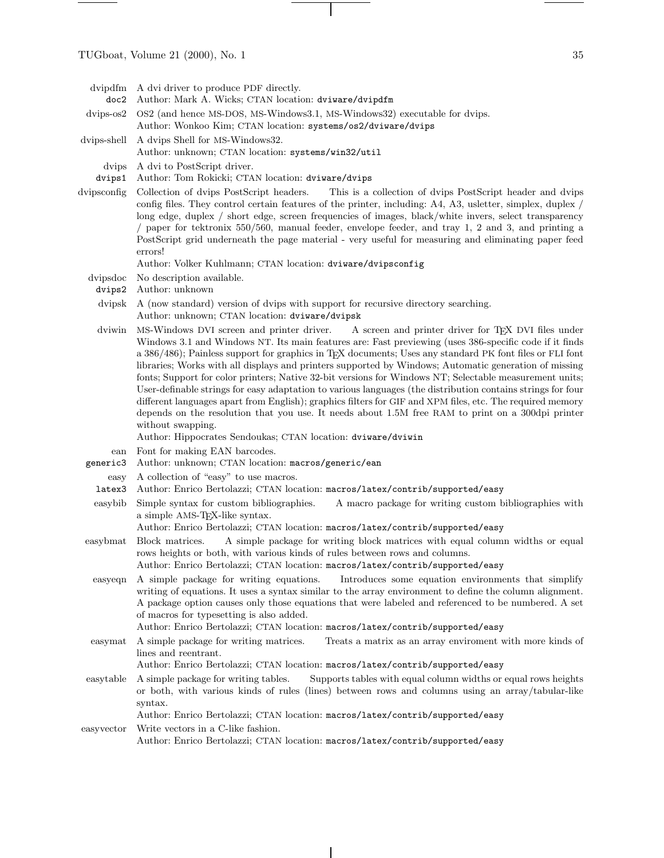$\frac{1}{\sqrt{2\pi}}\left( \frac{1}{\sqrt{2\pi}}\right) \left( \frac{1}{\sqrt{2\pi}}\right) \left( \frac{1}{\sqrt{2\pi}}\right) \left( \frac{1}{\sqrt{2\pi}}\right) \left( \frac{1}{\sqrt{2\pi}}\right) \left( \frac{1}{\sqrt{2\pi}}\right) \left( \frac{1}{\sqrt{2\pi}}\right) \left( \frac{1}{\sqrt{2\pi}}\right) \left( \frac{1}{\sqrt{2\pi}}\right) \left( \frac{1}{\sqrt{2\pi}}\right) \left( \frac{1}{\sqrt{2\pi}}\right) \left( \frac{1}{\sqrt$ 

| dvipdfm<br>doc2    | A dvi driver to produce PDF directly.<br>Author: Mark A. Wicks; CTAN location: dviware/dvipdfm                                                                                                                                                                                                                                                                                                                                                                                                                                                                                                                                                                                                                                                                                                                                                                                                            |
|--------------------|-----------------------------------------------------------------------------------------------------------------------------------------------------------------------------------------------------------------------------------------------------------------------------------------------------------------------------------------------------------------------------------------------------------------------------------------------------------------------------------------------------------------------------------------------------------------------------------------------------------------------------------------------------------------------------------------------------------------------------------------------------------------------------------------------------------------------------------------------------------------------------------------------------------|
| $divips-os2$       | OS2 (and hence MS-DOS, MS-Windows3.1, MS-Windows32) executable for dvips.                                                                                                                                                                                                                                                                                                                                                                                                                                                                                                                                                                                                                                                                                                                                                                                                                                 |
|                    | Author: Wonkoo Kim; CTAN location: systems/os2/dviware/dvips                                                                                                                                                                                                                                                                                                                                                                                                                                                                                                                                                                                                                                                                                                                                                                                                                                              |
| dvips-shell        | A dvips Shell for MS-Windows32.                                                                                                                                                                                                                                                                                                                                                                                                                                                                                                                                                                                                                                                                                                                                                                                                                                                                           |
|                    | Author: unknown; CTAN location: systems/win32/util                                                                                                                                                                                                                                                                                                                                                                                                                                                                                                                                                                                                                                                                                                                                                                                                                                                        |
| dvips<br>dvips1    | A dvi to PostScript driver.<br>Author: Tom Rokicki; CTAN location: dviware/dvips                                                                                                                                                                                                                                                                                                                                                                                                                                                                                                                                                                                                                                                                                                                                                                                                                          |
| dvipsconfig        | Collection of dvips PostScript headers.<br>This is a collection of dvips PostScript header and dvips<br>config files. They control certain features of the printer, including: A4, A3, usletter, simplex, duplex /<br>long edge, duplex / short edge, screen frequencies of images, black/white invers, select transparency<br>paper for tektronix 550/560, manual feeder, envelope feeder, and tray 1, 2 and 3, and printing a<br>PostScript grid underneath the page material - very useful for measuring and eliminating paper feed<br>errors!                                                                                                                                                                                                                                                                                                                                                         |
|                    | Author: Volker Kuhlmann; CTAN location: dviware/dvipsconfig                                                                                                                                                                                                                                                                                                                                                                                                                                                                                                                                                                                                                                                                                                                                                                                                                                               |
| dvipsdoc<br>dvips2 | No description available.<br>Author: unknown                                                                                                                                                                                                                                                                                                                                                                                                                                                                                                                                                                                                                                                                                                                                                                                                                                                              |
| dvipsk             | A (now standard) version of dvips with support for recursive directory searching.                                                                                                                                                                                                                                                                                                                                                                                                                                                                                                                                                                                                                                                                                                                                                                                                                         |
|                    | Author: unknown; CTAN location: dviware/dvipsk                                                                                                                                                                                                                                                                                                                                                                                                                                                                                                                                                                                                                                                                                                                                                                                                                                                            |
| dviwin             | MS-Windows DVI screen and printer driver. A screen and printer driver for T <sub>F</sub> X DVI files under<br>Windows 3.1 and Windows NT. Its main features are: Fast previewing (uses 386-specific code if it finds<br>a 386/486); Painless support for graphics in TEX documents; Uses any standard PK font files or FLI font<br>libraries; Works with all displays and printers supported by Windows; Automatic generation of missing<br>fonts; Support for color printers; Native 32-bit versions for Windows NT; Selectable measurement units;<br>User-definable strings for easy adaptation to various languages (the distribution contains strings for four<br>different languages apart from English); graphics filters for GIF and XPM files, etc. The required memory<br>depends on the resolution that you use. It needs about 1.5M free RAM to print on a 300dpi printer<br>without swapping. |
|                    | Author: Hippocrates Sendoukas; CTAN location: dviware/dviwin                                                                                                                                                                                                                                                                                                                                                                                                                                                                                                                                                                                                                                                                                                                                                                                                                                              |
| ean<br>generic3    | Font for making EAN barcodes.<br>Author: unknown; CTAN location: macros/generic/ean                                                                                                                                                                                                                                                                                                                                                                                                                                                                                                                                                                                                                                                                                                                                                                                                                       |
| easy               | A collection of "easy" to use macros.                                                                                                                                                                                                                                                                                                                                                                                                                                                                                                                                                                                                                                                                                                                                                                                                                                                                     |
| latex3             | Author: Enrico Bertolazzi; CTAN location: macros/latex/contrib/supported/easy                                                                                                                                                                                                                                                                                                                                                                                                                                                                                                                                                                                                                                                                                                                                                                                                                             |
| easybib            | Simple syntax for custom bibliographies.<br>A macro package for writing custom bibliographies with<br>a simple AMS-TEX-like syntax.<br>Author: Enrico Bertolazzi; CTAN location: macros/latex/contrib/supported/easy                                                                                                                                                                                                                                                                                                                                                                                                                                                                                                                                                                                                                                                                                      |
| easybmat           | A simple package for writing block matrices with equal column widths or equal<br>Block matrices.<br>rows heights or both, with various kinds of rules between rows and columns.<br>Author: Enrico Bertolazzi; CTAN location: macros/latex/contrib/supported/easy                                                                                                                                                                                                                                                                                                                                                                                                                                                                                                                                                                                                                                          |
| easyeqn            | A simple package for writing equations.<br>Introduces some equation environments that simplify<br>writing of equations. It uses a syntax similar to the array environment to define the column alignment.<br>A package option causes only those equations that were labeled and referenced to be numbered. A set<br>of macros for typesetting is also added.<br>Author: Enrico Bertolazzi; CTAN location: macros/latex/contrib/supported/easy                                                                                                                                                                                                                                                                                                                                                                                                                                                             |
| easymat            | A simple package for writing matrices.<br>Treats a matrix as an array enviroment with more kinds of                                                                                                                                                                                                                                                                                                                                                                                                                                                                                                                                                                                                                                                                                                                                                                                                       |
|                    | lines and reentrant.<br>Author: Enrico Bertolazzi; CTAN location: macros/latex/contrib/supported/easy                                                                                                                                                                                                                                                                                                                                                                                                                                                                                                                                                                                                                                                                                                                                                                                                     |
| easytable          | A simple package for writing tables.<br>Supports tables with equal column widths or equal rows heights<br>or both, with various kinds of rules (lines) between rows and columns using an array/tabular-like<br>syntax.                                                                                                                                                                                                                                                                                                                                                                                                                                                                                                                                                                                                                                                                                    |
|                    | Author: Enrico Bertolazzi; CTAN location: macros/latex/contrib/supported/easy                                                                                                                                                                                                                                                                                                                                                                                                                                                                                                                                                                                                                                                                                                                                                                                                                             |
| easyvector         | Write vectors in a C-like fashion.<br>Author: Enrico Bertolazzi; CTAN location: macros/latex/contrib/supported/easy                                                                                                                                                                                                                                                                                                                                                                                                                                                                                                                                                                                                                                                                                                                                                                                       |

 $\mathcal{A}$ 

 $\sim$  100  $\mu$ 

 $\overline{\mathbf{L}^{\mathbf{u}}(\mathbf{r})}$ 

 $\frac{1}{\sqrt{2\pi}}\left( \frac{1}{\sqrt{2\pi}}\right) ^{2}=\frac{1}{2\sqrt{2\pi}}\left( \frac{1}{\sqrt{2\pi}}\right) ^{2}=\frac{1}{2\sqrt{2\pi}}\left( \frac{1}{2\sqrt{2\pi}}\right) ^{2}=\frac{1}{2\sqrt{2\pi}}\left( \frac{1}{2\sqrt{2\pi}}\right) ^{2}=\frac{1}{2\sqrt{2\pi}}\left( \frac{1}{2\sqrt{2\pi}}\right) ^{2}=\frac{1}{2\sqrt{2\pi}}\left( \frac{1}{2\sqrt{2\pi}}\right) ^{2}=\frac{1}{2\$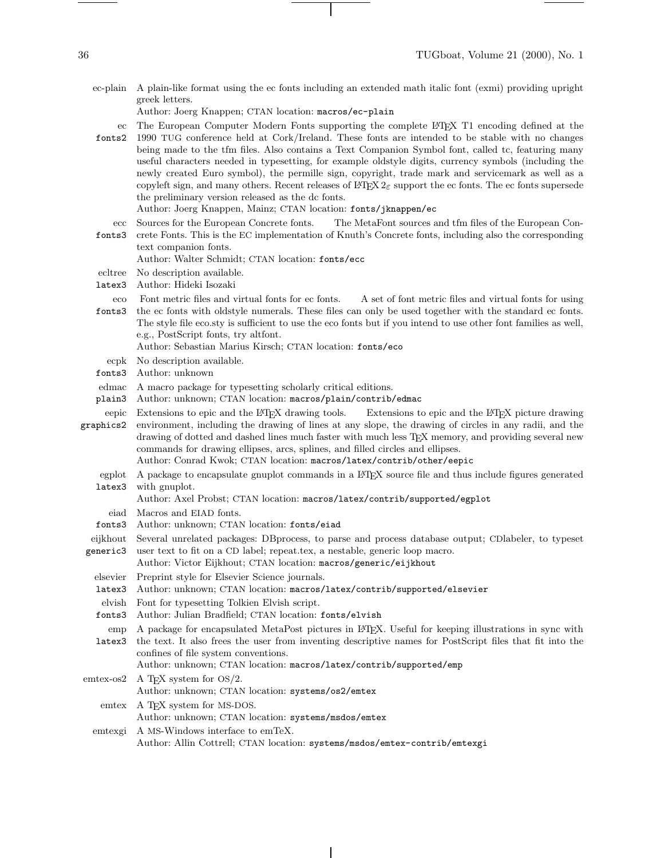ec-plain A plain-like format using the ec fonts including an extended math italic font (exmi) providing upright greek letters.

Author: Joerg Knappen; CTAN location: macros/ec-plain

ec fonts2 The European Computer Modern Fonts supporting the complete L<sup>A</sup>T<sub>E</sub>X T1 encoding defined at the 1990 TUG conference held at Cork/Ireland. These fonts are intended to be stable with no changes being made to the tfm files. Also contains a Text Companion Symbol font, called tc, featuring many useful characters needed in typesetting, for example oldstyle digits, currency symbols (including the newly created Euro symbol), the permille sign, copyright, trade mark and servicemark as well as a copyleft sign, and many others. Recent releases of  $L^2E$  support the ec fonts. The ec fonts supersede the preliminary version released as the dc fonts.

Author: Joerg Knappen, Mainz; CTAN location: fonts/jknappen/ec

- ecc Sources for the European Concrete fonts. The MetaFont sources and tfm files of the European Con-
- fonts3 crete Fonts. This is the EC implementation of Knuth's Concrete fonts, including also the corresponding text companion fonts.

Author: Walter Schmidt; CTAN location: fonts/ecc

- ecltree No description available.
- latex3 Author: Hideki Isozaki
- eco fonts3 Font metric files and virtual fonts for ec fonts. A set of font metric files and virtual fonts for using the ec fonts with oldstyle numerals. These files can only be used together with the standard ec fonts. The style file eco.sty is sufficient to use the eco fonts but if you intend to use other font families as well, e.g., PostScript fonts, try altfont.
	- Author: Sebastian Marius Kirsch; CTAN location: fonts/eco
	- ecpk No description available.
- fonts3 Author: unknown
- edmac A macro package for typesetting scholarly critical editions.
- plain3 Author: unknown; CTAN location: macros/plain/contrib/edmac
- eepic Extensions to epic and the L<sup>AT</sup>FX drawing tools. graphics2 Extensions to epic and the LATEX picture drawing environment, including the drawing of lines at any slope, the drawing of circles in any radii, and the drawing of dotted and dashed lines much faster with much less TEX memory, and providing several new commands for drawing ellipses, arcs, splines, and filled circles and ellipses.
	- Author: Conrad Kwok; CTAN location: macros/latex/contrib/other/eepic
	- egplot latex3 A package to encapsulate gnuplot commands in a LATEX source file and thus include figures generated with gnuplot.
		- Author: Axel Probst; CTAN location: macros/latex/contrib/supported/egplot
		- eiad Macros and EIAD fonts.
	- fonts3 Author: unknown; CTAN location: fonts/eiad
- eijkhout Several unrelated packages: DBprocess, to parse and process database output; CDlabeler, to typeset
- generic3 user text to fit on a CD label; repeat.tex, a nestable, generic loop macro. Author: Victor Eijkhout; CTAN location: macros/generic/eijkhout
	- elsevier Preprint style for Elsevier Science journals.
	- latex3 Author: unknown; CTAN location: macros/latex/contrib/supported/elsevier
- elvish Font for typesetting Tolkien Elvish script.
- fonts3 Author: Julian Bradfield; CTAN location: fonts/elvish
- emp A package for encapsulated MetaPost pictures in LATEX. Useful for keeping illustrations in sync with

latex3 the text. It also frees the user from inventing descriptive names for PostScript files that fit into the confines of file system conventions.

Author: unknown; CTAN location: macros/latex/contrib/supported/emp

- emtex-os2 A TEX system for OS/2. Author: unknown; CTAN location: systems/os2/emtex emtex A TFX system for MS-DOS.
	- Author: unknown; CTAN location: systems/msdos/emtex
	- emtexgi A MS-Windows interface to emTeX. Author: Allin Cottrell; CTAN location: systems/msdos/emtex-contrib/emtexgi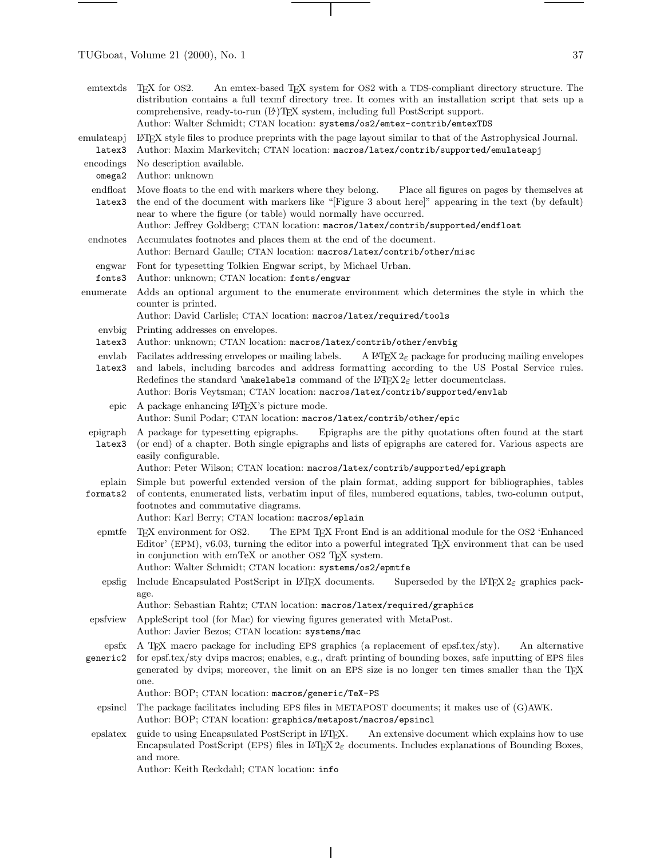$\frac{1}{\sqrt{2\pi}}\left( \frac{1}{\sqrt{2\pi}}\right) \left( \frac{1}{\sqrt{2\pi}}\right) \left( \frac{1}{\sqrt{2\pi}}\right) \left( \frac{1}{\sqrt{2\pi}}\right) \left( \frac{1}{\sqrt{2\pi}}\right) \left( \frac{1}{\sqrt{2\pi}}\right) \left( \frac{1}{\sqrt{2\pi}}\right) \left( \frac{1}{\sqrt{2\pi}}\right) \left( \frac{1}{\sqrt{2\pi}}\right) \left( \frac{1}{\sqrt{2\pi}}\right) \left( \frac{1}{\sqrt{2\pi}}\right) \left( \frac{1}{\sqrt$ 

 $\sim$ 

|                     | An emtex-based TFX system for OS2 with a TDS-compliant directory structure. The<br>emtextds T <sub>F</sub> X for OS2.<br>distribution contains a full texmf directory tree. It comes with an installation script that sets up a<br>comprehensive, ready-to-run (LA)TFX system, including full PostScript support.<br>Author: Walter Schmidt; CTAN location: systems/os2/emtex-contrib/emtexTDS                                                                           |  |
|---------------------|--------------------------------------------------------------------------------------------------------------------------------------------------------------------------------------------------------------------------------------------------------------------------------------------------------------------------------------------------------------------------------------------------------------------------------------------------------------------------|--|
| emulateapj          | L <sup>AT</sup> EX style files to produce preprints with the page layout similar to that of the Astrophysical Journal.                                                                                                                                                                                                                                                                                                                                                   |  |
| latex3<br>encodings | Author: Maxim Markevitch; CTAN location: macros/latex/contrib/supported/emulateapj<br>No description available.                                                                                                                                                                                                                                                                                                                                                          |  |
| omega2              | Author: unknown                                                                                                                                                                                                                                                                                                                                                                                                                                                          |  |
| endfloat<br>latex3  | Place all figures on pages by themselves at<br>Move floats to the end with markers where they belong.<br>the end of the document with markers like "[Figure 3 about here]" appearing in the text (by default)<br>near to where the figure (or table) would normally have occurred.<br>Author: Jeffrey Goldberg; CTAN location: macros/latex/contrib/supported/endfloat                                                                                                   |  |
| endnotes            | Accumulates footnotes and places them at the end of the document.<br>Author: Bernard Gaulle; CTAN location: macros/latex/contrib/other/misc                                                                                                                                                                                                                                                                                                                              |  |
| engwar<br>fonts3    | Font for typesetting Tolkien Engwar script, by Michael Urban.<br>Author: unknown; CTAN location: fonts/engwar                                                                                                                                                                                                                                                                                                                                                            |  |
| enumerate           | Adds an optional argument to the enumerate environment which determines the style in which the<br>counter is printed.<br>Author: David Carlisle; CTAN location: macros/latex/required/tools                                                                                                                                                                                                                                                                              |  |
| envbig<br>latex3    | Printing addresses on envelopes.<br>Author: unknown; CTAN location: macros/latex/contrib/other/envbig                                                                                                                                                                                                                                                                                                                                                                    |  |
| envlab<br>latex3    | Facilates addressing envelopes or mailing labels.<br>A L <sup>4</sup> T <sub>F</sub> X $2\varepsilon$ package for producing mailing envelopes<br>and labels, including barcodes and address formatting according to the US Postal Service rules.<br>Redefines the standard $\mathcal{S}$ and $\mathcal{S}$ command of the $\mathbb{P}\mathrm{TE}X2_{\varepsilon}$ letter document class.<br>Author: Boris Veytsman; CTAN location: macros/latex/contrib/supported/envlab |  |
| epic                | A package enhancing L <sup>4</sup> T <sub>E</sub> X's picture mode.<br>Author: Sunil Podar; CTAN location: macros/latex/contrib/other/epic                                                                                                                                                                                                                                                                                                                               |  |
| epigraph<br>latex3  | Epigraphs are the pithy quotations often found at the start<br>A package for typesetting epigraphs.<br>(or end) of a chapter. Both single epigraphs and lists of epigraphs are catered for. Various aspects are<br>easily configurable.<br>Author: Peter Wilson; CTAN location: macros/latex/contrib/supported/epigraph                                                                                                                                                  |  |
| eplain<br>formats2  | Simple but powerful extended version of the plain format, adding support for bibliographies, tables<br>of contents, enumerated lists, verbatim input of files, numbered equations, tables, two-column output,<br>footnotes and commutative diagrams.<br>Author: Karl Berry; CTAN location: macros/eplain                                                                                                                                                                 |  |
| epmtfe              | T <sub>F</sub> X environment for OS2.<br>The EPM TEX Front End is an additional module for the OS2 'Enhanced<br>Editor' (EPM), v6.03, turning the editor into a powerful integrated T <sub>E</sub> X environment that can be used<br>in conjunction with emTeX or another OS2 TEX system.<br>Author: Walter Schmidt; CTAN location: systems/os2/epmtfe                                                                                                                   |  |
| epsfig              | Include Encapsulated PostScript in IATEX documents.<br>Superseded by the L <sup>4</sup> T <sub>F</sub> X 2 <sub><math>\epsilon</math></sub> graphics pack-<br>age.<br>Author: Sebastian Rahtz; CTAN location: macros/latex/required/graphics                                                                                                                                                                                                                             |  |
| epsfview            | AppleScript tool (for Mac) for viewing figures generated with MetaPost.<br>Author: Javier Bezos; CTAN location: systems/mac                                                                                                                                                                                                                                                                                                                                              |  |
| epsfx<br>generic2   | A TEX macro package for including EPS graphics (a replacement of epsf.tex/sty).<br>An alternative<br>for epsf.tex/sty dvips macros; enables, e.g., draft printing of bounding boxes, safe inputting of EPS files<br>generated by dvips; moreover, the limit on an EPS size is no longer ten times smaller than the T <sub>R</sub> X<br>one.<br>Author: BOP; CTAN location: macros/generic/TeX-PS                                                                         |  |
| epsincl             | The package facilitates including EPS files in METAPOST documents; it makes use of (G)AWK.<br>Author: BOP; CTAN location: graphics/metapost/macros/epsincl                                                                                                                                                                                                                                                                                                               |  |
| epslatex            | guide to using Encapsulated PostScript in L <sup>9</sup> TEX.<br>An extensive document which explains how to use<br>Encapsulated PostScript (EPS) files in $\mathbb{F} \text{Tr} X 2_{\mathcal{E}}$ documents. Includes explanations of Bounding Boxes,<br>and more.<br>Author: Keith Reckdahl; CTAN location: info                                                                                                                                                      |  |

 $\overline{1}$ 

 $\equiv$ 

 $\overline{\phantom{0}}$ 

 $\top$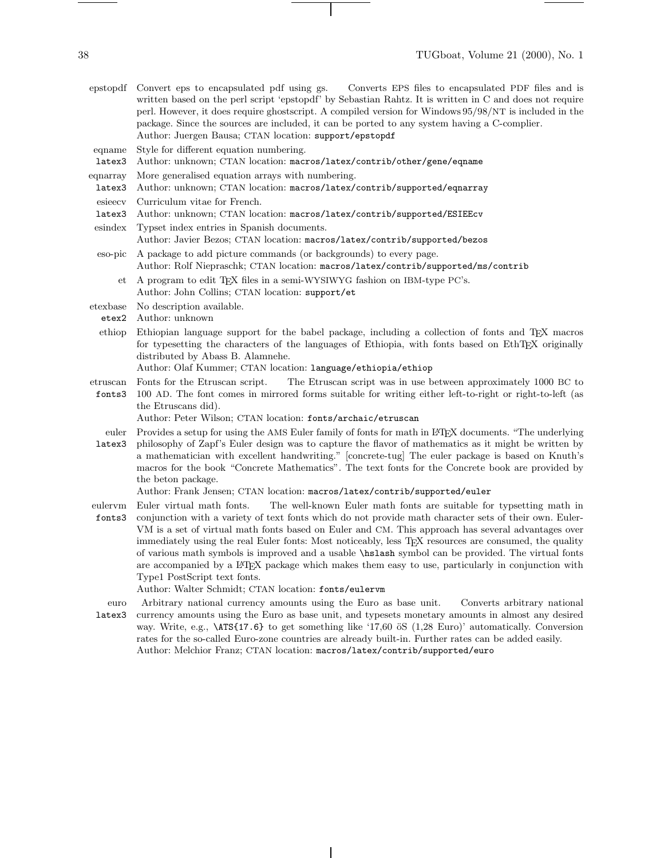- epstopdf Convert eps to encapsulated pdf using gs. Converts EPS files to encapsulated PDF files and is written based on the perl script 'epstopdf' by Sebastian Rahtz. It is written in C and does not require perl. However, it does require ghostscript. A compiled version for Windows 95/98/NT is included in the package. Since the sources are included, it can be ported to any system having a C-complier. Author: Juergen Bausa; CTAN location: support/epstopdf
- eqname Style for different equation numbering.
- latex3 Author: unknown; CTAN location: macros/latex/contrib/other/gene/eqname
- eqnarray More generalised equation arrays with numbering.
- latex3 Author: unknown; CTAN location: macros/latex/contrib/supported/eqnarray
- esieecv Curriculum vitae for French.
- latex3 Author: unknown; CTAN location: macros/latex/contrib/supported/ESIEEcv
- esindex Typset index entries in Spanish documents.
	- Author: Javier Bezos; CTAN location: macros/latex/contrib/supported/bezos
- eso-pic A package to add picture commands (or backgrounds) to every page. Author: Rolf Niepraschk; CTAN location: macros/latex/contrib/supported/ms/contrib
	- et A program to edit TEX files in a semi-WYSIWYG fashion on IBM-type PC's. Author: John Collins; CTAN location: support/et
- etexbase No description available.
	- etex2 Author: unknown
- ethiop Ethiopian language support for the babel package, including a collection of fonts and TEX macros for typesetting the characters of the languages of Ethiopia, with fonts based on EthTEX originally distributed by Abass B. Alamnehe.
	- Author: Olaf Kummer; CTAN location: language/ethiopia/ethiop
- etruscan Fonts for the Etruscan script. The Etruscan script was in use between approximately 1000 BC to
- fonts3 100 AD. The font comes in mirrored forms suitable for writing either left-to-right or right-to-left (as the Etruscans did).
	- Author: Peter Wilson; CTAN location: fonts/archaic/etruscan
- euler latex3 Provides a setup for using the AMS Euler family of fonts for math in L<sup>AT</sup>FX documents. "The underlying philosophy of Zapf's Euler design was to capture the flavor of mathematics as it might be written by a mathematician with excellent handwriting." [concrete-tug] The euler package is based on Knuth's macros for the book "Concrete Mathematics". The text fonts for the Concrete book are provided by the beton package.

Author: Frank Jensen; CTAN location: macros/latex/contrib/supported/euler

- eulervm Euler virtual math fonts. fonts3 The well-known Euler math fonts are suitable for typsetting math in conjunction with a variety of text fonts which do not provide math character sets of their own. Euler-VM is a set of virtual math fonts based on Euler and CM. This approach has several advantages over immediately using the real Euler fonts: Most noticeably, less TEX resources are consumed, the quality of various math symbols is improved and a usable \hslash symbol can be provided. The virtual fonts are accompanied by a L<sup>AT</sup>EX package which makes them easy to use, particularly in conjunction with Type1 PostScript text fonts.
	- Author: Walter Schmidt; CTAN location: fonts/eulervm
- euro latex3 Arbitrary national currency amounts using the Euro as base unit. Converts arbitrary national currency amounts using the Euro as base unit, and typesets monetary amounts in almost any desired way. Write, e.g.,  $\text{ATS}\{17.6\}$  to get something like '17,60  $\ddot{\text{o}}S$  (1,28 Euro)' automatically. Conversion rates for the so-called Euro-zone countries are already built-in. Further rates can be added easily. Author: Melchior Franz; CTAN location: macros/latex/contrib/supported/euro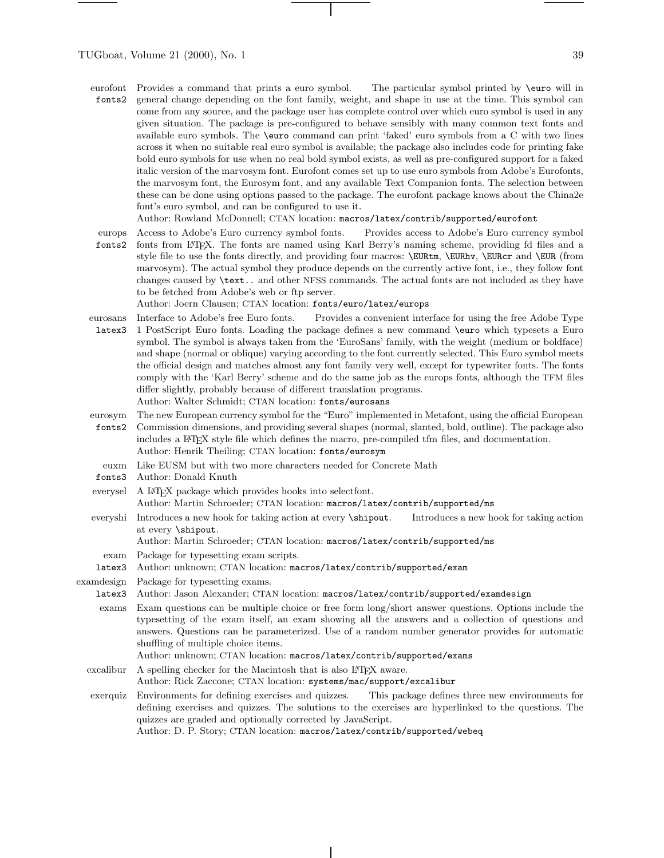eurofont fonts2 Provides a command that prints a euro symbol. The particular symbol printed by \euro will in general change depending on the font family, weight, and shape in use at the time. This symbol can come from any source, and the package user has complete control over which euro symbol is used in any given situation. The package is pre-configured to behave sensibly with many common text fonts and available euro symbols. The \euro command can print 'faked' euro symbols from a C with two lines across it when no suitable real euro symbol is available; the package also includes code for printing fake bold euro symbols for use when no real bold symbol exists, as well as pre-configured support for a faked italic version of the marvosym font. Eurofont comes set up to use euro symbols from Adobe's Eurofonts, the marvosym font, the Eurosym font, and any available Text Companion fonts. The selection between these can be done using options passed to the package. The eurofont package knows about the China2e font's euro symbol, and can be configured to use it.

Author: Rowland McDonnell; CTAN location: macros/latex/contrib/supported/eurofont

europs fonts2 Access to Adobe's Euro currency symbol fonts. Provides access to Adobe's Euro currency symbol fonts from LATEX. The fonts are named using Karl Berry's naming scheme, providing fd files and a style file to use the fonts directly, and providing four macros: \EURtm, \EURtm, \EURcr and \EUR (from marvosym). The actual symbol they produce depends on the currently active font, i.e., they follow font changes caused by \text.. and other NFSS commands. The actual fonts are not included as they have to be fetched from Adobe's web or ftp server.

Author: Joern Clausen; CTAN location: fonts/euro/latex/europs

- eurosans latex3 Interface to Adobe's free Euro fonts. Provides a convenient interface for using the free Adobe Type 1 PostScript Euro fonts. Loading the package defines a newcommand \euro which typesets a Euro symbol. The symbol is always taken from the 'EuroSans' family, with the weight (medium or boldface) and shape (normal or oblique) varying according to the font currently selected. This Euro symbol meets the official design and matches almost any font family very well, except for typewriter fonts. The fonts comply with the 'Karl Berry' scheme and do the same job as the europs fonts, although the TFM files differ slightly, probably because of different translation programs. Author: Walter Schmidt; CTAN location: fonts/eurosans
- eurosym fonts2 The newEuropean currency symbol for the "Euro" implemented in Metafont, using the official European Commission dimensions, and providing several shapes (normal, slanted, bold, outline). The package also includes a LAT<sub>E</sub>X style file which defines the macro, pre-compiled tfm files, and documentation. Author: Henrik Theiling; CTAN location: fonts/eurosym
- euxm Like EUSM but with two more characters needed for Concrete Math
- fonts3 Author: Donald Knuth
- everysel A LATEX package which provides hooks into selectiont. Author: Martin Schroeder; CTAN location: macros/latex/contrib/supported/ms
- everyshi Introduces a newhook for taking action at every \shipout. Introduces a newhook for taking action at every \shipout.

Author: Martin Schroeder; CTAN location: macros/latex/contrib/supported/ms

- exam Package for typesetting exam scripts.
- latex3 Author: unknown; CTAN location: macros/latex/contrib/supported/exam
- examdesign Package for typesetting exams.
	- latex3 Author: Jason Alexander; CTAN location: macros/latex/contrib/supported/examdesign
	- exams Exam questions can be multiple choice or free form long/short answer questions. Options include the typesetting of the exam itself, an exam showing all the answers and a collection of questions and answers. Questions can be parameterized. Use of a random number generator provides for automatic shuffling of multiple choice items.

Author: unknown; CTAN location: macros/latex/contrib/supported/exams

- excalibur A spelling checker for the Macintosh that is also  $E_{\text{TFX}}$  aware. Author: Rick Zaccone; CTAN location: systems/mac/support/excalibur
- exerquiz Environments for defining exercises and quizzes. This package defines three newenvironments for defining exercises and quizzes. The solutions to the exercises are hyperlinked to the questions. The quizzes are graded and optionally corrected by JavaScript.

Author: D. P. Story; CTAN location: macros/latex/contrib/supported/webeq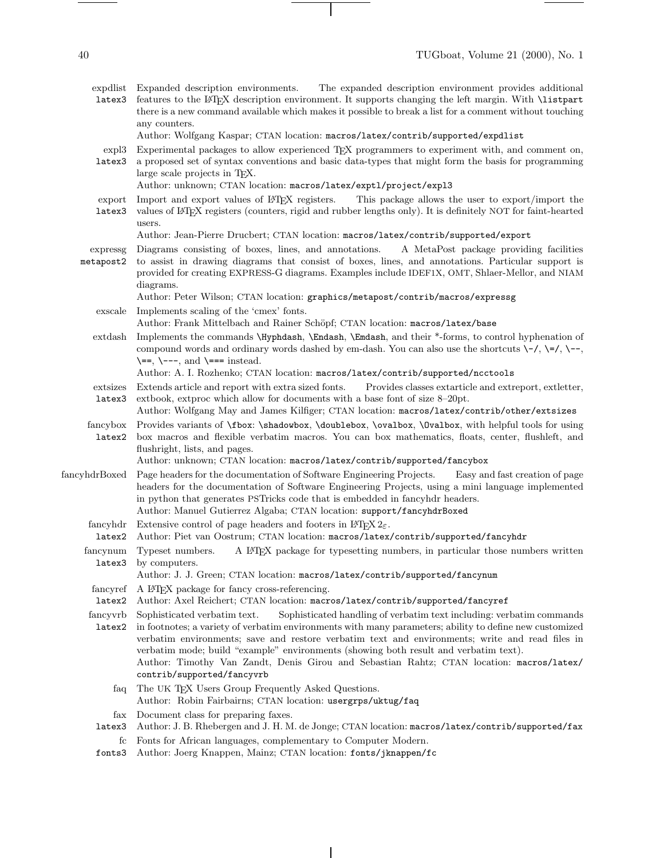$\begin{tabular}{l} \multicolumn{2}{c} {\textbf{1}} & \multicolumn{2}{c} {\textbf{1}} & \multicolumn{2}{c} {\textbf{1}} \\ \multicolumn{2}{c} {\textbf{1}} & \multicolumn{2}{c} {\textbf{1}} & \multicolumn{2}{c} {\textbf{1}} \\ \multicolumn{2}{c} {\textbf{1}} & \multicolumn{2}{c} {\textbf{1}} & \multicolumn{2}{c} {\textbf{1}} \\ \multicolumn{2}{c} {\textbf{1}} & \multicolumn{2}{c} {\textbf{1}} & \multicolumn{2}{c} {\textbf{1}} \\ \multicolumn{2}{c} {\textbf{1}} & \multicolumn$ 

| expdlist<br>latex3    | Expanded description environments.<br>The expanded description environment provides additional<br>features to the L <sup>N</sup> T <sub>F</sub> X description environment. It supports changing the left margin. With <b>\listpart</b><br>there is a new command available which makes it possible to break a list for a comment without touching<br>any counters.                                                                                                                                                                   |
|-----------------------|--------------------------------------------------------------------------------------------------------------------------------------------------------------------------------------------------------------------------------------------------------------------------------------------------------------------------------------------------------------------------------------------------------------------------------------------------------------------------------------------------------------------------------------|
| expl3<br>latex3       | Author: Wolfgang Kaspar; CTAN location: macros/latex/contrib/supported/expdlist<br>Experimental packages to allow experienced T <sub>F</sub> X programmers to experiment with, and comment on,<br>a proposed set of syntax conventions and basic data-types that might form the basis for programming<br>large scale projects in T <sub>F</sub> X.                                                                                                                                                                                   |
| export<br>latex3      | Author: unknown; CTAN location: macros/latex/expt1/project/exp13<br>Import and export values of L <sup>AT</sup> EX registers.<br>This package allows the user to export/import the<br>values of L <sup>4</sup> T <sub>E</sub> X registers (counters, rigid and rubber lengths only). It is definitely NOT for faint-hearted<br>users.                                                                                                                                                                                                |
|                       | Author: Jean-Pierre Drucbert; CTAN location: macros/latex/contrib/supported/export                                                                                                                                                                                                                                                                                                                                                                                                                                                   |
| expressg<br>metapost2 | Diagrams consisting of boxes, lines, and annotations.<br>A MetaPost package providing facilities<br>to assist in drawing diagrams that consist of boxes, lines, and annotations. Particular support is<br>provided for creating EXPRESS-G diagrams. Examples include IDEF1X, OMT, Shlaer-Mellor, and NIAM<br>diagrams.                                                                                                                                                                                                               |
|                       | Author: Peter Wilson; CTAN location: graphics/metapost/contrib/macros/expressg                                                                                                                                                                                                                                                                                                                                                                                                                                                       |
| exscale               | Implements scaling of the 'cmex' fonts.<br>Author: Frank Mittelbach and Rainer Schöpf; CTAN location: macros/latex/base                                                                                                                                                                                                                                                                                                                                                                                                              |
| extdash               | Implements the commands \Hyphdash, \Endash, \Emdash, and their *-forms, to control hyphenation of<br>compound words and ordinary words dashed by em-dash. You can also use the shortcuts $\-\/$ , $\-\/$ , $\-\$ ,<br>$\leftarrow$ , $\leftarrow$ , and $\leftarrow$ instead.                                                                                                                                                                                                                                                        |
| extsizes              | Author: A. I. Rozhenko; CTAN location: macros/latex/contrib/supported/ncctools<br>Extends article and report with extra sized fonts.<br>Provides classes extarticle and extreport, extletter,                                                                                                                                                                                                                                                                                                                                        |
| latex3                | extbook, extproc which allow for documents with a base font of size 8-20pt.<br>Author: Wolfgang May and James Kilfiger; CTAN location: macros/latex/contrib/other/extsizes                                                                                                                                                                                                                                                                                                                                                           |
| fancybox<br>latex2    | Provides variants of <i>\fbox: \shadowbox, \doublebox, \ovalbox, \dvalbox, with helpful tools for using</i><br>box macros and flexible verbatim macros. You can box mathematics, floats, center, flushleft, and<br>flushright, lists, and pages.                                                                                                                                                                                                                                                                                     |
| fancyhdrBoxed         | Author: unknown; CTAN location: macros/latex/contrib/supported/fancybox<br>Page headers for the documentation of Software Engineering Projects.<br>Easy and fast creation of page<br>headers for the documentation of Software Engineering Projects, using a mini language implemented<br>in python that generates PST ricks code that is embedded in fancy hdr headers.<br>Author: Manuel Gutierrez Algaba; CTAN location: support/fancyhdrBoxed                                                                                    |
| fancyhdr              | Extensive control of page headers and footers in L <sup>4</sup> T <sub>F</sub> X $2\varepsilon$ .                                                                                                                                                                                                                                                                                                                                                                                                                                    |
| latex2                | Author: Piet van Oostrum; CTAN location: macros/latex/contrib/supported/fancyhdr                                                                                                                                                                                                                                                                                                                                                                                                                                                     |
| fancynum              | Typeset numbers.<br>A L <sup>A</sup> T <sub>F</sub> X package for typesetting numbers, in particular those numbers written<br>latex3 by computers.<br>Author: J. J. Green; CTAN location: macros/latex/contrib/supported/fancynum                                                                                                                                                                                                                                                                                                    |
| fancyref              | A IATEX package for fancy cross-referencing.                                                                                                                                                                                                                                                                                                                                                                                                                                                                                         |
| latex2                | Author: Axel Reichert; CTAN location: macros/latex/contrib/supported/fancyref                                                                                                                                                                                                                                                                                                                                                                                                                                                        |
| fancyvrb<br>latex2    | Sophisticated handling of verbatim text including: verbatim commands<br>Sophisticated verbatim text.<br>in footnotes; a variety of verbatim environments with many parameters; ability to define new customized<br>verbatim environments; save and restore verbatim text and environments; write and read files in<br>verbatim mode; build "example" environments (showing both result and verbatim text).<br>Author: Timothy Van Zandt, Denis Girou and Sebastian Rahtz; CTAN location: macros/latex/<br>contrib/supported/fancyvrb |
| taq                   | The UK TEX Users Group Frequently Asked Questions.<br>Author: Robin Fairbairns; CTAN location: usergrps/uktug/faq                                                                                                                                                                                                                                                                                                                                                                                                                    |
| fax<br>latex3         | Document class for preparing faxes.<br>Author: J. B. Rhebergen and J. H. M. de Jonge; CTAN location: macros/latex/contrib/supported/fax                                                                                                                                                                                                                                                                                                                                                                                              |
| $_{\rm fc}$<br>fonts3 | Fonts for African languages, complementary to Computer Modern.<br>Author: Joerg Knappen, Mainz; CTAN location: fonts/jknappen/fc                                                                                                                                                                                                                                                                                                                                                                                                     |

 $\overline{\phantom{a}}$ 

 $\sim$ 

 $\overline{\phantom{a}}$ 

 $\begin{tabular}{l} \multicolumn{2}{c} {\textbf{1}} & \multicolumn{2}{c} {\textbf{1}} & \multicolumn{2}{c} {\textbf{1}} \\ \multicolumn{2}{c} {\textbf{1}} & \multicolumn{2}{c} {\textbf{1}} & \multicolumn{2}{c} {\textbf{1}} \\ \multicolumn{2}{c} {\textbf{1}} & \multicolumn{2}{c} {\textbf{1}} & \multicolumn{2}{c} {\textbf{1}} \\ \multicolumn{2}{c} {\textbf{1}} & \multicolumn{2}{c} {\textbf{1}} & \multicolumn{2}{c} {\textbf{1}} \\ \multicolumn{2}{c} {\textbf{1}} & \multicolumn$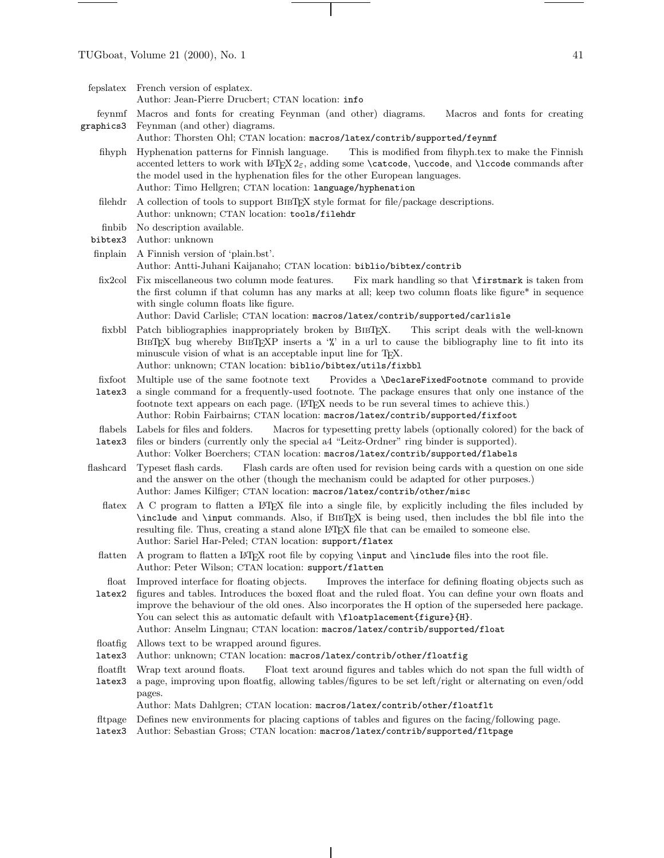fepslatex French version of esplatex.

Author: Jean-Pierre Drucbert; CTAN location: info

- feynmf graphics3 Macros and fonts for creating Feynman (and other) diagrams. Macros and fonts for creating Feynman (and other) diagrams.
	- Author: Thorsten Ohl; CTAN location: macros/latex/contrib/supported/feynmf
	- fihyph Hyphenation patterns for Finnish language. This is modified from fihyph.tex to make the Finnish accented letters to work with  $\langle \text{H}E X \rangle_{\varepsilon}$ , adding some \catcode, \uccode, and \lccode commands after the model used in the hyphenation files for the other European languages. Author: Timo Hellgren; CTAN location: language/hyphenation
	- filehdr A collection of tools to support BIBTEX style format for file/package descriptions. Author: unknown; CTAN location: tools/filehdr
	- finbib No description available.
	- bibtex3 Author: unknown
	- finplain A Finnish version of 'plain.bst'. Author: Antti-Juhani Kaijanaho; CTAN location: biblio/bibtex/contrib
	- fix2col Fix miscellaneous two column mode features. Fix mark handling so that \firstmark is taken from the first column if that column has any marks at all; keep two column floats like figure\* in sequence with single column floats like figure.
		- Author: David Carlisle; CTAN location: macros/latex/contrib/supported/carlisle
	- fixbbl Patch bibliographies inappropriately broken by BIBT<sub>E</sub>X. This script deals with the well-known BIBTEX bug whereby BIBTEXP inserts a '%' in a url to cause the bibliography line to fit into its minuscule vision of what is an acceptable input line for TFX. Author: unknown; CTAN location: biblio/bibtex/utils/fixbbl
	- fixfoot Multiple use of the same footnote text Provides a \DeclareFixedFootnote command to provide
	- latex3 a single command for a frequently-used footnote. The package ensures that only one instance of the footnote text appears on each page. (LATEX needs to be run several times to achieve this.) Author: Robin Fairbairns; CTAN location: macros/latex/contrib/supported/fixfoot
	- flabels Labels for files and folders. Macros for typesetting pretty labels (optionally colored) for the back of
	- latex3 files or binders (currently only the special a4 "Leitz-Ordner" ring binder is supported). Author: Volker Boerchers; CTAN location: macros/latex/contrib/supported/flabels
	- flashcard Typeset flash cards. Flash cards are often used for revision being cards with a question on one side and the answer on the other (though the mechanism could be adapted for other purposes.) Author: James Kilfiger; CTAN location: macros/latex/contrib/other/misc
		- flatex A C program to flatten a LATEX file into a single file, by explicitly including the files included by \include and \input commands. Also, if BibTEX is being used, then includes the bbl file into the resulting file. Thus, creating a stand alone LATEX file that can be emailed to someone else. Author: Sariel Har-Peled; CTAN location: support/flatex
		- flatten A program to flatten a L<sup>A</sup>TEX root file by copying **\input** and **\include** files into the root file. Author: Peter Wilson; CTAN location: support/flatten
		- float latex2 Improved interface for floating objects. Improves the interface for defining floating objects such as figures and tables. Introduces the boxed float and the ruled float. You can define your own floats and improve the behaviour of the old ones. Also incorporates the H option of the superseded here package. You can select this as automatic default with  $floatplacement{figure}{H}.$ Author: Anselm Lingnau; CTAN location: macros/latex/contrib/supported/float
		- floatfig Allows text to be wrapped around figures.
		- latex3 Author: unknown; CTAN location: macros/latex/contrib/other/floatfig
		- floatflt Wrap text around floats. Float text around figures and tables which do not span the full width of
		- latex3 a page, improving upon floatfig, allowing tables/figures to be set left/right or alternating on even/odd pages.

## Author: Mats Dahlgren; CTAN location: macros/latex/contrib/other/floatflt

- fltpage Defines newenvironments for placing captions of tables and figures on the facing/following page.
- latex3 Author: Sebastian Gross; CTAN location: macros/latex/contrib/supported/fltpage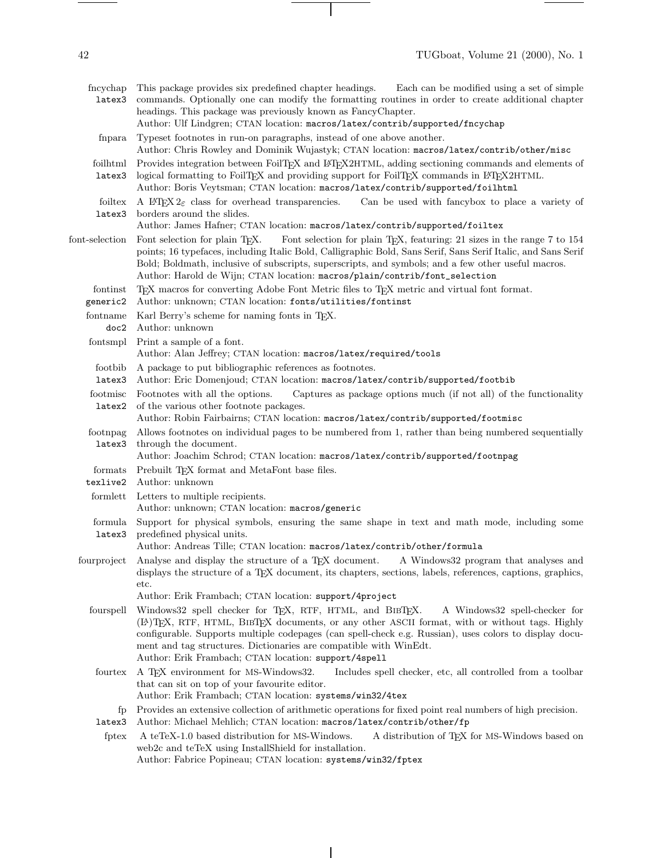$\frac{1}{1} \left( \frac{1}{1} \right) \left( \frac{1}{1} \right) \left( \frac{1}{1} \right) \left( \frac{1}{1} \right) \left( \frac{1}{1} \right) \left( \frac{1}{1} \right) \left( \frac{1}{1} \right) \left( \frac{1}{1} \right) \left( \frac{1}{1} \right) \left( \frac{1}{1} \right) \left( \frac{1}{1} \right) \left( \frac{1}{1} \right) \left( \frac{1}{1} \right) \left( \frac{1}{1} \right) \left( \frac{1}{1} \right) \left( \frac{1}{1} \right) \left( \frac$ 

| fncychap<br>latex3                  | This package provides six predefined chapter headings.<br>Each can be modified using a set of simple<br>commands. Optionally one can modify the formatting routines in order to create additional chapter<br>headings. This package was previously known as FancyChapter.<br>Author: Ulf Lindgren; CTAN location: macros/latex/contrib/supported/fncychap                                                                               |
|-------------------------------------|-----------------------------------------------------------------------------------------------------------------------------------------------------------------------------------------------------------------------------------------------------------------------------------------------------------------------------------------------------------------------------------------------------------------------------------------|
| fnpara                              | Typeset footnotes in run-on paragraphs, instead of one above another.<br>Author: Chris Rowley and Dominik Wujastyk; CTAN location: macros/latex/contrib/other/misc                                                                                                                                                                                                                                                                      |
| $\operatorname{foilhtml}$<br>latex3 | Provides integration between FoilTFX and L <sup>8</sup> TFX2HTML, adding sectioning commands and elements of<br>logical formatting to FoilTEX and providing support for FoilTEX commands in IATEX2HTML.<br>Author: Boris Veytsman; CTAN location: macros/latex/contrib/supported/foilhtml                                                                                                                                               |
| foiltex<br>latex3                   | A IATEX $2\varepsilon$ class for overhead transparencies. Can be used with fancybox to place a variety of<br>borders around the slides.<br>Author: James Hafner; CTAN location: macros/latex/contrib/supported/foiltex                                                                                                                                                                                                                  |
| font-selection                      | Font selection for plain T <sub>F</sub> X, featuring: 21 sizes in the range 7 to 154<br>Font selection for plain T <sub>F</sub> X.<br>points; 16 typefaces, including Italic Bold, Calligraphic Bold, Sans Serif, Sans Serif Italic, and Sans Serif<br>Bold; Boldmath, inclusive of subscripts, superscripts, and symbols; and a few other useful macros.<br>Author: Harold de Wijn; CTAN location: macros/plain/contrib/font_selection |
| fontinst<br>generic2                | TEX macros for converting Adobe Font Metric files to TEX metric and virtual font format.<br>Author: unknown; CTAN location: fonts/utilities/fontinst                                                                                                                                                                                                                                                                                    |
| fontname<br>doc2                    | Karl Berry's scheme for naming fonts in TEX.<br>Author: unknown                                                                                                                                                                                                                                                                                                                                                                         |
|                                     | fontsmpl Print a sample of a font.<br>Author: Alan Jeffrey; CTAN location: macros/latex/required/tools                                                                                                                                                                                                                                                                                                                                  |
| footbib<br>latex3                   | A package to put bibliographic references as footnotes.<br>Author: Eric Domenjoud; CTAN location: macros/latex/contrib/supported/footbib                                                                                                                                                                                                                                                                                                |
| footmisc<br>latex2                  | Footnotes with all the options.<br>Captures as package options much (if not all) of the functionality<br>of the various other footnote packages.<br>Author: Robin Fairbairns; CTAN location: macros/latex/contrib/supported/footmisc                                                                                                                                                                                                    |
| footnpag<br>latex3                  | Allows footnotes on individual pages to be numbered from 1, rather than being numbered sequentially<br>through the document.<br>Author: Joachim Schrod; CTAN location: macros/latex/contrib/supported/footnpag                                                                                                                                                                                                                          |
| formats<br>texlive2                 | Prebuilt TEX format and MetaFont base files.<br>Author: unknown                                                                                                                                                                                                                                                                                                                                                                         |
|                                     | formlett Letters to multiple recipients.<br>Author: unknown; CTAN location: macros/generic                                                                                                                                                                                                                                                                                                                                              |
| formula<br>latex3                   | Support for physical symbols, ensuring the same shape in text and math mode, including some<br>predefined physical units.<br>Author: Andreas Tille; CTAN location: macros/latex/contrib/other/formula                                                                                                                                                                                                                                   |
| fourproject                         | Analyse and display the structure of a T <sub>F</sub> X document.<br>A Windows 32 program that analyses and<br>displays the structure of a T <sub>F</sub> X document, its chapters, sections, labels, references, captions, graphics,<br>etc.<br>Author: Erik Frambach; CTAN location: support/4project                                                                                                                                 |
| fourspell                           | Windows 32 spell checker for TEX, RTF, HTML, and BIBTEX.<br>A Windows 32 spell-checker for<br>(IA)TFX, RTF, HTML, BIBTFX documents, or any other ASCII format, with or without tags. Highly<br>configurable. Supports multiple codepages (can spell-check e.g. Russian), uses colors to display docu-<br>ment and tag structures. Dictionaries are compatible with WinEdt.<br>Author: Erik Frambach; CTAN location: support/4spell      |
| fourtex                             | A TEX environment for MS-Windows32.<br>Includes spell checker, etc, all controlled from a toolbar<br>that can sit on top of your favourite editor.<br>Author: Erik Frambach; CTAN location: systems/win32/4tex                                                                                                                                                                                                                          |
| fp<br>latex3                        | Provides an extensive collection of arithmetic operations for fixed point real numbers of high precision.<br>Author: Michael Mehlich; CTAN location: macros/latex/contrib/other/fp                                                                                                                                                                                                                                                      |
| fptex                               | A teTeX-1.0 based distribution for MS-Windows.<br>A distribution of TEX for MS-Windows based on<br>web2c and teTeX using InstallShield for installation.<br>Author: Fabrice Popineau; CTAN location: systems/win32/fptex                                                                                                                                                                                                                |

 $\mathcal{A}$ 

 $\overline{\phantom{a}}$ 

 $\begin{tabular}{l} \multicolumn{2}{c} {\textbf{1}} & \multicolumn{2}{c} {\textbf{1}} & \multicolumn{2}{c} {\textbf{1}} \\ \multicolumn{2}{c} {\textbf{1}} & \multicolumn{2}{c} {\textbf{1}} & \multicolumn{2}{c} {\textbf{1}} \\ \multicolumn{2}{c} {\textbf{1}} & \multicolumn{2}{c} {\textbf{1}} & \multicolumn{2}{c} {\textbf{1}} \\ \multicolumn{2}{c} {\textbf{1}} & \multicolumn{2}{c} {\textbf{1}} & \multicolumn{2}{c} {\textbf{1}} \\ \multicolumn{2}{c} {\textbf{1}} & \multicolumn$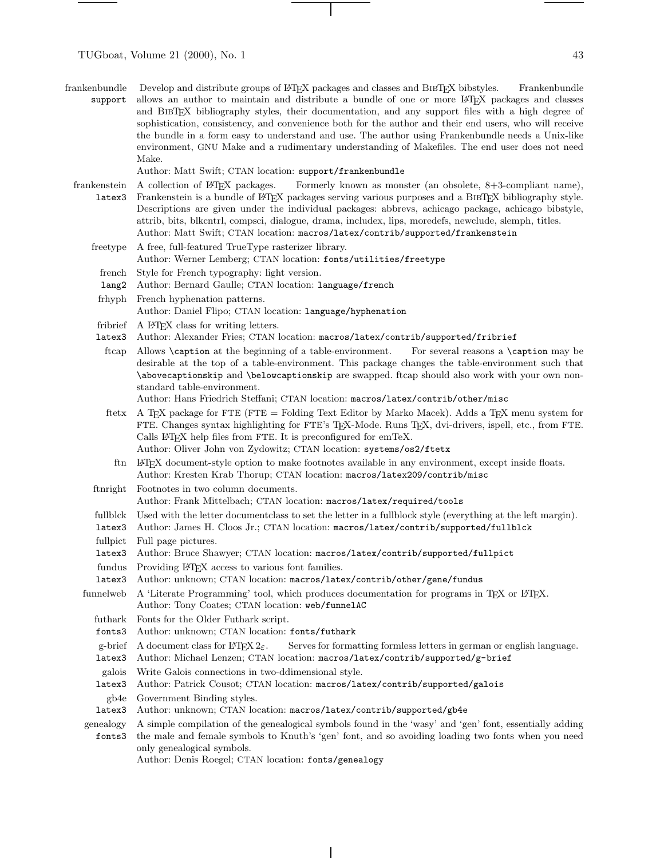| frankenbundle Develop and distribute groups of LeT <sub>F</sub> X packages and classes and BIBT <sub>F</sub> X bibstyles.<br>Frankenbundle |
|--------------------------------------------------------------------------------------------------------------------------------------------|
| support allows an author to maintain and distribute a bundle of one or more LAT <sub>EX</sub> packages and classes                         |
| and BIBT <sub>EX</sub> bibliography styles, their documentation, and any support files with a high degree of                               |
| sophistication, consistency, and convenience both for the author and their end users, who will receive                                     |
| the bundle in a form easy to understand and use. The author using Frankenbundle needs a Unix-like                                          |
| environment, GNU Make and a rudimentary understanding of Makefiles. The end user does not need                                             |
| Make.                                                                                                                                      |

Author: Matt Swift; CTAN location: support/frankenbundle

- frankenstein A collection of IATEX packages. latex3 Frankenstein is a bundle of LATEX packages serving various purposes and a BibTEX bibliography style. Formerly known as monster (an obsolete,  $8+3$ -compliant name), Descriptions are given under the individual packages: abbrevs, achicago package, achicago bibstyle, attrib, bits, blkcntrl, compsci, dialogue, drama, includex, lips, moredefs, newclude, slemph, titles. Author: Matt Swift; CTAN location: macros/latex/contrib/supported/frankenstein
	- freetype A free, full-featured TrueType rasterizer library. Author: Werner Lemberg; CTAN location: fonts/utilities/freetype
		- french Style for French typography: light version.
		- lang2 Author: Bernard Gaulle; CTAN location: language/french
		- frhyph French hyphenation patterns.
			- Author: Daniel Flipo; CTAN location: language/hyphenation
		- fribrief A L<sup>AT</sup>EX class for writing letters.
	- latex3 Author: Alexander Fries; CTAN location: macros/latex/contrib/supported/fribrief
	- ftcap Allows \caption at the beginning of a table-environment. For several reasons a \caption may be desirable at the top of a table-environment. This package changes the table-environment such that \abovecaptionskip and \belowcaptionskip are swapped. ftcap should also work with your own nonstandard table-environment.

Author: Hans Friedrich Steffani; CTAN location: macros/latex/contrib/other/misc

- ftetx A TEX package for FTE (FTE = Folding Text Editor by Marko Macek). Adds a TEX menu system for FTE. Changes syntax highlighting for FTE's TEX-Mode. Runs TEX, dvi-drivers, ispell, etc., from FTE. Calls LAT<sub>EX</sub> help files from FTE. It is preconfigured for emTeX. Author: Oliver John von Zydowitz; CTAN location: systems/os2/ftetx
- ftn LATEX document-style option to make footnotes available in any environment, except inside floats. Author: Kresten Krab Thorup; CTAN location: macros/latex209/contrib/misc
- ftnright Footnotes in two column documents.

Author: Frank Mittelbach; CTAN location: macros/latex/required/tools

- fullblck Used with the letter documentclass to set the letter in a fullblock style (everything at the left margin).
- latex3 Author: James H. Cloos Jr.; CTAN location: macros/latex/contrib/supported/fullblck
- fullpict Full page pictures.
- latex3 Author: Bruce Shawyer; CTAN location: macros/latex/contrib/supported/fullpict
- fundus Providing L<sup>AT</sup>EX access to various font families.
- latex3 Author: unknown; CTAN location: macros/latex/contrib/other/gene/fundus
- funnelweb A 'Literate Programming' tool, which produces documentation for programs in TFX or L<sup>AT</sup>EX. Author: Tony Coates; CTAN location: web/funnelAC
	- futhark Fonts for the Older Futhark script.
	- fonts3 Author: unknown; CTAN location: fonts/futhark
	- g-brief A document class for  $\angle$ FIFX  $2\varepsilon$ . Serves for formatting formless letters in german or english language.
	- latex3 Author: Michael Lenzen; CTAN location: macros/latex/contrib/supported/g-brief
	- galois Write Galois connections in two-ddimensional style.

latex3 Author: Patrick Cousot; CTAN location: macros/latex/contrib/supported/galois

- gb4e Government Binding styles.
- latex3 Author: unknown; CTAN location: macros/latex/contrib/supported/gb4e

genealogy A simple compilation of the genealogical symbols found in the 'wasy' and 'gen' font, essentially adding fonts3 the male and female symbols to Knuth's 'gen' font, and so avoiding loading two fonts when you need only genealogical symbols.

Author: Denis Roegel; CTAN location: fonts/genealogy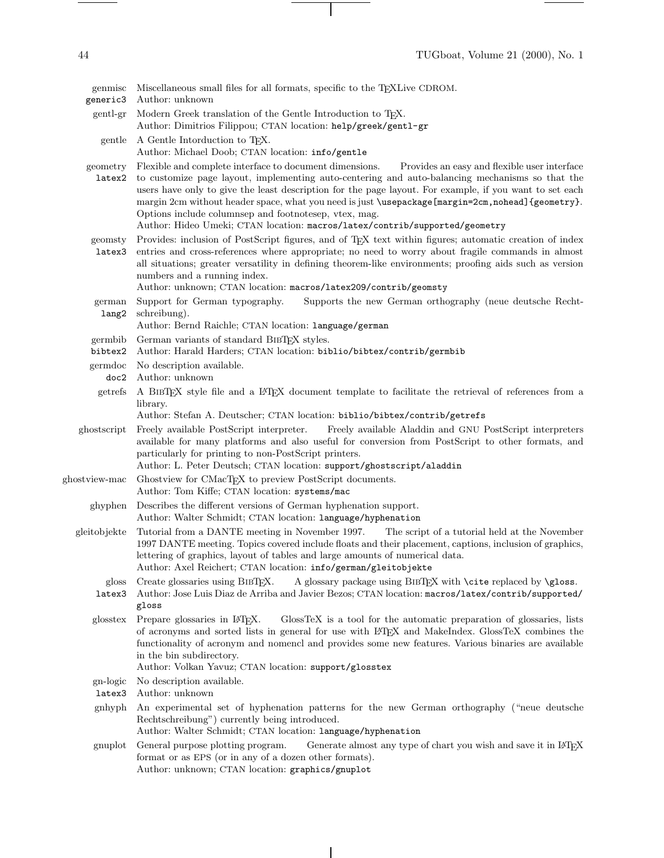$\begin{tabular}{l} \multicolumn{2}{c} {\textbf{1}} & \multicolumn{2}{c} {\textbf{1}} & \multicolumn{2}{c} {\textbf{1}} \\ \multicolumn{2}{c} {\textbf{1}} & \multicolumn{2}{c} {\textbf{1}} & \multicolumn{2}{c} {\textbf{1}} \\ \multicolumn{2}{c} {\textbf{1}} & \multicolumn{2}{c} {\textbf{1}} & \multicolumn{2}{c} {\textbf{1}} \\ \multicolumn{2}{c} {\textbf{1}} & \multicolumn{2}{c} {\textbf{1}} & \multicolumn{2}{c} {\textbf{1}} \\ \multicolumn{2}{c} {\textbf{1}} & \multicolumn$ 

 $\begin{tabular}{l} \multicolumn{2}{c} {\textbf{1}} & \multicolumn{2}{c} {\textbf{1}} & \multicolumn{2}{c} {\textbf{1}} \\ \multicolumn{2}{c} {\textbf{1}} & \multicolumn{2}{c} {\textbf{1}} & \multicolumn{2}{c} {\textbf{1}} \\ \multicolumn{2}{c} {\textbf{1}} & \multicolumn{2}{c} {\textbf{1}} & \multicolumn{2}{c} {\textbf{1}} \\ \multicolumn{2}{c} {\textbf{1}} & \multicolumn{2}{c} {\textbf{1}} & \multicolumn{2}{c} {\textbf{1}} \\ \multicolumn{2}{c} {\textbf{1}} & \multicolumn$ 

| genmisc<br>generic3 | Miscellaneous small files for all formats, specific to the T <sub>E</sub> XLive CDROM.<br>Author: unknown                                                                                                                                                                                                                                                                                                                                                                                                                                                            |
|---------------------|----------------------------------------------------------------------------------------------------------------------------------------------------------------------------------------------------------------------------------------------------------------------------------------------------------------------------------------------------------------------------------------------------------------------------------------------------------------------------------------------------------------------------------------------------------------------|
| gent-gr             | Modern Greek translation of the Gentle Introduction to TEX.<br>Author: Dimitrios Filippou; CTAN location: help/greek/gentl-gr                                                                                                                                                                                                                                                                                                                                                                                                                                        |
| gentle              | A Gentle Intorduction to T <sub>F</sub> X.<br>Author: Michael Doob; CTAN location: info/gentle                                                                                                                                                                                                                                                                                                                                                                                                                                                                       |
| geometry<br>latex2  | Flexible and complete interface to document dimensions.<br>Provides an easy and flexible user interface<br>to customize page layout, implementing auto-centering and auto-balancing mechanisms so that the<br>users have only to give the least description for the page layout. For example, if you want to set each<br>margin 2cm without header space, what you need is just \usepackage [margin=2cm, nohead] {geometry}.<br>Options include columnsep and footnotesep, vtex, mag.<br>Author: Hideo Umeki; CTAN location: macros/latex/contrib/supported/geometry |
| geomsty<br>latex3   | Provides: inclusion of PostScript figures, and of TEX text within figures; automatic creation of index<br>entries and cross-references where appropriate; no need to worry about fragile commands in almost<br>all situations; greater versatility in defining theorem-like environments; proofing aids such as version<br>numbers and a running index.<br>Author: unknown; CTAN location: macros/latex209/contrib/geomsty                                                                                                                                           |
| german<br>lang2     | Support for German typography.<br>Supports the new German orthography (neue deutsche Recht-<br>schreibung).<br>Author: Bernd Raichle; CTAN location: language/german                                                                                                                                                                                                                                                                                                                                                                                                 |
| germbib<br>bibtex2  | German variants of standard BIBTEX styles.<br>Author: Harald Harders; CTAN location: biblio/bibtex/contrib/germbib                                                                                                                                                                                                                                                                                                                                                                                                                                                   |
| germdoc<br>doc2     | No description available.<br>Author: unknown                                                                                                                                                                                                                                                                                                                                                                                                                                                                                                                         |
| getrefs             | A BIBTEX style file and a LATEX document template to facilitate the retrieval of references from a<br>library.<br>Author: Stefan A. Deutscher; CTAN location: biblio/bibtex/contrib/getrefs                                                                                                                                                                                                                                                                                                                                                                          |
| ghostscript         | Freely available PostScript interpreter.<br>Freely available Aladdin and GNU PostScript interpreters<br>available for many platforms and also useful for conversion from PostScript to other formats, and<br>particularly for printing to non-PostScript printers.<br>Author: L. Peter Deutsch; CTAN location: support/ghostscript/aladdin                                                                                                                                                                                                                           |
| ghostview-mac       | Ghostview for CMacTEX to preview PostScript documents.<br>Author: Tom Kiffe; CTAN location: systems/mac                                                                                                                                                                                                                                                                                                                                                                                                                                                              |
| ghyphen             | Describes the different versions of German hyphenation support.<br>Author: Walter Schmidt; CTAN location: language/hyphenation                                                                                                                                                                                                                                                                                                                                                                                                                                       |
| gleitobjekte        | Tutorial from a DANTE meeting in November 1997.<br>The script of a tutorial held at the November<br>1997 DANTE meeting. Topics covered include floats and their placement, captions, inclusion of graphics,<br>lettering of graphics, layout of tables and large amounts of numerical data.<br>Author: Axel Reichert; CTAN location: info/german/gleitobjekte                                                                                                                                                                                                        |
| gloss<br>latex3     | A glossary package using BIBTEX with \cite replaced by \gloss.<br>Create glossaries using BIBTFX.<br>Author: Jose Luis Diaz de Arriba and Javier Bezos; CTAN location: macros/latex/contrib/supported/<br>gloss                                                                                                                                                                                                                                                                                                                                                      |
| glosstex            | Prepare glossaries in L <sup>AT</sup> EX.<br>GlossTeX is a tool for the automatic preparation of glossaries, lists<br>of acronyms and sorted lists in general for use with L <sup>AT</sup> EX and MakeIndex. GlossTeX combines the<br>functionality of acronym and nomencl and provides some new features. Various binaries are available<br>in the bin subdirectory.<br>Author: Volkan Yavuz; CTAN location: support/glosstex                                                                                                                                       |
| gn-logic<br>latex3  | No description available.<br>Author: unknown                                                                                                                                                                                                                                                                                                                                                                                                                                                                                                                         |
| gnhyph              | An experimental set of hyphenation patterns for the new German orthography ("neue deutsche<br>Rechtschreibung") currently being introduced.<br>Author: Walter Schmidt; CTAN location: language/hyphenation                                                                                                                                                                                                                                                                                                                                                           |
| gnuplot             | Generate almost any type of chart you wish and save it in IATEX<br>General purpose plotting program.<br>format or as EPS (or in any of a dozen other formats).<br>Author: unknown; CTAN location: graphics/gnuplot                                                                                                                                                                                                                                                                                                                                                   |
|                     |                                                                                                                                                                                                                                                                                                                                                                                                                                                                                                                                                                      |

 $\overline{\phantom{a}}$ 

 $\sim 10^{-10}$  m  $^{-1}$ 

 $\overline{\phantom{a}}$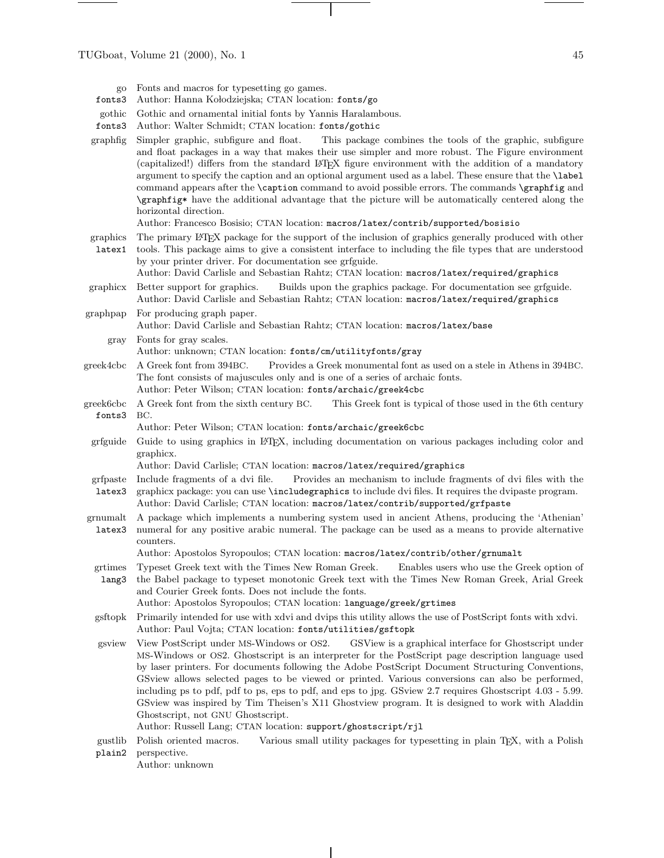- fonts3 Author: Hanna Kołodziejska; CTAN location: fonts/go
- gothic Gothic and ornamental initial fonts by Yannis Haralambous.
- fonts3 Author: Walter Schmidt; CTAN location: fonts/gothic
- graphfig Simpler graphic, subfigure and float. This package combines the tools of the graphic, subfigure and float packages in a way that makes their use simpler and more robust. The Figure environment (capitalized!) differs from the standard LATEX figure environment with the addition of a mandatory argument to specify the caption and an optional argument used as a label. These ensure that the \label command appears after the **\caption** command to avoid possible errors. The commands **\graphfig** and \graphfig\* have the additional advantage that the picture will be automatically centered along the horizontal direction.

Author: Francesco Bosisio; CTAN location: macros/latex/contrib/supported/bosisio

- graphics The primary LATEX package for the support of the inclusion of graphics generally produced with other
- latex1 tools. This package aims to give a consistent interface to including the file types that are understood by your printer driver. For documentation see grfguide. Author: David Carlisle and Sebastian Rahtz; CTAN location: macros/latex/required/graphics
- graphicx Better support for graphics. Builds upon the graphics package. For documentation see grfguide. Author: David Carlisle and Sebastian Rahtz; CTAN location: macros/latex/required/graphics
- graphpap For producing graph paper. Author: David Carlisle and Sebastian Rahtz; CTAN location: macros/latex/base
	- gray Fonts for gray scales. Author: unknown; CTAN location: fonts/cm/utilityfonts/gray
- greek4cbc A Greek font from 394BC. Provides a Greek monumental font as used on a stele in Athens in 394BC. The font consists of majuscules only and is one of a series of archaic fonts. Author: Peter Wilson; CTAN location: fonts/archaic/greek4cbc
- greek6cbc fonts3 A Greek font from the sixth century BC. This Greek font is typical of those used in the 6th century BC.
	- Author: Peter Wilson; CTAN location: fonts/archaic/greek6cbc
- grfguide Guide to using graphics in LATEX, including documentation on various packages including color and graphicx.

Author: David Carlisle; CTAN location: macros/latex/required/graphics

- grfpaste Include fragments of a dvi file. Provides an mechanism to include fragments of dvi files with the
- latex3 graphicx package: you can use \includegraphics to include dvi files. It requires the dvipaste program. Author: David Carlisle; CTAN location: macros/latex/contrib/supported/grfpaste
- grnumalt latex3 A package which implements a numbering system used in ancient Athens, producing the 'Athenian' numeral for any positive arabic numeral. The package can be used as a means to provide alternative counters.

Author: Apostolos Syropoulos; CTAN location: macros/latex/contrib/other/grnumalt

grtimes lang3 Typeset Greek text with the Times New Roman Greek. Enables users who use the Greek option of the Babel package to typeset monotonic Greek text with the Times New Roman Greek, Arial Greek and Courier Greek fonts. Does not include the fonts.

Author: Apostolos Syropoulos; CTAN location: language/greek/grtimes

- gsftopk Primarily intended for use with xdvi and dvips this utility allows the use of PostScript fonts with xdvi. Author: Paul Vojta; CTAN location: fonts/utilities/gsftopk
- gsview View PostScript under MS-Windows or OS2. GSView is a graphical interface for Ghostscript under MS-Windows or OS2. Ghostscript is an interpreter for the PostScript page description language used by laser printers. For documents following the Adobe PostScript Document Structuring Conventions, GSviewallows selected pages to be viewed or printed. Various conversions can also be performed, including ps to pdf, pdf to ps, eps to pdf, and eps to jpg. GSview2.7 requires Ghostscript 4.03 - 5.99. GSview was inspired by Tim Theisen's X11 Ghostview program. It is designed to work with Aladdin Ghostscript, not GNU Ghostscript.
	- Author: Russell Lang; CTAN location: support/ghostscript/rjl
- gustlib plain2 Polish oriented macros. Various small utility packages for typesetting in plain TEX, with a Polish perspective.

Author: unknown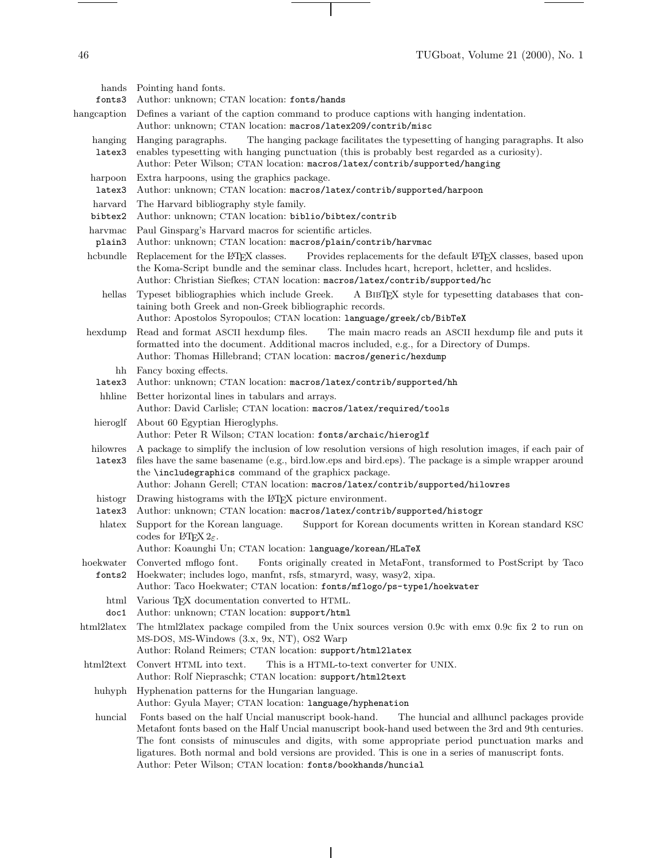46 TUGboat, Volume 21 (2000), No. 1

 $\frac{1}{\sqrt{2\pi}}\left( \frac{1}{\sqrt{2\pi}}\right) ^{2}+\frac{1}{\sqrt{2\pi}}\left( \frac{1}{\sqrt{2\pi}}\right) ^{2}+\frac{1}{\sqrt{2\pi}}\left( \frac{1}{\sqrt{2\pi}}\right) ^{2}+\frac{1}{\sqrt{2\pi}}\left( \frac{1}{\sqrt{2\pi}}\right) ^{2}+\frac{1}{\sqrt{2\pi}}\left( \frac{1}{\sqrt{2\pi}}\right) ^{2}+\frac{1}{\sqrt{2\pi}}\left( \frac{1}{\sqrt{2\pi}}\right) ^{2}+\frac{1}{\sqrt{2\pi}}\left( \$ 

 $\overline{\phantom{a}}$ 

 $\overline{\phantom{a}}$ 

| fonts3             | hands Pointing hand fonts.<br>Author: unknown; CTAN location: fonts/hands                                                                                                                                                                                                                                                                                                                                                                                                          |
|--------------------|------------------------------------------------------------------------------------------------------------------------------------------------------------------------------------------------------------------------------------------------------------------------------------------------------------------------------------------------------------------------------------------------------------------------------------------------------------------------------------|
| hangcaption        | Defines a variant of the caption command to produce captions with hanging indentation.<br>Author: unknown; CTAN location: macros/latex209/contrib/misc                                                                                                                                                                                                                                                                                                                             |
| hanging<br>latex3  | Hanging paragraphs.<br>The hanging package facilitates the typesetting of hanging paragraphs. It also<br>enables typesetting with hanging punctuation (this is probably best regarded as a curiosity).<br>Author: Peter Wilson; CTAN location: macros/latex/contrib/supported/hanging                                                                                                                                                                                              |
| harpoon<br>latex3  | Extra harpoons, using the graphics package.<br>Author: unknown; CTAN location: macros/latex/contrib/supported/harpoon                                                                                                                                                                                                                                                                                                                                                              |
| harvard<br>bibtex2 | The Harvard bibliography style family.<br>Author: unknown; CTAN location: biblio/bibtex/contrib                                                                                                                                                                                                                                                                                                                                                                                    |
| harvmac<br>plain3  | Paul Ginsparg's Harvard macros for scientific articles.<br>Author: unknown; CTAN location: macros/plain/contrib/harvmac                                                                                                                                                                                                                                                                                                                                                            |
| hcbundle           | Replacement for the L <sup>AT</sup> FX classes.<br>Provides replacements for the default IATEX classes, based upon<br>the Koma-Script bundle and the seminar class. Includes heart, hereport, heletter, and heslides.<br>Author: Christian Siefkes; CTAN location: macros/latex/contrib/supported/hc                                                                                                                                                                               |
| hellas             | Typeset bibliographies which include Greek.<br>A BIBTEX style for typesetting databases that con-<br>taining both Greek and non-Greek bibliographic records.<br>Author: Apostolos Syropoulos; CTAN location: language/greek/cb/BibTeX                                                                                                                                                                                                                                              |
| hexdump            | Read and format ASCII hexdump files.<br>The main macro reads an ASCII hexdump file and puts it<br>formatted into the document. Additional macros included, e.g., for a Directory of Dumps.<br>Author: Thomas Hillebrand; CTAN location: macros/generic/hexdump                                                                                                                                                                                                                     |
| latex3             | hh Fancy boxing effects.<br>Author: unknown; CTAN location: macros/latex/contrib/supported/hh                                                                                                                                                                                                                                                                                                                                                                                      |
| hhline             | Better horizontal lines in tabulars and arrays.<br>Author: David Carlisle; CTAN location: macros/latex/required/tools                                                                                                                                                                                                                                                                                                                                                              |
| hieroglf           | About 60 Egyptian Hieroglyphs.<br>Author: Peter R Wilson; CTAN location: fonts/archaic/hieroglf                                                                                                                                                                                                                                                                                                                                                                                    |
| hilowres<br>latex3 | A package to simplify the inclusion of low resolution versions of high resolution images, if each pair of<br>files have the same basename (e.g., bird.low.eps and bird.eps). The package is a simple wrapper around<br>the <b>\includegraphics</b> command of the graphicx package.<br>Author: Johann Gerell; CTAN location: macros/latex/contrib/supported/hilowres                                                                                                               |
| histogr<br>latex3  | Drawing histograms with the IATEX picture environment.<br>Author: unknown; CTAN location: macros/latex/contrib/supported/histogr                                                                                                                                                                                                                                                                                                                                                   |
| hlatex             | Support for the Korean language.<br>Support for Korean documents written in Korean standard KSC<br>codes for ITFX $2\varepsilon$ .<br>Author: Koaunghi Un; CTAN location: language/korean/HLaTeX                                                                                                                                                                                                                                                                                   |
|                    | hoekwater Converted mflogo font. Fonts originally created in MetaFont, transformed to PostScript by Taco<br>fonts2 Hoekwater; includes logo, manfint, rsfs, stmaryrd, wasy, wasy2, xipa.<br>Author: Taco Hoekwater; CTAN location: fonts/mflogo/ps-type1/hoekwater                                                                                                                                                                                                                 |
| html<br>doc1       | Various TEX documentation converted to HTML.<br>Author: unknown; CTAN location: support/html                                                                                                                                                                                                                                                                                                                                                                                       |
| html2latex         | The html2latex package compiled from the Unix sources version 0.9c with emx 0.9c fix 2 to run on<br>MS-DOS, MS-Windows (3.x, 9x, NT), OS2 Warp<br>Author: Roland Reimers; CTAN location: support/html2latex                                                                                                                                                                                                                                                                        |
| html2text          | Convert HTML into text.<br>This is a HTML-to-text converter for UNIX.<br>Author: Rolf Niepraschk; CTAN location: support/html2text                                                                                                                                                                                                                                                                                                                                                 |
| huhyph             | Hyphenation patterns for the Hungarian language.<br>Author: Gyula Mayer; CTAN location: language/hyphenation                                                                                                                                                                                                                                                                                                                                                                       |
| huncial            | Fonts based on the half Uncial manuscript book-hand.<br>The huncial and allhuncl packages provide<br>Metafont fonts based on the Half Uncial manuscript book-hand used between the 3rd and 9th centuries.<br>The font consists of minuscules and digits, with some appropriate period punctuation marks and<br>ligatures. Both normal and bold versions are provided. This is one in a series of manuscript fonts.<br>Author: Peter Wilson; CTAN location: fonts/bookhands/huncial |

 $\overline{\phantom{a}}$ 

 $\begin{tabular}{l} \multicolumn{2}{c} {\textbf{1}} & \multicolumn{2}{c} {\textbf{1}} & \multicolumn{2}{c} {\textbf{1}} \\ \multicolumn{2}{c} {\textbf{1}} & \multicolumn{2}{c} {\textbf{1}} & \multicolumn{2}{c} {\textbf{1}} \\ \multicolumn{2}{c} {\textbf{1}} & \multicolumn{2}{c} {\textbf{1}} & \multicolumn{2}{c} {\textbf{1}} \\ \multicolumn{2}{c} {\textbf{1}} & \multicolumn{2}{c} {\textbf{1}} & \multicolumn{2}{c} {\textbf{1}} \\ \multicolumn{2}{c} {\textbf{1}} & \multicolumn$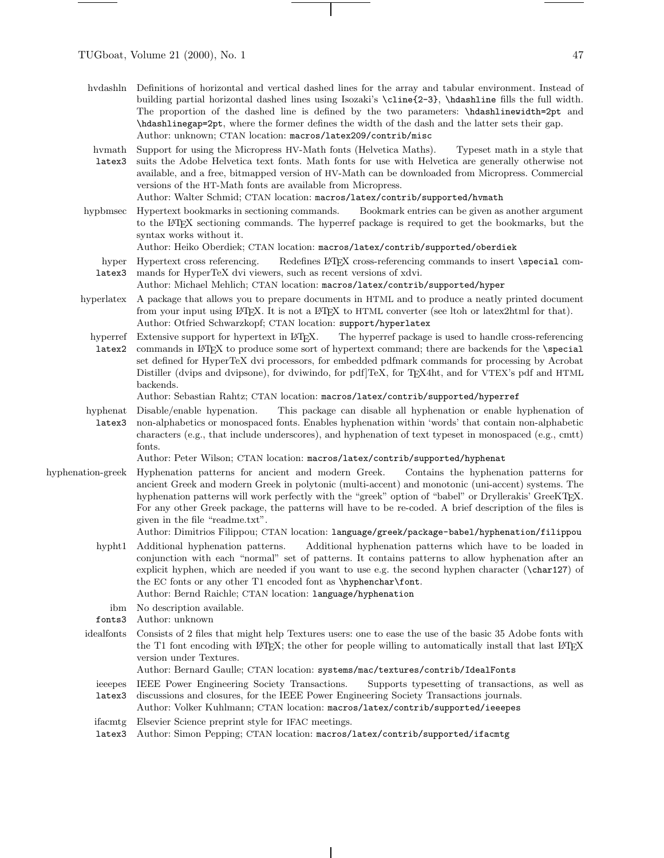- hvdashln Definitions of horizontal and vertical dashed lines for the array and tabular environment. Instead of building partial horizontal dashed lines using Isozaki's \cline{2-3}, \hdashline fills the full width. The proportion of the dashed line is defined by the two parameters: \hdashlinewidth=2pt and \hdashlinegap=2pt, where the former defines the width of the dash and the latter sets their gap. Author: unknown; CTAN location: macros/latex209/contrib/misc
- hvmath latex3 Support for using the Micropress HV-Math fonts (Helvetica Maths). Typeset math in a style that suits the Adobe Helvetica text fonts. Math fonts for use with Helvetica are generally otherwise not available, and a free, bitmapped version of HV-Math can be downloaded from Micropress. Commercial versions of the HT-Math fonts are available from Micropress. Author: Walter Schmid; CTAN location: macros/latex/contrib/supported/hvmath
- hypbmsec Hypertext bookmarks in sectioning commands. Bookmark entries can be given as another argument to the LATEX sectioning commands. The hyperref package is required to get the bookmarks, but the syntax works without it.

Author: Heiko Oberdiek; CTAN location: macros/latex/contrib/supported/oberdiek

hyper Hypertext cross referencing. latex3 Redefines LATEX cross-referencing commands to insert \special commands for HyperTeX dvi viewers, such as recent versions of xdvi.

Author: Michael Mehlich; CTAN location: macros/latex/contrib/supported/hyper

- hyperlatex A package that allows you to prepare documents in HTML and to produce a neatly printed document from your input using L<sup>AT</sup>EX. It is not a L<sup>AT</sup>EX to HTML converter (see ltoh or latex2html for that). Author: Otfried Schwarzkopf; CTAN location: support/hyperlatex
	- hyperref latex2 Extensive support for hypertext in L<sup>AT</sup>EX. The hyperref package is used to handle cross-referencing commands in LATEX to produce some sort of hypertext command; there are backends for the \special set defined for HyperTeX dvi processors, for embedded pdfmark commands for processing by Acrobat Distiller (dvips and dvipsone), for dviwindo, for pdf]TeX, for TEX4ht, and for VTEX's pdf and HTML backends.

Author: Sebastian Rahtz; CTAN location: macros/latex/contrib/supported/hyperref

hyphenat latex3 Disable/enable hypenation. This package can disable all hyphenation or enable hyphenation of non-alphabetics or monospaced fonts. Enables hyphenation within 'words' that contain non-alphabetic characters (e.g., that include underscores), and hyphenation of text typeset in monospaced (e.g., cmtt) fonts.

Author: Peter Wilson; CTAN location: macros/latex/contrib/supported/hyphenat

hyphenation-greek Hyphenation patterns for ancient and modern Greek. Contains the hyphenation patterns for ancient Greek and modern Greek in polytonic (multi-accent) and monotonic (uni-accent) systems. The hyphenation patterns will work perfectly with the "greek" option of "babel" or Dryllerakis' GreeKTEX. For any other Greek package, the patterns will have to be re-coded. A brief description of the files is given in the file "readme.txt".

Author: Dimitrios Filippou; CTAN location: language/greek/package-babel/hyphenation/filippou

- hypht1 Additional hyphenation patterns. Additional hyphenation patterns which have to be loaded in conjunction with each "normal" set of patterns. It contains patterns to allow hyphenation after an explicit hyphen, which are needed if you want to use e.g. the second hyphen character (\char127) of the EC fonts or any other T1 encoded font as \hyphenchar\font. Author: Bernd Raichle; CTAN location: language/hyphenation
	-
- ibm No description available.
- fonts3 Author: unknown
- idealfonts Consists of 2 files that might help Textures users: one to ease the use of the basic 35 Adobe fonts with the T1 font encoding with L<sup>AT</sup>EX; the other for people willing to automatically install that last L<sup>ATEX</sup> version under Textures.

Author: Bernard Gaulle; CTAN location: systems/mac/textures/contrib/IdealFonts

- ieeepes latex3 IEEE Power Engineering Society Transactions. Supports typesetting of transactions, as well as discussions and closures, for the IEEE Power Engineering Society Transactions journals.
- Author: Volker Kuhlmann; CTAN location: macros/latex/contrib/supported/ieeepes
- ifacmtg Elsevier Science preprint style for IFAC meetings.
- latex3 Author: Simon Pepping; CTAN location: macros/latex/contrib/supported/ifacmtg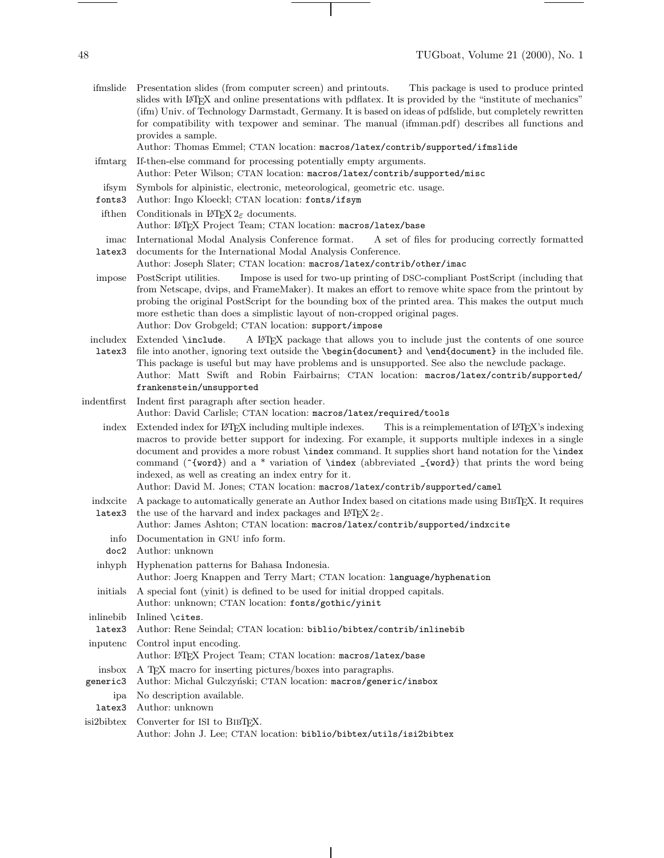ifmslide Presentation slides (from computer screen) and printouts. This package is used to produce printed slides with LATEX and online presentations with pdflatex. It is provided by the "institute of mechanics" (ifm) Univ. of Technology Darmstadt, Germany. It is based on ideas of pdfslide, but completely rewritten for compatibility with texpower and seminar. The manual (ifmman.pdf) describes all functions and provides a sample.

Author: Thomas Emmel; CTAN location: macros/latex/contrib/supported/ifmslide

- ifmtarg If-then-else command for processing potentially empty arguments. Author: Peter Wilson; CTAN location: macros/latex/contrib/supported/misc
- ifsym Symbols for alpinistic, electronic, meteorological, geometric etc. usage.
- fonts3 Author: Ingo Kloeckl; CTAN location: fonts/ifsym
- if then Conditionals in  $L^2E^X$  2 $\varepsilon$  documents. Author: LATEX Project Team; CTAN location: macros/latex/base
- imac latex3 International Modal Analysis Conference format. A set of files for producing correctly formatted documents for the International Modal Analysis Conference.
- Author: Joseph Slater; CTAN location: macros/latex/contrib/other/imac
- impose PostScript utilities. Impose is used for two-up printing of DSC-compliant PostScript (including that from Netscape, dvips, and FrameMaker). It makes an effort to remove white space from the printout by probing the original PostScript for the bounding box of the printed area. This makes the output much more esthetic than does a simplistic layout of non-cropped original pages. Author: Dov Grobgeld; CTAN location: support/impose
- includex Extended \include. ALTEX package that allows you to include just the contents of one source
- latex3 file into another, ignoring text outside the \begin{document} and \end{document} in the included file. This package is useful but may have problems and is unsupported. See also the newclude package. Author: Matt Swift and Robin Fairbairns; CTAN location: macros/latex/contrib/supported/ frankenstein/unsupported
- indentfirst Indent first paragraph after section header. Author: David Carlisle; CTAN location: macros/latex/required/tools
	- index Extended index for LATEX including multiple indexes. This is a reimplementation of LATEX's indexing macros to provide better support for indexing. For example, it supports multiple indexes in a single document and provides a more robust \index command. It supplies short hand notation for the \index command (~{word}) and a \* variation of \index (abbreviated \_{word}) that prints the word being indexed, as well as creating an index entry for it.

Author: David M. Jones; CTAN location: macros/latex/contrib/supported/camel

indxcite A package to automatically generate an Author Index based on citations made using BibTEX. It requires latex3 the use of the harvard and index packages and  $L^2E^X \mathcal{L}_{\varepsilon}$ .

## Author: James Ashton; CTAN location: macros/latex/contrib/supported/indxcite

- info Documentation in GNU info form.
- doc2 Author: unknown
- inhyph Hyphenation patterns for Bahasa Indonesia. Author: Joerg Knappen and Terry Mart; CTAN location: language/hyphenation
- initials A special font (yinit) is defined to be used for initial dropped capitals. Author: unknown; CTAN location: fonts/gothic/yinit
- inlinebib Inlined \cites.
- latex3 Author: Rene Seindal; CTAN location: biblio/bibtex/contrib/inlinebib
- inputenc Control input encoding. Author: LATEX Project Team; CTAN location: macros/latex/base insbox A TEX macro for inserting pictures/boxes into paragraphs. generic3 Author: Michal Gulczyński; CTAN location: macros/generic/insbox ipa No description available.
	- latex3 Author: unknown
- isi2bibtex Converter for ISI to BIBT<sub>EX</sub>. Author: John J. Lee; CTAN location: biblio/bibtex/utils/isi2bibtex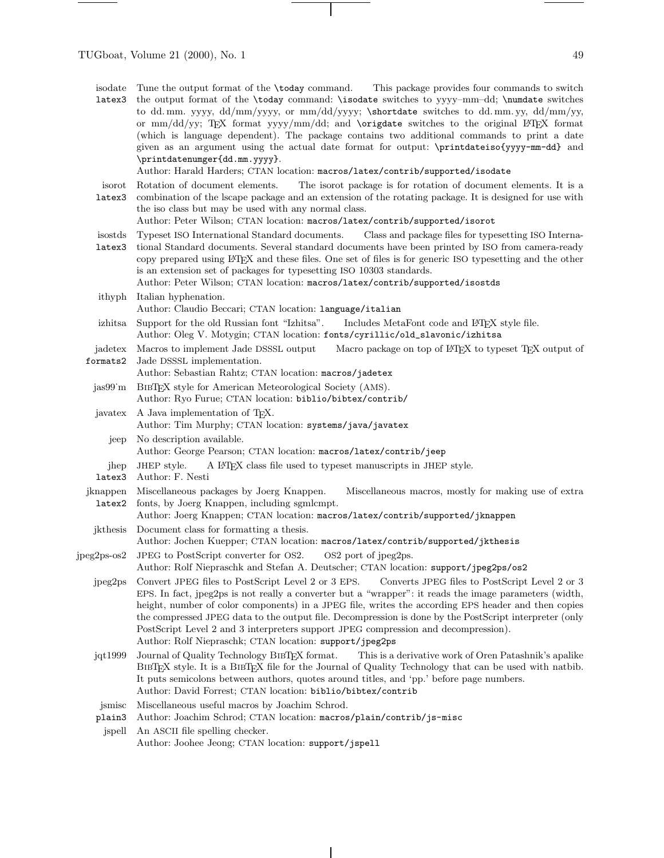TUGboat, Volume 21 (2000), No. 1 49

 $\frac{1}{\sqrt{2\pi}}\left( \frac{1}{\sqrt{2\pi}}\right) \left( \frac{1}{\sqrt{2\pi}}\right) \left( \frac{1}{\sqrt{2\pi}}\right) \left( \frac{1}{\sqrt{2\pi}}\right) \left( \frac{1}{\sqrt{2\pi}}\right) \left( \frac{1}{\sqrt{2\pi}}\right) \left( \frac{1}{\sqrt{2\pi}}\right) \left( \frac{1}{\sqrt{2\pi}}\right) \left( \frac{1}{\sqrt{2\pi}}\right) \left( \frac{1}{\sqrt{2\pi}}\right) \left( \frac{1}{\sqrt{2\pi}}\right) \left( \frac{1}{\sqrt$ 

٠

 $\overline{\phantom{a}}$ 

| isodate<br>latex3   | Tune the output format of the <b>\today</b> command. This package provides four commands to switch<br>the output format of the \today command: \isodate switches to yyyy-mm-dd; \numdate switches<br>to dd.mm. yyyy, dd/mm/yyyy, or mm/dd/yyyy; \shortdate switches to dd.mm.yy, dd/mm/yy,<br>or mm/dd/yy; TEX format yyyy/mm/dd; and \origdate switches to the original L'TEX format<br>(which is language dependent). The package contains two additional commands to print a date<br>given as an argument using the actual date format for output: \printdateiso{yyyy-mm-dd} and<br>\printdatenumger{dd.mm.yyyy}.<br>Author: Harald Harders; CTAN location: macros/latex/contrib/supported/isodate |
|---------------------|-------------------------------------------------------------------------------------------------------------------------------------------------------------------------------------------------------------------------------------------------------------------------------------------------------------------------------------------------------------------------------------------------------------------------------------------------------------------------------------------------------------------------------------------------------------------------------------------------------------------------------------------------------------------------------------------------------|
| isorot              | Rotation of document elements.<br>The isorot package is for rotation of document elements. It is a                                                                                                                                                                                                                                                                                                                                                                                                                                                                                                                                                                                                    |
| latex3              | combination of the Iscape package and an extension of the rotating package. It is designed for use with<br>the iso class but may be used with any normal class.<br>Author: Peter Wilson; CTAN location: macros/latex/contrib/supported/isorot                                                                                                                                                                                                                                                                                                                                                                                                                                                         |
| isostds<br>latex3   | Typeset ISO International Standard documents.<br>Class and package files for typesetting ISO Interna-<br>tional Standard documents. Several standard documents have been printed by ISO from camera-ready<br>copy prepared using L <sup>AT</sup> EX and these files. One set of files is for generic ISO typesetting and the other<br>is an extension set of packages for typesetting ISO 10303 standards.<br>Author: Peter Wilson; CTAN location: macros/latex/contrib/supported/isostds                                                                                                                                                                                                             |
| ithyph              | Italian hyphenation.                                                                                                                                                                                                                                                                                                                                                                                                                                                                                                                                                                                                                                                                                  |
|                     | Author: Claudio Beccari; CTAN location: language/italian                                                                                                                                                                                                                                                                                                                                                                                                                                                                                                                                                                                                                                              |
| izhitsa             | Support for the old Russian font "Izhitsa".<br>Includes MetaFont code and L <sup>AT</sup> FX style file.<br>Author: Oleg V. Motygin; CTAN location: fonts/cyrillic/old_slavonic/izhitsa                                                                                                                                                                                                                                                                                                                                                                                                                                                                                                               |
| jadetex<br>formats2 | Macros to implement Jade DSSSL output<br>Macro package on top of L <sup>AT</sup> FX to typeset TFX output of<br>Jade DSSSL implementation.<br>Author: Sebastian Rahtz; CTAN location: macros/jadetex                                                                                                                                                                                                                                                                                                                                                                                                                                                                                                  |
| jas99 m             | BIBTEX style for American Meteorological Society (AMS).<br>Author: Ryo Furue; CTAN location: biblio/bibtex/contrib/                                                                                                                                                                                                                                                                                                                                                                                                                                                                                                                                                                                   |
| javatex             | A Java implementation of TEX.<br>Author: Tim Murphy; CTAN location: systems/java/javatex                                                                                                                                                                                                                                                                                                                                                                                                                                                                                                                                                                                                              |
| jeep                | No description available.<br>Author: George Pearson; CTAN location: macros/latex/contrib/jeep                                                                                                                                                                                                                                                                                                                                                                                                                                                                                                                                                                                                         |
| jhep                | A IATEX class file used to typeset manuscripts in JHEP style.<br>JHEP style.                                                                                                                                                                                                                                                                                                                                                                                                                                                                                                                                                                                                                          |
| latex3              | Author: F. Nesti                                                                                                                                                                                                                                                                                                                                                                                                                                                                                                                                                                                                                                                                                      |
| jknappen<br>latex2  | Miscellaneous packages by Joerg Knappen.<br>Miscellaneous macros, mostly for making use of extra<br>fonts, by Joerg Knappen, including sgmlcmpt.<br>Author: Joerg Knappen; CTAN location: macros/latex/contrib/supported/jknappen                                                                                                                                                                                                                                                                                                                                                                                                                                                                     |
| jkthesis            | Document class for formatting a thesis.<br>Author: Jochen Kuepper; CTAN location: macros/latex/contrib/supported/jkthesis                                                                                                                                                                                                                                                                                                                                                                                                                                                                                                                                                                             |
| jpeg2ps-os2         | JPEG to PostScript converter for OS2.<br>OS2 port of jpeg2ps.<br>Author: Rolf Niepraschk and Stefan A. Deutscher; CTAN location: support/jpeg2ps/os2                                                                                                                                                                                                                                                                                                                                                                                                                                                                                                                                                  |
| jpeg2ps             | Convert JPEG files to PostScript Level 2 or 3 EPS.<br>Converts JPEG files to PostScript Level 2 or 3<br>EPS. In fact, jpeg2ps is not really a converter but a "wrapper": it reads the image parameters (width,<br>height, number of color components) in a JPEG file, writes the according EPS header and then copies<br>the compressed JPEG data to the output file. Decompression is done by the PostScript interpreter (only<br>PostScript Level 2 and 3 interpreters support JPEG compression and decompression).<br>Author: Rolf Niepraschk; CTAN location: support/jpeg2ps                                                                                                                      |
| jqt1999             | Journal of Quality Technology BIBTEX format.<br>This is a derivative work of Oren Patashnik's apalike<br>BIBTFX style. It is a BIBTFX file for the Journal of Quality Technology that can be used with natbib.<br>It puts semicolons between authors, quotes around titles, and 'pp.' before page numbers.<br>Author: David Forrest; CTAN location: biblio/bibtex/contrib                                                                                                                                                                                                                                                                                                                             |
| jsmisc<br>plain3    | Miscellaneous useful macros by Joachim Schrod.<br>Author: Joachim Schrod; CTAN location: macros/plain/contrib/js-misc                                                                                                                                                                                                                                                                                                                                                                                                                                                                                                                                                                                 |
| jspell              | An ASCII file spelling checker.<br>Author: Joohee Jeong; CTAN location: support/jspell                                                                                                                                                                                                                                                                                                                                                                                                                                                                                                                                                                                                                |

 $\overline{\phantom{a}}$ 

 $\sim$  100  $\mu$ 

 $\overline{\phantom{a}}$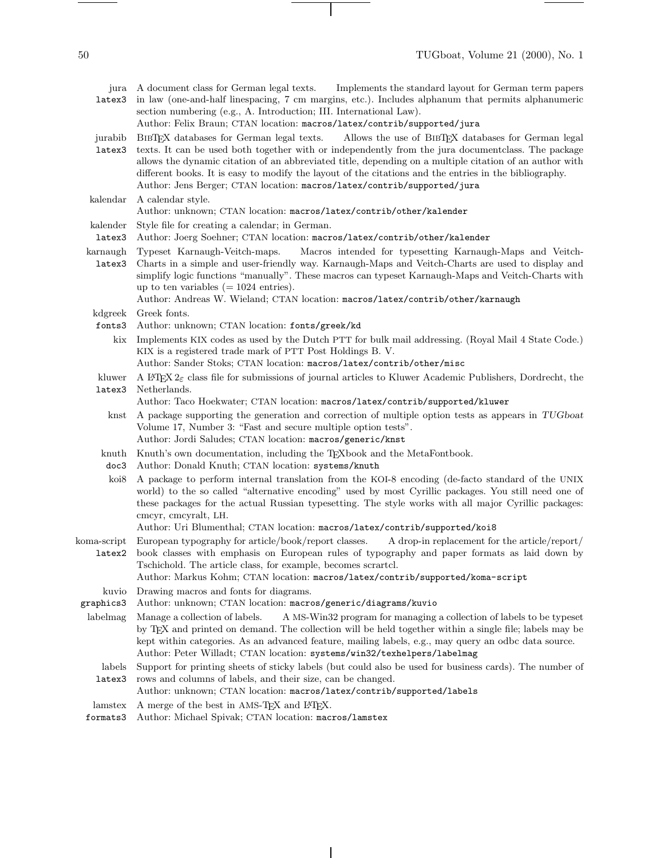Implements the standard layout for German term papers

jura A document class for German legal texts.

| latex3                | in law (one-and-half linespacing, 7 cm margins, etc.). Includes alphanum that permits alphanumeric<br>section numbering (e.g., A. Introduction; III. International Law).<br>Author: Felix Braun; CTAN location: macros/latex/contrib/supported/jura                                                                                                                                                                                                                                                    |
|-----------------------|--------------------------------------------------------------------------------------------------------------------------------------------------------------------------------------------------------------------------------------------------------------------------------------------------------------------------------------------------------------------------------------------------------------------------------------------------------------------------------------------------------|
| jurabib<br>latex3     | BIBTEX databases for German legal texts.<br>Allows the use of BIBTEX databases for German legal<br>texts. It can be used both together with or independently from the jura document class. The package<br>allows the dynamic citation of an abbreviated title, depending on a multiple citation of an author with<br>different books. It is easy to modify the layout of the citations and the entries in the bibliography.<br>Author: Jens Berger; CTAN location: macros/latex/contrib/supported/jura |
| kalendar              | A calendar style.<br>Author: unknown; CTAN location: macros/latex/contrib/other/kalender                                                                                                                                                                                                                                                                                                                                                                                                               |
| kalender<br>latex3    | Style file for creating a calendar; in German.                                                                                                                                                                                                                                                                                                                                                                                                                                                         |
|                       | Author: Joerg Soehner; CTAN location: macros/latex/contrib/other/kalender<br>Typeset Karnaugh-Veitch-maps.<br>Macros intended for typesetting Karnaugh-Maps and Veitch-                                                                                                                                                                                                                                                                                                                                |
| karnaugh<br>latex3    | Charts in a simple and user-friendly way. Karnaugh-Maps and Veitch-Charts are used to display and<br>simplify logic functions "manually". These macros can typeset Karnaugh-Maps and Veitch-Charts with<br>up to ten variables $(= 1024 \text{ entries}).$<br>Author: Andreas W. Wieland; CTAN location: macros/latex/contrib/other/karnaugh                                                                                                                                                           |
| kdgreek               | Greek fonts.                                                                                                                                                                                                                                                                                                                                                                                                                                                                                           |
| fonts3                | Author: unknown; CTAN location: fonts/greek/kd                                                                                                                                                                                                                                                                                                                                                                                                                                                         |
| kix                   | Implements KIX codes as used by the Dutch PTT for bulk mail addressing. (Royal Mail 4 State Code.)<br>KIX is a registered trade mark of PTT Post Holdings B.V.<br>Author: Sander Stoks; CTAN location: macros/latex/contrib/other/misc                                                                                                                                                                                                                                                                 |
| kluwer<br>latex3      | A IMPX $2\varepsilon$ class file for submissions of journal articles to Kluwer Academic Publishers, Dordrecht, the<br>Netherlands.                                                                                                                                                                                                                                                                                                                                                                     |
|                       | Author: Taco Hoekwater; CTAN location: macros/latex/contrib/supported/kluwer                                                                                                                                                                                                                                                                                                                                                                                                                           |
| $k$ nst               | A package supporting the generation and correction of multiple option tests as appears in TUGboat<br>Volume 17, Number 3: "Fast and secure multiple option tests".<br>Author: Jordi Saludes; CTAN location: macros/generic/knst                                                                                                                                                                                                                                                                        |
| $k$ nu $th$<br>doc3   | Knuth's own documentation, including the TEXbook and the MetaFontbook.<br>Author: Donald Knuth; CTAN location: systems/knuth                                                                                                                                                                                                                                                                                                                                                                           |
| koi8                  | A package to perform internal translation from the KOI-8 encoding (de-facto standard of the UNIX<br>world) to the so called "alternative encoding" used by most Cyrillic packages. You still need one of<br>these packages for the actual Russian typesetting. The style works with all major Cyrillic packages:<br>cmcyr, cmcyralt, LH.                                                                                                                                                               |
|                       | Author: Uri Blumenthal; CTAN location: macros/latex/contrib/supported/koi8                                                                                                                                                                                                                                                                                                                                                                                                                             |
| koma-script<br>latex2 | European typography for article/book/report classes.<br>A drop-in replacement for the article/report/<br>book classes with emphasis on European rules of typography and paper formats as laid down by<br>Tschichold. The article class, for example, becomes scrartcl.<br>Author: Markus Kohm; CTAN location: macros/latex/contrib/supported/koma-script                                                                                                                                               |
| kuvio                 | Drawing macros and fonts for diagrams.                                                                                                                                                                                                                                                                                                                                                                                                                                                                 |
| graphics3             | Author: unknown; CTAN location: macros/generic/diagrams/kuvio                                                                                                                                                                                                                                                                                                                                                                                                                                          |
| labelmag              | Manage a collection of labels.<br>A MS-Win32 program for managing a collection of labels to be typeset<br>by TEX and printed on demand. The collection will be held together within a single file; labels may be<br>kept within categories. As an advanced feature, mailing labels, e.g., may query an odbc data source.<br>Author: Peter Willadt; CTAN location: systems/win32/texhelpers/labelmag                                                                                                    |
| labels<br>latex3      | Support for printing sheets of sticky labels (but could also be used for business cards). The number of<br>rows and columns of labels, and their size, can be changed.<br>Author: unknown; CTAN location: macros/latex/contrib/supported/labels                                                                                                                                                                                                                                                        |
| lamstex               | A merge of the best in AMS-T <sub>E</sub> X and L <sup>A</sup> T <sub>E</sub> X.                                                                                                                                                                                                                                                                                                                                                                                                                       |
| formats3              | Author: Michael Spivak; CTAN location: macros/lamstex                                                                                                                                                                                                                                                                                                                                                                                                                                                  |

 $\overline{\phantom{a}}$ 

 $\mathbf{I}$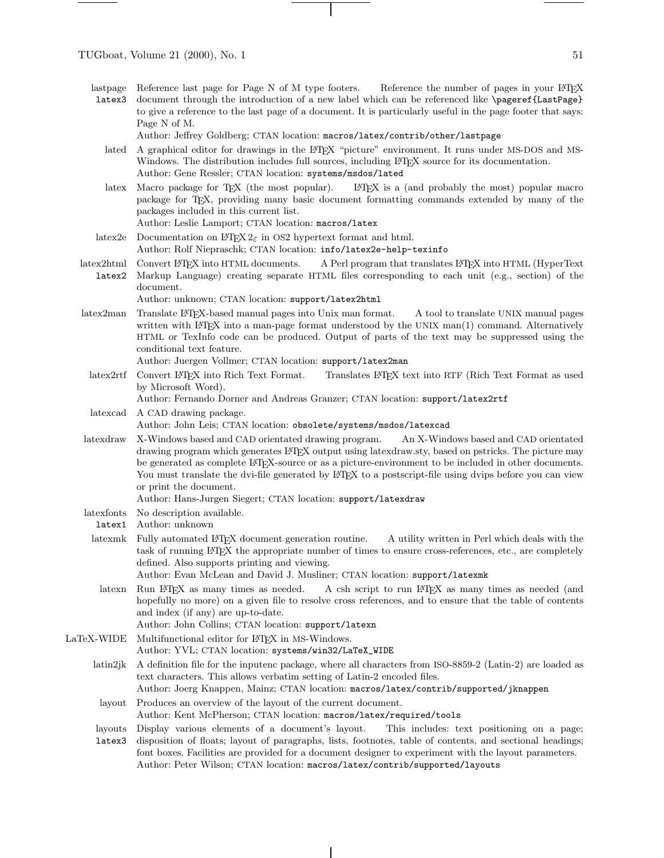lastpage latex3 Reference last page for Page N of M type footers. Reference the number of pages in your LATEX document through the introduction of a new label which can be referenced like \pageref{LastPage} to give a reference to the last page of a document. It is particularly useful in the page footer that says: Page N of M.

Author: Jeffrey Goldberg; CTAN location: macros/latex/contrib/other/lastpage

- lated A graphical editor for drawings in the L<sup>AT</sup>EX "picture" environment. It runs under MS-DOS and MS-Windows. The distribution includes full sources, including LATEX source for its documentation. Author: Gene Ressler; CTAN location: systems/msdos/lated
- latex Macro package for TEX (the most popular). LATEX is a (and probably the most) popular macro package for TEX, providing many basic document formatting commands extended by many of the packages included in this current list.

Author: Leslie Lamport; CTAN location: macros/latex

- latex2e Documentation on LATEX  $2\varepsilon$  in OS2 hypertext format and html. Author: Rolf Niepraschk; CTAN location: info/latex2e-help-texinfo
- latex2html Convert L<sup>4</sup>T<sub>F</sub>X into HTML documents. latex2 Markup Language) creating separate HTML files corresponding to each unit (e.g., section) of the A Perl program that translates LATEX into HTML (HyperText document.

Author: unknown; CTAN location: support/latex2html

- latex2man Translate LATEX-based manual pages into Unix man format. A tool to translate UNIX manual pages written with LATEX into a man-page format understood by the UNIX man(1) command. Alternatively HTML or TexInfo code can be produced. Output of parts of the text may be suppressed using the conditional text feature.
	- Author: Juergen Vollmer; CTAN location: support/latex2man
	- latex2rtf Convert LATEX into Rich Text Format. Translates LATEX text into RTF (Rich Text Format as used by Microsoft Word).

Author: Fernando Dorner and Andreas Granzer; CTAN location: support/latex2rtf

latexcad A CAD drawing package. Author: John Leis; CTAN location: obsolete/systems/msdos/latexcad

- latexdrawX-Windows based and CAD orientated drawing program. An X-Windows based and CAD orientated drawing program which generates LATEX output using latexdraw.sty, based on pstricks. The picture may be generated as complete LATEX-source or as a picture-environment to be included in other documents. You must translate the dvi-file generated by L<sup>AT</sup>EX to a postscript-file using dvips before you can view or print the document.
	- Author: Hans-Jurgen Siegert; CTAN location: support/latexdraw
- latexfonts No description available.
- latex1 Author: unknown
- latexmk Fully automated LATEX document generation routine. A utility written in Perl which deals with the task of running LATEX the appropriate number of times to ensure cross-references, etc., are completely defined. Also supports printing and viewing.

Author: Evan McLean and David J. Musliner; CTAN location: support/latexmk

latexn Run LATEX as many times as needed. A csh script to run LATEX as many times as needed (and hopefully no more) on a given file to resolve cross references, and to ensure that the table of contents and index (if any) are up-to-date.

Author: John Collins; CTAN location: support/latexn

LaTeX-WIDE Multifunctional editor for LATEX in MS-Windows.

Author: YVL; CTAN location: systems/win32/LaTeX\_WIDE

- latin2jk A definition file for the inputenc package, where all characters from ISO-8859-2 (Latin-2) are loaded as text characters. This allows verbatim setting of Latin-2 encoded files.
	- Author: Joerg Knappen, Mainz; CTAN location: macros/latex/contrib/supported/jknappen
- layout Produces an overview of the layout of the current document. Author: Kent McPherson; CTAN location: macros/latex/required/tools

layouts Display various elements of a document's layout. This includes: text positioning on a page; latex3 disposition of floats; layout of paragraphs, lists, footnotes, table of contents, and sectional headings; font boxes. Facilities are provided for a document designer to experiment with the layout parameters.

Author: Peter Wilson; CTAN location: macros/latex/contrib/supported/layouts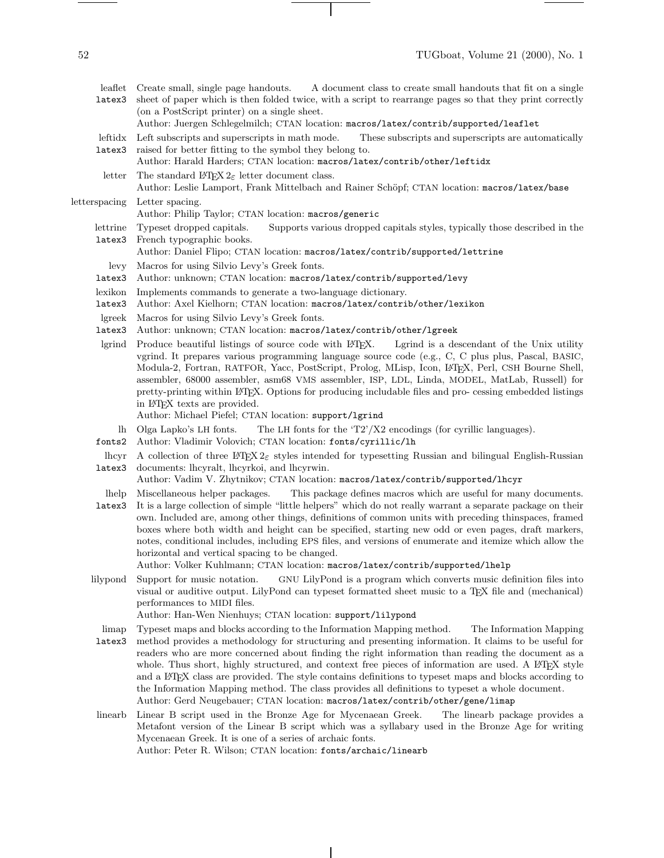52 TUGboat, Volume 21 (2000), No. 1

- 
- leaflet latex3 Create small, single page handouts. A document class to create small handouts that fit on a single sheet of paper which is then folded twice, with a script to rearrange pages so that they print correctly (on a PostScript printer) on a single sheet.

Author: Juergen Schlegelmilch; CTAN location: macros/latex/contrib/supported/leaflet

- leftidx latex3 Left subscripts and superscripts in math mode. These subscripts and superscripts are automatically raised for better fitting to the symbol they belong to.
	- Author: Harald Harders; CTAN location: macros/latex/contrib/other/leftidx

letter The standard LAT<sub>E</sub>X  $2\varepsilon$  letter document class.

Author: Leslie Lamport, Frank Mittelbach and Rainer Schöpf; CTAN location: macros/latex/base letterspacing Letter spacing.

- Author: Philip Taylor; CTAN location: macros/generic
- lettrine latex3 Typeset dropped capitals. Supports various dropped capitals styles, typically those described in the French typographic books.

Author: Daniel Flipo; CTAN location: macros/latex/contrib/supported/lettrine

- levy Macros for using Silvio Levy's Greek fonts.
- latex3 Author: unknown; CTAN location: macros/latex/contrib/supported/levy
- lexikon Implements commands to generate a two-language dictionary.
- latex3 Author: Axel Kielhorn; CTAN location: macros/latex/contrib/other/lexikon
- lgreek Macros for using Silvio Levy's Greek fonts.
- latex3 Author: unknown; CTAN location: macros/latex/contrib/other/lgreek
- lgrind Produce beautiful listings of source code with LATEX. Lgrind is a descendant of the Unix utility vgrind. It prepares various programming language source code (e.g., C, C plus plus, Pascal, BASIC, Modula-2, Fortran, RATFOR, Yacc, PostScript, Prolog, MLisp, Icon, L<sup>AT</sup>EX, Perl, CSH Bourne Shell, assembler, 68000 assembler, asm68 VMS assembler, ISP, LDL, Linda, MODEL, MatLab, Russell) for pretty-printing within LATEX. Options for producing includable files and pro- cessing embedded listings in LATEX texts are provided.
	- Author: Michael Piefel; CTAN location: support/lgrind
- lh Olga Lapko's LH fonts. The LH fonts for the 'T2'/X2 encodings (for cyrillic languages).
- fonts2 Author: Vladimir Volovich; CTAN location: fonts/cyrillic/lh
- lhcyr A collection of three  $\text{Lipx } 2\varepsilon$  styles intended for typesetting Russian and bilingual English-Russian latex3 documents: lhcyralt, lhcyrkoi, and lhcyrwin.
- Author: Vadim V. Zhytnikov; CTAN location: macros/latex/contrib/supported/lhcyr

lhelp Miscellaneous helper packages. This package defines macros which are useful for many documents.

latex3 It is a large collection of simple "little helpers" which do not really warrant a separate package on their own. Included are, among other things, definitions of common units with preceding thinspaces, framed boxes where both width and height can be specified, starting new odd or even pages, draft markers, notes, conditional includes, including EPS files, and versions of enumerate and itemize which allow the horizontal and vertical spacing to be changed.

Author: Volker Kuhlmann; CTAN location: macros/latex/contrib/supported/lhelp

lilypond Support for music notation. GNU LilyPond is a program which converts music definition files into visual or auditive output. LilyPond can typeset formatted sheet music to a TEX file and (mechanical) performances to MIDI files.

Author: Han-Wen Nienhuys; CTAN location: support/lilypond

- limap Typeset maps and blocks according to the Information Mapping method. The Information Mapping
- latex3 method provides a methodology for structuring and presenting information. It claims to be useful for readers who are more concerned about finding the right information than reading the document as a whole. Thus short, highly structured, and context free pieces of information are used. A LATEX style and a LATEX class are provided. The style contains definitions to typeset maps and blocks according to the Information Mapping method. The class provides all definitions to typeset a whole document. Author: Gerd Neugebauer; CTAN location: macros/latex/contrib/other/gene/limap
- linearb Linear B script used in the Bronze Age for Mycenaean Greek. The linearb package provides a Metafont version of the Linear B script which was a syllabary used in the Bronze Age for writing Mycenaean Greek. It is one of a series of archaic fonts. Author: Peter R. Wilson; CTAN location: fonts/archaic/linearb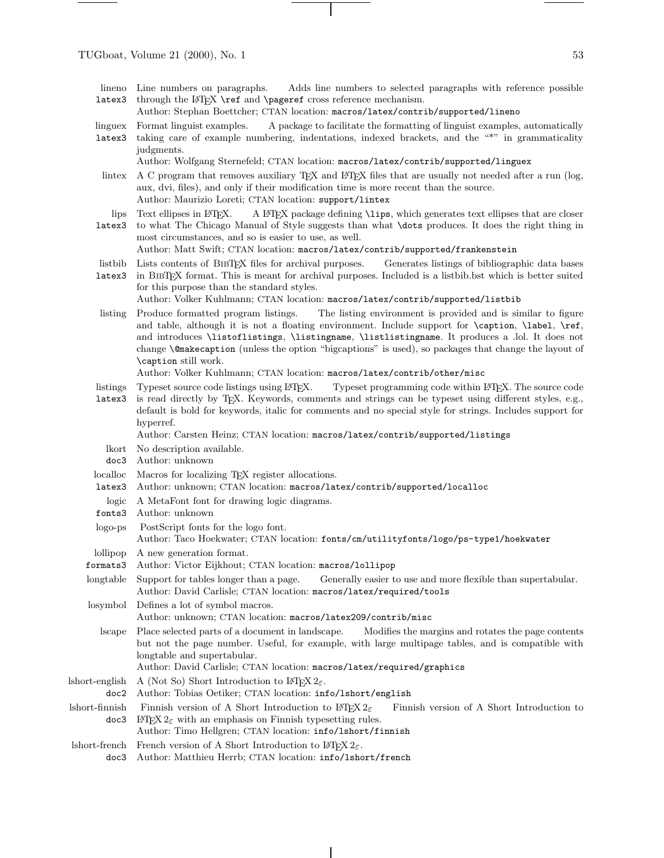- lineno Line numbers on paragraphs. latex3 Adds line numbers to selected paragraphs with reference possible through the LAT<sub>EX</sub> \ref and \pageref cross reference mechanism.
	- Author: Stephan Boettcher; CTAN location: macros/latex/contrib/supported/lineno
- linguex Format linguist examples. A package to facilitate the formatting of linguist examples, automatically
- latex3 taking care of example numbering, indentations, indexed brackets, and the "\*" in grammaticality judgments.
	- Author: Wolfgang Sternefeld; CTAN location: macros/latex/contrib/supported/linguex
- lintex A C program that removes auxiliary TEX and LATEX files that are usually not needed after a run (log, aux, dvi, files), and only if their modification time is more recent than the source. Author: Maurizio Loreti; CTAN location: support/lintex
- lips Text ellipses in L<sup>4</sup>TFX. A LATEX package defining **\lips**, which generates text ellipses that are closer
- latex3 to what The Chicago Manual of Style suggests than what \dots produces. It does the right thing in most circumstances, and so is easier to use, as well. Author: Matt Swift; CTAN location: macros/latex/contrib/supported/frankenstein
- listbib Lists contents of BibTEX files for archival purposes. Generates listings of bibliographic data bases
- latex3 in BibTEX format. This is meant for archival purposes. Included is a listbib.bst which is better suited for this purpose than the standard styles.
	- Author: Volker Kuhlmann; CTAN location: macros/latex/contrib/supported/listbib
- listing Produce formatted program listings. The listing environment is provided and is similar to figure and table, although it is not a floating environment. Include support for **\caption**, **\label**, **\ref**, and introduces \listoflistings, \listingname, \listlistingname. It produces a .lol. It does not change \@makecaption (unless the option "bigcaptions" is used), so packages that change the layout of \caption still work.

Author: Volker Kuhlmann; CTAN location: macros/latex/contrib/other/misc

- listings Typeset source code listings using LATEX. Typeset programming code within LATEX. The source code
- latex3 is read directly by TEX. Keywords, comments and strings can be typeset using different styles, e.g., default is bold for keywords, italic for comments and no special style for strings. Includes support for hyperref.

Author: Carsten Heinz; CTAN location: macros/latex/contrib/supported/listings

- lkort No description available.
- doc3 Author: unknown
- localloc Macros for localizing T<sub>EX</sub> register allocations.
- latex3 Author: unknown; CTAN location: macros/latex/contrib/supported/localloc
- logic A MetaFont font for drawing logic diagrams.
- fonts3 Author: unknown
- logo-ps PostScript fonts for the logo font. Author: Taco Hoekwater; CTAN location: fonts/cm/utilityfonts/logo/ps-type1/hoekwater lollipop formats3 A newgeneration format. Author: Victor Eijkhout; CTAN location: macros/lollipop longtable Support for tables longer than a page. Generally easier to use and more flexible than supertabular. Author: David Carlisle; CTAN location: macros/latex/required/tools losymbol Defines a lot of symbol macros. Author: unknown; CTAN location: macros/latex209/contrib/misc lscape Place selected parts of a document in landscape. Modifies the margins and rotates the page contents but not the page number. Useful, for example, with large multipage tables, and is compatible with longtable and supertabular. Author: David Carlisle; CTAN location: macros/latex/required/graphics lshort-english A (Not So) Short Introduction to  $\text{LATEX } 2\varepsilon$ .
	- doc2 Author: Tobias Oetiker; CTAN location: info/lshort/english
- lshort-finnish doc3 Finnish version of A Short Introduction to LATEX  $2\varepsilon$  Finnish version of A Short Introduction to LATEX  $2\varepsilon$  with an emphasis on Finnish typesetting rules.
	- Author: Timo Hellgren; CTAN location: info/lshort/finnish
- lshort-french French version of A Short Introduction to  $\text{LATEX } 2_{\varepsilon}$ .
- doc3 Author: Matthieu Herrb; CTAN location: info/lshort/french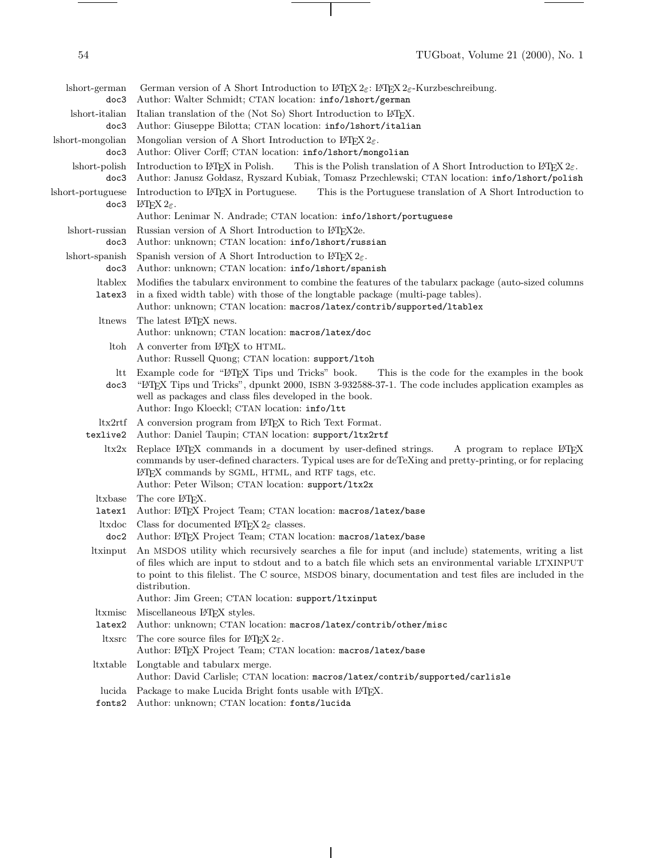$\frac{1}{\sqrt{2\pi}}\left( \frac{1}{\sqrt{2\pi}}\right) ^{2}+\frac{1}{\sqrt{2\pi}}\left( \frac{1}{\sqrt{2\pi}}\right) ^{2}+\frac{1}{\sqrt{2\pi}}\left( \frac{1}{\sqrt{2\pi}}\right) ^{2}+\frac{1}{\sqrt{2\pi}}\left( \frac{1}{\sqrt{2\pi}}\right) ^{2}+\frac{1}{\sqrt{2\pi}}\left( \frac{1}{\sqrt{2\pi}}\right) ^{2}+\frac{1}{\sqrt{2\pi}}\left( \frac{1}{\sqrt{2\pi}}\right) ^{2}+\frac{1}{\sqrt{2\pi}}\left( \$ 

| short-german<br>doc3      | German version of A Short Introduction to $L^2E^X 2\varepsilon$ : $L^2E^X 2\varepsilon$ -Kurzbeschreibung.<br>Author: Walter Schmidt; CTAN location: info/1short/german                                                                                                                                                                    |
|---------------------------|--------------------------------------------------------------------------------------------------------------------------------------------------------------------------------------------------------------------------------------------------------------------------------------------------------------------------------------------|
| lshort-italian<br>doc3    | Italian translation of the (Not So) Short Introduction to LAT <sub>F</sub> X.<br>Author: Giuseppe Bilotta; CTAN location: info/1short/italian                                                                                                                                                                                              |
| lshort-mongolian<br>doc3  | Mongolian version of A Short Introduction to $\text{Lipx } 2\varepsilon$ .<br>Author: Oliver Corff; CTAN location: info/1short/mongolian                                                                                                                                                                                                   |
| lshort-polish<br>doc3     | Introduction to L <sup>A</sup> T <sub>E</sub> X in Polish.<br>This is the Polish translation of A Short Introduction to $\angle$ PIEX 2 $\varepsilon$ .<br>Author: Janusz Gołdasz, Ryszard Kubiak, Tomasz Przechlewski; CTAN location: info/1short/polish                                                                                  |
| lshort-portuguese<br>doc3 | Introduction to L <sup>A</sup> T <sub>F</sub> X in Portuguese.<br>This is the Portuguese translation of A Short Introduction to<br>INTEX $2\varepsilon$ .<br>Author: Lenimar N. Andrade; CTAN location: info/1short/portuguese                                                                                                             |
| short-russian<br>doc3     | Russian version of A Short Introduction to L <sup>A</sup> T <sub>E</sub> X2e.<br>Author: unknown; CTAN location: info/lshort/russian                                                                                                                                                                                                       |
| short-spanish<br>doc3     | Spanish version of A Short Introduction to $L^2 \to 2\varepsilon$ .<br>Author: unknown; CTAN location: info/lshort/spanish                                                                                                                                                                                                                 |
| <i>h</i> ltablex          | Modifies the tabulary environment to combine the features of the tabulary package (auto-sized columns                                                                                                                                                                                                                                      |
| latex3                    | in a fixed width table) with those of the longtable package (multi-page tables).<br>Author: unknown; CTAN location: macros/latex/contrib/supported/ltablex                                                                                                                                                                                 |
| ltnews                    | The latest IATEX news.<br>Author: unknown; CTAN location: macros/latex/doc                                                                                                                                                                                                                                                                 |
| Itoh                      | A converter from L <sup>AT</sup> EX to HTML.<br>Author: Russell Quong; CTAN location: support/1toh                                                                                                                                                                                                                                         |
| ltt<br>doc3               | Example code for "LATEX Tips und Tricks" book.<br>This is the code for the examples in the book<br>"L'IEX Tips und Tricks", dpunkt 2000, ISBN 3-932588-37-1. The code includes application examples as<br>well as packages and class files developed in the book.<br>Author: Ingo Kloeckl; CTAN location: info/1tt                         |
| ltx2rtf<br>texlive2       | A conversion program from LAT <sub>F</sub> X to Rich Text Format.<br>Author: Daniel Taupin; CTAN location: support/ltx2rtf                                                                                                                                                                                                                 |
| itx2x                     | Replace L <sup>T</sup> FX commands in a document by user-defined strings.<br>A program to replace LAT <sub>F</sub> X<br>commands by user-defined characters. Typical uses are for deTeXing and pretty-printing, or for replacing<br>IATEX commands by SGML, HTML, and RTF tags, etc.<br>Author: Peter Wilson; CTAN location: support/ltx2x |
| <i>ltxbase</i><br>latex1  | The core LAT <sub>F</sub> X.<br>Author: L <sup>AT</sup> EX Project Team; CTAN location: macros/latex/base                                                                                                                                                                                                                                  |
| ltxdoc<br>doc2            | Class for documented $L^2F$ <sub>E</sub> classes.<br>Author: L <sup>AT</sup> EX Project Team; CTAN location: macros/latex/base                                                                                                                                                                                                             |
| <i>ltxinput</i>           | An MSDOS utility which recursively searches a file for input (and include) statements, writing a list<br>of files which are input to stdout and to a batch file which sets an environmental variable LTXINPUT<br>to point to this filelist. The C source, MSDOS binary, documentation and test files are included in the<br>distribution.  |
| <i>ltxmisc</i>            | Author: Jim Green; CTAN location: support/ltxinput<br>Miscellaneous $\operatorname{Lipx}$ styles.                                                                                                                                                                                                                                          |
| latex2                    | Author: unknown; CTAN location: macros/latex/contrib/other/misc                                                                                                                                                                                                                                                                            |
| ltxsrc                    | The core source files for $LATEX 2\varepsilon$ .<br>Author: LATEX Project Team; CTAN location: macros/latex/base                                                                                                                                                                                                                           |
| ltxtable                  | Longtable and tabularx merge.<br>Author: David Carlisle; CTAN location: macros/latex/contrib/supported/carlisle                                                                                                                                                                                                                            |
| lucida<br>fonts2          | Package to make Lucida Bright fonts usable with L <sup>4</sup> TFX.<br>Author: unknown; CTAN location: fonts/lucida                                                                                                                                                                                                                        |

 $\overline{1}$ 

 $\mathbb{R}^2$ 

 $\sim$ 

 $\frac{1}{\sqrt{2\pi}}\left( \frac{1}{\sqrt{2\pi}}\right) \left( \frac{1}{\sqrt{2\pi}}\right) \left( \frac{1}{\sqrt{2\pi}}\right) \left( \frac{1}{\sqrt{2\pi}}\right) \left( \frac{1}{\sqrt{2\pi}}\right) \left( \frac{1}{\sqrt{2\pi}}\right) \left( \frac{1}{\sqrt{2\pi}}\right) \left( \frac{1}{\sqrt{2\pi}}\right) \left( \frac{1}{\sqrt{2\pi}}\right) \left( \frac{1}{\sqrt{2\pi}}\right) \left( \frac{1}{\sqrt{2\pi}}\right) \left( \frac{1}{\sqrt$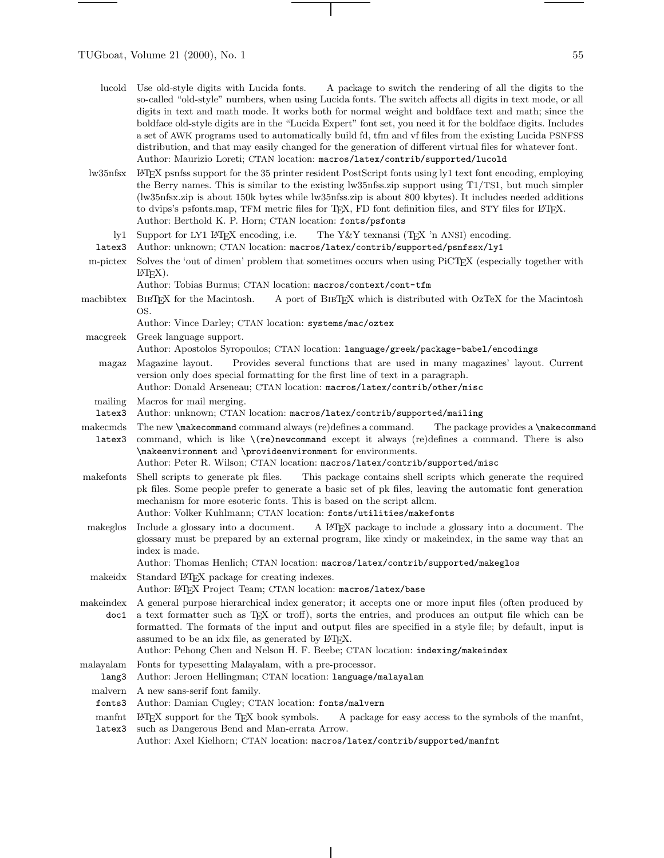$\frac{1}{1} \left( \frac{1}{1} \right) \left( \frac{1}{1} \right) \left( \frac{1}{1} \right) \left( \frac{1}{1} \right) \left( \frac{1}{1} \right) \left( \frac{1}{1} \right) \left( \frac{1}{1} \right) \left( \frac{1}{1} \right) \left( \frac{1}{1} \right) \left( \frac{1}{1} \right) \left( \frac{1}{1} \right) \left( \frac{1}{1} \right) \left( \frac{1}{1} \right) \left( \frac{1}{1} \right) \left( \frac{1}{1} \right) \left( \frac{1}{1} \right) \left( \frac$ 

| lucold             | Use old-style digits with Lucida fonts. A package to switch the rendering of all the digits to the<br>so-called "old-style" numbers, when using Lucida fonts. The switch affects all digits in text mode, or all<br>digits in text and math mode. It works both for normal weight and boldface text and math; since the<br>boldface old-style digits are in the "Lucida Expert" font set, you need it for the boldface digits. Includes<br>a set of AWK programs used to automatically build fd, tfm and vf files from the existing Lucida PSNFSS<br>distribution, and that may easily changed for the generation of different virtual files for whatever font.<br>Author: Maurizio Loreti; CTAN location: macros/latex/contrib/supported/lucold |
|--------------------|--------------------------------------------------------------------------------------------------------------------------------------------------------------------------------------------------------------------------------------------------------------------------------------------------------------------------------------------------------------------------------------------------------------------------------------------------------------------------------------------------------------------------------------------------------------------------------------------------------------------------------------------------------------------------------------------------------------------------------------------------|
| lw35nfsx           | IATEX psnfss support for the 35 printer resident PostScript fonts using ly1 text font encoding, employing<br>the Berry names. This is similar to the existing lw35nfss.zip support using T1/TS1, but much simpler<br>(lw35nfsx.zip is about 150k bytes while lw35nfss.zip is about 800 kbytes). It includes needed additions<br>to dvips's psfonts.map, TFM metric files for T <sub>E</sub> X, FD font definition files, and STY files for L <sup>3</sup> T <sub>E</sub> X.<br>Author: Berthold K. P. Horn; CTAN location: fonts/psfonts                                                                                                                                                                                                         |
| ly1<br>latex3      | Support for LY1 LAT <sub>F</sub> X encoding, i.e.<br>The Y&Y texnansi (TEX 'n ANSI) encoding.<br>Author: unknown; CTAN location: macros/latex/contrib/supported/psnfssx/ly1                                                                                                                                                                                                                                                                                                                                                                                                                                                                                                                                                                      |
| m-pictex           | Solves the 'out of dimen' problem that sometimes occurs when using PiCTEX (especially together with<br>$EFTEX$ ).                                                                                                                                                                                                                                                                                                                                                                                                                                                                                                                                                                                                                                |
| macbibtex          | Author: Tobias Burnus; CTAN location: macros/context/cont-tfm<br>BIBTEX for the Macintosh.<br>A port of BIBTEX which is distributed with OzTeX for the Macintosh<br>OS.                                                                                                                                                                                                                                                                                                                                                                                                                                                                                                                                                                          |
|                    | Author: Vince Darley; CTAN location: systems/mac/oztex                                                                                                                                                                                                                                                                                                                                                                                                                                                                                                                                                                                                                                                                                           |
| macgreek           | Greek language support.<br>Author: Apostolos Syropoulos; CTAN location: language/greek/package-babel/encodings                                                                                                                                                                                                                                                                                                                                                                                                                                                                                                                                                                                                                                   |
| magaz              | Provides several functions that are used in many magazines' layout. Current<br>Magazine layout.<br>version only does special formatting for the first line of text in a paragraph.<br>Author: Donald Arseneau; CTAN location: macros/latex/contrib/other/misc                                                                                                                                                                                                                                                                                                                                                                                                                                                                                    |
| mailing<br>latex3  | Macros for mail merging.<br>Author: unknown; CTAN location: macros/latex/contrib/supported/mailing                                                                                                                                                                                                                                                                                                                                                                                                                                                                                                                                                                                                                                               |
| makecmds<br>latex3 | The new <b>\makecommand</b> command always (re)defines a command.<br>The package provides a <b>\makecommand</b><br>command, which is like $\setminus$ (re)new command except it always (re)defines a command. There is also<br>\makeenvironment and \provideenvironment for environments.                                                                                                                                                                                                                                                                                                                                                                                                                                                        |
| makefonts          | Author: Peter R. Wilson; CTAN location: macros/latex/contrib/supported/misc<br>Shell scripts to generate pk files.<br>This package contains shell scripts which generate the required<br>pk files. Some people prefer to generate a basic set of pk files, leaving the automatic font generation<br>mechanism for more esoteric fonts. This is based on the script allcm.<br>Author: Volker Kuhlmann; CTAN location: fonts/utilities/makefonts                                                                                                                                                                                                                                                                                                   |
| makeglos           | Include a glossary into a document.<br>A IATEX package to include a glossary into a document. The<br>glossary must be prepared by an external program, like xindy or makeindex, in the same way that an<br>index is made.<br>Author: Thomas Henlich; CTAN location: macros/latex/contrib/supported/makeglos                                                                                                                                                                                                                                                                                                                                                                                                                                      |
|                    | makeidx Standard IATEX package for creating indexes.<br>Author: LATFX Project Team; CTAN location: macros/latex/base                                                                                                                                                                                                                                                                                                                                                                                                                                                                                                                                                                                                                             |
| makeindex<br>doc1  | A general purpose hierarchical index generator; it accepts one or more input files (often produced by<br>a text formatter such as TEX or troff), sorts the entries, and produces an output file which can be<br>formatted. The formats of the input and output files are specified in a style file; by default, input is<br>assumed to be an idx file, as generated by IATEX.<br>Author: Pehong Chen and Nelson H. F. Beebe; CTAN location: indexing/makeindex                                                                                                                                                                                                                                                                                   |
| malayalam<br>lang3 | Fonts for typesetting Malayalam, with a pre-processor.<br>Author: Jeroen Hellingman; CTAN location: language/malayalam                                                                                                                                                                                                                                                                                                                                                                                                                                                                                                                                                                                                                           |
| malvern<br>fonts3  | A new sans-serif font family.<br>Author: Damian Cugley; CTAN location: fonts/malvern                                                                                                                                                                                                                                                                                                                                                                                                                                                                                                                                                                                                                                                             |
| manfnt<br>latex3   | $\text{LATEX}$ support for the TEX book symbols.<br>A package for easy access to the symbols of the manfint,<br>such as Dangerous Bend and Man-errata Arrow.<br>Author: Axel Kielberg; CTAN legation; macros (later contrib cupperted mantet                                                                                                                                                                                                                                                                                                                                                                                                                                                                                                     |

 $\overline{\mathbf{1}}$ 

Author: Axel Kielhorn; CTAN location: macros/latex/contrib/supported/manfnt

 $\mathcal{A}$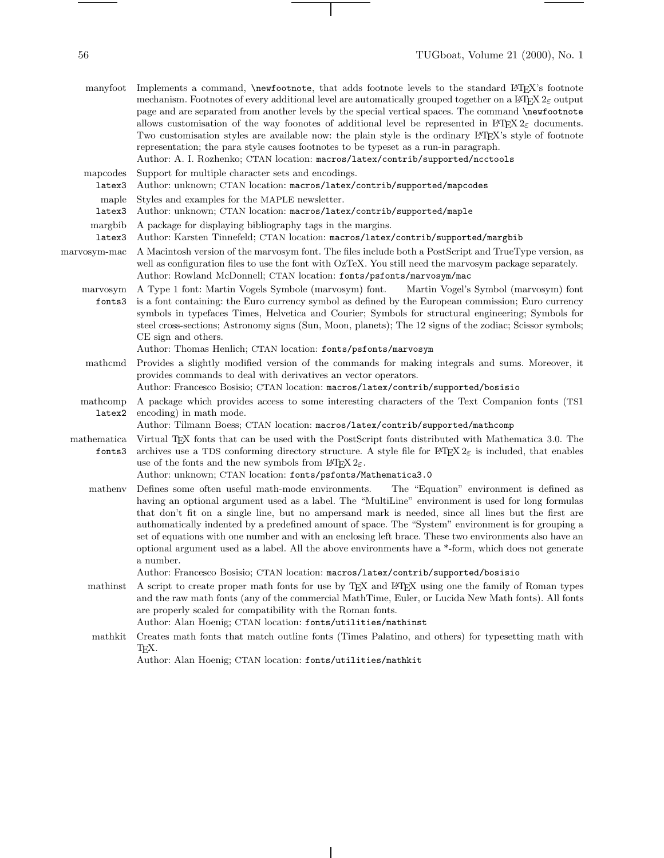$\begin{tabular}{l} \multicolumn{2}{c} {\textbf{1}} & \multicolumn{2}{c} {\textbf{1}} & \multicolumn{2}{c} {\textbf{1}} \\ \multicolumn{2}{c} {\textbf{1}} & \multicolumn{2}{c} {\textbf{1}} & \multicolumn{2}{c} {\textbf{1}} \\ \multicolumn{2}{c} {\textbf{1}} & \multicolumn{2}{c} {\textbf{1}} & \multicolumn{2}{c} {\textbf{1}} \\ \multicolumn{2}{c} {\textbf{1}} & \multicolumn{2}{c} {\textbf{1}} & \multicolumn{2}{c} {\textbf{1}} \\ \multicolumn{2}{c} {\textbf{1}} & \multicolumn$ 

|                       | manyfoot Implements a command, \newfootnote, that adds footnote levels to the standard LATEX's footnote<br>mechanism. Footnotes of every additional level are automatically grouped together on a LAT <sub>F</sub> X $2\varepsilon$ output<br>page and are separated from another levels by the special vertical spaces. The command \newfootnote<br>allows customisation of the way foonotes of additional level be represented in $L^2T^2 \mathcal{Z}_{\mathcal{E}}$ documents.<br>Two customisation styles are available now: the plain style is the ordinary L <sup>T</sup> EX's style of footnote<br>representation; the para style causes footnotes to be typeset as a run-in paragraph.<br>Author: A. I. Rozhenko; CTAN location: macros/latex/contrib/supported/ncctools |
|-----------------------|----------------------------------------------------------------------------------------------------------------------------------------------------------------------------------------------------------------------------------------------------------------------------------------------------------------------------------------------------------------------------------------------------------------------------------------------------------------------------------------------------------------------------------------------------------------------------------------------------------------------------------------------------------------------------------------------------------------------------------------------------------------------------------|
| mapcodes              | Support for multiple character sets and encodings.                                                                                                                                                                                                                                                                                                                                                                                                                                                                                                                                                                                                                                                                                                                               |
| latex3                | Author: unknown; CTAN location: macros/latex/contrib/supported/mapcodes                                                                                                                                                                                                                                                                                                                                                                                                                                                                                                                                                                                                                                                                                                          |
| maple                 | Styles and examples for the MAPLE newsletter.                                                                                                                                                                                                                                                                                                                                                                                                                                                                                                                                                                                                                                                                                                                                    |
| latex3                | Author: unknown; CTAN location: macros/latex/contrib/supported/maple                                                                                                                                                                                                                                                                                                                                                                                                                                                                                                                                                                                                                                                                                                             |
| margbib<br>latex3     | A package for displaying bibliography tags in the margins.<br>Author: Karsten Tinnefeld; CTAN location: macros/latex/contrib/supported/margbib                                                                                                                                                                                                                                                                                                                                                                                                                                                                                                                                                                                                                                   |
| marvosym-mac          | A Macintosh version of the marvosym font. The files include both a PostScript and TrueType version, as<br>well as configuration files to use the font with OzTeX. You still need the marvosym package separately.<br>Author: Rowland McDonnell; CTAN location: fonts/psfonts/marvosym/mac                                                                                                                                                                                                                                                                                                                                                                                                                                                                                        |
| marvosym<br>fonts3    | A Type 1 font: Martin Vogels Symbole (marvosym) font.<br>Martin Vogel's Symbol (marvosym) font<br>is a font containing: the Euro currency symbol as defined by the European commission; Euro currency<br>symbols in typefaces Times, Helvetica and Courier; Symbols for structural engineering; Symbols for<br>steel cross-sections; Astronomy signs (Sun, Moon, planets); The 12 signs of the zodiac; Scissor symbols;<br>CE sign and others.<br>Author: Thomas Henlich; CTAN location: fonts/psfonts/marvosym                                                                                                                                                                                                                                                                  |
| mathcmd               | Provides a slightly modified version of the commands for making integrals and sums. Moreover, it<br>provides commands to deal with derivatives an vector operators.<br>Author: Francesco Bosisio; CTAN location: macros/latex/contrib/supported/bosisio                                                                                                                                                                                                                                                                                                                                                                                                                                                                                                                          |
| mathcomp<br>latex2    | A package which provides access to some interesting characters of the Text Companion fonts (TS1<br>encoding) in math mode.<br>Author: Tilmann Boess; CTAN location: macros/latex/contrib/supported/mathcomp                                                                                                                                                                                                                                                                                                                                                                                                                                                                                                                                                                      |
| mathematica<br>fonts3 | Virtual T <sub>F</sub> X fonts that can be used with the PostScript fonts distributed with Mathematica 3.0. The<br>archives use a TDS conforming directory structure. A style file for $\mathbb{M}\to\mathbb{X}^2$ is included, that enables<br>use of the fonts and the new symbols from $\text{LATEX } 2\varepsilon$ .<br>Author: unknown; CTAN location: fonts/psfonts/Mathematica3.0                                                                                                                                                                                                                                                                                                                                                                                         |
| matheny               | Defines some often useful math-mode environments.<br>The "Equation" environment is defined as<br>having an optional argument used as a label. The "MultiLine" environment is used for long formulas<br>that don't fit on a single line, but no ampersand mark is needed, since all lines but the first are<br>authomatically indented by a predefined amount of space. The "System" environment is for grouping a<br>set of equations with one number and with an enclosing left brace. These two environments also have an<br>optional argument used as a label. All the above environments have a *-form, which does not generate<br>a number.<br>Author: Francesco Bosisio; CTAN location: macros/latex/contrib/supported/bosisio                                             |
| mathinst              | A script to create proper math fonts for use by T <sub>E</sub> X and L <sup>o</sup> T <sub>E</sub> X using one the family of Roman types<br>and the raw math fonts (any of the commercial MathTime, Euler, or Lucida New Math fonts). All fonts<br>are properly scaled for compatibility with the Roman fonts.<br>Author: Alan Hoenig; CTAN location: fonts/utilities/mathinst                                                                                                                                                                                                                                                                                                                                                                                                   |
| mathkit               | Creates math fonts that match outline fonts (Times Palatino, and others) for typesetting math with<br>ТEX.                                                                                                                                                                                                                                                                                                                                                                                                                                                                                                                                                                                                                                                                       |

 $\overline{\phantom{a}}$ 

 $\top$ 

 $\overline{\phantom{0}}$ 

Author: Alan Hoenig; CTAN location: fonts/utilities/mathkit

 $\frac{1}{\sqrt{2\pi}}\left( \frac{1}{\sqrt{2\pi}}\right) \left( \frac{1}{\sqrt{2\pi}}\right) \left( \frac{1}{\sqrt{2\pi}}\right) \left( \frac{1}{\sqrt{2\pi}}\right) \left( \frac{1}{\sqrt{2\pi}}\right) \left( \frac{1}{\sqrt{2\pi}}\right) \left( \frac{1}{\sqrt{2\pi}}\right) \left( \frac{1}{\sqrt{2\pi}}\right) \left( \frac{1}{\sqrt{2\pi}}\right) \left( \frac{1}{\sqrt{2\pi}}\right) \left( \frac{1}{\sqrt{2\pi}}\right) \left( \frac{1}{\sqrt$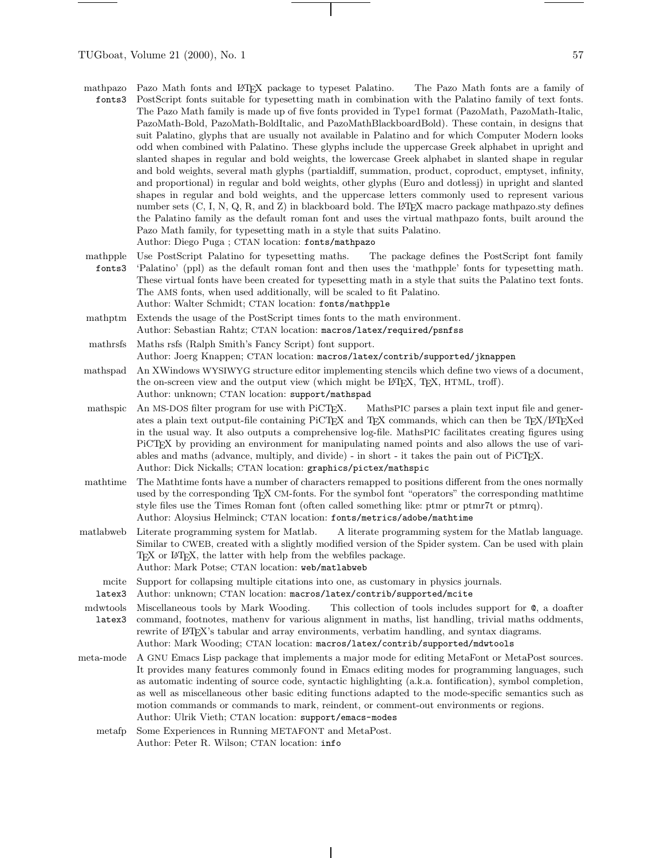- mathpazo fonts3 Pazo Math fonts and LATEX package to typeset Palatino. The Pazo Math fonts are a family of PostScript fonts suitable for typesetting math in combination with the Palatino family of text fonts. The Pazo Math family is made up of five fonts provided in Type1 format (PazoMath, PazoMath-Italic, PazoMath-Bold, PazoMath-BoldItalic, and PazoMathBlackboardBold). These contain, in designs that suit Palatino, glyphs that are usually not available in Palatino and for which Computer Modern looks odd when combined with Palatino. These glyphs include the uppercase Greek alphabet in upright and slanted shapes in regular and bold weights, the lowercase Greek alphabet in slanted shape in regular and bold weights, several math glyphs (partialdiff, summation, product, coproduct, emptyset, infinity, and proportional) in regular and bold weights, other glyphs (Euro and dotlessj) in upright and slanted shapes in regular and bold weights, and the uppercase letters commonly used to represent various number sets  $(C, I, N, Q, R, \text{ and } Z)$  in blackboard bold. The LATEX macro package mathpazo.sty defines the Palatino family as the default roman font and uses the virtual mathpazo fonts, built around the Pazo Math family, for typesetting math in a style that suits Palatino. Author: Diego Puga ; CTAN location: fonts/mathpazo
- mathpple fonts3 Use PostScript Palatino for typesetting maths. The package defines the PostScript font family 'Palatino' (ppl) as the default roman font and then uses the 'mathpple' fonts for typesetting math. These virtual fonts have been created for typesetting math in a style that suits the Palatino text fonts. The AMS fonts, when used additionally, will be scaled to fit Palatino. Author: Walter Schmidt; CTAN location: fonts/mathpple
- mathptm Extends the usage of the PostScript times fonts to the math environment. Author: Sebastian Rahtz; CTAN location: macros/latex/required/psnfss
- mathrsfs Maths rsfs (Ralph Smith's Fancy Script) font support. Author: Joerg Knappen; CTAN location: macros/latex/contrib/supported/jknappen
- mathspad An XWindows WYSIWYG structure editor implementing stencils which define two views of a document, the on-screen view and the output view (which might be L<sup>AT</sup>EX, TEX, HTML, troff). Author: unknown; CTAN location: support/mathspad
- mathspic An MS-DOS filter program for use with PiCT<sub>F</sub>X. MathsPIC parses a plain text input file and generates a plain text output-file containing PiCT<sub>EX</sub> and T<sub>EX</sub> commands, which can then be T<sub>EX</sub>/L<sup>AT</sup>EXed in the usual way. It also outputs a comprehensive log-file. MathsPIC facilitates creating figures using PiCT<sub>EX</sub> by providing an environment for manipulating named points and also allows the use of variables and maths (advance, multiply, and divide) - in short - it takes the pain out of PiCT<sub>E</sub>X. Author: Dick Nickalls; CTAN location: graphics/pictex/mathspic
- mathtime The Mathtime fonts have a number of characters remapped to positions different from the ones normally used by the corresponding TEX CM-fonts. For the symbol font "operators" the corresponding mathtime style files use the Times Roman font (often called something like: ptmr or ptmr7t or ptmrq). Author: Aloysius Helminck; CTAN location: fonts/metrics/adobe/mathtime
- matlabweb Literate programming system for Matlab. A literate programming system for the Matlab language. Similar to CWEB, created with a slightly modified version of the Spider system. Can be used with plain T<sub>EX</sub> or L<sup>AT</sup>EX, the latter with help from the webfiles package. Author: Mark Potse; CTAN location: web/matlabweb
	- mcite Support for collapsing multiple citations into one, as customary in physics journals.
	- latex3 Author: unknown; CTAN location: macros/latex/contrib/supported/mcite

mdwtools latex3 Miscellaneous tools by Mark Wooding. This collection of tools includes support for @, a doafter command, footnotes, mathenv for various alignment in maths, list handling, trivial maths oddments, rewrite of LATEX's tabular and array environments, verbatim handling, and syntax diagrams. Author: Mark Wooding; CTAN location: macros/latex/contrib/supported/mdwtools

- meta-mode A GNU Emacs Lisp package that implements a major mode for editing MetaFont or MetaPost sources. It provides many features commonly found in Emacs editing modes for programming languages, such as automatic indenting of source code, syntactic highlighting (a.k.a. fontification), symbol completion, as well as miscellaneous other basic editing functions adapted to the mode-specific semantics such as motion commands or commands to mark, reindent, or comment-out environments or regions. Author: Ulrik Vieth; CTAN location: support/emacs-modes
	- metafp Some Experiences in Running METAFONT and MetaPost. Author: Peter R. Wilson; CTAN location: info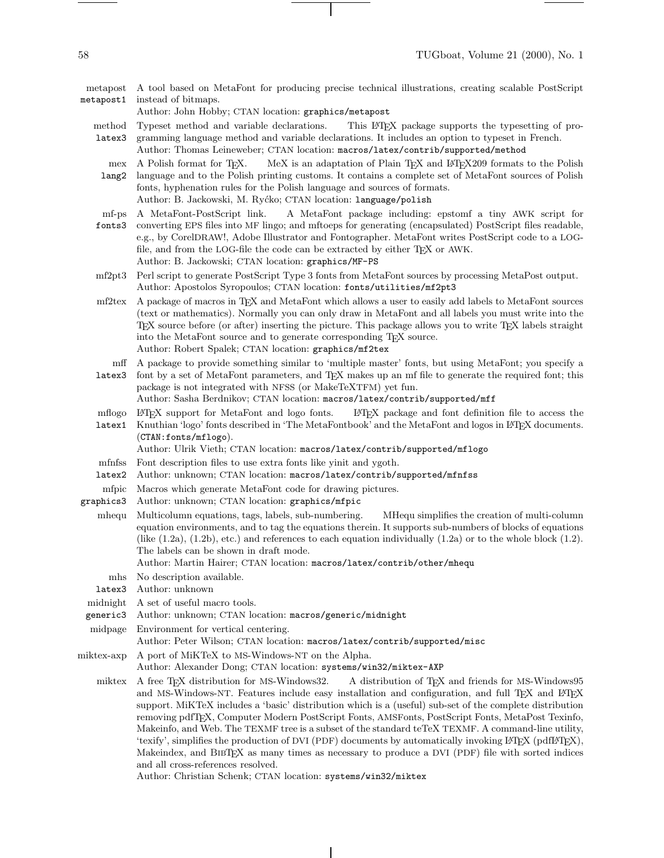metapost metapost1 A tool based on MetaFont for producing precise technical illustrations, creating scalable PostScript instead of bitmaps.

Author: John Hobby; CTAN location: graphics/metapost

method Typeset method and variable declarations. This LATEX package supports the typesetting of pro-

latex3 gramming language method and variable declarations. It includes an option to typeset in French. Author: Thomas Leineweber; CTAN location: macros/latex/contrib/supported/method

mex A Polish format for T<sub>F</sub>X. MeX is an adaptation of Plain TEX and LATEX209 formats to the Polish

lang2 language and to the Polish printing customs. It contains a complete set of MetaFont sources of Polish fonts, hyphenation rules for the Polish language and sources of formats. Author: B. Jackowski, M. Ryćko; CTAN location: language/polish

- mf-ps A MetaFont-PostScript link. A MetaFont package including: epstomf a tiny AWK script for
- fonts3 converting EPS files into MF lingo; and mftoeps for generating (encapsulated) PostScript files readable, e.g., by CorelDRAW!, Adobe Illustrator and Fontographer. MetaFont writes PostScript code to a LOGfile, and from the LOG-file the code can be extracted by either TEX or AWK. Author: B. Jackowski; CTAN location: graphics/MF-PS
- mf2pt3 Perl script to generate PostScript Type 3 fonts from MetaFont sources by processing MetaPost output. Author: Apostolos Syropoulos; CTAN location: fonts/utilities/mf2pt3
- mf2tex A package of macros in TEX and MetaFont which allows a user to easily add labels to MetaFont sources (text or mathematics). Normally you can only drawin MetaFont and all labels you must write into the TEX source before (or after) inserting the picture. This package allows you to write TEX labels straight into the MetaFont source and to generate corresponding TEX source. Author: Robert Spalek; CTAN location: graphics/mf2tex
	- mff A package to provide something similar to 'multiple master' fonts, but using MetaFont; you specify a
- latex3 font by a set of MetaFont parameters, and TEX makes up an mf file to generate the required font; this package is not integrated with NFSS (or MakeTeXTFM) yet fun. Author: Sasha Berdnikov; CTAN location: macros/latex/contrib/supported/mff
- mflogo ETFX support for MetaFont and logo fonts.  $L^2T$ <sub>EX</sub> package and font definition file to access the
- latex1 Knuthian 'logo' fonts described in 'The MetaFontbook' and the MetaFont and logos in LATEX documents. (CTAN:fonts/mflogo).

Author: Ulrik Vieth; CTAN location: macros/latex/contrib/supported/mflogo

- mfnfss Font description files to use extra fonts like yinit and ygoth.
- latex2 Author: unknown; CTAN location: macros/latex/contrib/supported/mfnfss
- mfpic Macros which generate MetaFont code for drawing pictures.
- graphics3 Author: unknown; CTAN location: graphics/mfpic
- mhequ Multicolumn equations, tags, labels, sub-numbering. MHequ simplifies the creation of multi-column equation environments, and to tag the equations therein. It supports sub-numbers of blocks of equations (like  $(1.2a)$ ,  $(1.2b)$ , etc.) and references to each equation individually  $(1.2a)$  or to the whole block  $(1.2)$ . The labels can be shown in draft mode.

Author: Martin Hairer; CTAN location: macros/latex/contrib/other/mhequ

- mhs No description available.
- latex3 Author: unknown
- midnight A set of useful macro tools.
- generic3 Author: unknown; CTAN location: macros/generic/midnight
- midpage Environment for vertical centering.
- Author: Peter Wilson; CTAN location: macros/latex/contrib/supported/misc
- miktex-axp A port of MiKTeX to MS-Windows-NT on the Alpha.

Author: Alexander Dong; CTAN location: systems/win32/miktex-AXP

miktex A free TEX distribution for MS-Windows32. A distribution of TEX and friends for MS-Windows95 and MS-Windows-NT. Features include easy installation and configuration, and full TFX and LATFX support. MiKTeX includes a 'basic' distribution which is a (useful) sub-set of the complete distribution removing pdfTEX, Computer Modern PostScript Fonts, AMSFonts, PostScript Fonts, MetaPost Texinfo, Makeinfo, and Web. The TEXMF tree is a subset of the standard teTeX TEXMF. A command-line utility, 'texify', simplifies the production of DVI (PDF) documents by automatically invoking LATEX (pdfLATEX), Makeindex, and BibTEX as many times as necessary to produce a DVI (PDF) file with sorted indices and all cross-references resolved.

Author: Christian Schenk; CTAN location: systems/win32/miktex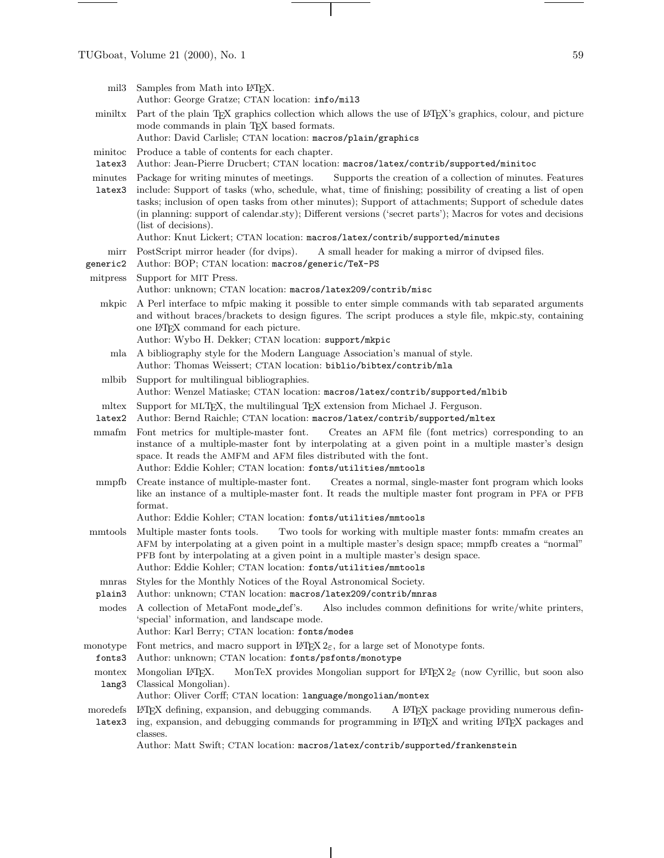- mil3 Samples from Math into L<sup>AT</sup>EX. Author: George Gratze; CTAN location: info/mil3
- miniltx Part of the plain TEX graphics collection which allows the use of LATEX's graphics, colour, and picture mode commands in plain TEX based formats.
	- Author: David Carlisle; CTAN location: macros/plain/graphics
- minitoc Produce a table of contents for each chapter.
- latex3 Author: Jean-Pierre Drucbert; CTAN location: macros/latex/contrib/supported/minitoc
- minutes Package for writing minutes of meetings. Supports the creation of a collection of minutes. Features
- latex3 include: Support of tasks (who, schedule, what, time of finishing; possibility of creating a list of open tasks; inclusion of open tasks from other minutes); Support of attachments; Support of schedule dates (in planning: support of calendar.sty); Different versions ('secret parts'); Macros for votes and decisions (list of decisions).

Author: Knut Lickert; CTAN location: macros/latex/contrib/supported/minutes

- mirr PostScript mirror header (for dvips). A small header for making a mirror of dvipsed files.
- generic2 Author: BOP; CTAN location: macros/generic/TeX-PS
- mitpress Support for MIT Press.
	- Author: unknown; CTAN location: macros/latex209/contrib/misc
	- mkpic A Perl interface to mfpic making it possible to enter simple commands with tab separated arguments and without braces/brackets to design figures. The script produces a style file, mkpic.sty, containing one LATEX command for each picture.
		- Author: Wybo H. Dekker; CTAN location: support/mkpic
		- mla A bibliography style for the Modern Language Association's manual of style. Author: Thomas Weissert; CTAN location: biblio/bibtex/contrib/mla
	- mlbib Support for multilingual bibliographies. Author: Wenzel Matiaske; CTAN location: macros/latex/contrib/supported/mlbib
	- mltex Support for MLT<sub>E</sub>X, the multilingual T<sub>E</sub>X extension from Michael J. Ferguson.
	- latex2 Author: Bernd Raichle; CTAN location: macros/latex/contrib/supported/mltex
	- mmafm Font metrics for multiple-master font. Creates an AFM file (font metrics) corresponding to an instance of a multiple-master font by interpolating at a given point in a multiple master's design space. It reads the AMFM and AFM files distributed with the font. Author: Eddie Kohler; CTAN location: fonts/utilities/mmtools
	- mmpfb Create instance of multiple-master font. Creates a normal, single-master font program which looks like an instance of a multiple-master font. It reads the multiple master font program in PFA or PFB format.
		- Author: Eddie Kohler; CTAN location: fonts/utilities/mmtools
- mmtools Multiple master fonts tools. Two tools for working with multiple master fonts: mmafm creates an AFM by interpolating at a given point in a multiple master's design space; mmpfb creates a "normal" PFB font by interpolating at a given point in a multiple master's design space. Author: Eddie Kohler; CTAN location: fonts/utilities/mmtools
	- mnras Styles for the Monthly Notices of the Royal Astronomical Society.
- plain3 Author: unknown; CTAN location: macros/latex209/contrib/mnras
- modes A collection of MetaFont mode def's. Also includes common definitions for write/white printers, 'special' information, and landscape mode.
	- Author: Karl Berry; CTAN location: fonts/modes
- monotype Font metrics, and macro support in  $\text{Lipx } 2\varepsilon$ , for a large set of Monotype fonts.
- fonts3 Author: unknown; CTAN location: fonts/psfonts/monotype
- montex lang3 Mongolian LATEX. MonTeX provides Mongolian support for LATEX  $2\varepsilon$  (now Cyrillic, but soon also Classical Mongolian).
	- Author: Oliver Corff; CTAN location: language/mongolian/montex
- moredefs L<sup>AT</sup>EX defining, expansion, and debugging commands. A L<sup>AT</sup>EX package providing numerous definlatex3 ing, expansion, and debugging commands for programming in L<sup>AT</sup>EX and writing L<sup>AT</sup>EX packages and classes.

Author: Matt Swift; CTAN location: macros/latex/contrib/supported/frankenstein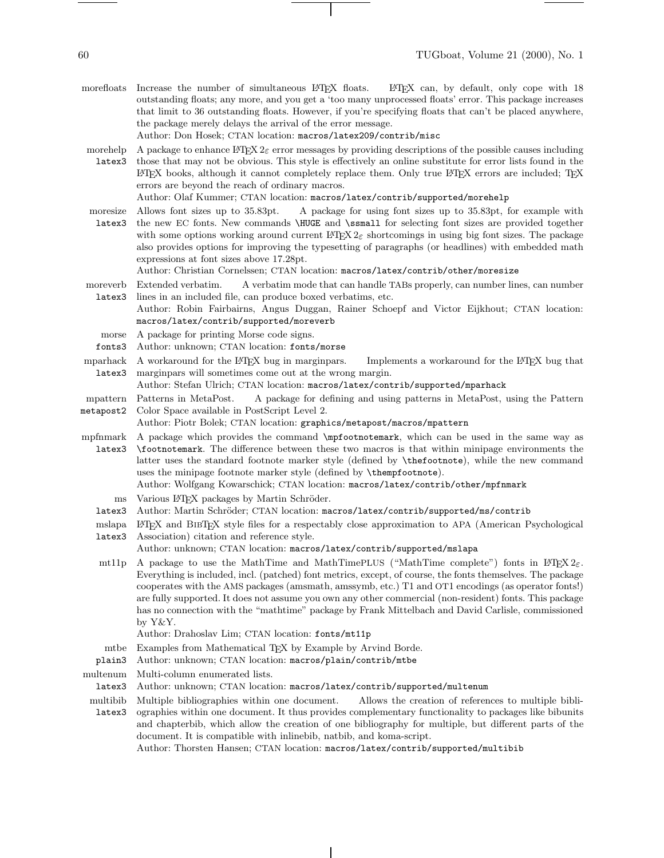- morefloats Increase the number of simultaneous LATEX floats. LATEX can, by default, only cope with 18 outstanding floats; any more, and you get a 'too many unprocessed floats' error. This package increases that limit to 36 outstanding floats. However, if you're specifying floats that can't be placed anywhere, the package merely delays the arrival of the error message. Author: Don Hosek; CTAN location: macros/latex209/contrib/misc
- morehelp latex3 A package to enhance LATEX  $2\varepsilon$  error messages by providing descriptions of the possible causes including those that may not be obvious. This style is effectively an online substitute for error lists found in the LATEX books, although it cannot completely replace them. Only true LATEX errors are included; TEX errors are beyond the reach of ordinary macros.

Author: Olaf Kummer; CTAN location: macros/latex/contrib/supported/morehelp

moresize latex3 Allows font sizes up to 35.83pt. A package for using font sizes up to 35.83pt, for example with the new EC fonts. New commands \HUGE and \ssmall for selecting font sizes are provided together with some options working around current LATEX  $2\varepsilon$  shortcomings in using big font sizes. The package also provides options for improving the typesetting of paragraphs (or headlines) with embedded math expressions at font sizes above 17.28pt.

Author: Christian Cornelssen; CTAN location: macros/latex/contrib/other/moresize

moreverb latex3 Extended verbatim. A verbatim mode that can handle TABs properly, can number lines, can number lines in an included file, can produce boxed verbatims, etc.

Author: Robin Fairbairns, Angus Duggan, Rainer Schoepf and Victor Eijkhout; CTAN location: macros/latex/contrib/supported/moreverb

- morse A package for printing Morse code signs.
- fonts3 Author: unknown; CTAN location: fonts/morse
- mparhack latex3 A workaround for the LATEX bug in marginpars. Implements a workaround for the LATEX bug that marginpars will sometimes come out at the wrong margin.

Author: Stefan Ulrich; CTAN location: macros/latex/contrib/supported/mparhack

- mpattern metapost2 Patterns in MetaPost. A package for defining and using patterns in MetaPost, using the Pattern Color Space available in PostScript Level 2.
- Author: Piotr Bolek; CTAN location: graphics/metapost/macros/mpattern
- mpfnmark latex3 A package which provides the command \mpfootnotemark, which can be used in the same way as \footnotemark. The difference between these two macros is that within minipage environments the latter uses the standard footnote marker style (defined by \thefootnote), while the new command uses the minipage footnote marker style (defined by \thempfootnote).

Author: Wolfgang Kowarschick; CTAN location: macros/latex/contrib/other/mpfnmark

- ms Various LATEX packages by Martin Schröder.
- latex3 Author: Martin Schröder; CTAN location: macros/latex/contrib/supported/ms/contrib
- mslapa LATEX and BibTEX style files for a respectably close approximation to APA (American Psychological
- latex3 Association) citation and reference style. Author: unknown; CTAN location: macros/latex/contrib/supported/mslapa
- mt11p A package to use the MathTime and MathTimePLUS ("MathTime complete") fonts in LATEX  $2\varepsilon$ . Everything is included, incl. (patched) font metrics, except, of course, the fonts themselves. The package cooperates with the AMS packages (amsmath, amssymb, etc.) T1 and OT1 encodings (as operator fonts!) are fully supported. It does not assume you own any other commercial (non-resident) fonts. This package has no connection with the "mathtime" package by Frank Mittelbach and David Carlisle, commissioned by Y&Y.

Author: Drahoslav Lim; CTAN location: fonts/mt11p

- mtbe Examples from Mathematical TEX by Example by Arvind Borde.
- plain3 Author: unknown; CTAN location: macros/plain/contrib/mtbe
- multenum Multi-column enumerated lists.
	- latex3 Author: unknown; CTAN location: macros/latex/contrib/supported/multenum
- multibib latex3 ographies within one document. It thus provides complementary functionality to packages like bibunits Multiple bibliographies within one document. Allows the creation of references to multiple bibliand chapterbib, which allow the creation of one bibliography for multiple, but different parts of the document. It is compatible with inlinebib, natbib, and koma-script.

Author: Thorsten Hansen; CTAN location: macros/latex/contrib/supported/multibib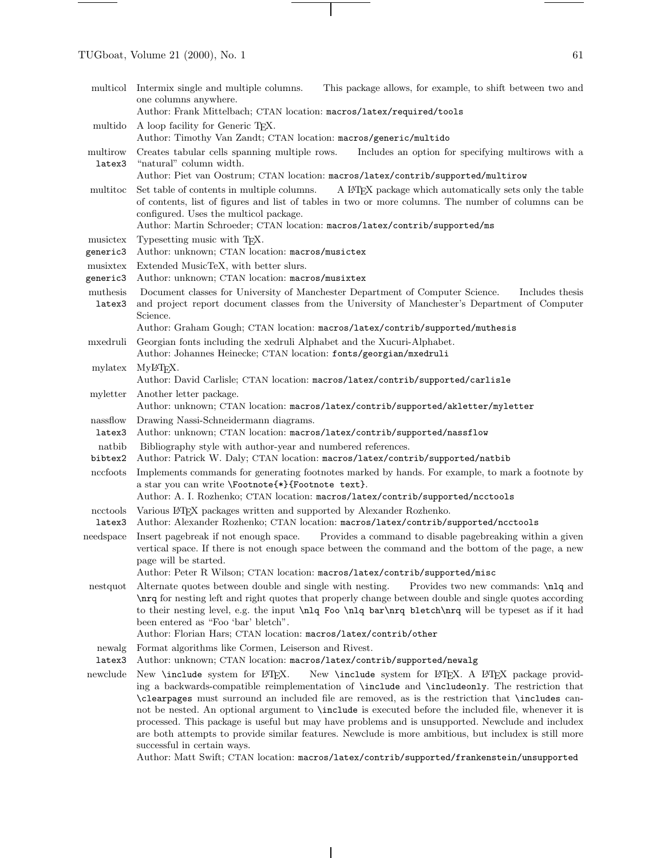multicol Intermix single and multiple columns. This package allows, for example, to shift between two and one columns anywhere. Author: Frank Mittelbach; CTAN location: macros/latex/required/tools multido A loop facility for Generic T<sub>E</sub>X. Author: Timothy Van Zandt; CTAN location: macros/generic/multido multirow latex3 Creates tabular cells spanning multiple rows. Includes an option for specifying multirows with a "natural" column width. Author: Piet van Oostrum; CTAN location: macros/latex/contrib/supported/multirow multitoc Set table of contents in multiple columns. A LATEX package which automatically sets only the table of contents, list of figures and list of tables in two or more columns. The number of columns can be configured. Uses the multicol package. Author: Martin Schroeder; CTAN location: macros/latex/contrib/supported/ms musictex generic3 Author: unknown; CTAN location: macros/musictex Typesetting music with TEX. musixtex Extended MusicTeX, with better slurs. generic3 Author: unknown; CTAN location: macros/musixtex muthesis latex3 Document classes for University of Manchester Department of Computer Science. Includes thesis and project report document classes from the University of Manchester's Department of Computer Science. Author: Graham Gough; CTAN location: macros/latex/contrib/supported/muthesis mxedruli Georgian fonts including the xedruli Alphabet and the Xucuri-Alphabet. Author: Johannes Heinecke; CTAN location: fonts/georgian/mxedruli mylatex MyL<sup>AT</sup>FX. Author: David Carlisle; CTAN location: macros/latex/contrib/supported/carlisle myletter Another letter package. Author: unknown; CTAN location: macros/latex/contrib/supported/akletter/myletter nassflow latex3 Author: unknown; CTAN location: macros/latex/contrib/supported/nassflow Drawing Nassi-Schneidermann diagrams. natbib bibtex2 Author: Patrick W. Daly; CTAN location: macros/latex/contrib/supported/natbib Bibliography style with author-year and numbered references. nccfoots Implements commands for generating footnotes marked by hands. For example, to mark a footnote by a star you can write \Footnote{\*}{Footnote text}. Author: A. I. Rozhenko; CTAN location: macros/latex/contrib/supported/ncctools ncctools Various L<sup>AT</sup>EX packages written and supported by Alexander Rozhenko. latex3 Author: Alexander Rozhenko; CTAN location: macros/latex/contrib/supported/ncctools needspace Insert pagebreak if not enough space. Provides a command to disable pagebreaking within a given vertical space. If there is not enough space between the command and the bottom of the page, a new page will be started. Author: Peter R Wilson; CTAN location: macros/latex/contrib/supported/misc nestquot Alternate quotes between double and single with nesting. Provides two new commands: \nlq and \nrq for nesting left and right quotes that properly change between double and single quotes according to their nesting level, e.g. the input \nlq Foo \nlq bar\nrq bletch\nrq will be typeset as if it had been entered as "Foo 'bar' bletch". Author: Florian Hars; CTAN location: macros/latex/contrib/other newalg latex3 Author: unknown; CTAN location: macros/latex/contrib/supported/newalg Format algorithms like Cormen, Leiserson and Rivest. newclude New \include system for LATEX. New \include system for LATEX. A LATEX package providing a backwards-compatible reimplementation of \include and \includeonly. The restriction that \clearpages must surround an included file are removed, as is the restriction that \includes cannot be nested. An optional argument to \include is executed before the included file, whenever it is processed. This package is useful but may have problems and is unsupported. Newclude and includex are both attempts to provide similar features. Newclude is more ambitious, but includex is still more successful in certain ways.

Author: Matt Swift; CTAN location: macros/latex/contrib/supported/frankenstein/unsupported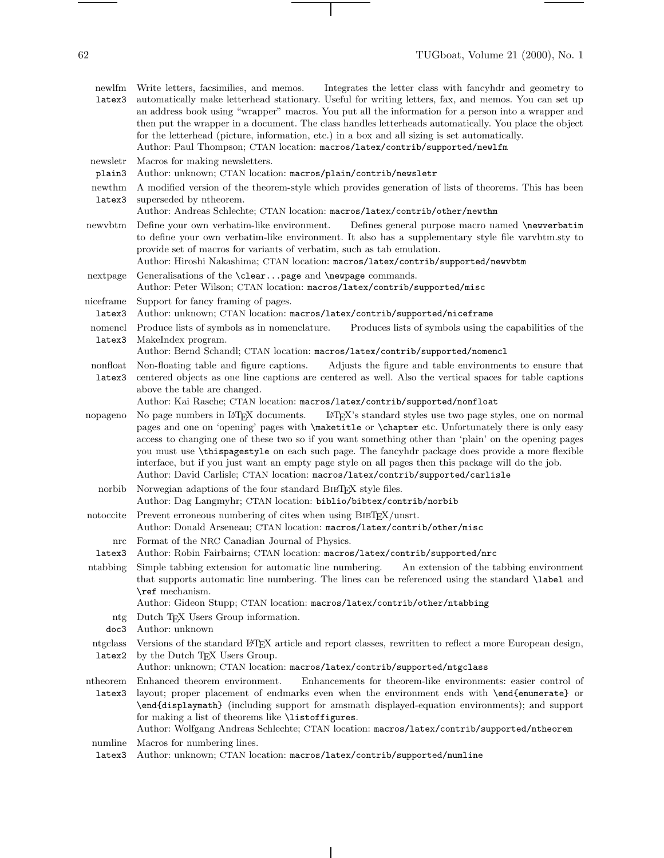newlfm Write letters, facsimilies, and memos. latex3 automatically make letterhead stationary. Useful for writing letters, fax, and memos. You can set up Integrates the letter class with fancyhdr and geometry to an address book using "wrapper" macros. You put all the information for a person into a wrapper and then put the wrapper in a document. The class handles letterheads automatically. You place the object for the letterhead (picture, information, etc.) in a box and all sizing is set automatically. Author: Paul Thompson; CTAN location: macros/latex/contrib/supported/newlfm newsletr plain3 Macros for making newsletters. Author: unknown; CTAN location: macros/plain/contrib/newsletr newthm latex3 A modified version of the theorem-style which provides generation of lists of theorems. This has been superseded by ntheorem. Author: Andreas Schlechte; CTAN location: macros/latex/contrib/other/newthm newvbtm Define your own verbatim-like environment. Defines general purpose macro named \newverbatim to define your own verbatim-like environment. It also has a supplementary style file varvbtm.sty to provide set of macros for variants of verbatim, such as tab emulation. Author: Hiroshi Nakashima; CTAN location: macros/latex/contrib/supported/newvbtm nextpage Generalisations of the \clear...page and \newpage commands. Author: Peter Wilson; CTAN location: macros/latex/contrib/supported/misc niceframe latex3 Support for fancy framing of pages. Author: unknown; CTAN location: macros/latex/contrib/supported/niceframe nomencl Produce lists of symbols as in nomenclature. latex3 MakeIndex program. Produces lists of symbols using the capabilities of the Author: Bernd Schandl; CTAN location: macros/latex/contrib/supported/nomencl nonfloat latex3 Non-floating table and figure captions. Adjusts the figure and table environments to ensure that centered objects as one line captions are centered as well. Also the vertical spaces for table captions above the table are changed. Author: Kai Rasche; CTAN location: macros/latex/contrib/supported/nonfloat nopageno No page numbers in LATEX documents. LATEX's standard styles use two page styles, one on normal pages and one on 'opening' pages with \maketitle or \chapter etc. Unfortunately there is only easy access to changing one of these two so if you want something other than 'plain' on the opening pages you must use \thispagestyle on each such page. The fancyhdr package does provide a more flexible interface, but if you just want an empty page style on all pages then this package will do the job. Author: David Carlisle; CTAN location: macros/latex/contrib/supported/carlisle norbib Norwegian adaptions of the four standard BibTEX style files. Author: Dag Langmyhr; CTAN location: biblio/bibtex/contrib/norbib notoccite Prevent erroneous numbering of cites when using BIBTEX/unsrt. Author: Donald Arseneau; CTAN location: macros/latex/contrib/other/misc nrc Format of the NRC Canadian Journal of Physics. latex3 Author: Robin Fairbairns; CTAN location: macros/latex/contrib/supported/nrc ntabbing Simple tabbing extension for automatic line numbering. An extension of the tabbing environment that supports automatic line numbering. The lines can be referenced using the standard \label and \ref mechanism. Author: Gideon Stupp; CTAN location: macros/latex/contrib/other/ntabbing ntg doc3 Dutch T<sub>F</sub>X Users Group information. Author: unknown ntgclass latex2 Versions of the standard LATEX article and report classes, rewritten to reflect a more European design, by the Dutch TEX Users Group. Author: unknown; CTAN location: macros/latex/contrib/supported/ntgclass ntheorem Enhanced theorem environment. latex3 Enhancements for theorem-like environments: easier control of layout; proper placement of endmarks even when the environment ends with \end{enumerate} or \end{displaymath} (including support for amsmath displayed-equation environments); and support for making a list of theorems like \listoffigures. Author: Wolfgang Andreas Schlechte; CTAN location: macros/latex/contrib/supported/ntheorem numline latex3 Author: unknown; CTAN location: macros/latex/contrib/supported/numlineMacros for numbering lines.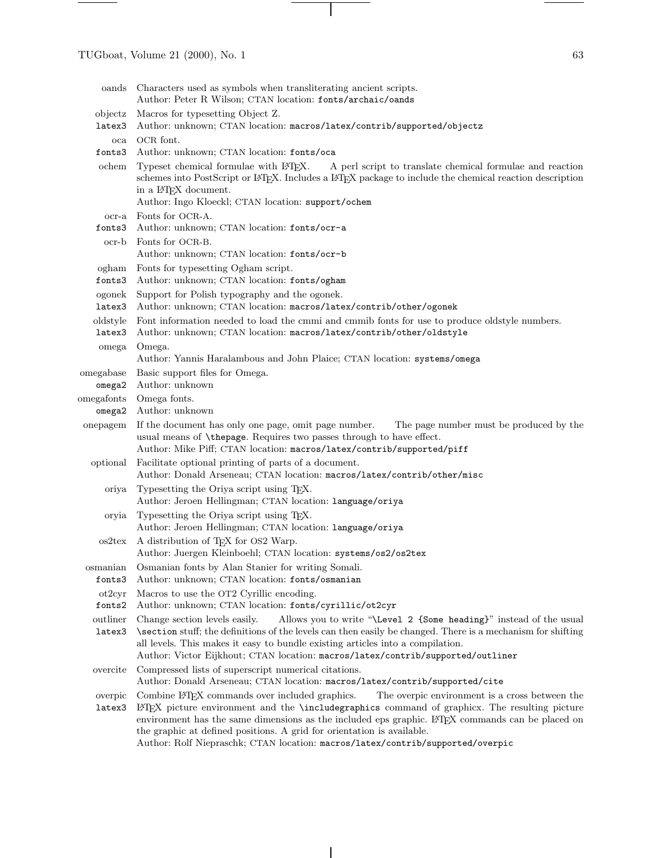| oands        | Characters used as symbols when transliterating ancient scripts.<br>Author: Peter R Wilson; CTAN location: fonts/archaic/oands                                                                                                                                                                                                     |
|--------------|------------------------------------------------------------------------------------------------------------------------------------------------------------------------------------------------------------------------------------------------------------------------------------------------------------------------------------|
| objectz      | Macros for typesetting Object Z.                                                                                                                                                                                                                                                                                                   |
| latex3       | Author: unknown; CTAN location: macros/latex/contrib/supported/objectz                                                                                                                                                                                                                                                             |
| $_{\rm oca}$ | OCR font.                                                                                                                                                                                                                                                                                                                          |
| fonts3       | Author: unknown; CTAN location: fonts/oca                                                                                                                                                                                                                                                                                          |
| ochem        | Typeset chemical formulae with IATEX.<br>A perl script to translate chemical formulae and reaction<br>schemes into PostScript or L <sup>AT</sup> EX. Includes a L <sup>AT</sup> EX package to include the chemical reaction description<br>in a IAT <sub>F</sub> X document.<br>Author: Ingo Kloeckl; CTAN location: support/ochem |
| $ocr-a$      | Fonts for OCR-A.                                                                                                                                                                                                                                                                                                                   |
| fonts3       | Author: unknown; CTAN location: fonts/ocr-a                                                                                                                                                                                                                                                                                        |
| ocr-b        | Fonts for OCR-B.                                                                                                                                                                                                                                                                                                                   |
|              | Author: unknown; CTAN location: fonts/ocr-b                                                                                                                                                                                                                                                                                        |
| ogham        | Fonts for typesetting Ogham script.                                                                                                                                                                                                                                                                                                |
| fonts3       | Author: unknown; CTAN location: fonts/ogham                                                                                                                                                                                                                                                                                        |
| ogonek       | Support for Polish typography and the ogonek.                                                                                                                                                                                                                                                                                      |
| latex3       | Author: unknown; CTAN location: macros/latex/contrib/other/ogonek                                                                                                                                                                                                                                                                  |
| oldstyle     | Font information needed to load the cmmi and cmmib fonts for use to produce oldstyle numbers.                                                                                                                                                                                                                                      |
| latex3       | Author: unknown; CTAN location: macros/latex/contrib/other/oldstyle                                                                                                                                                                                                                                                                |
| omega        | Omega.                                                                                                                                                                                                                                                                                                                             |
|              | Author: Yannis Haralambous and John Plaice; CTAN location: systems/omega                                                                                                                                                                                                                                                           |
| omegabase    | Basic support files for Omega.                                                                                                                                                                                                                                                                                                     |
| omega2       | Author: unknown                                                                                                                                                                                                                                                                                                                    |
| omegafonts   | Omega fonts.                                                                                                                                                                                                                                                                                                                       |
| omega2       | Author: unknown                                                                                                                                                                                                                                                                                                                    |
| onepagem     | If the document has only one page, omit page number.<br>The page number must be produced by the<br>usual means of \thepage. Requires two passes through to have effect.<br>Author: Mike Piff; CTAN location: macros/latex/contrib/supported/piff                                                                                   |
| optional     | Facilitate optional printing of parts of a document.<br>Author: Donald Arseneau; CTAN location: macros/latex/contrib/other/misc                                                                                                                                                                                                    |
| oriya        | Typesetting the Oriya script using TEX.<br>Author: Jeroen Hellingman; CTAN location: language/oriya                                                                                                                                                                                                                                |
| oryia        | Typesetting the Oriya script using TEX.<br>Author: Jeroen Hellingman; CTAN location: language/oriya                                                                                                                                                                                                                                |
| os2tex       | A distribution of T <sub>F</sub> X for OS2 Warp.                                                                                                                                                                                                                                                                                   |
|              | Author: Juergen Kleinboehl; CTAN location: systems/os2/os2tex                                                                                                                                                                                                                                                                      |
| osmanian     | Osmanian fonts by Alan Stanier for writing Somali.                                                                                                                                                                                                                                                                                 |
| fonts3       | Author: unknown; CTAN location: fonts/osmanian                                                                                                                                                                                                                                                                                     |
| ot2cyr       | Macros to use the OT2 Cyrillic encoding.                                                                                                                                                                                                                                                                                           |
| fonts2       | Author: unknown; CTAN location: fonts/cyrillic/ot2cyr                                                                                                                                                                                                                                                                              |
| outliner     | Allows you to write "\Level 2 {Some heading}" instead of the usual<br>Change section levels easily.                                                                                                                                                                                                                                |
| latex3       | \section stuff; the definitions of the levels can then easily be changed. There is a mechanism for shifting<br>all levels. This makes it easy to bundle existing articles into a compilation.<br>Author: Victor Eijkhout; CTAN location: macros/latex/contrib/supported/outliner                                                   |
| overcite     | Compressed lists of superscript numerical citations.<br>Author: Donald Arseneau; CTAN location: macros/latex/contrib/supported/cite                                                                                                                                                                                                |
| overpic      | Combine IATEX commands over included graphics.<br>The overpic environment is a cross between the                                                                                                                                                                                                                                   |
| latex3       | LATEX picture environment and the <b>\includegraphics</b> command of graphics. The resulting picture<br>environment has the same dimensions as the included eps graphic. L <sup>A</sup> TEX commands can be placed on<br>the graphic at defined positions. A grid for orientation is available.                                    |

 $\mathbf{I}$ 

Author: Rolf Niepraschk; CTAN location: macros/latex/contrib/supported/overpic

 $\overline{\phantom{a}}$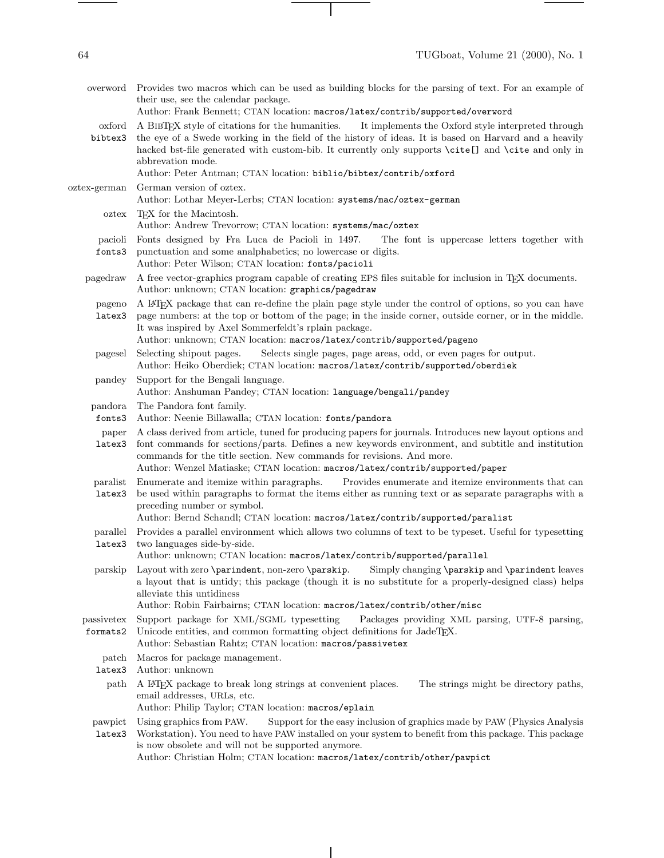overword Provides two macros which can be used as building blocks for the parsing of text. For an example of their use, see the calendar package. Author: Frank Bennett; CTAN location: macros/latex/contrib/supported/overword oxford bibtex3 A BibTEX style of citations for the humanities. It implements the Oxford style interpreted through the eye of a Swede working in the field of the history of ideas. It is based on Harvard and a heavily hacked bst-file generated with custom-bib. It currently only supports \cite[] and \cite and only in abbrevation mode. Author: Peter Antman; CTAN location: biblio/bibtex/contrib/oxford oztex-german German version of oztex. Author: Lothar Meyer-Lerbs; CTAN location: systems/mac/oztex-german oztex TEX for the Macintosh. Author: Andrew Trevorrow; CTAN location: systems/mac/oztex pacioli fonts3 Fonts designed by Fra Luca de Pacioli in 1497. The font is uppercase letters together with punctuation and some analphabetics; no lowercase or digits. Author: Peter Wilson; CTAN location: fonts/pacioli pagedraw A free vector-graphics program capable of creating EPS files suitable for inclusion in TEX documents. Author: unknown; CTAN location: graphics/pagedraw pageno A LATEX package that can re-define the plain page style under the control of options, so you can have latex3 page numbers: at the top or bottom of the page; in the inside corner, outside corner, or in the middle. It was inspired by Axel Sommerfeldt's rplain package. Author: unknown; CTAN location: macros/latex/contrib/supported/pageno pagesel Selecting shipout pages. Selects single pages, page areas, odd, or even pages for output. Author: Heiko Oberdiek; CTAN location: macros/latex/contrib/supported/oberdiek pandey Support for the Bengali language. Author: Anshuman Pandey; CTAN location: language/bengali/pandey pandora fonts3 The Pandora font family. Author: Neenie Billawalla; CTAN location: fonts/pandora paper latex3 A class derived from article, tuned for producing papers for journals. Introduces newlayout options and font commands for sections/parts. Defines a new keywords environment, and subtitle and institution commands for the title section. New commands for revisions. And more. Author: Wenzel Matiaske; CTAN location: macros/latex/contrib/supported/paper paralist Enumerate and itemize within paragraphs. latex3 Provides enumerate and itemize environments that can be used within paragraphs to format the items either as running text or as separate paragraphs with a preceding number or symbol. Author: Bernd Schandl; CTAN location: macros/latex/contrib/supported/paralist parallel latex3 Provides a parallel environment which allows two columns of text to be typeset. Useful for typesetting two languages side-by-side. Author: unknown; CTAN location: macros/latex/contrib/supported/parallel parskip Layout with zero \parindent, non-zero \parskip. Simply changing \parskip and \parindent leaves a layout that is untidy; this package (though it is no substitute for a properly-designed class) helps alleviate this untidiness Author: Robin Fairbairns; CTAN location: macros/latex/contrib/other/misc passivetex formats2 Support package for XML/SGML typesetting Packages providing XML parsing, UTF-8 parsing, Unicode entities, and common formatting object definitions for JadeT<sub>E</sub>X. Author: Sebastian Rahtz; CTAN location: macros/passivetex patch Macros for package management. latex3 Author: unknown path A LATEX package to break long strings at convenient places. The strings might be directory paths, email addresses, URLs, etc. Author: Philip Taylor; CTAN location: macros/eplain pawpict Using graphics from PAW. latex3 Workstation). You need to have PAW installed on your system to benefit from this package. This package Support for the easy inclusion of graphics made by PAW (Physics Analysis is now obsolete and will not be supported anymore.

Author: Christian Holm; CTAN location: macros/latex/contrib/other/pawpict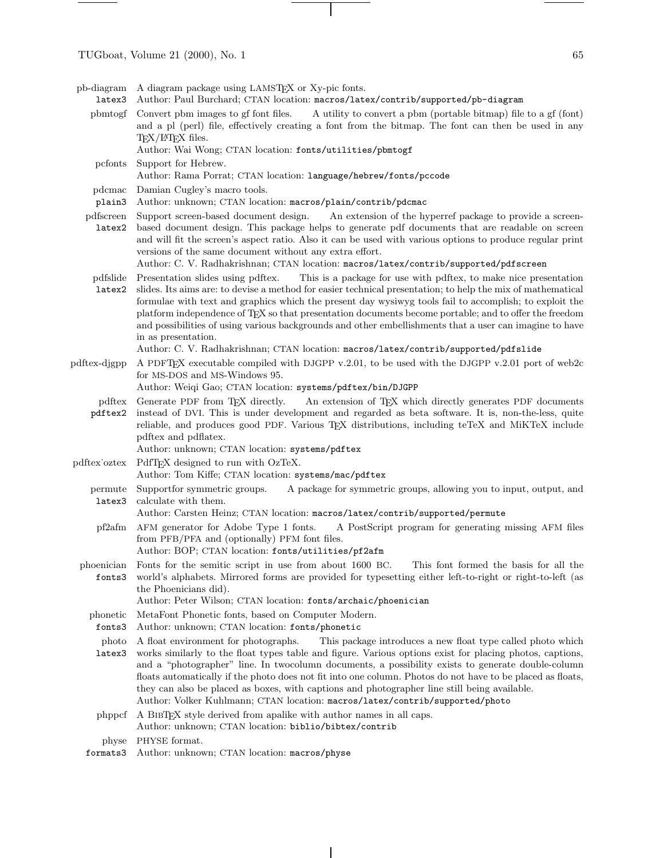pb-diagram A diagram package using LAMSTEX or Xy-pic fonts.

- latex3 Author: Paul Burchard; CTAN location: macros/latex/contrib/supported/pb-diagram
	- pbmtogf Convert pbm images to gf font files. A utility to convert a pbm (portable bitmap) file to a gf (font) and a pl (perl) file, effectively creating a font from the bitmap. The font can then be used in any TEX/L<sup>AT</sup>EX files.
		- Author: Wai Wong; CTAN location: fonts/utilities/pbmtogf
	- pcfonts Support for Hebrew.
		- Author: Rama Porrat; CTAN location: language/hebrew/fonts/pccode
	- pdcmac Damian Cugley's macro tools.
	- plain3 Author: unknown; CTAN location: macros/plain/contrib/pdcmac
- pdfscreen latex2 Support screen-based document design. An extension of the hyperref package to provide a screenbased document design. This package helps to generate pdf documents that are readable on screen and will fit the screen's aspect ratio. Also it can be used with various options to produce regular print versions of the same document without any extra effort.
	- Author: C. V. Radhakrishnan; CTAN location: macros/latex/contrib/supported/pdfscreen
- pdfslide latex2 Presentation slides using pdftex. This is a package for use with pdftex, to make nice presentation slides. Its aims are: to devise a method for easier technical presentation; to help the mix of mathematical formulae with text and graphics which the present day wysiwyg tools fail to accomplish; to exploit the platform independence of TEX so that presentation documents become portable; and to offer the freedom and possibilities of using various backgrounds and other embellishments that a user can imagine to have in as presentation.
	- Author: C. V. Radhakrishnan; CTAN location: macros/latex/contrib/supported/pdfslide
- pdftex-djgpp A PDFTEX executable compiled with DJGPP v.2.01, to be used with the DJGPP v.2.01 port of web2c for MS-DOS and MS-Windows 95.
	- Author: Weiqi Gao; CTAN location: systems/pdftex/bin/DJGPP
	- pdftex pdftex2 Generate PDF from TFX directly. An extension of TFX which directly generates PDF documents instead of DVI. This is under development and regarded as beta software. It is, non-the-less, quite reliable, and produces good PDF. Various TEX distributions, including teTeX and MiKTeX include pdftex and pdflatex.
		- Author: unknown; CTAN location: systems/pdftex
- pdftex oztex PdfT<sub>F</sub>X designed to run with OzTeX. Author: Tom Kiffe; CTAN location: systems/mac/pdftex
	- permute latex3 Supportfor symmetric groups. A package for symmetric groups, allowing you to input, output, and calculate with them.

## Author: Carsten Heinz; CTAN location: macros/latex/contrib/supported/permute

- pf2afm AFM generator for Adobe Type 1 fonts. A PostScript program for generating missing AFM files from PFB/PFA and (optionally) PFM font files.
- Author: BOP; CTAN location: fonts/utilities/pf2afm
- phoenician fonts3 Fonts for the semitic script in use from about 1600 BC. This font formed the basis for all the world's alphabets. Mirrored forms are provided for typesetting either left-to-right or right-to-left (as the Phoenicians did).

Author: Peter Wilson; CTAN location: fonts/archaic/phoenician

- phonetic MetaFont Phonetic fonts, based on Computer Modern.
- fonts3 Author: unknown; CTAN location: fonts/phonetic
- photo A float environment for photographs. This package introduces a new float type called photo which
- latex3 works similarly to the float types table and figure. Various options exist for placing photos, captions, and a "photographer" line. In twocolumn documents, a possibility exists to generate double-column floats automatically if the photo does not fit into one column. Photos do not have to be placed as floats, they can also be placed as boxes, with captions and photographer line still being available. Author: Volker Kuhlmann; CTAN location: macros/latex/contrib/supported/photo
- phppcf A BIBTEX style derived from apalike with author names in all caps. Author: unknown; CTAN location: biblio/bibtex/contrib

physe PHYSE format.

formats3 Author: unknown; CTAN location: macros/physe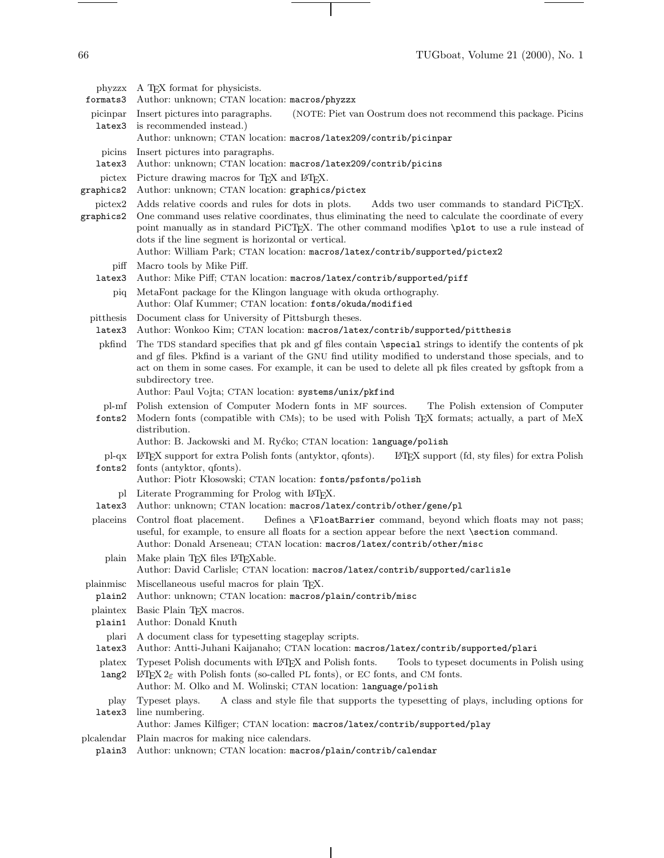66 TUGboat, Volume 21 (2000), No. 1

phyzzx A TEX format for physicists. formats3 Author: unknown; CTAN location: macros/phyzzx picinpar latex3 Insert pictures into paragraphs. (NOTE: Piet van Oostrum does not recommend this package. Picins is recommended instead.) Author: unknown; CTAN location: macros/latex209/contrib/picinpar picins Insert pictures into paragraphs. latex3 Author: unknown; CTAN location: macros/latex209/contrib/picins pictex Picture drawing macros for T<sub>E</sub>X and I<sup>g</sup>T<sub>E</sub>X. graphics2 Author: unknown; CTAN location: graphics/pictex pictex2 Adds relative coords and rules for dots in plots. Adds two user commands to standard PiCTEX. graphics2 One command uses relative coordinates, thus eliminating the need to calculate the coordinate of every point manually as in standard PiCTEX. The other command modifies \plot to use a rule instead of dots if the line segment is horizontal or vertical. Author: William Park; CTAN location: macros/latex/contrib/supported/pictex2 piff Macro tools by Mike Piff. latex3 Author: Mike Piff; CTAN location: macros/latex/contrib/supported/piff piq MetaFont package for the Klingon language with okuda orthography. Author: Olaf Kummer; CTAN location: fonts/okuda/modified pitthesis Document class for University of Pittsburgh theses. latex3 Author: Wonkoo Kim; CTAN location: macros/latex/contrib/supported/pitthesis pkfind The TDS standard specifies that pk and gf files contain \special strings to identify the contents of pk and gf files. Pkfind is a variant of the GNU find utility modified to understand those specials, and to act on them in some cases. For example, it can be used to delete all pk files created by gsftopk from a subdirectory tree. Author: Paul Vojta; CTAN location: systems/unix/pkfind pl-mf Polish extension of Computer Modern fonts in MF sources. The Polish extension of Computer fonts2 Modern fonts (compatible with CMs); to be used with Polish TEX formats; actually, a part of MeX distribution. Author: B. Jackowski and M. Ryćko; CTAN location: language/polish pl-qx LATEX support for extra Polish fonts (antyktor, qfonts). LATEX support (fd, sty files) for extra Polish fonts2 fonts (antyktor, qfonts). Author: Piotr Kłosowski; CTAN location: fonts/psfonts/polish pl Literate Programming for Prolog with L<sup>AT</sup>EX. latex3 Author: unknown; CTAN location: macros/latex/contrib/other/gene/pl placeins Control float placement. Defines a \FloatBarrier command, beyond which floats may not pass; useful, for example, to ensure all floats for a section appear before the next \section command. Author: Donald Arseneau; CTAN location: macros/latex/contrib/other/misc plain Make plain T<sub>F</sub>X files L<sup>AT</sup>F<sub>X</sub>able. Author: David Carlisle; CTAN location: macros/latex/contrib/supported/carlisle plainmisc plain2 Miscellaneous useful macros for plain TEX. Author: unknown; CTAN location: macros/plain/contrib/misc plaintex Basic Plain TEX macros.

- plain1 Author: Donald Knuth
- plari A document class for typesetting stageplay scripts.
- latex3 Author: Antti-Juhani Kaijanaho; CTAN location: macros/latex/contrib/supported/plari
- platex Typeset Polish documents with LATEX and Polish fonts. Tools to typeset documents in Polish using
- lang2 LATEX 2ε with Polish fonts (so-called PL fonts), or EC fonts, and CM fonts. Author: M. Olko and M. Wolinski; CTAN location: language/polish
- play latex3 Typeset plays. A class and style file that supports the typesetting of plays, including options for line numbering.

Author: James Kilfiger; CTAN location: macros/latex/contrib/supported/play

- plcalendar Plain macros for making nice calendars.
	- plain3 Author: unknown; CTAN location: macros/plain/contrib/calendar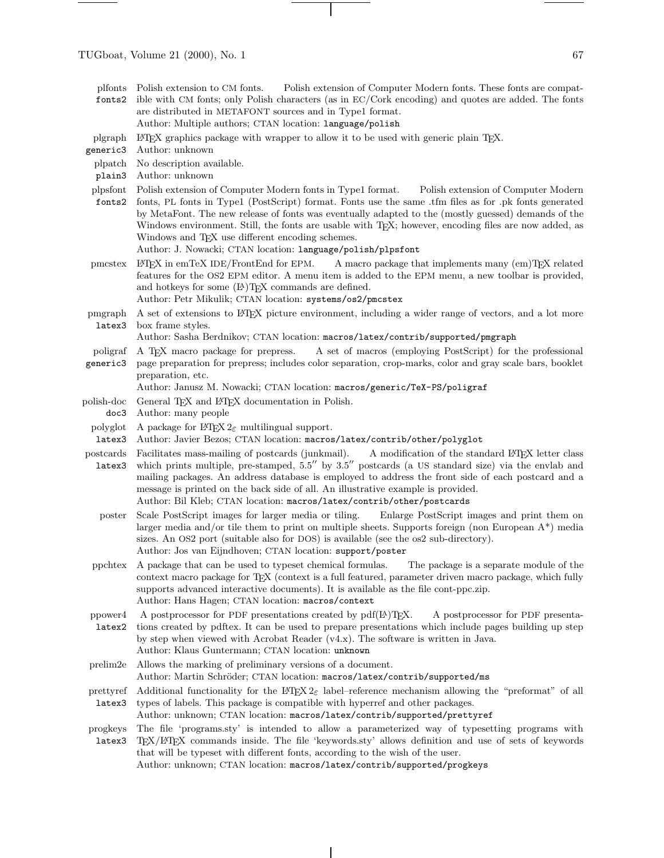- plfonts Polish extension to CM fonts. fonts2 Polish extension of Computer Modern fonts. These fonts are compatible with CM fonts; only Polish characters (as in EC/Cork encoding) and quotes are added. The fonts are distributed in METAFONT sources and in Type1 format.
	- Author: Multiple authors; CTAN location: language/polish
- plgraph LATEX graphics package with wrapper to allow it to be used with generic plain TEX.

generic3 Author: unknown

- plpatch No description available.
- plain3 Author: unknown
- plpsfont fonts2 Polish extension of Computer Modern fonts in Type1 format. Polish extension of Computer Modern fonts, PL fonts in Type1 (PostScript) format. Fonts use the same .tfm files as for .pk fonts generated by MetaFont. The newrelease of fonts was eventually adapted to the (mostly guessed) demands of the Windows environment. Still, the fonts are usable with T<sub>E</sub>X; however, encoding files are now added, as Windows and T<sub>E</sub>X use different encoding schemes.

Author: J. Nowacki; CTAN location: language/polish/plpsfont

- pmcstex LATEX in emTeX IDE/FrontEnd for EPM. A macro package that implements many (em)TEX related features for the OS2 EPM editor. A menu item is added to the EPM menu, a newtoolbar is provided, and hotkeys for some  $(L)$ T<sub>E</sub>X commands are defined. Author: Petr Mikulik; CTAN location: systems/os2/pmcstex
	-
- pmgraph latex3 A set of extensions to LATEX picture environment, including a wider range of vectors, and a lot more box frame styles.

Author: Sasha Berdnikov; CTAN location: macros/latex/contrib/supported/pmgraph

- poligraf generic3 A TEX macro package for prepress. A set of macros (employing PostScript) for the professional page preparation for prepress; includes color separation, crop-marks, color and gray scale bars, booklet preparation, etc.
	- Author: Janusz M. Nowacki; CTAN location: macros/generic/TeX-PS/poligraf
- polish-doc General T<sub>F</sub>X and L<sup>AT</sup>F<sub>X</sub> documentation in Polish.
- doc3 Author: many people
- polyglot A package for  $\angle MEX 2\varepsilon$  multilingual support.
- latex3 Author: Javier Bezos; CTAN location: macros/latex/contrib/other/polyglot
- postcards latex3 Facilitates mass-mailing of postcards (junkmail). A modification of the standard LATEX letter class which prints multiple, pre-stamped,  $5.5''$  by  $3.5''$  postcards (a US standard size) via the envlab and mailing packages. An address database is employed to address the front side of each postcard and a message is printed on the back side of all. An illustrative example is provided. Author: Bil Kleb; CTAN location: macros/latex/contrib/other/postcards
	- poster Scale PostScript images for larger media or tiling. Enlarge PostScript images and print them on larger media and/or tile them to print on multiple sheets. Supports foreign (non European  $A^*$ ) media sizes. An OS2 port (suitable also for DOS) is available (see the os2 sub-directory). Author: Jos van Eijndhoven; CTAN location: support/poster
- ppchtex A package that can be used to typeset chemical formulas. The package is a separate module of the context macro package for TEX (context is a full featured, parameter driven macro package, which fully supports advanced interactive documents). It is available as the file cont-ppc.zip. Author: Hans Hagen; CTAN location: macros/context
- ppower4 latex2 A postprocessor for PDF presentations created by  $pdf(B)TEX.$  A postprocessor for PDF presentations created by pdftex. It can be used to prepare presentations which include pages building up step by step when viewed with Acrobat Reader (v4.x). The software is written in Java. Author: Klaus Guntermann; CTAN location: unknown
- prelim2e Allows the marking of preliminary versions of a document. Author: Martin Schröder; CTAN location: macros/latex/contrib/supported/ms
- prettyref latex3 Additional functionality for the  $\mathbb{P}\text{TEX }2\varepsilon$  label–reference mechanism allowing the "preformat" of all types of labels. This package is compatible with hyperref and other packages.

Author: unknown; CTAN location: macros/latex/contrib/supported/prettyref

progkeys latex3 The file 'programs.sty' is intended to allow a parameterized way of typesetting programs with TEX/LATEX commands inside. The file 'keywords.sty' allows definition and use of sets of keywords that will be typeset with different fonts, according to the wish of the user. Author: unknown; CTAN location: macros/latex/contrib/supported/progkeys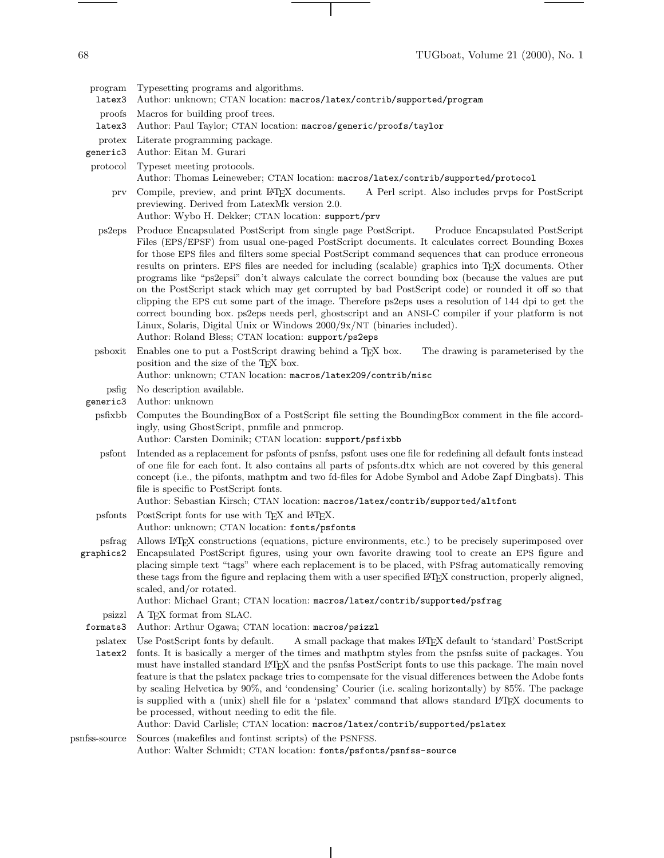program Typesetting programs and algorithms.

- latex3 Author: unknown; CTAN location: macros/latex/contrib/supported/program
- proofs Macros for building proof trees.
- latex3 Author: Paul Taylor; CTAN location: macros/generic/proofs/taylor
- protex Literate programming package.
- generic3 Author: Eitan M. Gurari

protocol Typeset meeting protocols.

Author: Thomas Leineweber; CTAN location: macros/latex/contrib/supported/protocol

prv Compile, preview, and print LATEX documents. A Perl script. Also includes prvps for PostScript previewing. Derived from LatexMk version 2.0.

Author: Wybo H. Dekker; CTAN location: support/prv

- ps2eps Produce Encapsulated PostScript from single page PostScript. Produce Encapsulated PostScript Files (EPS/EPSF) from usual one-paged PostScript documents. It calculates correct Bounding Boxes for those EPS files and filters some special PostScript command sequences that can produce erroneous results on printers. EPS files are needed for including (scalable) graphics into T<sub>EX</sub> documents. Other programs like "ps2epsi" don't always calculate the correct bounding box (because the values are put on the PostScript stack which may get corrupted by bad PostScript code) or rounded it off so that clipping the EPS cut some part of the image. Therefore ps2eps uses a resolution of 144 dpi to get the correct bounding box. ps2eps needs perl, ghostscript and an ANSI-C compiler if your platform is not Linux, Solaris, Digital Unix or Windows 2000/9x/NT (binaries included). Author: Roland Bless; CTAN location: support/ps2eps
- psboxit Enables one to put a PostScript drawing behind a TEX box. The drawing is parameterised by the position and the size of the TEX box.
	- Author: unknown; CTAN location: macros/latex209/contrib/misc

psfig No description available.

- generic3 Author: unknown
- psfixbb Computes the BoundingBox of a PostScript file setting the BoundingBox comment in the file accordingly, using GhostScript, pnmfile and pnmcrop.
	- Author: Carsten Dominik; CTAN location: support/psfixbb
- psfont Intended as a replacement for psfonts of psnfss, psfont uses one file for redefining all default fonts instead of one file for each font. It also contains all parts of psfonts.dtx which are not covered by this general concept (i.e., the pifonts, mathptm and two fd-files for Adobe Symbol and Adobe Zapf Dingbats). This file is specific to PostScript fonts.

Author: Sebastian Kirsch; CTAN location: macros/latex/contrib/supported/altfont

psfonts PostScript fonts for use with TFX and LATEX.

Author: unknown; CTAN location: fonts/psfonts

psfrag graphics2 Allows LATEX constructions (equations, picture environments, etc.) to be precisely superimposed over Encapsulated PostScript figures, using your own favorite drawing tool to create an EPS figure and placing simple text "tags" where each replacement is to be placed, with PSfrag automatically removing these tags from the figure and replacing them with a user specified LATEX construction, properly aligned, scaled, and/or rotated.

Author: Michael Grant; CTAN location: macros/latex/contrib/supported/psfrag

psizzl A TEX format from SLAC.

formats3 Author: Arthur Ogawa; CTAN location: macros/psizzl

pslatex Use PostScript fonts by default. A small package that makes LATEX default to 'standard' PostScript

latex2 fonts. It is basically a merger of the times and mathptm styles from the psnfss suite of packages. You must have installed standard LATEX and the psnfss PostScript fonts to use this package. The main novel feature is that the pslatex package tries to compensate for the visual differences between the Adobe fonts by scaling Helvetica by 90%, and 'condensing' Courier (i.e. scaling horizontally) by 85%. The package is supplied with a (unix) shell file for a 'pslatex' command that allows standard LATEX documents to be processed, without needing to edit the file.

Author: David Carlisle; CTAN location: macros/latex/contrib/supported/pslatex

psnfss-source Sources (makefiles and fontinst scripts) of the PSNFSS. Author: Walter Schmidt; CTAN location: fonts/psfonts/psnfss-source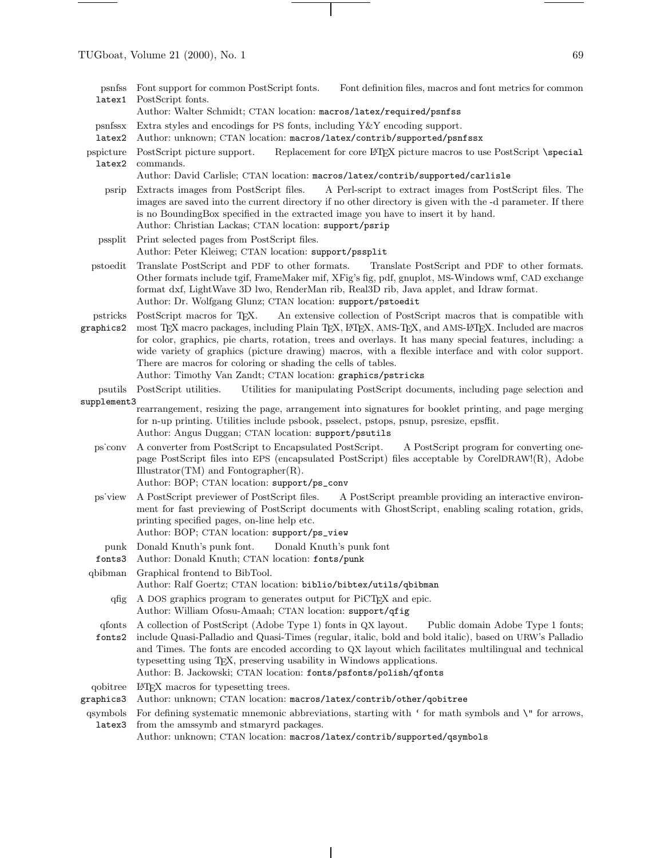| psnfss<br>latex1      | Font support for common PostScript fonts.<br>Font definition files, macros and font metrics for common<br>PostScript fonts.<br>Author: Walter Schmidt; CTAN location: macros/latex/required/psnfss                                                                                                                                                                                                                                                                                                                                                                                              |
|-----------------------|-------------------------------------------------------------------------------------------------------------------------------------------------------------------------------------------------------------------------------------------------------------------------------------------------------------------------------------------------------------------------------------------------------------------------------------------------------------------------------------------------------------------------------------------------------------------------------------------------|
| psnfssx<br>latex2     | Extra styles and encodings for PS fonts, including $Y \& Y$ encoding support.<br>Author: unknown; CTAN location: macros/latex/contrib/supported/psnfssx                                                                                                                                                                                                                                                                                                                                                                                                                                         |
| pspicture<br>latex2   | Replacement for core LATFX picture macros to use PostScript \special<br>PostScript picture support.<br>commands.                                                                                                                                                                                                                                                                                                                                                                                                                                                                                |
|                       | Author: David Carlisle; CTAN location: macros/latex/contrib/supported/carlisle                                                                                                                                                                                                                                                                                                                                                                                                                                                                                                                  |
| psrip                 | Extracts images from PostScript files.<br>A Perl-script to extract images from PostScript files. The<br>images are saved into the current directory if no other directory is given with the -d parameter. If there<br>is no BoundingBox specified in the extracted image you have to insert it by hand.<br>Author: Christian Lackas; CTAN location: support/psrip                                                                                                                                                                                                                               |
| pssplit               | Print selected pages from PostScript files.                                                                                                                                                                                                                                                                                                                                                                                                                                                                                                                                                     |
|                       | Author: Peter Kleiweg; CTAN location: support/pssplit                                                                                                                                                                                                                                                                                                                                                                                                                                                                                                                                           |
| pstoedit              | Translate PostScript and PDF to other formats.<br>Translate PostScript and PDF to other formats.<br>Other formats include tgif, FrameMaker mif, XFig's fig, pdf, gnuplot, MS-Windows wmf, CAD exchange<br>format dxf, LightWave 3D lwo, RenderMan rib, Real3D rib, Java applet, and Idraw format.<br>Author: Dr. Wolfgang Glunz; CTAN location: support/pstoedit                                                                                                                                                                                                                                |
| pstricks<br>graphics2 | PostScript macros for T <sub>F</sub> X. An extensive collection of PostScript macros that is compatible with<br>most TFX macro packages, including Plain TFX, L <sup>AT</sup> FX, AMS-TFX, and AMS-L <sup>A</sup> TFX. Included are macros<br>for color, graphics, pie charts, rotation, trees and overlays. It has many special features, including: a<br>wide variety of graphics (picture drawing) macros, with a flexible interface and with color support.<br>There are macros for coloring or shading the cells of tables.<br>Author: Timothy Van Zandt; CTAN location: graphics/pstricks |
| psutils               | Utilities for manipulating PostScript documents, including page selection and<br>PostScript utilities.                                                                                                                                                                                                                                                                                                                                                                                                                                                                                          |
| supplement3           |                                                                                                                                                                                                                                                                                                                                                                                                                                                                                                                                                                                                 |
|                       | rearrangement, resizing the page, arrangement into signatures for booklet printing, and page merging<br>for n-up printing. Utilities include psbook, psselect, pstops, psnup, psresize, epsffit.<br>Author: Angus Duggan; CTAN location: support/psutils                                                                                                                                                                                                                                                                                                                                        |
| ps conv               | A converter from PostScript to Encapsulated PostScript.<br>A PostScript program for converting one-<br>page PostScript files into EPS (encapsulated PostScript) files acceptable by CorelDRAW!(R), Adobe<br>$Illustrator(TM)$ and Fontographer $(R)$ .                                                                                                                                                                                                                                                                                                                                          |

Author: BOP; CTAN location: support/ps\_conv

- ps˙viewA PostScript previewer of PostScript files. A PostScript preamble providing an interactive environment for fast previewing of PostScript documents with GhostScript, enabling scaling rotation, grids, printing specified pages, on-line help etc.
	- Author: BOP; CTAN location: support/ps\_view
	- punk Donald Knuth's punk font. Donald Knuth's punk font
- fonts3 Author: Donald Knuth; CTAN location: fonts/punk
- qbibman Graphical frontend to BibTool. Author: Ralf Goertz; CTAN location: biblio/bibtex/utils/qbibman
	- qfig A DOS graphics program to generates output for PiCTEX and epic. Author: William Ofosu-Amaah; CTAN location: support/qfig
- qfonts A collection of PostScript (Adobe Type 1) fonts in QX layout. Public domain Adobe Type 1 fonts;
- fonts2 include Quasi-Palladio and Quasi-Times (regular, italic, bold and bold italic), based on URW's Palladio and Times. The fonts are encoded according to QX layout which facilitates multilingual and technical typesetting using TEX, preserving usability in Windows applications. Author: B. Jackowski; CTAN location: fonts/psfonts/polish/qfonts
- qobitree LATEX macros for typesetting trees.
- graphics3 Author: unknown; CTAN location: macros/latex/contrib/other/qobitree
- qsymbols latex3 For defining systematic mnemonic abbreviations, starting with ' for math symbols and \" for arrows, from the amssymb and stmaryrd packages.

Author: unknown; CTAN location: macros/latex/contrib/supported/qsymbols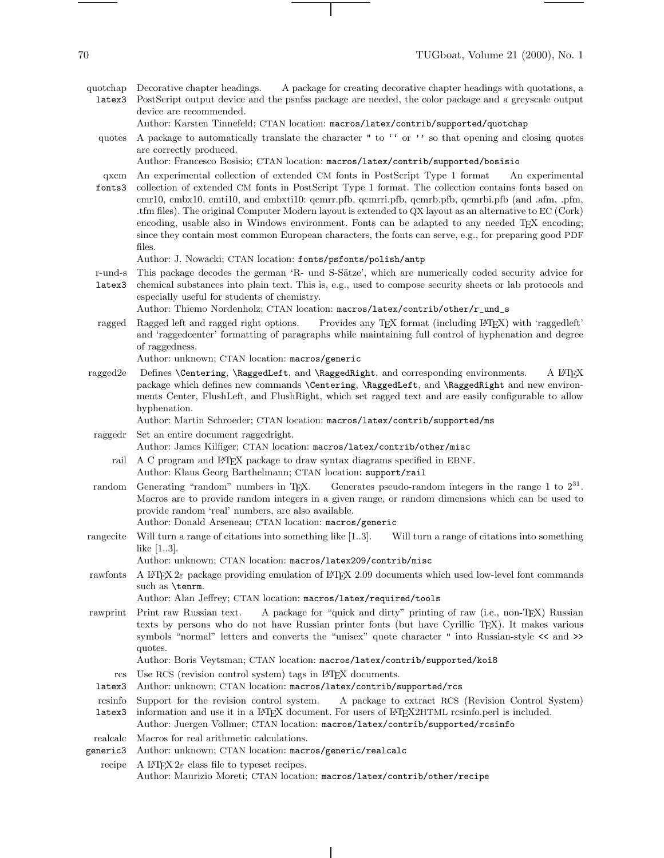- quotchap Decorative chapter headings. latex3 A package for creating decorative chapter headings with quotations, a PostScript output device and the psnfss package are needed, the color package and a greyscale output device are recommended.
	- Author: Karsten Tinnefeld; CTAN location: macros/latex/contrib/supported/quotchap
	- quotes A package to automatically translate the character " to '' or '' so that opening and closing quotes are correctly produced.
		- Author: Francesco Bosisio; CTAN location: macros/latex/contrib/supported/bosisio
	- qxcm An experimental collection of extended CM fonts in PostScript Type 1 format An experimental fonts3 collection of extended CM fonts in PostScript Type 1 format. The collection contains fonts based on
	- cmr10, cmbx10, cmti10, and cmbxti10: qcmrr.pfb, qcmrri.pfb, qcmrb.pfb, qcmrbi.pfb (and .afm, .pfm, .tfm files). The original Computer Modern layout is extended to QX layout as an alternative to EC (Cork) encoding, usable also in Windows environment. Fonts can be adapted to any needed TFX encoding; since they contain most common European characters, the fonts can serve, e.g., for preparing good PDF files.

Author: J. Nowacki; CTAN location: fonts/psfonts/polish/antp

- r-und-s This package decodes the german 'R- und S-Sätze', which are numerically coded security advice for
- latex3 chemical substances into plain text. This is, e.g., used to compose security sheets or lab protocols and especially useful for students of chemistry.

Author: Thiemo Nordenholz; CTAN location: macros/latex/contrib/other/r\_und\_s

ragged Ragged left and ragged right options. Provides any TEX format (including LTEX) with 'raggedleft' and 'raggedcenter' formatting of paragraphs while maintaining full control of hyphenation and degree of raggedness.

Author: unknown; CTAN location: macros/generic

ragged2e Defines \Centering, \RaggedLeft, and \RaggedRight, and corresponding environments. A LATEX package which defines new commands **\Centering, \RaggedLeft**, and **\RaggedRight** and new environments Center, FlushLeft, and FlushRight, which set ragged text and are easily configurable to allow hyphenation.

Author: Martin Schroeder; CTAN location: macros/latex/contrib/supported/ms

- raggedr Set an entire document raggedright. Author: James Kilfiger; CTAN location: macros/latex/contrib/other/misc
	- rail A C program and L<sup>AT</sup>EX package to draw syntax diagrams specified in EBNF. Author: Klaus Georg Barthelmann; CTAN location: support/rail
- random Generating "random" numbers in TEX. Generates pseudo-random integers in the range 1 to  $2^{31}$ . Macros are to provide random integers in a given range, or random dimensions which can be used to provide random 'real' numbers, are also available. Author: Donald Arseneau; CTAN location: macros/generic
- rangecite Will turn a range of citations into something like [1..3]. Will turn a range of citations into something like [1..3].

Author: unknown; CTAN location: macros/latex209/contrib/misc

rawfonts A LATEX  $2\varepsilon$  package providing emulation of LATEX 2.09 documents which used low-level font commands such as \tenrm.

Author: Alan Jeffrey; CTAN location: macros/latex/required/tools

rawprint Print raw Russian text. A package for "quick and dirty" printing of raw (i.e., non-TEX) Russian texts by persons who do not have Russian printer fonts (but have Cyrillic TEX). It makes various symbols "normal" letters and converts the "unisex" quote character " into Russian-style << and >> quotes.

Author: Boris Veytsman; CTAN location: macros/latex/contrib/supported/koi8

- rcs Use RCS (revision control system) tags in L<sup>AT</sup>EX documents.
- latex3 Author: unknown; CTAN location: macros/latex/contrib/supported/rcs
- rcsinfo Support for the revision control system. A package to extract RCS (Revision Control System)
- latex3 information and use it in a LATEX document. For users of LATEX2HTML rcsinfo.perl is included.

Author: Juergen Vollmer; CTAN location: macros/latex/contrib/supported/rcsinfo realcalc Macros for real arithmetic calculations.

- generic3 Author: unknown; CTAN location: macros/generic/realcalc
- recipe A  $\text{LATEX } 2\varepsilon$  class file to typeset recipes. Author: Maurizio Moreti; CTAN location: macros/latex/contrib/other/recipe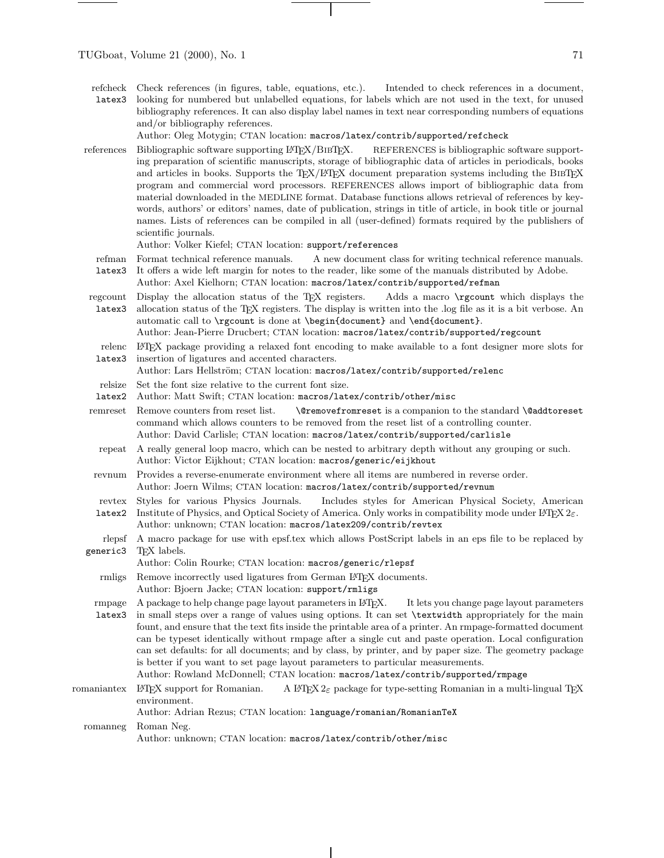refcheck latex3 Check references (in figures, table, equations, etc.). Intended to check references in a document, looking for numbered but unlabelled equations, for labels which are not used in the text, for unused bibliography references. It can also display label names in text near corresponding numbers of equations and/or bibliography references.

Author: Oleg Motygin; CTAN location: macros/latex/contrib/supported/refcheck

- references Bibliographic software supporting LATEX/BIBTEX. REFERENCES is bibliographic software supporting preparation of scientific manuscripts, storage of bibliographic data of articles in periodicals, books and articles in books. Supports the TEX/L<sup>AT</sup>EX document preparation systems including the BIBTEX program and commercial word processors. REFERENCES allows import of bibliographic data from material downloaded in the MEDLINE format. Database functions allows retrieval of references by keywords, authors' or editors' names, date of publication, strings in title of article, in book title or journal names. Lists of references can be compiled in all (user-defined) formats required by the publishers of scientific journals.
	- Author: Volker Kiefel; CTAN location: support/references
	- refman Format technical reference manuals. A new document class for writing technical reference manuals.
	- latex3 It offers a wide left margin for notes to the reader, like some of the manuals distributed by Adobe.
		- Author: Axel Kielhorn; CTAN location: macros/latex/contrib/supported/refman
- regcount latex3 Display the allocation status of the T<sub>EX</sub> registers. Adds a macro \rgcount which displays the allocation status of the TEX registers. The display is written into the .log file as it is a bit verbose. An automatic call to \rgcount is done at \begin{document} and \end{document}.

Author: Jean-Pierre Drucbert; CTAN location: macros/latex/contrib/supported/regcount

relenc latex3 LATEX package providing a relaxed font encoding to make available to a font designer more slots for insertion of ligatures and accented characters.

Author: Lars Hellström; CTAN location: macros/latex/contrib/supported/relenc

- relsize Set the font size relative to the current font size.
- latex2 Author: Matt Swift; CTAN location: macros/latex/contrib/other/misc
- remreset Remove counters from reset list. \@removefromreset is a companion to the standard \@addtoreset command which allows counters to be removed from the reset list of a controlling counter. Author: David Carlisle; CTAN location: macros/latex/contrib/supported/carlisle
	- repeat A really general loop macro, which can be nested to arbitrary depth without any grouping or such. Author: Victor Eijkhout; CTAN location: macros/generic/eijkhout
- revnum Provides a reverse-enumerate environment where all items are numbered in reverse order. Author: Joern Wilms; CTAN location: macros/latex/contrib/supported/revnum
- revtex Styles for various Physics Journals. Includes styles for American Physical Society, American
- latex2 Institute of Physics, and Optical Society of America. Only works in compatibility mode under  $\mathbb{F}\text{TEX} 2_{\mathcal{E}}$ . Author: unknown; CTAN location: macros/latex209/contrib/revtex
- rlepsf generic3 A macro package for use with epsf.tex which allows PostScript labels in an eps file to be replaced by TEX labels.
	- Author: Colin Rourke; CTAN location: macros/generic/rlepsf
	- rmligs Remove incorrectly used ligatures from German LATEX documents.
		- Author: Bjoern Jacke; CTAN location: support/rmligs
- rmpage latex3 A package to help change page layout parameters in LATEX. It lets you change page layout parameters in small steps over a range of values using options. It can set \textwidth appropriately for the main fount, and ensure that the text fits inside the printable area of a printer. An rmpage-formatted document can be typeset identically without rmpage after a single cut and paste operation. Local configuration can set defaults: for all documents; and by class, by printer, and by paper size. The geometry package is better if you want to set page layout parameters to particular measurements.

Author: Rowland McDonnell; CTAN location: macros/latex/contrib/supported/rmpage

romaniantex LATEX support for Romanian. A LATEX  $2\varepsilon$  package for type-setting Romanian in a multi-lingual TEX environment.

Author: Adrian Rezus; CTAN location: language/romanian/RomanianTeX

romanneg Roman Neg.

Author: unknown; CTAN location: macros/latex/contrib/other/misc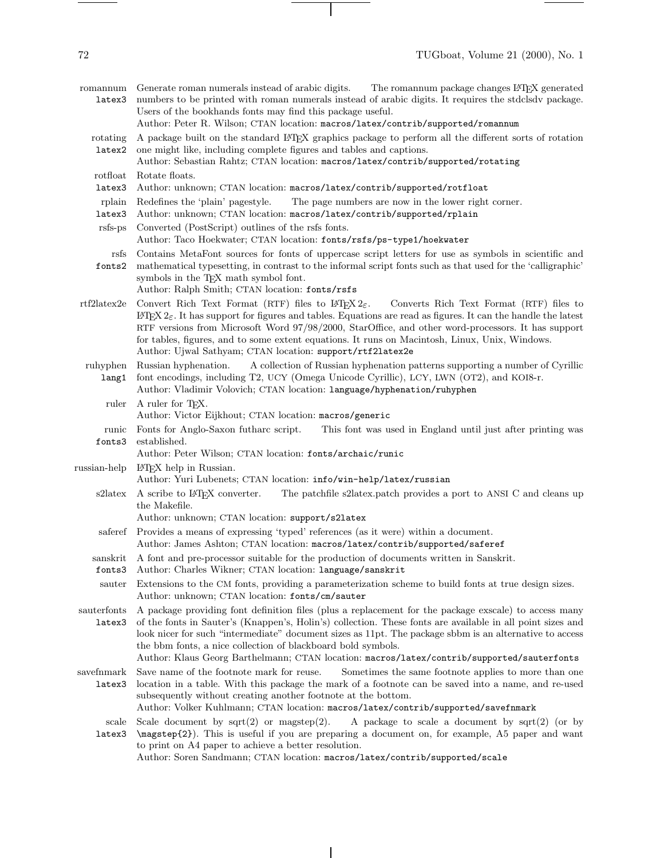- romannum Generate roman numerals instead of arabic digits. latex3 The romannum package changes  $\rm \emph{I+T}EX$  generated numbers to be printed with roman numerals instead of arabic digits. It requires the stdclsdv package. Users of the bookhands fonts may find this package useful. Author: Peter R. Wilson; CTAN location: macros/latex/contrib/supported/romannum
	- rotating latex2 A package built on the standard LATEX graphics package to perform all the different sorts of rotation one might like, including complete figures and tables and captions.

## Author: Sebastian Rahtz; CTAN location: macros/latex/contrib/supported/rotating

- rotfloat Rotate floats.
- latex3 Author: unknown; CTAN location: macros/latex/contrib/supported/rotfloat
- rplain Redefines the 'plain' pagestyle. The page numbers are now in the lower right corner.
- latex3 Author: unknown; CTAN location: macros/latex/contrib/supported/rplain
- rsfs-ps Converted (PostScript) outlines of the rsfs fonts. Author: Taco Hoekwater; CTAN location: fonts/rsfs/ps-type1/hoekwater
- rsfs Contains MetaFont sources for fonts of uppercase script letters for use as symbols in scientific and
- fonts2 mathematical typesetting, in contrast to the informal script fonts such as that used for the 'calligraphic' symbols in the T<sub>EX</sub> math symbol font. Author: Ralph Smith; CTAN location: fonts/rsfs
- rtf2latex2e Convert Rich Text Format (RTF) files to L<sup>AT</sup>EX 2<sub>ε</sub>. Converts Rich Text Format (RTF) files to LATEX  $2\varepsilon$ . It has support for figures and tables. Equations are read as figures. It can the handle the latest RTF versions from Microsoft Word 97/98/2000, StarOffice, and other word-processors. It has support for tables, figures, and to some extent equations. It runs on Macintosh, Linux, Unix, Windows. Author: Ujwal Sathyam; CTAN location: support/rtf2latex2e
- ruhyphen lang1 Russian hyphenation. A collection of Russian hyphenation patterns supporting a number of Cyrillic font encodings, including T2, UCY (Omega Unicode Cyrillic), LCY, LWN (OT2), and KOI8-r.
	- Author: Vladimir Volovich; CTAN location: language/hyphenation/ruhyphen ruler A ruler for T<sub>F</sub>X. Author: Victor Eijkhout; CTAN location: macros/generic
- runic fonts3 Fonts for Anglo-Saxon futharc script. This font was used in England until just after printing was established.
	- Author: Peter Wilson; CTAN location: fonts/archaic/runic

russian-help LAT<sub>EX</sub> help in Russian.

- Author: Yuri Lubenets; CTAN location: info/win-help/latex/russian
- s2latex A scribe to L<sup>AT</sup>EX converter. The patchfile s2latex.patch provides a port to ANSI C and cleans up the Makefile.
	- Author: unknown; CTAN location: support/s2latex
	- saferef Provides a means of expressing 'typed' references (as it were) within a document.
	- Author: James Ashton; CTAN location: macros/latex/contrib/supported/saferef
- sanskrit A font and pre-processor suitable for the production of documents written in Sanskrit.
- fonts3 Author: Charles Wikner; CTAN location: language/sanskrit
- sauter Extensions to the CM fonts, providing a parameterization scheme to build fonts at true design sizes. Author: unknown; CTAN location: fonts/cm/sauter
- sauterfonts A package providing font definition files (plus a replacement for the package exscale) to access many latex3 of the fonts in Sauter's (Knappen's, Holin's) collection. These fonts are available in all point sizes and look nicer for such "intermediate" document sizes as 11pt. The package sbbm is an alternative to access the bbm fonts, a nice collection of blackboard bold symbols.
	- Author: Klaus Georg Barthelmann; CTAN location: macros/latex/contrib/supported/sauterfonts
- savefnmark latex3 location in a table. With this package the mark of a footnote can be saved into a name, and re-used Save name of the footnote mark for reuse. Sometimes the same footnote applies to more than one subsequently without creating another footnote at the bottom.
	- Author: Volker Kuhlmann; CTAN location: macros/latex/contrib/supported/savefnmark
	- scale latex3 \magstep{2}). This is useful if you are preparing a document on, for example, A5 paper and want Scale document by sqrt(2) or magstep(2). A package to scale a document by sqrt(2) (or by to print on A4 paper to achieve a better resolution.

Author: Soren Sandmann; CTAN location: macros/latex/contrib/supported/scale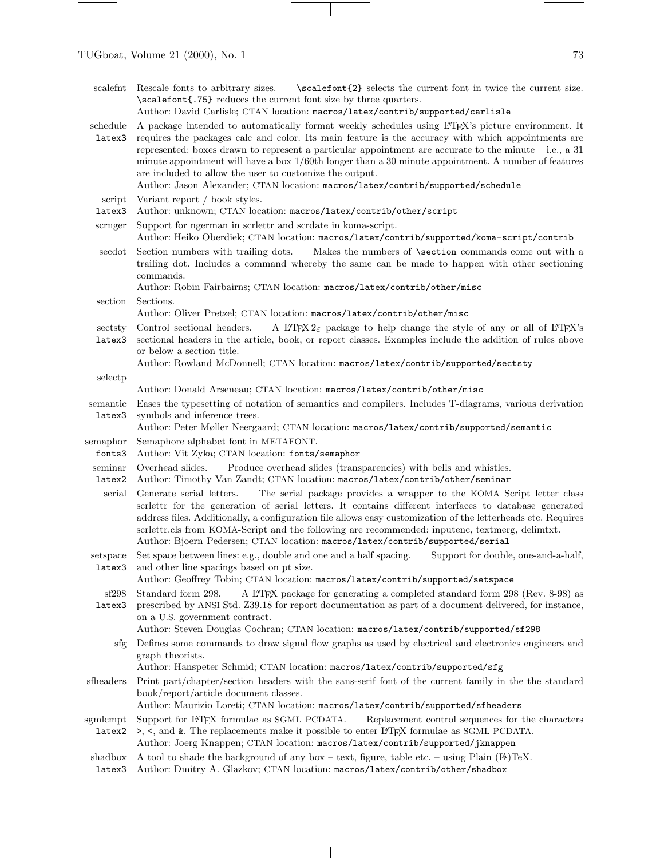| scalefnt           | \scalefont{2} selects the current font in twice the current size.<br>Rescale fonts to arbitrary sizes.<br>\scalefont{.75} reduces the current font size by three quarters.<br>Author: David Carlisle; CTAN location: macros/latex/contrib/supported/carlisle                                                                                                                                                                                                                                                                                                                             |
|--------------------|------------------------------------------------------------------------------------------------------------------------------------------------------------------------------------------------------------------------------------------------------------------------------------------------------------------------------------------------------------------------------------------------------------------------------------------------------------------------------------------------------------------------------------------------------------------------------------------|
| schedule<br>latex3 | A package intended to automatically format weekly schedules using L <sup>S</sup> TEX's picture environment. It<br>requires the packages calc and color. Its main feature is the accuracy with which appointments are<br>represented: boxes drawn to represent a particular appointment are accurate to the minute $-$ i.e., a 31<br>minute appointment will have a box $1/60$ th longer than a 30 minute appointment. A number of features<br>are included to allow the user to customize the output.<br>Author: Jason Alexander; CTAN location: macros/latex/contrib/supported/schedule |
| script<br>latex3   | Variant report / book styles.<br>Author: unknown; CTAN location: macros/latex/contrib/other/script                                                                                                                                                                                                                                                                                                                                                                                                                                                                                       |
| scrnger            | Support for ngerman in scrlettr and scrdate in koma-script.<br>Author: Heiko Oberdiek; CTAN location: macros/latex/contrib/supported/koma-script/contrib                                                                                                                                                                                                                                                                                                                                                                                                                                 |
| secdot             | Section numbers with trailing dots.<br>Makes the numbers of <b>\section</b> commands come out with a<br>trailing dot. Includes a command whereby the same can be made to happen with other sectioning<br>commands.<br>Author: Robin Fairbairns; CTAN location: macros/latex/contrib/other/misc                                                                                                                                                                                                                                                                                           |
| section            | Sections.                                                                                                                                                                                                                                                                                                                                                                                                                                                                                                                                                                                |
|                    | Author: Oliver Pretzel; CTAN location: macros/latex/contrib/other/misc                                                                                                                                                                                                                                                                                                                                                                                                                                                                                                                   |
| sectsty<br>latex3  | Control sectional headers.<br>A LAT <sub>F</sub> X $2_{\epsilon}$ package to help change the style of any or all of LAT <sub>F</sub> X's<br>sectional headers in the article, book, or report classes. Examples include the addition of rules above<br>or below a section title.                                                                                                                                                                                                                                                                                                         |
|                    | Author: Rowland McDonnell; CTAN location: macros/latex/contrib/supported/sectsty                                                                                                                                                                                                                                                                                                                                                                                                                                                                                                         |
| selectp            | Author: Donald Arseneau; CTAN location: macros/latex/contrib/other/misc                                                                                                                                                                                                                                                                                                                                                                                                                                                                                                                  |
| semantic<br>latex3 | Eases the typesetting of notation of semantics and compilers. Includes T-diagrams, various derivation<br>symbols and inference trees.<br>Author: Peter Møller Neergaard; CTAN location: macros/latex/contrib/supported/semantic                                                                                                                                                                                                                                                                                                                                                          |
| semaphor<br>fonts3 | Semaphore alphabet font in METAFONT.<br>Author: Vit Zyka; CTAN location: fonts/semaphor                                                                                                                                                                                                                                                                                                                                                                                                                                                                                                  |
| seminar<br>latex2  | Overhead slides.<br>Produce overhead slides (transparencies) with bells and whistles.<br>Author: Timothy Van Zandt; CTAN location: macros/latex/contrib/other/seminar                                                                                                                                                                                                                                                                                                                                                                                                                    |
| serial             | The serial package provides a wrapper to the KOMA Script letter class<br>Generate serial letters.<br>scriettr for the generation of serial letters. It contains different interfaces to database generated<br>address files. Additionally, a configuration file allows easy customization of the letterheads etc. Requires<br>scrlettr.cls from KOMA-Script and the following are recommended: inputenc, textmerg, delimtxt.<br>Author: Bjoern Pedersen; CTAN location: macros/latex/contrib/supported/serial                                                                            |
| latex3             | setspace Set space between lines: e.g., double and one and a half spacing. Support for double, one-and-a-half,<br>and other line spacings based on pt size.<br>Author: Geoffrey Tobin; CTAN location: macros/latex/contrib/supported/setspace                                                                                                                                                                                                                                                                                                                                            |
| sf298<br>latex3    | Standard form 298.<br>A L <sup>4</sup> T <sub>E</sub> X package for generating a completed standard form 298 (Rev. 8-98) as<br>prescribed by ANSI Std. Z39.18 for report documentation as part of a document delivered, for instance,<br>on a U.S. government contract.<br>Author: Steven Douglas Cochran; CTAN location: macros/latex/contrib/supported/sf298                                                                                                                                                                                                                           |
| sfg                | Defines some commands to draw signal flow graphs as used by electrical and electronics engineers and<br>graph theorists.<br>Author: Hanspeter Schmid; CTAN location: macros/latex/contrib/supported/sfg                                                                                                                                                                                                                                                                                                                                                                                  |
| sfheaders          | Print part/chapter/section headers with the sans-serif font of the current family in the the standard<br>book/report/article document classes.<br>Author: Maurizio Loreti; CTAN location: macros/latex/contrib/supported/sfheaders                                                                                                                                                                                                                                                                                                                                                       |
| sgmlcmpt<br>latex2 | Support for L <sup>AT</sup> EX formulae as SGML PCDATA.<br>Replacement control sequences for the characters<br>>, <, and &. The replacements make it possible to enter IATEX formulae as SGML PCDATA.<br>Author: Joerg Knappen; CTAN location: macros/latex/contrib/supported/jknappen                                                                                                                                                                                                                                                                                                   |

 $\overline{\phantom{a}}$ 

shadbox A tool to shade the background of any box – text, figure, table etc. – using Plain  $[**B**$ . TeX.

 $\overline{\phantom{a}}$ 

latex3 Author: Dmitry A. Glazkov; CTAN location: macros/latex/contrib/other/shadbox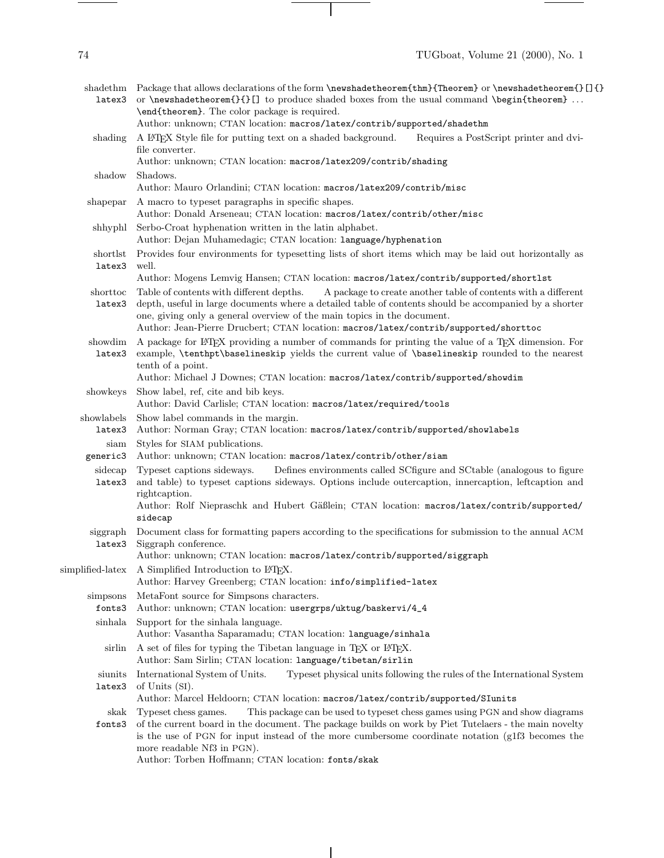| shadethm<br>latex3 | Package that allows declarations of the form \newshadetheorem{thm}{Theorem} or \newshadetheorem{}[]{}<br>or \newshadetheorem{}{}[] to produce shaded boxes from the usual command \begin{theorem}<br>\end{theorem}. The color package is required.                                                                                                                                      |
|--------------------|-----------------------------------------------------------------------------------------------------------------------------------------------------------------------------------------------------------------------------------------------------------------------------------------------------------------------------------------------------------------------------------------|
|                    | Author: unknown; CTAN location: macros/latex/contrib/supported/shadethm                                                                                                                                                                                                                                                                                                                 |
| shading            | A LATEX Style file for putting text on a shaded background.<br>Requires a PostScript printer and dvi-<br>file converter.                                                                                                                                                                                                                                                                |
|                    | Author: unknown; CTAN location: macros/latex209/contrib/shading                                                                                                                                                                                                                                                                                                                         |
| shadow             | Shadows.                                                                                                                                                                                                                                                                                                                                                                                |
|                    | Author: Mauro Orlandini; CTAN location: macros/latex209/contrib/misc                                                                                                                                                                                                                                                                                                                    |
| shapepar           | A macro to typeset paragraphs in specific shapes.                                                                                                                                                                                                                                                                                                                                       |
|                    | Author: Donald Arseneau; CTAN location: macros/latex/contrib/other/misc                                                                                                                                                                                                                                                                                                                 |
| shhyphl            | Serbo-Croat hyphenation written in the latin alphabet.<br>Author: Dejan Muhamedagic; CTAN location: language/hyphenation                                                                                                                                                                                                                                                                |
| shortlst<br>latex3 | Provides four environments for typesetting lists of short items which may be laid out horizontally as<br>well.                                                                                                                                                                                                                                                                          |
|                    | Author: Mogens Lemvig Hansen; CTAN location: macros/latex/contrib/supported/shortlst                                                                                                                                                                                                                                                                                                    |
| shorttoc<br>latex3 | Table of contents with different depths.<br>A package to create another table of contents with a different<br>depth, useful in large documents where a detailed table of contents should be accompanied by a shorter<br>one, giving only a general overview of the main topics in the document.<br>Author: Jean-Pierre Drucbert; CTAN location: macros/latex/contrib/supported/shorttoc |
| showdim            | A package for IATEX providing a number of commands for printing the value of a TEX dimension. For                                                                                                                                                                                                                                                                                       |
| latex3             | example, \tenthpt\baselineskip yields the current value of \baselineskip rounded to the nearest<br>tenth of a point.                                                                                                                                                                                                                                                                    |
|                    | Author: Michael J Downes; CTAN location: macros/latex/contrib/supported/showdim                                                                                                                                                                                                                                                                                                         |
| showkeys           | Show label, ref, cite and bib keys.<br>Author: David Carlisle; CTAN location: macros/latex/required/tools                                                                                                                                                                                                                                                                               |
| showlabels         | Show label commands in the margin.                                                                                                                                                                                                                                                                                                                                                      |
| latex3             | Author: Norman Gray; CTAN location: macros/latex/contrib/supported/showlabels                                                                                                                                                                                                                                                                                                           |
| siam               | Styles for SIAM publications.                                                                                                                                                                                                                                                                                                                                                           |
| generic3           | Author: unknown; CTAN location: macros/latex/contrib/other/siam                                                                                                                                                                                                                                                                                                                         |
| sidecap<br>latex3  | Defines environments called SCfigure and SCtable (analogous to figure<br>Typeset captions sideways.<br>and table) to typeset captions sideways. Options include outercaption, innercaption, leftcaption and<br>rightcaption.                                                                                                                                                            |

Author: Rolf Niepraschk and Hubert Gäßlein; CTAN location: macros/latex/contrib/supported/ sidecap

siggraph latex3 Document class for formatting papers according to the specifications for submission to the annual ACM Siggraph conference.

Author: unknown; CTAN location: macros/latex/contrib/supported/siggraph

Author: Harvey Greenberg; CTAN location: info/simplified-latex simpsons fonts3 MetaFont source for Simpsons characters. Author: unknown; CTAN location: usergrps/uktug/baskervi/4\_4 sinhala Support for the sinhala language. Author: Vasantha Saparamadu; CTAN location: language/sinhala

simplified-latex A Simplified Introduction to LATEX.

- sirlin A set of files for typing the Tibetan language in TEX or IATEX. Author: Sam Sirlin; CTAN location: language/tibetan/sirlin
- siunits latex3 International System of Units. Typeset physical units following the rules of the International System of Units (SI).

Author: Marcel Heldoorn; CTAN location: macros/latex/contrib/supported/SIunits

- skak Typeset chess games. This package can be used to typeset chess games using PGN and show diagrams
- fonts3 of the current board in the document. The package builds on work by Piet Tutelaers - the main novelty is the use of PGN for input instead of the more cumbersome coordinate notation (g1f3 becomes the more readable Nf3 in PGN).

Author: Torben Hoffmann; CTAN location: fonts/skak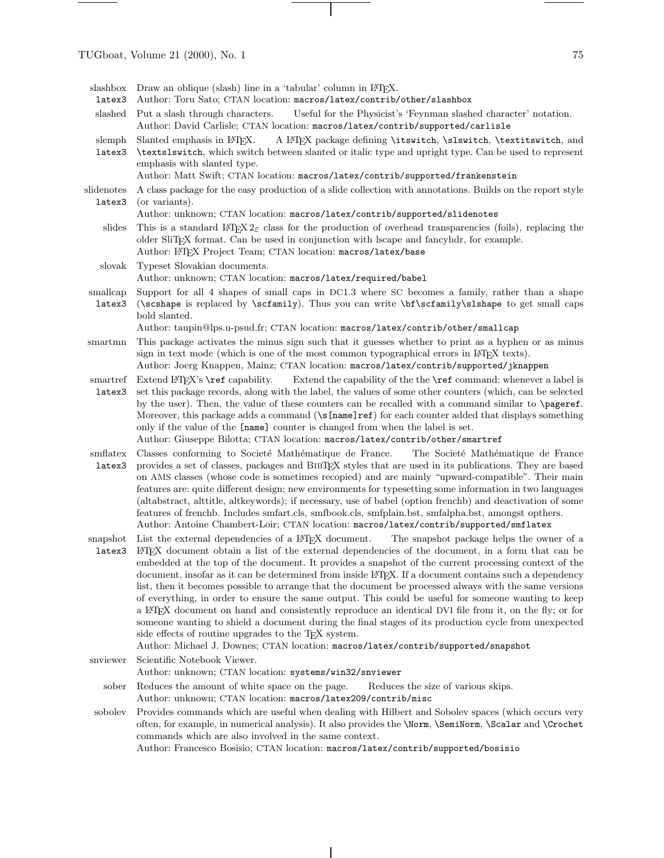$\frac{1}{1} \left( \frac{1}{1} \right) \left( \frac{1}{1} \right) \left( \frac{1}{1} \right) \left( \frac{1}{1} \right) \left( \frac{1}{1} \right) \left( \frac{1}{1} \right) \left( \frac{1}{1} \right) \left( \frac{1}{1} \right) \left( \frac{1}{1} \right) \left( \frac{1}{1} \right) \left( \frac{1}{1} \right) \left( \frac{1}{1} \right) \left( \frac{1}{1} \right) \left( \frac{1}{1} \right) \left( \frac{1}{1} \right) \left( \frac{1}{1} \right) \left( \frac$ 

| latex3             | slashbox Draw an oblique (slash) line in a 'tabular' column in LATFX.<br>Author: Toru Sato; CTAN location: macros/latex/contrib/other/slashbox                                                                                                                                                                                                                                                                                                                                                                                                                                                                                                                                                                                                                                                                                                                                                                                                                                                                                                          |
|--------------------|---------------------------------------------------------------------------------------------------------------------------------------------------------------------------------------------------------------------------------------------------------------------------------------------------------------------------------------------------------------------------------------------------------------------------------------------------------------------------------------------------------------------------------------------------------------------------------------------------------------------------------------------------------------------------------------------------------------------------------------------------------------------------------------------------------------------------------------------------------------------------------------------------------------------------------------------------------------------------------------------------------------------------------------------------------|
| slashed            | Put a slash through characters.<br>Useful for the Physicist's 'Feynman slashed character' notation.<br>Author: David Carlisle; CTAN location: macros/latex/contrib/supported/carlisle                                                                                                                                                                                                                                                                                                                                                                                                                                                                                                                                                                                                                                                                                                                                                                                                                                                                   |
| slemph<br>latex3   | Slanted emphasis in L <sup>AT</sup> <sub>EX</sub> .<br>A LATEX package defining \itswitch, \slswitch, \textitswitch, and<br><b>\textslswitch</b> , which switch between slanted or italic type and upright type. Can be used to represent<br>emphasis with slanted type.<br>Author: Matt Swift; CTAN location: macros/latex/contrib/supported/frankenstein                                                                                                                                                                                                                                                                                                                                                                                                                                                                                                                                                                                                                                                                                              |
| slidenotes         | A class package for the easy production of a slide collection with annotations. Builds on the report style                                                                                                                                                                                                                                                                                                                                                                                                                                                                                                                                                                                                                                                                                                                                                                                                                                                                                                                                              |
| latex3             | (or variants).                                                                                                                                                                                                                                                                                                                                                                                                                                                                                                                                                                                                                                                                                                                                                                                                                                                                                                                                                                                                                                          |
|                    | Author: unknown; CTAN location: macros/latex/contrib/supported/slidenotes                                                                                                                                                                                                                                                                                                                                                                                                                                                                                                                                                                                                                                                                                                                                                                                                                                                                                                                                                                               |
| slides             | This is a standard L <sup>4</sup> T <sub>F</sub> X 2 <sub><math>\varepsilon</math></sub> class for the production of overhead transparencies (foils), replacing the<br>older SliTEX format. Can be used in conjunction with lscape and fancyhdr, for example.<br>Author: LATEX Project Team; CTAN location: macros/latex/base                                                                                                                                                                                                                                                                                                                                                                                                                                                                                                                                                                                                                                                                                                                           |
| slovak             | Typeset Slovakian documents.<br>Author: unknown; CTAN location: macros/latex/required/babel                                                                                                                                                                                                                                                                                                                                                                                                                                                                                                                                                                                                                                                                                                                                                                                                                                                                                                                                                             |
| smallcap<br>latex3 | Support for all 4 shapes of small caps in DC1.3 where SC becomes a family, rather than a shape<br>(\scshape is replaced by \scfamily). Thus you can write \bf\scfamily\slshape to get small caps<br>bold slanted.                                                                                                                                                                                                                                                                                                                                                                                                                                                                                                                                                                                                                                                                                                                                                                                                                                       |
|                    | Author: taupin@lps.u-psud.fr; CTAN location: macros/latex/contrib/other/smallcap                                                                                                                                                                                                                                                                                                                                                                                                                                                                                                                                                                                                                                                                                                                                                                                                                                                                                                                                                                        |
| smartmn            | This package activates the minus sign such that it guesses whether to print as a hyphen or as minus<br>sign in text mode (which is one of the most common typographical errors in L <sup>2</sup> T <sub>E</sub> X texts).<br>Author: Joerg Knappen, Mainz; CTAN location: macros/latex/contrib/supported/jknappen                                                                                                                                                                                                                                                                                                                                                                                                                                                                                                                                                                                                                                                                                                                                       |
| smartref<br>latex3 | Extend the capability of the the <b>\ref</b> command: whenever a label is<br>Extend $ETFX$ 's $\ref$ capability.<br>set this package records, along with the label, the values of some other counters (which, can be selected<br>by the user). Then, the value of these counters can be recalled with a command similar to <b>\pageref</b> .<br>Moreover, this package adds a command (\s[name]ref) for each counter added that displays something<br>only if the value of the [name] counter is changed from when the label is set.<br>Author: Giuseppe Bilotta; CTAN location: macros/latex/contrib/other/smartref                                                                                                                                                                                                                                                                                                                                                                                                                                    |
| smflatex<br>latex3 | Classes conforming to Societé Mathématique de France.<br>The Societé Mathématique de France<br>provides a set of classes, packages and BIBTEX styles that are used in its publications. They are based<br>on AMS classes (whose code is sometimes recopied) and are mainly "upward-compatible". Their main<br>features are: quite different design; new environments for typesetting some information in two languages<br>(altabstract, alttitle, altkeywords); if necessary, use of babel (option frenchb) and deactivation of some<br>features of frenchb. Includes smfart.cls, smfbook.cls, smfplain.bst, smfalpha.bst, amongst opthers.<br>Author: Antoine Chambert-Loir; CTAN location: macros/latex/contrib/supported/smflatex                                                                                                                                                                                                                                                                                                                    |
| snapshot<br>latex3 | List the external dependencies of a L <sup>A</sup> T <sub>E</sub> X document.<br>The snapshot package helps the owner of a<br>L'IEX document obtain a list of the external dependencies of the document, in a form that can be<br>embedded at the top of the document. It provides a snapshot of the current processing context of the<br>document, insofar as it can be determined from inside L <sup>AT</sup> FX. If a document contains such a dependency<br>list, then it becomes possible to arrange that the document be processed always with the same versions<br>of everything, in order to ensure the same output. This could be useful for someone wanting to keep<br>a L'IEX document on hand and consistently reproduce an identical DVI file from it, on the fly; or for<br>someone wanting to shield a document during the final stages of its production cycle from unexpected<br>side effects of routine upgrades to the T <sub>F</sub> X system.<br>Author: Michael J. Downes; CTAN location: macros/latex/contrib/supported/snapshot |
| snyiewer           | Scientific Notebook Viewer.                                                                                                                                                                                                                                                                                                                                                                                                                                                                                                                                                                                                                                                                                                                                                                                                                                                                                                                                                                                                                             |
| sober              | Author: unknown; CTAN location: systems/win32/snviewer<br>Reduces the amount of white space on the page.<br>Reduces the size of various skips.                                                                                                                                                                                                                                                                                                                                                                                                                                                                                                                                                                                                                                                                                                                                                                                                                                                                                                          |
|                    | Author: unknown; CTAN location: macros/latex209/contrib/misc                                                                                                                                                                                                                                                                                                                                                                                                                                                                                                                                                                                                                                                                                                                                                                                                                                                                                                                                                                                            |
| sobolev            | Provides commands which are useful when dealing with Hilbert and Sobolev spaces (which occurs very<br>often, for example, in numerical analysis). It also provides the <i>Norm</i> , <i>NemiNorm</i> , <i>Necalar and <i>N</i>crochet</i><br>commands which are also involved in the same context.<br>Author: Francesco Bosisio; CTAN location: macros/latex/contrib/supported/bosisio                                                                                                                                                                                                                                                                                                                                                                                                                                                                                                                                                                                                                                                                  |

 $\mathcal{A}$ 

 $\overline{\phantom{a}}$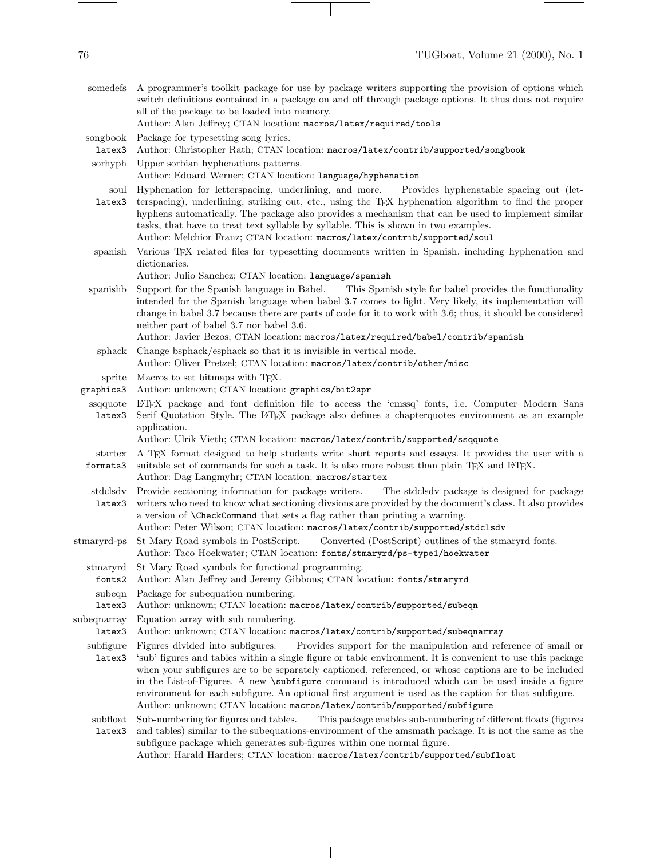$\begin{tabular}{l} \multicolumn{2}{c} {\textbf{1}} & \multicolumn{2}{c} {\textbf{1}} & \multicolumn{2}{c} {\textbf{1}} \\ \multicolumn{2}{c} {\textbf{1}} & \multicolumn{2}{c} {\textbf{1}} & \multicolumn{2}{c} {\textbf{1}} \\ \multicolumn{2}{c} {\textbf{1}} & \multicolumn{2}{c} {\textbf{1}} & \multicolumn{2}{c} {\textbf{1}} \\ \multicolumn{2}{c} {\textbf{1}} & \multicolumn{2}{c} {\textbf{1}} & \multicolumn{2}{c} {\textbf{1}} \\ \multicolumn{2}{c} {\textbf{1}} & \multicolumn$ 

| somedefs              | A programmer's toolkit package for use by package writers supporting the provision of options which<br>switch definitions contained in a package on and off through package options. It thus does not require<br>all of the package to be loaded into memory.<br>Author: Alan Jeffrey; CTAN location: macros/latex/required/tools                                                                                                                                                                                                                                                                                   |
|-----------------------|---------------------------------------------------------------------------------------------------------------------------------------------------------------------------------------------------------------------------------------------------------------------------------------------------------------------------------------------------------------------------------------------------------------------------------------------------------------------------------------------------------------------------------------------------------------------------------------------------------------------|
| songbook<br>latex3    | Package for typesetting song lyrics.<br>Author: Christopher Rath; CTAN location: macros/latex/contrib/supported/songbook                                                                                                                                                                                                                                                                                                                                                                                                                                                                                            |
| sorhyph               | Upper sorbian hyphenations patterns.<br>Author: Eduard Werner; CTAN location: language/hyphenation                                                                                                                                                                                                                                                                                                                                                                                                                                                                                                                  |
| soul<br>latex3        | Hyphenation for letterspacing, underlining, and more.<br>Provides hyphenatable spacing out (let-<br>terspacing), underlining, striking out, etc., using the T <sub>F</sub> X hyphenation algorithm to find the proper<br>hyphens automatically. The package also provides a mechanism that can be used to implement similar<br>tasks, that have to treat text syllable by syllable. This is shown in two examples.<br>Author: Melchior Franz; CTAN location: macros/latex/contrib/supported/soul                                                                                                                    |
| spanish               | Various T <sub>E</sub> X related files for typesetting documents written in Spanish, including hyphenation and<br>dictionaries.<br>Author: Julio Sanchez; CTAN location: language/spanish                                                                                                                                                                                                                                                                                                                                                                                                                           |
| spanishb              | Support for the Spanish language in Babel.<br>This Spanish style for babel provides the functionality<br>intended for the Spanish language when babel 3.7 comes to light. Very likely, its implementation will<br>change in babel 3.7 because there are parts of code for it to work with 3.6; thus, it should be considered<br>neither part of babel 3.7 nor babel 3.6.<br>Author: Javier Bezos; CTAN location: macros/latex/required/babel/contrib/spanish                                                                                                                                                        |
| sphack                | Change bsphack/esphack so that it is invisible in vertical mode.<br>Author: Oliver Pretzel; CTAN location: macros/latex/contrib/other/misc                                                                                                                                                                                                                                                                                                                                                                                                                                                                          |
| sprite<br>graphics3   | Macros to set bitmaps with TFX.<br>Author: unknown; CTAN location: graphics/bit2spr                                                                                                                                                                                                                                                                                                                                                                                                                                                                                                                                 |
| ssqquote<br>latex3    | LATEX package and font definition file to access the 'cmssq' fonts, i.e. Computer Modern Sans<br>Serif Quotation Style. The L <sup>AT</sup> EX package also defines a chapter quotes environment as an example<br>application.<br>Author: Ulrik Vieth; CTAN location: macros/latex/contrib/supported/ssqquote                                                                                                                                                                                                                                                                                                       |
| startex<br>formats3   | A TEX format designed to help students write short reports and essays. It provides the user with a<br>suitable set of commands for such a task. It is also more robust than plain TEX and L <sup>ST</sup> EX.<br>Author: Dag Langmyhr; CTAN location: macros/startex                                                                                                                                                                                                                                                                                                                                                |
| stdclsdv<br>latex3    | Provide sectioning information for package writers.<br>The stdclsdy package is designed for package<br>writers who need to know what sectioning divsions are provided by the document's class. It also provides<br>a version of <b>\CheckCommand</b> that sets a flag rather than printing a warning.<br>Author: Peter Wilson; CTAN location: macros/latex/contrib/supported/stdclsdv                                                                                                                                                                                                                               |
| stmaryrd-ps           | Converted (PostScript) outlines of the stmaryrd fonts.<br>St Mary Road symbols in PostScript.<br>Author: Taco Hoekwater; CTAN location: fonts/stmaryrd/ps-type1/hoekwater                                                                                                                                                                                                                                                                                                                                                                                                                                           |
| stmaryrd<br>fonts2    | St Mary Road symbols for functional programming.<br>Author: Alan Jeffrey and Jeremy Gibbons; CTAN location: fonts/stmaryrd                                                                                                                                                                                                                                                                                                                                                                                                                                                                                          |
| subeqn<br>latex3      | Package for subequation numbering.<br>Author: unknown; CTAN location: macros/latex/contrib/supported/subeqn                                                                                                                                                                                                                                                                                                                                                                                                                                                                                                         |
| subeqnarray<br>latex3 | Equation array with sub numbering.<br>Author: unknown; CTAN location: macros/latex/contrib/supported/subeqnarray                                                                                                                                                                                                                                                                                                                                                                                                                                                                                                    |
| subfigure<br>latex3   | Figures divided into subfigures.<br>Provides support for the manipulation and reference of small or<br>'sub' figures and tables within a single figure or table environment. It is convenient to use this package<br>when your subfigures are to be separately captioned, referenced, or whose captions are to be included<br>in the List-of-Figures. A new \subfigure command is introduced which can be used inside a figure<br>environment for each subfigure. An optional first argument is used as the caption for that subfigure.<br>Author: unknown; CTAN location: macros/latex/contrib/supported/subfigure |
| subfloat<br>latex3    | Sub-numbering for figures and tables.<br>This package enables sub-numbering of different floats (figures<br>and tables) similar to the subequations-environment of the amsmath package. It is not the same as the<br>subfigure package which generates sub-figures within one normal figure.<br>Author: Harald Harders; CTAN location: macros/latex/contrib/supported/subfloat                                                                                                                                                                                                                                      |

 $\overline{1}$ 

 $\top$ 

 $\frac{1}{\sqrt{2\pi}}\left( \frac{1}{\sqrt{2\pi}}\right) \left( \frac{1}{\sqrt{2\pi}}\right) \left( \frac{1}{\sqrt{2\pi}}\right) \left( \frac{1}{\sqrt{2\pi}}\right) \left( \frac{1}{\sqrt{2\pi}}\right) \left( \frac{1}{\sqrt{2\pi}}\right) \left( \frac{1}{\sqrt{2\pi}}\right) \left( \frac{1}{\sqrt{2\pi}}\right) \left( \frac{1}{\sqrt{2\pi}}\right) \left( \frac{1}{\sqrt{2\pi}}\right) \left( \frac{1}{\sqrt{2\pi}}\right) \left( \frac{1}{\sqrt$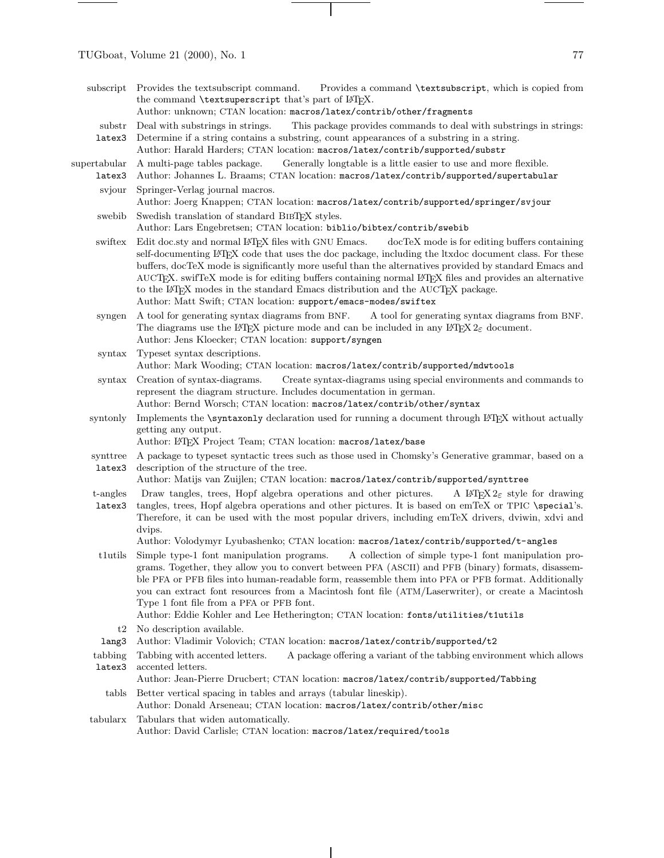TUGboat, Volume 21 (2000), No. 1  $77$ 

supertabular latex3

|                     | subscript Provides the textsubscript command. Provides a command <b>\textsubscript</b> , which is copied from<br>the command \textsuperscript that's part of LAT <sub>E</sub> X.<br>Author: unknown; CTAN location: macros/latex/contrib/other/fragments                                                                                                                                                                                                                                                                                                                                                                                         |
|---------------------|--------------------------------------------------------------------------------------------------------------------------------------------------------------------------------------------------------------------------------------------------------------------------------------------------------------------------------------------------------------------------------------------------------------------------------------------------------------------------------------------------------------------------------------------------------------------------------------------------------------------------------------------------|
| substr<br>latex3    | Deal with substrings in strings.<br>This package provides commands to deal with substrings in strings:<br>Determine if a string contains a substring, count appearances of a substring in a string.<br>Author: Harald Harders; CTAN location: macros/latex/contrib/supported/substr                                                                                                                                                                                                                                                                                                                                                              |
| ertabular<br>latex3 | A multi-page tables package. Generally longtable is a little easier to use and more flexible.<br>Author: Johannes L. Braams; CTAN location: macros/latex/contrib/supported/supertabular                                                                                                                                                                                                                                                                                                                                                                                                                                                          |
| svjour              | Springer-Verlag journal macros.<br>Author: Joerg Knappen; CTAN location: macros/latex/contrib/supported/springer/svjour                                                                                                                                                                                                                                                                                                                                                                                                                                                                                                                          |
| swebib              | Swedish translation of standard BIBTFX styles.<br>Author: Lars Engebretsen; CTAN location: biblio/bibtex/contrib/swebib                                                                                                                                                                                                                                                                                                                                                                                                                                                                                                                          |
| swiftex             | Edit doc.sty and normal L <sup>4</sup> T <sub>F</sub> X files with GNU Emacs. docTeX mode is for editing buffers containing<br>self-documenting LAT <sub>EX</sub> code that uses the doc package, including the ltxdoc document class. For these<br>buffers, docTeX mode is significantly more useful than the alternatives provided by standard Emacs and<br>AUCTFX. swifTeX mode is for editing buffers containing normal L <sup>A</sup> TFX files and provides an alternative<br>to the L <sup>AT</sup> EX modes in the standard Emacs distribution and the AUCTEX package.<br>Author: Matt Swift; CTAN location: support/emacs-modes/swiftex |
| syngen              | A tool for generating syntax diagrams from BNF. A tool for generating syntax diagrams from BNF.<br>The diagrams use the IATEX picture mode and can be included in any IATEX $2\varepsilon$ document.<br>Author: Jens Kloecker; CTAN location: support/syngen                                                                                                                                                                                                                                                                                                                                                                                     |
| syntax              | Typeset syntax descriptions.<br>Author: Mark Wooding; CTAN location: macros/latex/contrib/supported/mdwtools                                                                                                                                                                                                                                                                                                                                                                                                                                                                                                                                     |
| $s$ yntax           | Creation of syntax-diagrams.<br>Create syntax-diagrams using special environments and commands to<br>represent the diagram structure. Includes documentation in german.<br>Author: Bernd Worsch; CTAN location: macros/latex/contrib/other/syntax                                                                                                                                                                                                                                                                                                                                                                                                |
|                     | syntonly Implements the <b>\syntaxonly</b> declaration used for running a document through FT <sub>F</sub> X without actually                                                                                                                                                                                                                                                                                                                                                                                                                                                                                                                    |

syntonly Implements the \syntaxonly declaration used for running a document through LATEX without actually getting any output.

Author: LATEX Project Team; CTAN location: macros/latex/base

- synttree latex3 A package to typeset syntactic trees such as those used in Chomsky's Generative grammar, based on a description of the structure of the tree.
- Author: Matijs van Zuijlen; CTAN location: macros/latex/contrib/supported/synttree
- t-angles latex3 Draw tangles, trees, Hopf algebra operations and other pictures. A LATEX  $2\varepsilon$  style for drawing tangles, trees, Hopf algebra operations and other pictures. It is based on emTeX or TPIC \special's. Therefore, it can be used with the most popular drivers, including emTeX drivers, dviwin, xdvi and dvips.

Author: Volodymyr Lyubashenko; CTAN location: macros/latex/contrib/supported/t-angles

t1utils Simple type-1 font manipulation programs. A collection of simple type-1 font manipulation programs. Together, they allowyou to convert between PFA (ASCII) and PFB (binary) formats, disassemble PFA or PFB files into human-readable form, reassemble them into PFA or PFB format. Additionally you can extract font resources from a Macintosh font file (ATM/Laserwriter), or create a Macintosh Type 1 font file from a PFA or PFB font.

Author: Eddie Kohler and Lee Hetherington; CTAN location: fonts/utilities/t1utils

- t2 No description available.
- lang3 Author: Vladimir Volovich; CTAN location: macros/latex/contrib/supported/t2
- tabbing latex3 Tabbing with accented letters. A package offering a variant of the tabbing environment which allows accented letters.
	- Author: Jean-Pierre Drucbert; CTAN location: macros/latex/contrib/supported/Tabbing
	- tabls Better vertical spacing in tables and arrays (tabular lineskip).

Author: Donald Arseneau; CTAN location: macros/latex/contrib/other/misc

tabularx Tabulars that widen automatically. Author: David Carlisle; CTAN location: macros/latex/required/tools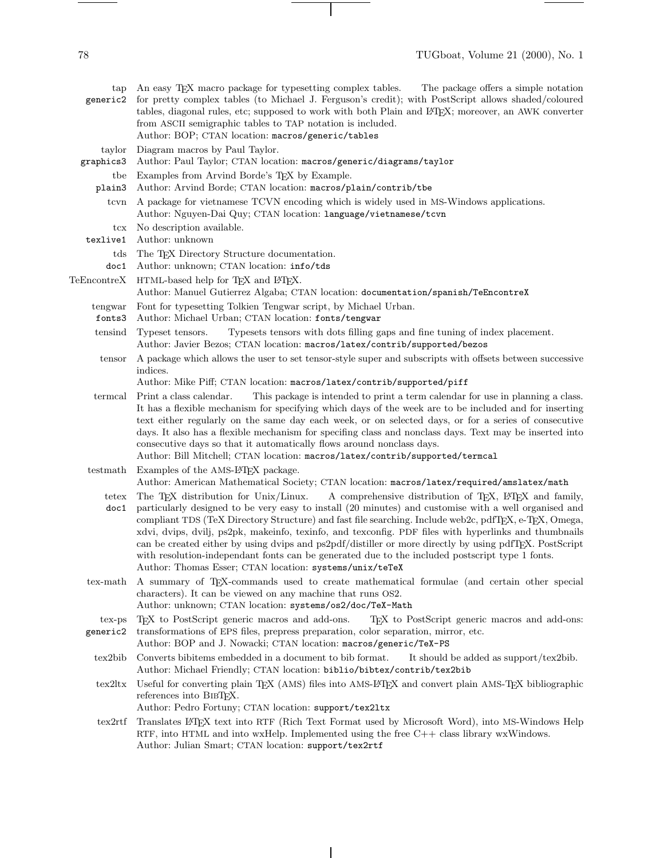tap An easy TEX macro package for typesetting complex tables. The package offers a simple notation generic2 for pretty complex tables (to Michael J. Ferguson's credit); with PostScript allows shaded/coloured tables, diagonal rules, etc; supposed to work with both Plain and LATEX; moreover, an AWK converter from ASCII semigraphic tables to TAP notation is included. Author: BOP; CTAN location: macros/generic/tables taylor graphics3 Diagram macros by Paul Taylor. Author: Paul Taylor; CTAN location: macros/generic/diagrams/taylor tbe Examples from Arvind Borde's TEX by Example. plain3 Author: Arvind Borde; CTAN location: macros/plain/contrib/tbe tcvn A package for vietnamese TCVN encoding which is widely used in MS-Windows applications. Author: Nguyen-Dai Quy; CTAN location: language/vietnamese/tcvn tcx texlive1 No description available. Author: unknown tds doc1 The T<sub>F</sub>X Directory Structure documentation. Author: unknown; CTAN location: info/tds TeEncontreX HTML-based help for TEX and LATEX. Author: Manuel Gutierrez Algaba; CTAN location: documentation/spanish/TeEncontreX tengwar fonts3 Font for typesetting Tolkien Tengwar script, by Michael Urban. Author: Michael Urban; CTAN location: fonts/tengwar tensind Typeset tensors. Typesets tensors with dots filling gaps and fine tuning of index placement. Author: Javier Bezos; CTAN location: macros/latex/contrib/supported/bezos tensor A package which allows the user to set tensor-style super and subscripts with offsets between successive indices. Author: Mike Piff; CTAN location: macros/latex/contrib/supported/piff termcal Print a class calendar. This package is intended to print a term calendar for use in planning a class. It has a flexible mechanism for specifying which days of the week are to be included and for inserting text either regularly on the same day each week, or on selected days, or for a series of consecutive days. It also has a flexible mechanism for specifing class and nonclass days. Text may be inserted into consecutive days so that it automatically flows around nonclass days. Author: Bill Mitchell; CTAN location: macros/latex/contrib/supported/termcal testmath Examples of the AMS-L<sup>4</sup>T<sub>F</sub>X package. Author: American Mathematical Society; CTAN location: macros/latex/required/amslatex/math tetex The T<sub>F</sub>X distribution for Unix/Linux. doc1 particularly designed to be very easy to install (20 minutes) and customise with a well organised and A comprehensive distribution of T<sub>EX</sub>, L<sup>H</sup>E<sub>X</sub> and family, compliant TDS (TeX Directory Structure) and fast file searching. Include web2c, pdfTFX, e-TFX, Omega, xdvi, dvips, dvilj, ps2pk, makeinfo, texinfo, and texconfig. PDF files with hyperlinks and thumbnails can be created either by using dvips and ps2pdf/distiller or more directly by using pdfTEX. PostScript with resolution-independant fonts can be generated due to the included postscript type 1 fonts. Author: Thomas Esser; CTAN location: systems/unix/teTeX tex-math A summary of TEX-commands used to create mathematical formulae (and certain other special characters). It can be viewed on any machine that runs OS2. Author: unknown; CTAN location: systems/os2/doc/TeX-Math tex-ps generic2 TEX to PostScript generic macros and add-ons. TEX to PostScript generic macros and add-ons: transformations of EPS files, prepress preparation, color separation, mirror, etc. Author: BOP and J. Nowacki; CTAN location: macros/generic/TeX-PS tex2bib Converts bibitems embedded in a document to bib format. It should be added as support/tex2bib. Author: Michael Friendly; CTAN location: biblio/bibtex/contrib/tex2bib tex2ltx Useful for converting plain TEX (AMS) files into AMS-LATEX and convert plain AMS-TEX bibliographic references into BIBTFX. Author: Pedro Fortuny; CTAN location: support/tex2ltx tex2rtf Translates LATEX text into RTF (Rich Text Format used by Microsoft Word), into MS-Windows Help RTF, into HTML and into wxHelp. Implemented using the free  $C++$  class library wxWindows.

Author: Julian Smart; CTAN location: support/tex2rtf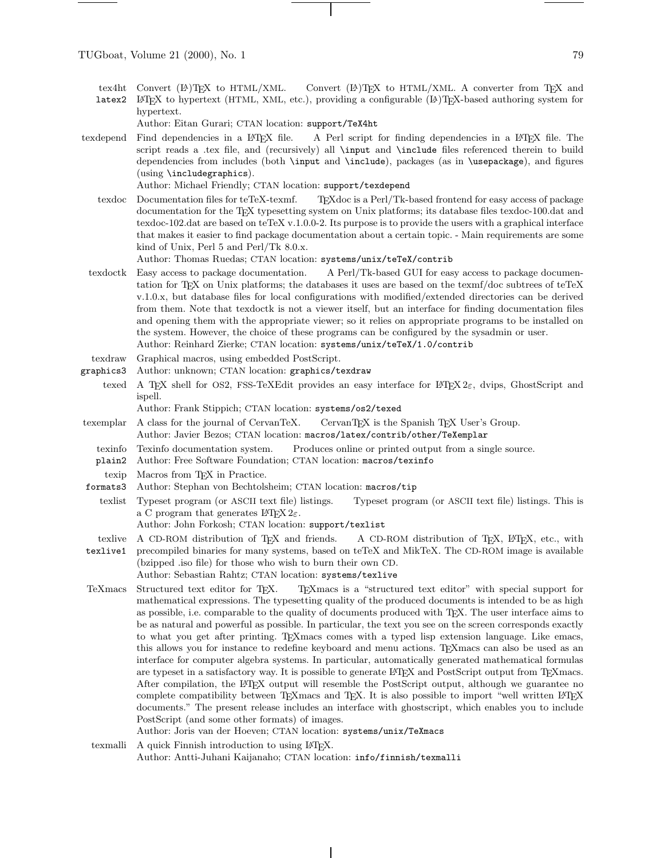- tex4ht Convert  $(A)$ T<sub>F</sub>X to HTML/XML. Convert  $(L)$ <sup>T</sup>EX to HTML/XML. A converter from TEX and
- latex2 LATEX to hypertext (HTML, XML, etc.), providing a configurable (LA)TEX-based authoring system for hypertext.

Author: Eitan Gurari; CTAN location: support/TeX4ht

texdepend Find dependencies in a LATEX file. A Perl script for finding dependencies in a LATEX file. The script reads a .tex file, and (recursively) all \input and \include files referenced therein to build dependencies from includes (both \input and \include), packages (as in \usepackage), and figures (using \includegraphics).

Author: Michael Friendly; CTAN location: support/texdepend

texdoc Documentation files for teTeX-texmf. TEXdoc is a Perl/Tk-based frontend for easy access of package documentation for the TEX typesetting system on Unix platforms; its database files texdoc-100.dat and texdoc-102.dat are based on teTeX v.1.0.0-2. Its purpose is to provide the users with a graphical interface that makes it easier to find package documentation about a certain topic. - Main requirements are some kind of Unix, Perl 5 and Perl/Tk 8.0.x.

Author: Thomas Ruedas; CTAN location: systems/unix/teTeX/contrib

- texdoctk Easy access to package documentation. A Perl/Tk-based GUI for easy access to package documentation for TEX on Unix platforms; the databases it uses are based on the texmf/doc subtrees of teTeX v.1.0.x, but database files for local configurations with modified/extended directories can be derived from them. Note that texdoctk is not a viewer itself, but an interface for finding documentation files and opening them with the appropriate viewer; so it relies on appropriate programs to be installed on the system. However, the choice of these programs can be configured by the sysadmin or user. Author: Reinhard Zierke; CTAN location: systems/unix/teTeX/1.0/contrib
- texdraw Graphical macros, using embedded PostScript.
- graphics3 Author: unknown; CTAN location: graphics/texdraw
- texed A TEX shell for OS2, FSS-TeXEdit provides an easy interface for  $\mathbb{P}\text{Tr}X 2\varepsilon$ , dvips, GhostScript and ispell.

Author: Frank Stippich; CTAN location: systems/os2/texed

- texemplar A class for the journal of CervanTeX. CervanTFX is the Spanish TFX User's Group. Author: Javier Bezos; CTAN location: macros/latex/contrib/other/TeXemplar
- texinfo Texinfo documentation system. Produces online or printed output from a single source.
- plain2 Author: Free Software Foundation; CTAN location: macros/texinfo
- texip Macros from TEX in Practice.
- formats3 Author: Stephan von Bechtolsheim; CTAN location: macros/tip
- texlist Typeset program (or ASCII text file) listings. Typeset program (or ASCII text file) listings. This is a C program that generates  $L^2E_2 \gtrsim 2\varepsilon$ .
	- Author: John Forkosh; CTAN location: support/texlist
- texlive A CD-ROM distribution of T<sub>EX</sub> and friends. A CD-ROM distribution of T<sub>EX</sub>, L<sup>AT</sup>EX, etc., with
- texlive1 precompiled binaries for many systems, based on teTeX and MikTeX. The CD-ROM image is available (bzipped .iso file) for those who wish to burn their own CD.
	- Author: Sebastian Rahtz; CTAN location: systems/texlive
- TeXmacs Structured text editor for TEX. TEXmacs is a "structured text editor" with special support for mathematical expressions. The typesetting quality of the produced documents is intended to be as high as possible, i.e. comparable to the quality of documents produced with TEX. The user interface aims to be as natural and powerful as possible. In particular, the text you see on the screen corresponds exactly to what you get after printing. TEXmacs comes with a typed lisp extension language. Like emacs, this allows you for instance to redefine keyboard and menu actions. TEXmacs can also be used as an interface for computer algebra systems. In particular, automatically generated mathematical formulas are typeset in a satisfactory way. It is possible to generate LATEX and PostScript output from TEXmacs. After compilation, the LATEX output will resemble the PostScript output, although we guarantee no complete compatibility between T<sub>E</sub>Xmacs and T<sub>E</sub>X. It is also possible to import "well written L<sup>AT</sup>EX documents." The present release includes an interface with ghostscript, which enables you to include PostScript (and some other formats) of images. Author: Joris van der Hoeven; CTAN location: systems/unix/TeXmacs
- texmalli A quick Finnish introduction to using IATEX.

Author: Antti-Juhani Kaijanaho; CTAN location: info/finnish/texmalli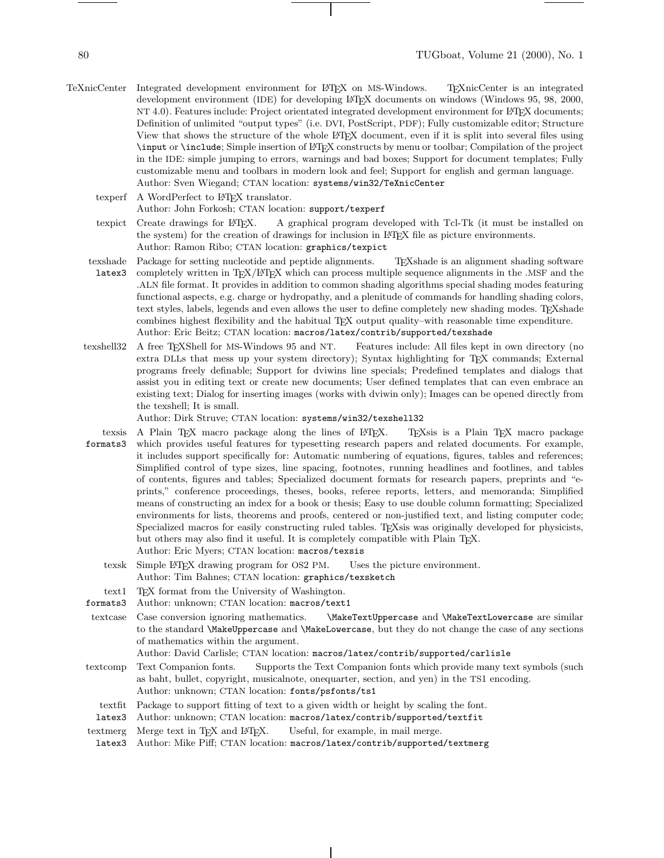- TeXnicCenter Integrated development environment for LATEX on MS-Windows. TEXnicCenter is an integrated development environment (IDE) for developing LAT<sub>EX</sub> documents on windows (Windows 95, 98, 2000, NT 4.0). Features include: Project orientated integrated development environment for LATEX documents; Definition of unlimited "output types" (i.e. DVI, PostScript, PDF); Fully customizable editor; Structure View that shows the structure of the whole LATEX document, even if it is split into several files using \input or \include; Simple insertion of LATEX constructs by menu or toolbar; Compilation of the project in the IDE: simple jumping to errors, warnings and bad boxes; Support for document templates; Fully customizable menu and toolbars in modern look and feel; Support for english and german language. Author: Sven Wiegand; CTAN location: systems/win32/TeXnicCenter
	- texperf A WordPerfect to LATEX translator.

## Author: John Forkosh; CTAN location: support/texperf

- texpict Create drawings for LATEX. A graphical program developed with Tcl-Tk (it must be installed on the system) for the creation of drawings for inclusion in LAT<sub>E</sub>X file as picture environments. Author: Ramon Ribo; CTAN location: graphics/texpict
- 
- texshade latex3 Package for setting nucleotide and peptide alignments. TEXshade is an alignment shading software completely written in TEX/LATEX which can process multiple sequence alignments in the .MSF and the .ALN file format. It provides in addition to common shading algorithms special shading modes featuring functional aspects, e.g. charge or hydropathy, and a plenitude of commands for handling shading colors, text styles, labels, legends and even allows the user to define completely new shading modes. TEXshade combines highest flexibility and the habitual TEX output quality–with reasonable time expenditure. Author: Eric Beitz; CTAN location: macros/latex/contrib/supported/texshade
- texshell32 A free TEXShell for MS-Windows 95 and NT. Features include: All files kept in own directory (no extra DLLs that mess up your system directory); Syntax highlighting for TEX commands; External programs freely definable; Support for dviwins line specials; Predefined templates and dialogs that assist you in editing text or create newdocuments; User defined templates that can even embrace an existing text; Dialog for inserting images (works with dviwin only); Images can be opened directly from the texshell; It is small.

Author: Dirk Struve; CTAN location: systems/win32/texshell32

- texsis formats3 A Plain TEX macro package along the lines of LATEX. TEXs is a Plain TEX macro package which provides useful features for typesetting research papers and related documents. For example, it includes support specifically for: Automatic numbering of equations, figures, tables and references; Simplified control of type sizes, line spacing, footnotes, running headlines and footlines, and tables of contents, figures and tables; Specialized document formats for research papers, preprints and "eprints," conference proceedings, theses, books, referee reports, letters, and memoranda; Simplified means of constructing an index for a book or thesis; Easy to use double column formatting; Specialized environments for lists, theorems and proofs, centered or non-justified text, and listing computer code; Specialized macros for easily constructing ruled tables. TEXsis was originally developed for physicists, but others may also find it useful. It is completely compatible with Plain TFX. Author: Eric Myers; CTAN location: macros/texsis
	- texsk Simple LATEX drawing program for OS2 PM. Uses the picture environment. Author: Tim Bahnes; CTAN location: graphics/texsketch
- text1 TEX format from the University of Washington.
- formats3 Author: unknown; CTAN location: macros/text1
- textcase Case conversion ignoring mathematics. \MakeTextUppercase and \MakeTextLowercase are similar to the standard \MakeUppercase and \MakeLowercase, but they do not change the case of any sections of mathematics within the argument.

Author: David Carlisle; CTAN location: macros/latex/contrib/supported/carlisle

- textcomp Text Companion fonts. Supports the Text Companion fonts which provide many text symbols (such as baht, bullet, copyright, musicalnote, onequarter, section, and yen) in the TS1 encoding. Author: unknown; CTAN location: fonts/psfonts/ts1
- textfit Package to support fitting of text to a given width or height by scaling the font.
- latex3 Author: unknown; CTAN location: macros/latex/contrib/supported/textfit
- textmerg Merge text in TEX and L<sup>AT</sup>EX. Useful, for example, in mail merge.
- latex3 Author: Mike Piff; CTAN location: macros/latex/contrib/supported/textmerg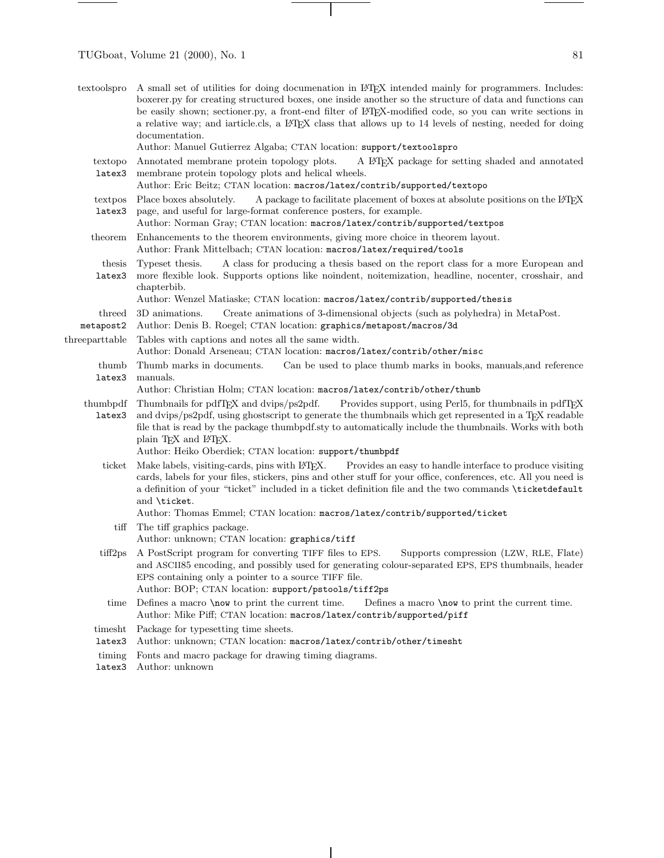TUGboat, Volume 21 (2000), No. 1 81

| textoolspro         | A small set of utilities for doing documenation in L <sup>AT</sup> FX intended mainly for programmers. Includes:<br>boxerer.py for creating structured boxes, one inside another so the structure of data and functions can<br>be easily shown; sectioner.py, a front-end filter of LATEX-modified code, so you can write sections in<br>a relative way; and iarticle.cls, a ETEX class that allows up to 14 levels of nesting, needed for doing<br>documentation.<br>Author: Manuel Gutierrez Algaba; CTAN location: support/textoolspro |
|---------------------|-------------------------------------------------------------------------------------------------------------------------------------------------------------------------------------------------------------------------------------------------------------------------------------------------------------------------------------------------------------------------------------------------------------------------------------------------------------------------------------------------------------------------------------------|
| textopo<br>latex3   | Annotated membrane protein topology plots.<br>A L <sup>A</sup> T <sub>F</sub> X package for setting shaded and annotated<br>membrane protein topology plots and helical wheels.<br>Author: Eric Beitz; CTAN location: macros/latex/contrib/supported/textopo                                                                                                                                                                                                                                                                              |
| textpos<br>latex3   | A package to facilitate placement of boxes at absolute positions on the L <sup>4</sup> TEX<br>Place boxes absolutely.<br>page, and useful for large-format conference posters, for example.<br>Author: Norman Gray; CTAN location: macros/latex/contrib/supported/textpos                                                                                                                                                                                                                                                                 |
| theorem             | Enhancements to the theorem environments, giving more choice in theorem layout.<br>Author: Frank Mittelbach; CTAN location: macros/latex/required/tools                                                                                                                                                                                                                                                                                                                                                                                   |
| thesis<br>latex3    | Typeset thesis.<br>A class for producing a thesis based on the report class for a more European and<br>more flexible look. Supports options like noindent, noitemization, headline, nocenter, crosshair, and<br>chapterbib.<br>Author: Wenzel Matiaske; CTAN location: macros/latex/contrib/supported/thesis                                                                                                                                                                                                                              |
| threed<br>metapost2 | Create animations of 3-dimensional objects (such as polyhedra) in MetaPost.<br>3D animations.<br>Author: Denis B. Roegel; CTAN location: graphics/metapost/macros/3d                                                                                                                                                                                                                                                                                                                                                                      |
| threeparttable      | Tables with captions and notes all the same width.<br>Author: Donald Arseneau; CTAN location: macros/latex/contrib/other/misc                                                                                                                                                                                                                                                                                                                                                                                                             |
| thumb<br>latex3     | Thumb marks in documents.<br>Can be used to place thumb marks in books, manuals, and reference<br>manuals.<br>Author: Christian Holm; CTAN location: macros/latex/contrib/other/thumb                                                                                                                                                                                                                                                                                                                                                     |
|                     |                                                                                                                                                                                                                                                                                                                                                                                                                                                                                                                                           |
| thumbpdf<br>latex3  | Thumbnails for pdfT <sub>F</sub> X and dvips/ps2pdf.<br>Provides support, using Perl5, for thumbnails in pdfT <sub>F</sub> X<br>and dvips/ps2pdf, using ghostscript to generate the thumbnails which get represented in a TEX readable<br>file that is read by the package thumbpdf.sty to automatically include the thumbnails. Works with both<br>plain TEX and IATEX.<br>Author: Heiko Oberdiek; CTAN location: support/thumbpdf                                                                                                       |
| ticket              | Make labels, visiting-cards, pins with L <sup>AT</sup> FX.<br>Provides an easy to handle interface to produce visiting<br>cards, labels for your files, stickers, pins and other stuff for your office, conferences, etc. All you need is<br>a definition of your "ticket" included in a ticket definition file and the two commands \ticketdefault<br>and \ticket.<br>Author: Thomas Emmel; CTAN location: macros/latex/contrib/supported/ticket                                                                                         |
| tiff                | The tiff graphics package.<br>Author: unknown; CTAN location: graphics/tiff                                                                                                                                                                                                                                                                                                                                                                                                                                                               |
| tiff2ps             | A PostScript program for converting TIFF files to EPS.<br>Supports compression (LZW, RLE, Flate)<br>and ASCII85 encoding, and possibly used for generating colour-separated EPS, EPS thumbnails, header<br>EPS containing only a pointer to a source TIFF file.<br>Author: BOP; CTAN location: support/pstools/tiff2ps                                                                                                                                                                                                                    |
| time                | Defines a macro \now to print the current time.<br>Defines a macro \now to print the current time.<br>Author: Mike Piff; CTAN location: macros/latex/contrib/supported/piff                                                                                                                                                                                                                                                                                                                                                               |
| timesht             | Package for typesetting time sheets.                                                                                                                                                                                                                                                                                                                                                                                                                                                                                                      |
| latex3              | Author: unknown; CTAN location: macros/latex/contrib/other/timesht                                                                                                                                                                                                                                                                                                                                                                                                                                                                        |
| timing<br>latex3    | Fonts and macro package for drawing timing diagrams.<br>Author: unknown                                                                                                                                                                                                                                                                                                                                                                                                                                                                   |

 $\mathcal{A}$ 

 $\sim$  100  $\mu$ 

 $\overline{\mathbf{1}}$ 

 $\frac{1}{\sqrt{2\pi}}\left( \frac{1}{\sqrt{2\pi}}\right) ^{2}+\frac{1}{\sqrt{2\pi}}\left( \frac{1}{\sqrt{2\pi}}\right) ^{2}+\frac{1}{\sqrt{2\pi}}\left( \frac{1}{\sqrt{2\pi}}\right) ^{2}+\frac{1}{\sqrt{2\pi}}\left( \frac{1}{\sqrt{2\pi}}\right) ^{2}+\frac{1}{\sqrt{2\pi}}\left( \frac{1}{\sqrt{2\pi}}\right) ^{2}+\frac{1}{\sqrt{2\pi}}\left( \frac{1}{\sqrt{2\pi}}\right) ^{2}+\frac{1}{\sqrt{2\pi}}\left( \$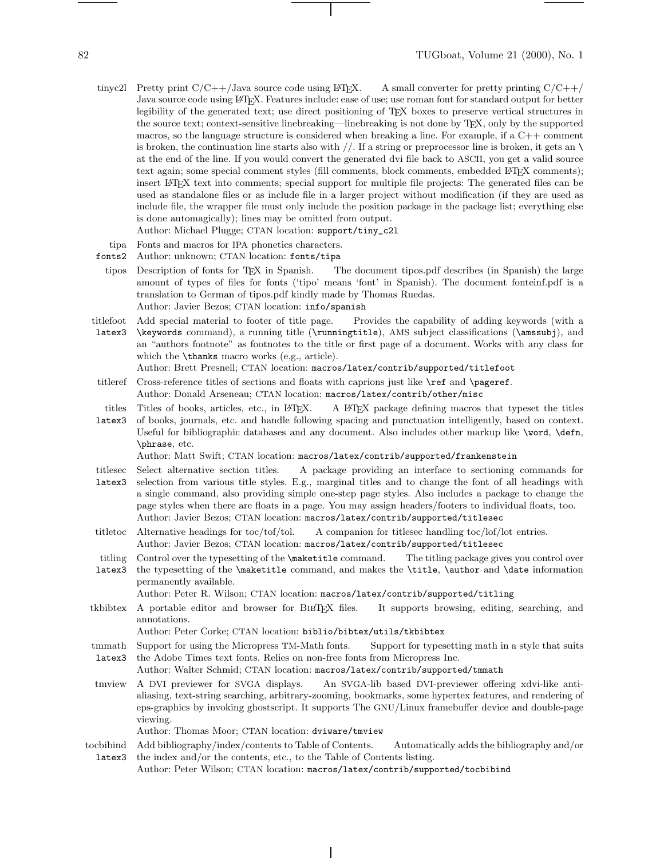- tinyc2l Pretty print  $C/C++/J$ ava source code using LAT<sub>EX</sub>. A small converter for pretty printing  $C/C++/$ Java source code using LATEX. Features include: ease of use; use roman font for standard output for better legibility of the generated text; use direct positioning of TEX boxes to preserve vertical structures in the source text; context-sensitive linebreaking—linebreaking is not done by TEX, only by the supported macros, so the language structure is considered when breaking a line. For example, if a  $C++$  comment is broken, the continuation line starts also with  $//$ . If a string or preprocessor line is broken, it gets an  $\setminus$ at the end of the line. If you would convert the generated dvi file back to ASCII, you get a valid source text again; some special comment styles (fill comments, block comments, embedded L<sup>A</sup>TEX comments); insert LATEX text into comments; special support for multiple file projects: The generated files can be used as standalone files or as include file in a larger project without modification (if they are used as include file, the wrapper file must only include the position package in the package list; everything else is done automagically); lines may be omitted from output. Author: Michael Plugge; CTAN location: support/tiny\_c2l
	- tipa Fonts and macros for IPA phonetics characters.
- fonts2 Author: unknown; CTAN location: fonts/tipa
- tipos Description of fonts for TEX in Spanish. The document tipos.pdf describes (in Spanish) the large amount of types of files for fonts ('tipo' means 'font' in Spanish). The document fonteinf.pdf is a translation to German of tipos.pdf kindly made by Thomas Ruedas. Author: Javier Bezos; CTAN location: info/spanish
- titlefoot Add special material to footer of title page. Provides the capability of adding keywords (with a
- latex3 \keywords command), a running title (\runningtitle), AMS subject classifications (\amssubj), and an "authors footnote" as footnotes to the title or first page of a document. Works with any class for which the \thanks macro works (e.g., article).
	- Author: Brett Presnell; CTAN location: macros/latex/contrib/supported/titlefoot
- titleref Cross-reference titles of sections and floats with caprions just like \ref and \pageref. Author: Donald Arseneau; CTAN location: macros/latex/contrib/other/misc
- titles Titles of books, articles, etc., in LATFX. A LATEX package defining macros that typeset the titles
- latex3 of books, journals, etc. and handle following spacing and punctuation intelligently, based on context. Useful for bibliographic databases and any document. Also includes other markup like \word, \defn, \phrase, etc.

Author: Matt Swift; CTAN location: macros/latex/contrib/supported/frankenstein

- titlesec latex3 Select alternative section titles. A package providing an interface to sectioning commands for selection from various title styles. E.g., marginal titles and to change the font of all headings with a single command, also providing simple one-step page styles. Also includes a package to change the page styles when there are floats in a page. You may assign headers/footers to individual floats, too. Author: Javier Bezos; CTAN location: macros/latex/contrib/supported/titlesec
- titletoc Alternative headings for toc/tof/tol. A companion for titlesec handling toc/lof/lot entries. Author: Javier Bezos; CTAN location: macros/latex/contrib/supported/titlesec
- titling Control over the typesetting of the \maketitle command. The titling package gives you control over
- latex3 the typesetting of the \maketitle command, and makes the \title, \author and \date information permanently available.

Author: Peter R. Wilson; CTAN location: macros/latex/contrib/supported/titling

tkbibtex A portable editor and browser for BibTEX files. It supports browsing, editing, searching, and annotations.

Author: Peter Corke; CTAN location: biblio/bibtex/utils/tkbibtex

tmmath latex3 Support for using the Micropress TM-Math fonts. Support for typesetting math in a style that suits the Adobe Times text fonts. Relies on non-free fonts from Micropress Inc.

Author: Walter Schmid; CTAN location: macros/latex/contrib/supported/tmmath

- tmview A DVI previewer for SVGA displays. An SVGA-lib based DVI-previewer offering xdvi-like antialiasing, text-string searching, arbitrary-zooming, bookmarks, some hypertex features, and rendering of eps-graphics by invoking ghostscript. It supports The GNU/Linux framebuffer device and double-page viewing.
	- Author: Thomas Moor; CTAN location: dviware/tmview
- tocbibind latex3 Add bibliography/index/contents to Table of Contents. Automatically adds the bibliography and/or the index and/or the contents, etc., to the Table of Contents listing. Author: Peter Wilson; CTAN location: macros/latex/contrib/supported/tocbibind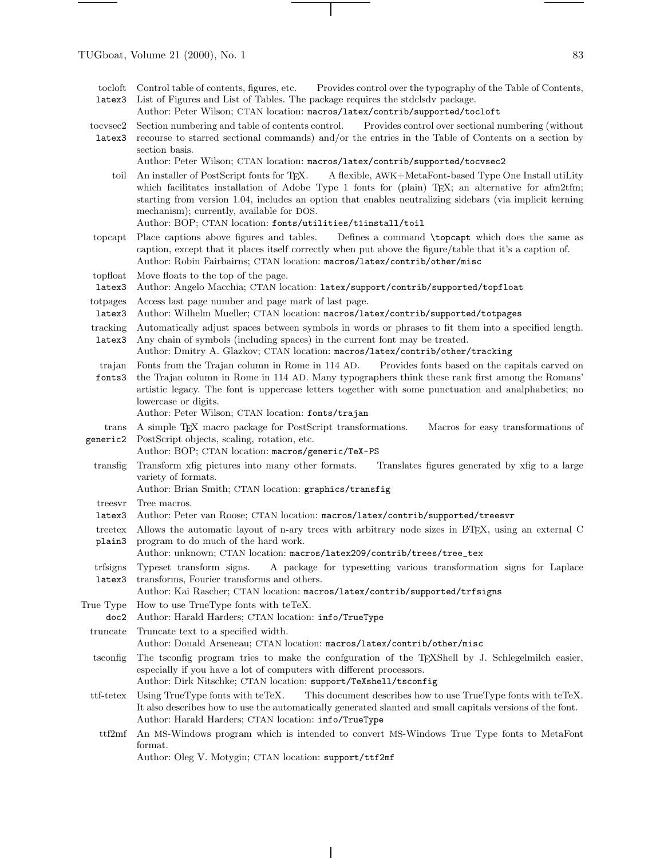- tocloft latex3 Control table of contents, figures, etc. Provides control over the typography of the Table of Contents, List of Figures and List of Tables. The package requires the stdclsdv package.
- Author: Peter Wilson; CTAN location: macros/latex/contrib/supported/tocloft
- tocvsec2 latex3 Section numbering and table of contents control. Provides control over sectional numbering (without recourse to starred sectional commands) and/or the entries in the Table of Contents on a section by section basis.
	- Author: Peter Wilson; CTAN location: macros/latex/contrib/supported/tocvsec2
	- toil An installer of PostScript fonts for TEX. A flexible, AWK+MetaFont-based Type One Install utiLity which facilitates installation of Adobe Type 1 fonts for (plain) TEX; an alternative for afm2tfm; starting from version 1.04, includes an option that enables neutralizing sidebars (via implicit kerning mechanism); currently, available for DOS.
		- Author: BOP; CTAN location: fonts/utilities/t1install/toil
- topcapt Place captions above figures and tables. Defines a command \topcapt which does the same as caption, except that it places itself correctly when put above the figure/table that it's a caption of. Author: Robin Fairbairns; CTAN location: macros/latex/contrib/other/misc
- topfloat Move floats to the top of the page.
- latex3 Author: Angelo Macchia; CTAN location: latex/support/contrib/supported/topfloat
- totpages Access last page number and page mark of last page.
- latex3 Author: Wilhelm Mueller; CTAN location: macros/latex/contrib/supported/totpages
- tracking Automatically adjust spaces between symbols in words or phrases to fit them into a specified length.
- latex3 Any chain of symbols (including spaces) in the current font may be treated. Author: Dmitry A. Glazkov; CTAN location: macros/latex/contrib/other/tracking
- trajan Fonts from the Trajan column in Rome in 114 AD. Provides fonts based on the capitals carved on
- fonts3 the Trajan column in Rome in 114 AD. Many typographers think these rank first among the Romans' artistic legacy. The font is uppercase letters together with some punctuation and analphabetics; no lowercase or digits.
	- Author: Peter Wilson; CTAN location: fonts/trajan
- trans generic2 A simple TEX macro package for PostScript transformations. Macros for easy transformations of PostScript objects, scaling, rotation, etc.
	- Author: BOP; CTAN location: macros/generic/TeX-PS
- transfig Transform xfig pictures into many other formats. Translates figures generated by xfig to a large variety of formats.
	- Author: Brian Smith; CTAN location: graphics/transfig
- treesvr Tree macros.
- latex3 Author: Peter van Roose; CTAN location: macros/latex/contrib/supported/treesvr
- treetex Allows the automatic layout of n-ary trees with arbitrary node sizes in LATEX, using an external C plain3 program to do much of the hard work.
	- Author: unknown; CTAN location: macros/latex209/contrib/trees/tree\_tex
- trfsigns Typeset transform signs. latex3 A package for typesetting various transformation signs for Laplace transforms, Fourier transforms and others.
	- Author: Kai Rascher; CTAN location: macros/latex/contrib/supported/trfsigns
- True Type Howto use TrueType fonts with teTeX.
- doc2 Author: Harald Harders; CTAN location: info/TrueType
- truncate Truncate text to a specified width.
	- Author: Donald Arseneau; CTAN location: macros/latex/contrib/other/misc
- tsconfig The tsconfig program tries to make the confguration of the TEXShell by J. Schlegelmilch easier, especially if you have a lot of computers with different processors.
	- Author: Dirk Nitschke; CTAN location: support/TeXshell/tsconfig
- ttf-tetex Using TrueType fonts with teTeX. This document describes how to use TrueType fonts with teTeX. It also describes howto use the automatically generated slanted and small capitals versions of the font. Author: Harald Harders; CTAN location: info/TrueType
- ttf2mf An MS-Windows program which is intended to convert MS-Windows True Type fonts to MetaFont format.
	- Author: Oleg V. Motygin; CTAN location: support/ttf2mf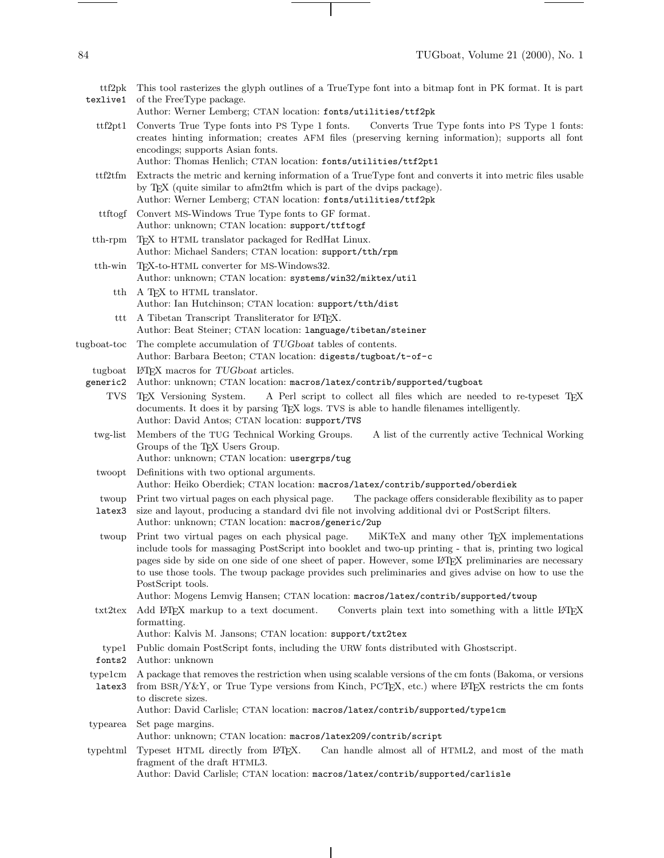٠

| ttf2pk<br>texlive1  | This tool rasterizes the glyph outlines of a TrueType font into a bitmap font in PK format. It is part                                                                                                                                                                                                                                                                                                                                                                                                                            |
|---------------------|-----------------------------------------------------------------------------------------------------------------------------------------------------------------------------------------------------------------------------------------------------------------------------------------------------------------------------------------------------------------------------------------------------------------------------------------------------------------------------------------------------------------------------------|
|                     | of the FreeType package.<br>Author: Werner Lemberg; CTAN location: fonts/utilities/ttf2pk                                                                                                                                                                                                                                                                                                                                                                                                                                         |
| ttf2pt1             | Converts True Type fonts into PS Type 1 fonts.<br>Converts True Type fonts into PS Type 1 fonts:<br>creates hinting information; creates AFM files (preserving kerning information); supports all font<br>encodings; supports Asian fonts.                                                                                                                                                                                                                                                                                        |
|                     | Author: Thomas Henlich; CTAN location: fonts/utilities/ttf2pt1                                                                                                                                                                                                                                                                                                                                                                                                                                                                    |
| ttff2tfm            | Extracts the metric and kerning information of a TrueType font and converts it into metric files usable<br>by TEX (quite similar to afm2tfm which is part of the dvips package).<br>Author: Werner Lemberg; CTAN location: fonts/utilities/ttf2pk                                                                                                                                                                                                                                                                                 |
| ttftogf             | Convert MS-Windows True Type fonts to GF format.<br>Author: unknown; CTAN location: support/ttftogf                                                                                                                                                                                                                                                                                                                                                                                                                               |
| $\text{tth-rpm}$    | TEX to HTML translator packaged for RedHat Linux.<br>Author: Michael Sanders; CTAN location: support/tth/rpm                                                                                                                                                                                                                                                                                                                                                                                                                      |
| tth-win             | T <sub>F</sub> X-to-HTML converter for MS-Windows32.<br>Author: unknown; CTAN location: systems/win32/miktex/util                                                                                                                                                                                                                                                                                                                                                                                                                 |
| tth                 | A TEX to HTML translator.<br>Author: Ian Hutchinson; CTAN location: support/tth/dist                                                                                                                                                                                                                                                                                                                                                                                                                                              |
| ttt                 | A Tibetan Transcript Transliterator for IATEX.<br>Author: Beat Steiner; CTAN location: language/tibetan/steiner                                                                                                                                                                                                                                                                                                                                                                                                                   |
| tugboat-toc         | The complete accumulation of TUGboat tables of contents.<br>Author: Barbara Beeton; CTAN location: digests/tugboat/t-of-c                                                                                                                                                                                                                                                                                                                                                                                                         |
| tugboat<br>generic2 | IMEX macros for TUGboat articles.<br>Author: unknown; CTAN location: macros/latex/contrib/supported/tugboat                                                                                                                                                                                                                                                                                                                                                                                                                       |
| <b>TVS</b>          | A Perl script to collect all files which are needed to re-typeset TFX<br>T <sub>F</sub> X Versioning System.<br>documents. It does it by parsing TEX logs. TVS is able to handle filenames intelligently.<br>Author: David Antos; CTAN location: support/TVS                                                                                                                                                                                                                                                                      |
| twg-list            | Members of the TUG Technical Working Groups.<br>A list of the currently active Technical Working<br>Groups of the TEX Users Group.<br>Author: unknown; CTAN location: usergrps/tug                                                                                                                                                                                                                                                                                                                                                |
| twoopt              | Definitions with two optional arguments.<br>Author: Heiko Oberdiek; CTAN location: macros/latex/contrib/supported/oberdiek                                                                                                                                                                                                                                                                                                                                                                                                        |
| twoup<br>latex3     | The package offers considerable flexibility as to paper<br>Print two virtual pages on each physical page.<br>size and layout, producing a standard dvi file not involving additional dvi or PostScript filters.<br>Author: unknown; CTAN location: macros/generic/2up                                                                                                                                                                                                                                                             |
| twoup               | MiKTeX and many other TEX implementations<br>Print two virtual pages on each physical page.<br>include tools for massaging PostScript into booklet and two-up printing - that is, printing two logical<br>pages side by side on one side of one sheet of paper. However, some IATEX preliminaries are necessary<br>to use those tools. The twoup package provides such preliminaries and gives advise on how to use the<br>PostScript tools.<br>Author: Mogens Lemvig Hansen; CTAN location: macros/latex/contrib/supported/twoup |
| txt2tex             | Add L <sup>A</sup> T <sub>F</sub> X markup to a text document.<br>Converts plain text into something with a little L <sup>AT</sup> FX<br>formatting.<br>Author: Kalvis M. Jansons; CTAN location: support/txt2tex                                                                                                                                                                                                                                                                                                                 |
| type1<br>fonts2     | Public domain PostScript fonts, including the URW fonts distributed with Ghostscript.<br>Author: unknown                                                                                                                                                                                                                                                                                                                                                                                                                          |
| typelcm<br>latex3   | A package that removes the restriction when using scalable versions of the cm fonts (Bakoma, or versions<br>from BSR/Y&Y, or True Type versions from Kinch, PCTEX, etc.) where L <sup>2</sup> TEX restricts the cm fonts<br>to discrete sizes.<br>Author: David Carlisle; CTAN location: macros/latex/contrib/supported/type1cm                                                                                                                                                                                                   |
| typearea            | Set page margins.<br>Author: unknown; CTAN location: macros/latex209/contrib/script                                                                                                                                                                                                                                                                                                                                                                                                                                               |
| typehtml            | Typeset HTML directly from L <sup>AT</sup> EX.<br>Can handle almost all of HTML2, and most of the math<br>fragment of the draft HTML3.<br>Author: David Carlisle; CTAN location: macros/latex/contrib/supported/carlisle                                                                                                                                                                                                                                                                                                          |

 $\overline{\phantom{a}}$ 

 $\vert$ 

 $\sim$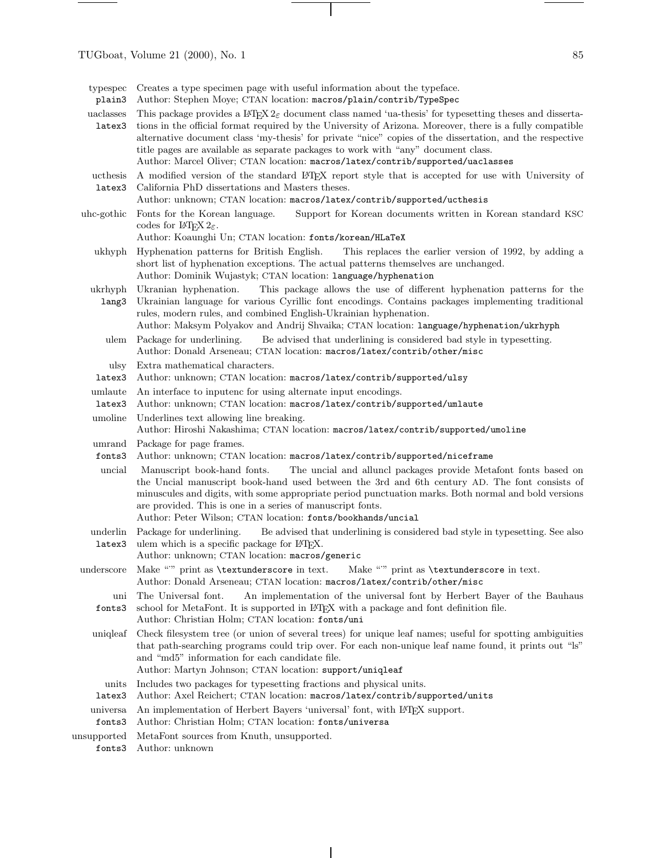$\frac{1}{\sqrt{2\pi}}\left( \frac{1}{\sqrt{2\pi}}\right) ^{2}=\frac{1}{2\sqrt{2\pi}}\left( \frac{1}{\sqrt{2\pi}}\right) ^{2}=\frac{1}{2\sqrt{2\pi}}\left( \frac{1}{2\sqrt{2\pi}}\right) ^{2}=\frac{1}{2\sqrt{2\pi}}\left( \frac{1}{2\sqrt{2\pi}}\right) ^{2}=\frac{1}{2\sqrt{2\pi}}\left( \frac{1}{2\sqrt{2\pi}}\right) ^{2}=\frac{1}{2\sqrt{2\pi}}\left( \frac{1}{2\sqrt{2\pi}}\right) ^{2}=\frac{1}{2\$ 

٠

| typespec<br>plain3  | Creates a type specimen page with useful information about the type face.<br>Author: Stephen Moye; CTAN location: macros/plain/contrib/TypeSpec                                                                                                                                                                                                                                                                                                                                                                                           |
|---------------------|-------------------------------------------------------------------------------------------------------------------------------------------------------------------------------------------------------------------------------------------------------------------------------------------------------------------------------------------------------------------------------------------------------------------------------------------------------------------------------------------------------------------------------------------|
| uaclasses<br>latex3 | This package provides a L <sup>4</sup> T <sub>F</sub> X $2\epsilon$ document class named 'ua-thesis' for typesetting theses and disserta-<br>tions in the official format required by the University of Arizona. Moreover, there is a fully compatible<br>alternative document class 'my-thesis' for private "nice" copies of the dissertation, and the respective<br>title pages are available as separate packages to work with "any" document class.<br>Author: Marcel Oliver; CTAN location: macros/latex/contrib/supported/uaclasses |
| ucthesis<br>latex3  | A modified version of the standard L <sup>N</sup> IEX report style that is accepted for use with University of<br>California PhD dissertations and Masters theses.<br>Author: unknown; CTAN location: macros/latex/contrib/supported/ucthesis                                                                                                                                                                                                                                                                                             |
| uhc-gothic          | Fonts for the Korean language.<br>Support for Korean documents written in Korean standard KSC<br>codes for L <sup>4</sup> T <sub>F</sub> X $2\varepsilon$ .<br>Author: Koaunghi Un; CTAN location: fonts/korean/HLaTeX                                                                                                                                                                                                                                                                                                                    |
| ukhyph              | Hyphenation patterns for British English.<br>This replaces the earlier version of 1992, by adding a<br>short list of hyphenation exceptions. The actual patterns themselves are unchanged.<br>Author: Dominik Wujastyk; CTAN location: language/hyphenation                                                                                                                                                                                                                                                                               |
| ukrhyph<br>lang3    | This package allows the use of different hyphenation patterns for the<br>Ukranian hyphenation.<br>Ukrainian language for various Cyrillic font encodings. Contains packages implementing traditional<br>rules, modern rules, and combined English-Ukrainian hyphenation.<br>Author: Maksym Polyakov and Andrij Shvaika; CTAN location: language/hyphenation/ukrhyph                                                                                                                                                                       |
| ulem                | Be advised that underlining is considered bad style in typesetting.<br>Package for underlining.<br>Author: Donald Arseneau; CTAN location: macros/latex/contrib/other/misc                                                                                                                                                                                                                                                                                                                                                                |
| ulsy<br>latex3      | Extra mathematical characters.<br>Author: unknown; CTAN location: macros/latex/contrib/supported/ulsy                                                                                                                                                                                                                                                                                                                                                                                                                                     |
| umlaute<br>latex3   | An interface to inputence for using alternate input encodings.<br>Author: unknown; CTAN location: macros/latex/contrib/supported/umlaute                                                                                                                                                                                                                                                                                                                                                                                                  |
| umoline             | Underlines text allowing line breaking.<br>Author: Hiroshi Nakashima; CTAN location: macros/latex/contrib/supported/umoline                                                                                                                                                                                                                                                                                                                                                                                                               |
| umrand<br>fonts3    | Package for page frames.<br>Author: unknown; CTAN location: macros/latex/contrib/supported/niceframe                                                                                                                                                                                                                                                                                                                                                                                                                                      |
| uncial              | Manuscript book-hand fonts.<br>The uncial and alluncl packages provide Metafont fonts based on<br>the Uncial manuscript book-hand used between the 3rd and 6th century AD. The font consists of<br>minuscules and digits, with some appropriate period punctuation marks. Both normal and bold versions<br>are provided. This is one in a series of manuscript fonts.<br>Author: Peter Wilson; CTAN location: fonts/bookhands/uncial                                                                                                      |
| underlin<br>latex3  | Be advised that underlining is considered bad style in typesetting. See also<br>Package for underlining.<br>ulem which is a specific package for IATEX.<br>Author: unknown; CTAN location: macros/generic                                                                                                                                                                                                                                                                                                                                 |
| underscore          | Make "" print as <b>\textunderscore</b> in text.<br>Make "" print as \textunderscore in text.<br>Author: Donald Arseneau; CTAN location: macros/latex/contrib/other/misc                                                                                                                                                                                                                                                                                                                                                                  |
| uni<br>fonts3       | An implementation of the universal font by Herbert Bayer of the Bauhaus<br>The Universal font.<br>school for MetaFont. It is supported in IATEX with a package and font definition file.<br>Author: Christian Holm; CTAN location: fonts/uni                                                                                                                                                                                                                                                                                              |
| uniqleaf            | Check filesystem tree (or union of several trees) for unique leaf names; useful for spotting ambiguities<br>that path-searching programs could trip over. For each non-unique leaf name found, it prints out "ls"<br>and "md5" information for each candidate file.<br>Author: Martyn Johnson; CTAN location: support/uniqleaf                                                                                                                                                                                                            |
| units<br>latex3     | Includes two packages for typesetting fractions and physical units.<br>Author: Axel Reichert; CTAN location: macros/latex/contrib/supported/units                                                                                                                                                                                                                                                                                                                                                                                         |
| universa<br>fonts3  | An implementation of Herbert Bayers 'universal' font, with LAT <sub>F</sub> X support.<br>Author: Christian Holm; CTAN location: fonts/universa                                                                                                                                                                                                                                                                                                                                                                                           |

 $\overline{\phantom{a}}$ 

 $\overline{\phantom{0}}$ 

 $\overline{\phantom{a}}$ 

unsupported fonts3 MetaFont sources from Knuth, unsupported. Author: unknown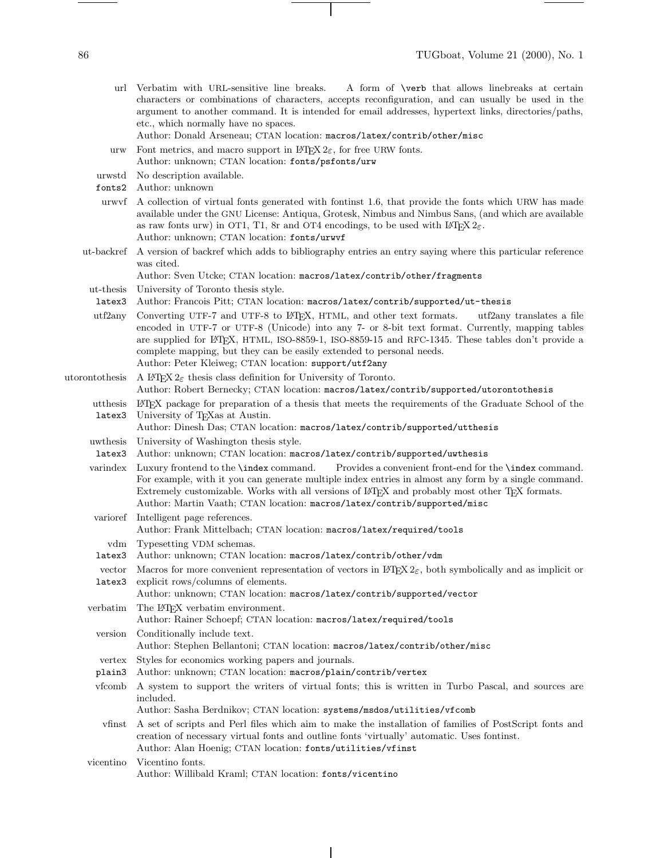- url Verbatim with URL-sensitive line breaks. A form of \verb that allows linebreaks at certain characters or combinations of characters, accepts reconfiguration, and can usually be used in the argument to another command. It is intended for email addresses, hypertext links, directories/paths, etc., which normally have no spaces.
	- Author: Donald Arseneau; CTAN location: macros/latex/contrib/other/misc
- urw Font metrics, and macro support in  $\text{BTr } X 2_{\varepsilon}$ , for free URW fonts. Author: unknown; CTAN location: fonts/psfonts/urw
- urwstd No description available.
- fonts2 Author: unknown
- urwvf A collection of virtual fonts generated with fontinst 1.6, that provide the fonts which URW has made available under the GNU License: Antiqua, Grotesk, Nimbus and Nimbus Sans, (and which are available as raw fonts urw) in OT1, T1, 8r and OT4 encodings, to be used with  $\text{LATEX } 2\varepsilon$ . Author: unknown; CTAN location: fonts/urwvf
- ut-backref A version of backref which adds to bibliography entries an entry saying where this particular reference was cited.

Author: Sven Utcke; CTAN location: macros/latex/contrib/other/fragments

- ut-thesis University of Toronto thesis style.
- latex3 Author: Francois Pitt; CTAN location: macros/latex/contrib/supported/ut-thesis
- utf2any Converting UTF-7 and UTF-8 to L<sup>AT</sup>EX, HTML, and other text formats. utf2any translates a file encoded in UTF-7 or UTF-8 (Unicode) into any 7- or 8-bit text format. Currently, mapping tables are supplied for L<sup>AT</sup>EX, HTML, ISO-8859-1, ISO-8859-15 and RFC-1345. These tables don't provide a complete mapping, but they can be easily extended to personal needs. Author: Peter Kleiweg; CTAN location: support/utf2any
- utorontothesis A LAT<sub>EX</sub>  $2\varepsilon$  thesis class definition for University of Toronto. Author: Robert Bernecky; CTAN location: macros/latex/contrib/supported/utorontothesis
	- utthesis LATEX package for preparation of a thesis that meets the requirements of the Graduate School of the latex3 University of TEXas at Austin.
	- Author: Dinesh Das; CTAN location: macros/latex/contrib/supported/utthesis
	- uwthesis University of Washington thesis style.
	- latex3 Author: unknown; CTAN location: macros/latex/contrib/supported/uwthesis

varindex Luxury frontend to the \index command. Provides a convenient front-end for the \index command. For example, with it you can generate multiple index entries in almost any form by a single command. Extremely customizable. Works with all versions of L<sup>AT</sup>FX and probably most other TFX formats. Author: Martin Vaath; CTAN location: macros/latex/contrib/supported/misc

- varioref Intelligent page references. Author: Frank Mittelbach; CTAN location: macros/latex/required/tools
	- vdm Typesetting VDM schemas.
- latex3 Author: unknown; CTAN location: macros/latex/contrib/other/vdm
- vector Macros for more convenient representation of vectors in  $\mathbb{F}T_{E}X2_{\varepsilon}$ , both symbolically and as implicit or latex3 explicit rows/columns of elements.
	- Author: unknown; CTAN location: macros/latex/contrib/supported/vector
- verbatim The L<sup>AT</sup>EX verbatim environment. Author: Rainer Schoepf; CTAN location: macros/latex/required/tools version Conditionally include text.
	- Author: Stephen Bellantoni; CTAN location: macros/latex/contrib/other/misc
- vertex Styles for economics working papers and journals.
- plain3 Author: unknown; CTAN location: macros/plain/contrib/vertex
- vfcomb A system to support the writers of virtual fonts; this is written in Turbo Pascal, and sources are included.

Author: Sasha Berdnikov; CTAN location: systems/msdos/utilities/vfcomb

- vfinst A set of scripts and Perl files which aim to make the installation of families of PostScript fonts and creation of necessary virtual fonts and outline fonts 'virtually' automatic. Uses fontinst. Author: Alan Hoenig; CTAN location: fonts/utilities/vfinst
- vicentino Vicentino fonts. Author: Willibald Kraml; CTAN location: fonts/vicentino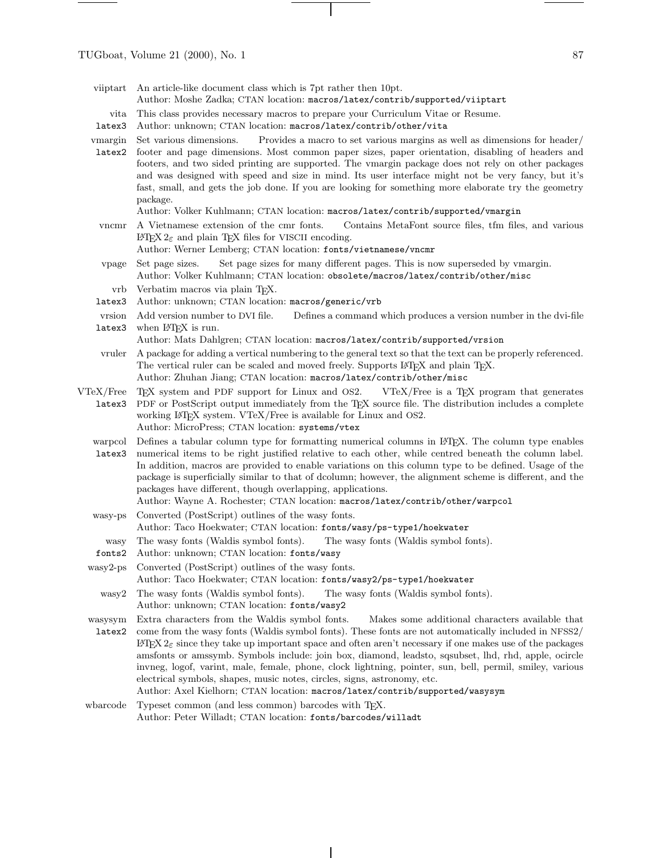TUGboat, Volume 21 (2000), No. 1  $87$ 

 $\overline{\phantom{a}}$ 

| viiptart                            | An article-like document class which is 7pt rather then 10pt.<br>Author: Moshe Zadka; CTAN location: macros/latex/contrib/supported/viiptart                                                                                                                                                                                                                                                                                                                                                                                                                                                                                                                                                                    |
|-------------------------------------|-----------------------------------------------------------------------------------------------------------------------------------------------------------------------------------------------------------------------------------------------------------------------------------------------------------------------------------------------------------------------------------------------------------------------------------------------------------------------------------------------------------------------------------------------------------------------------------------------------------------------------------------------------------------------------------------------------------------|
| vita<br>latex3                      | This class provides necessary macros to prepare your Curriculum Vitae or Resume.<br>Author: unknown; CTAN location: macros/latex/contrib/other/vita                                                                                                                                                                                                                                                                                                                                                                                                                                                                                                                                                             |
| vmargin<br>latex2                   | Set various dimensions.<br>Provides a macro to set various margins as well as dimensions for header/<br>footer and page dimensions. Most common paper sizes, paper orientation, disabling of headers and<br>footers, and two sided printing are supported. The vmargin package does not rely on other packages<br>and was designed with speed and size in mind. Its user interface might not be very fancy, but it's<br>fast, small, and gets the job done. If you are looking for something more elaborate try the geometry<br>package.<br>Author: Volker Kuhlmann; CTAN location: macros/latex/contrib/supported/vmargin                                                                                      |
| vncmr                               | A Vietnamese extension of the cmr fonts.<br>Contains MetaFont source files, tfm files, and various<br>IFIEX $2_{\varepsilon}$ and plain TEX files for VISCII encoding.<br>Author: Werner Lemberg; CTAN location: fonts/vietnamese/vncmr                                                                                                                                                                                                                                                                                                                                                                                                                                                                         |
| vpage                               | Set page sizes for many different pages. This is now superseded by vmargin.<br>Set page sizes.<br>Author: Volker Kuhlmann; CTAN location: obsolete/macros/latex/contrib/other/misc                                                                                                                                                                                                                                                                                                                                                                                                                                                                                                                              |
| vrb<br>latex3                       | Verbatim macros via plain TEX.<br>Author: unknown; CTAN location: macros/generic/vrb                                                                                                                                                                                                                                                                                                                                                                                                                                                                                                                                                                                                                            |
| vrsion                              | Add version number to DVI file.<br>Defines a command which produces a version number in the dvi-file                                                                                                                                                                                                                                                                                                                                                                                                                                                                                                                                                                                                            |
| latex3                              | when IATFX is run.<br>Author: Mats Dahlgren; CTAN location: macros/latex/contrib/supported/vrsion                                                                                                                                                                                                                                                                                                                                                                                                                                                                                                                                                                                                               |
| vruler                              | A package for adding a vertical numbering to the general text so that the text can be properly referenced.<br>The vertical ruler can be scaled and moved freely. Supports LATEX and plain TEX.<br>Author: Zhuhan Jiang; CTAN location: macros/latex/contrib/other/misc                                                                                                                                                                                                                                                                                                                                                                                                                                          |
| $V\text{TeV}/\text{Free}$<br>latex3 | T <sub>F</sub> X system and PDF support for Linux and OS2.<br>VTeX/Free is a TEX program that generates<br>PDF or PostScript output immediately from the TEX source file. The distribution includes a complete<br>working L <sup>4</sup> T <sub>E</sub> X system. VTeX/Free is available for Linux and OS2.<br>Author: MicroPress; CTAN location: systems/vtex                                                                                                                                                                                                                                                                                                                                                  |
| warpcol<br>latex3                   | Defines a tabular column type for formatting numerical columns in L <sup>A</sup> T <sub>E</sub> X. The column type enables<br>numerical items to be right justified relative to each other, while centred beneath the column label.<br>In addition, macros are provided to enable variations on this column type to be defined. Usage of the<br>package is superficially similar to that of dcolumn; however, the alignment scheme is different, and the<br>packages have different, though overlapping, applications.<br>Author: Wayne A. Rochester; CTAN location: macros/latex/contrib/other/warpcol                                                                                                         |
| wasy-ps                             | Converted (PostScript) outlines of the wasy fonts.<br>Author: Taco Hoekwater; CTAN location: fonts/wasy/ps-type1/hoekwater                                                                                                                                                                                                                                                                                                                                                                                                                                                                                                                                                                                      |
| wasy                                | The wasy fonts (Waldis symbol fonts).<br>The wasy fonts (Waldis symbol fonts).                                                                                                                                                                                                                                                                                                                                                                                                                                                                                                                                                                                                                                  |
| fonts2                              | Author: unknown; CTAN location: fonts/wasy                                                                                                                                                                                                                                                                                                                                                                                                                                                                                                                                                                                                                                                                      |
| $wasy2-ps$                          | Converted (PostScript) outlines of the wasy fonts.<br>Author: Taco Hoekwater; CTAN location: fonts/wasy2/ps-type1/hoekwater                                                                                                                                                                                                                                                                                                                                                                                                                                                                                                                                                                                     |
| wasy2                               | The wasy fonts (Waldis symbol fonts).<br>The wasy fonts (Waldis symbol fonts).<br>Author: unknown; CTAN location: fonts/wasy2                                                                                                                                                                                                                                                                                                                                                                                                                                                                                                                                                                                   |
| wasysym<br>latex2                   | Extra characters from the Waldis symbol fonts.<br>Makes some additional characters available that<br>come from the wasy fonts (Waldis symbol fonts). These fonts are not automatically included in NFSS2/<br>IMPX $2\varepsilon$ since they take up important space and often aren't necessary if one makes use of the packages<br>amsfonts or amssymb. Symbols include: join box, diamond, leadsto, sqsubset, lhd, rhd, apple, ocircle<br>invneg, logof, varint, male, female, phone, clock lightning, pointer, sun, bell, permil, smiley, various<br>electrical symbols, shapes, music notes, circles, signs, astronomy, etc.<br>Author: Axel Kielhorn; CTAN location: macros/latex/contrib/supported/wasysym |
| wbarcode                            | Typeset common (and less common) barcodes with TEX.<br>Author: Peter Willadt; CTAN location: fonts/barcodes/willadt                                                                                                                                                                                                                                                                                                                                                                                                                                                                                                                                                                                             |

 $\overline{\phantom{a}}$ 

 $\sim$ 

 $\top$ 

 $\sim 10^{-10}$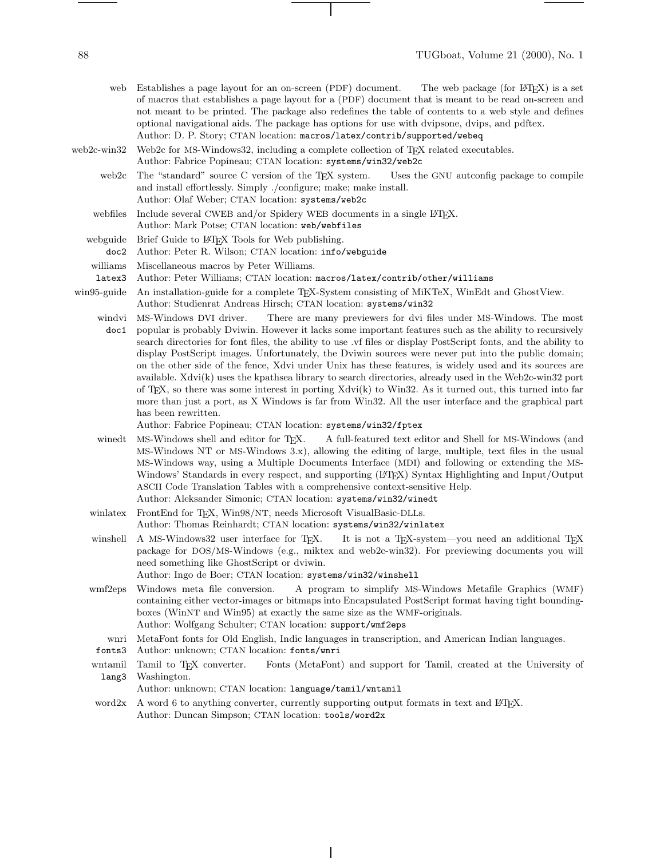web Establishes a page layout for an on-screen (PDF) document. The web package (for LATEX) is a set of macros that establishes a page layout for a (PDF) document that is meant to be read on-screen and not meant to be printed. The package also redefines the table of contents to a web style and defines optional navigational aids. The package has options for use with dvipsone, dvips, and pdftex. Author: D. P. Story; CTAN location: macros/latex/contrib/supported/webeq

web2c-win32 Web2c for MS-Windows32, including a complete collection of T<sub>E</sub>X related executables. Author: Fabrice Popineau; CTAN location: systems/win32/web2c

web2c The "standard" source C version of the TEX system. Uses the GNU autconfig package to compile and install effortlessly. Simply ./configure; make; make install. Author: Olaf Weber; CTAN location: systems/web2c

webfiles Include several CWEB and/or Spidery WEB documents in a single L<sup>AT</sup>EX. Author: Mark Potse; CTAN location: web/webfiles

- webguide Brief Guide to LATEX Tools for Web publishing.
- doc2 Author: Peter R. Wilson; CTAN location: info/webguide
- williams Miscellaneous macros by Peter Williams.
- latex3 Author: Peter Williams; CTAN location: macros/latex/contrib/other/williams

win95-guide An installation-guide for a complete TFX-System consisting of MiKTeX, WinEdt and GhostView. Author: Studienrat Andreas Hirsch; CTAN location: systems/win32

windvi MS-Windows DVI driver. doc1 popular is probably Dviwin. However it lacks some important features such as the ability to recursively There are many previewers for dvi files under MS-Windows. The most search directories for font files, the ability to use .vf files or display PostScript fonts, and the ability to display PostScript images. Unfortunately, the Dviwin sources were never put into the public domain; on the other side of the fence, Xdvi under Unix has these features, is widely used and its sources are available. Xdvi(k) uses the kpathsea library to search directories, already used in the Web2c-win32 port of TEX, so there was some interest in porting Xdvi(k) to Win32. As it turned out, this turned into far more than just a port, as X Windows is far from Win32. All the user interface and the graphical part has been rewritten.

Author: Fabrice Popineau; CTAN location: systems/win32/fptex

- winedt MS-Windows shell and editor for TFX. A full-featured text editor and Shell for MS-Windows (and MS-Windows NT or MS-Windows 3.x), allowing the editing of large, multiple, text files in the usual MS-Windows way, using a Multiple Documents Interface (MDI) and following or extending the MS-Windows' Standards in every respect, and supporting (LATEX) Syntax Highlighting and Input/Output ASCII Code Translation Tables with a comprehensive context-sensitive Help.
- Author: Aleksander Simonic; CTAN location: systems/win32/winedt winlatex FrontEnd for TEX, Win98/NT, needs Microsoft VisualBasic-DLLs. Author: Thomas Reinhardt; CTAN location: systems/win32/winlatex
- winshell A MS-Windows32 user interface for TEX. It is not a TEX-system—you need an additional TEX package for DOS/MS-Windows (e.g., miktex and web2c-win32). For previewing documents you will need something like GhostScript or dviwin.

Author: Ingo de Boer; CTAN location: systems/win32/winshell

- wmf2eps Windows meta file conversion. A program to simplify MS-Windows Metafile Graphics (WMF) containing either vector-images or bitmaps into Encapsulated PostScript format having tight boundingboxes (WinNT and Win95) at exactly the same size as the WMF-originals. Author: Wolfgang Schulter; CTAN location: support/wmf2eps
- wnri MetaFont fonts for Old English, Indic languages in transcription, and American Indian languages.

fonts3 Author: unknown; CTAN location: fonts/wnri

wntamil lang3 Tamil to T<sub>EX</sub> converter. Fonts (MetaFont) and support for Tamil, created at the University of Washington.

Author: unknown; CTAN location: language/tamil/wntamil

word $2x$  A word 6 to anything converter, currently supporting output formats in text and LATEX. Author: Duncan Simpson; CTAN location: tools/word2x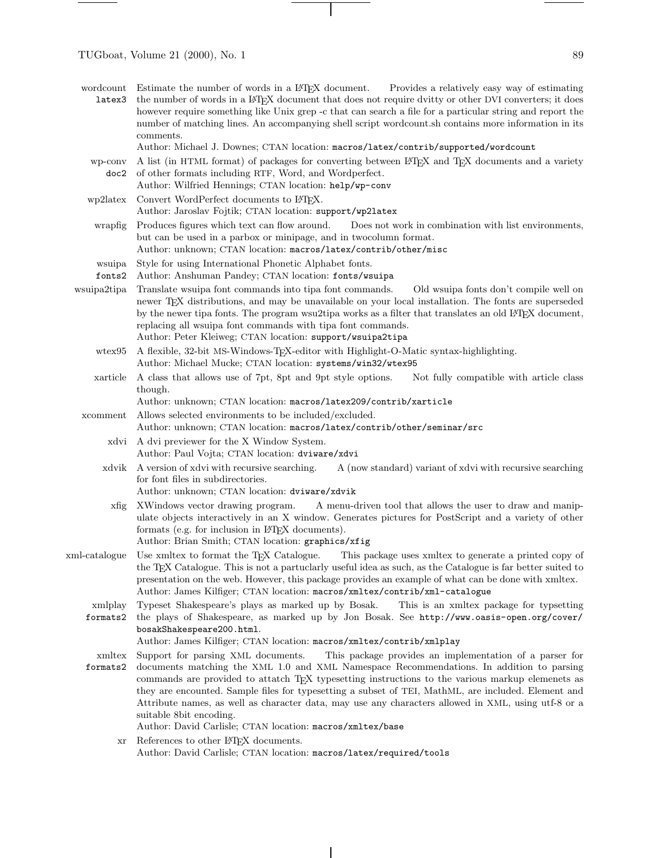$\frac{1}{2}$ 

| wordcount<br>latex3 | Estimate the number of words in a LAT <sub>E</sub> X document. Provides a relatively easy way of estimating<br>the number of words in a L <sup>AT</sup> FX document that does not require dvitty or other DVI converters; it does<br>however require something like Unix grep -c that can search a file for a particular string and report the<br>number of matching lines. An accompanying shell script wordcount sh contains more information in its<br>comments.                                                                                                                                |
|---------------------|----------------------------------------------------------------------------------------------------------------------------------------------------------------------------------------------------------------------------------------------------------------------------------------------------------------------------------------------------------------------------------------------------------------------------------------------------------------------------------------------------------------------------------------------------------------------------------------------------|
|                     | Author: Michael J. Downes; CTAN location: macros/latex/contrib/supported/wordcount                                                                                                                                                                                                                                                                                                                                                                                                                                                                                                                 |
| wp-conv<br>doc2     | A list (in HTML format) of packages for converting between LATEX and TEX documents and a variety<br>of other formats including RTF, Word, and Wordperfect.<br>Author: Wilfried Hennings; CTAN location: help/wp-conv                                                                                                                                                                                                                                                                                                                                                                               |
| wp2latex            | Convert WordPerfect documents to L <sup>AT</sup> EX.<br>Author: Jaroslav Fojtik; CTAN location: support/wp21atex                                                                                                                                                                                                                                                                                                                                                                                                                                                                                   |
| wrapfig             | Produces figures which text can flow around.<br>Does not work in combination with list environments,<br>but can be used in a parbox or minipage, and in two column format.<br>Author: unknown; CTAN location: macros/latex/contrib/other/misc                                                                                                                                                                                                                                                                                                                                                      |
| wsuipa<br>fonts2    | Style for using International Phonetic Alphabet fonts.<br>Author: Anshuman Pandey; CTAN location: fonts/wsuipa                                                                                                                                                                                                                                                                                                                                                                                                                                                                                     |
| wsuipa2tipa         | Translate was up font commands into tipa font commands.<br>Old wsuipa fonts don't compile well on<br>newer T <sub>E</sub> X distributions, and may be unavailable on your local installation. The fonts are superseded<br>by the newer tipa fonts. The program wsu2tipa works as a filter that translates an old L <sup>AT</sup> EX document,<br>replacing all wsuipa font commands with tipa font commands.<br>Author: Peter Kleiweg; CTAN location: support/wsuipa2tipa                                                                                                                          |
| $w$ tex $95$        | A flexible, 32-bit MS-Windows-TEX-editor with Highlight-O-Matic syntax-highlighting.<br>Author: Michael Mucke; CTAN location: systems/win32/wtex95                                                                                                                                                                                                                                                                                                                                                                                                                                                 |
| xarticle            | A class that allows use of 7pt, 8pt and 9pt style options.<br>Not fully compatible with article class<br>though.<br>Author: unknown; CTAN location: macros/latex209/contrib/xarticle                                                                                                                                                                                                                                                                                                                                                                                                               |
| xcomment            | Allows selected environments to be included/excluded.<br>Author: unknown; CTAN location: macros/latex/contrib/other/seminar/src                                                                                                                                                                                                                                                                                                                                                                                                                                                                    |
| xdvi                | A dvi previewer for the X Window System.<br>Author: Paul Vojta; CTAN location: dviware/xdvi                                                                                                                                                                                                                                                                                                                                                                                                                                                                                                        |
| xdvik               | A version of xdvi with recursive searching.<br>A (now standard) variant of xdvi with recursive searching<br>for font files in subdirectories.<br>Author: unknown; CTAN location: dviware/xdvik                                                                                                                                                                                                                                                                                                                                                                                                     |
| xfig                | XWindows vector drawing program.<br>A menu-driven tool that allows the user to draw and manip-<br>ulate objects interactively in an X window. Generates pictures for PostScript and a variety of other<br>formats (e.g. for inclusion in L <sup>AT</sup> FX documents).<br>Author: Brian Smith; CTAN location: graphics/xfig                                                                                                                                                                                                                                                                       |
|                     | xml-catalogue Use xmltex to format the TFX Catalogue.<br>This package uses xmltex to generate a printed copy of<br>the TFX Catalogue. This is not a partuclarly useful idea as such, as the Catalogue is far better suited to<br>presentation on the web. However, this package provides an example of what can be done with xmltex.<br>Author: James Kilfiger; CTAN location: macros/xmltex/contrib/xml-catalogue                                                                                                                                                                                 |
| xmlplay<br>formats2 | Typeset Shakespeare's plays as marked up by Bosak.<br>This is an xmltex package for typsetting<br>the plays of Shakespeare, as marked up by Jon Bosak. See http://www.oasis-open.org/cover/<br>bosakShakespeare200.html.<br>Author: James Kilfiger; CTAN location: macros/xmltex/contrib/xmlplay                                                                                                                                                                                                                                                                                                   |
| xmltex<br>formats2  | Support for parsing XML documents.<br>This package provides an implementation of a parser for<br>documents matching the XML 1.0 and XML Namespace Recommendations. In addition to parsing<br>commands are provided to attach TEX typesetting instructions to the various markup elemenets as<br>they are encounted. Sample files for typesetting a subset of TEI, MathML, are included. Element and<br>Attribute names, as well as character data, may use any characters allowed in XML, using utf-8 or a<br>suitable 8bit encoding.<br>Author: David Carlisle; CTAN location: macros/xmltex/base |

 $\top$ 

 $\,$  xr  $\,$  References to other IATEX documents. Author: David Carlisle; CTAN location: macros/latex/required/tools

 $\overline{\phantom{a}}$